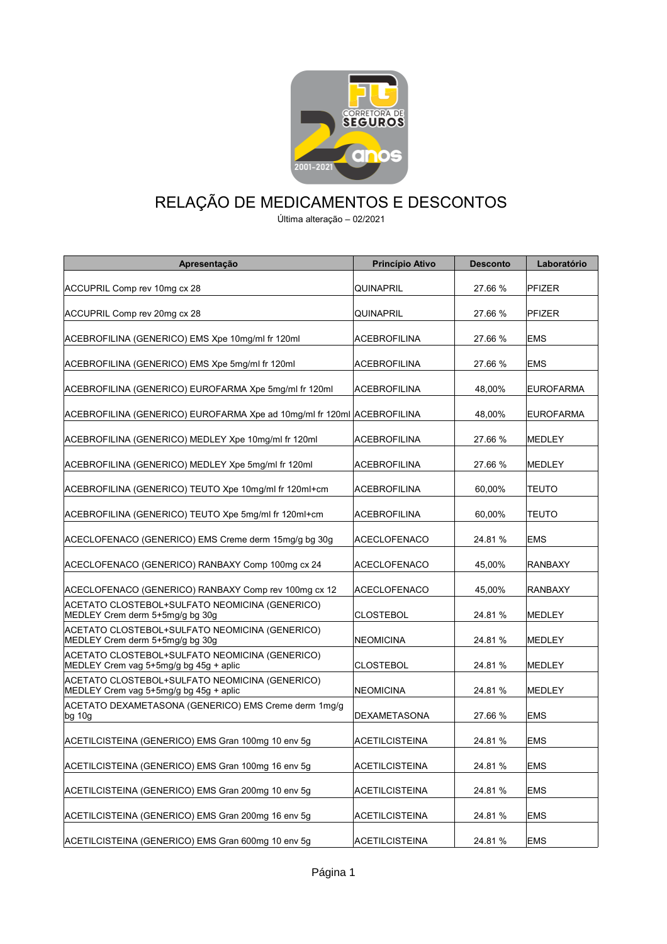

## RELAÇÃO DE MEDICAMENTOS E DESCONTOS

Última alteração – 02/2021

| Apresentação                                                                             | Princípio Ativo       | <b>Desconto</b> | Laboratório      |
|------------------------------------------------------------------------------------------|-----------------------|-----------------|------------------|
| ACCUPRIL Comp rev 10mg cx 28                                                             | QUINAPRIL             | 27.66 %         | <b>PFIZER</b>    |
| ACCUPRIL Comp rev 20mg cx 28                                                             | QUINAPRIL             | 27.66 %         | <b>PFIZER</b>    |
| ACEBROFILINA (GENERICO) EMS Xpe 10mg/ml fr 120ml                                         | ACEBROFILINA          | 27.66 %         | <b>EMS</b>       |
| ACEBROFILINA (GENERICO) EMS Xpe 5mg/ml fr 120ml                                          | ACEBROFILINA          | 27.66 %         | <b>EMS</b>       |
| ACEBROFILINA (GENERICO) EUROFARMA Xpe 5mg/ml fr 120ml                                    | <b>ACEBROFILINA</b>   | 48,00%          | <b>EUROFARMA</b> |
| ACEBROFILINA (GENERICO) EUROFARMA Xpe ad 10mg/ml fr 120ml ACEBROFILINA                   |                       | 48,00%          | <b>EUROFARMA</b> |
| ACEBROFILINA (GENERICO) MEDLEY Xpe 10mg/ml fr 120ml                                      | ACEBROFILINA          | 27.66 %         | <b>MEDLEY</b>    |
| ACEBROFILINA (GENERICO) MEDLEY Xpe 5mg/ml fr 120ml                                       | ACEBROFILINA          | 27.66 %         | <b>MEDLEY</b>    |
| ACEBROFILINA (GENERICO) TEUTO Xpe 10mg/ml fr 120ml+cm                                    | ACEBROFILINA          | 60.00%          | <b>TEUTO</b>     |
| ACEBROFILINA (GENERICO) TEUTO Xpe 5mg/ml fr 120ml+cm                                     | ACEBROFILINA          | 60.00%          | <b>TEUTO</b>     |
| ACECLOFENACO (GENERICO) EMS Creme derm 15mg/g bg 30g                                     | <b>ACECLOFENACO</b>   | 24.81 %         | <b>EMS</b>       |
| ACECLOFENACO (GENERICO) RANBAXY Comp 100mg cx 24                                         | <b>ACECLOFENACO</b>   | 45,00%          | <b>RANBAXY</b>   |
| ACECLOFENACO (GENERICO) RANBAXY Comp rev 100mg cx 12                                     | <b>ACECLOFENACO</b>   | 45,00%          | <b>RANBAXY</b>   |
| ACETATO CLOSTEBOL+SULFATO NEOMICINA (GENERICO)<br>MEDLEY Crem derm 5+5mg/g bg 30g        | <b>CLOSTEBOL</b>      | 24.81 %         | MEDLEY           |
| ACETATO CLOSTEBOL+SULFATO NEOMICINA (GENERICO)<br>MEDLEY Crem derm 5+5mg/g bg 30g        | NEOMICINA             | 24.81 %         | MEDLEY           |
| ACETATO CLOSTEBOL+SULFATO NEOMICINA (GENERICO)<br>MEDLEY Crem vag 5+5mg/g bg 45g + aplic | CLOSTEBOL             | 24.81 %         | MEDLEY           |
| ACETATO CLOSTEBOL+SULFATO NEOMICINA (GENERICO)<br>MEDLEY Crem vag 5+5mg/g bg 45g + aplic | NEOMICINA             | 24.81 %         | <b>MEDLEY</b>    |
| ACETATO DEXAMETASONA (GENERICO) EMS Creme derm 1mg/g<br>$bg$ 10g                         | <b>DEXAMETASONA</b>   | 27.66 %         | <b>EMS</b>       |
| ACETILCISTEINA (GENERICO) EMS Gran 100mg 10 env 5g                                       | ACETILCISTEINA        | 24.81 %         | <b>EMS</b>       |
| ACETILCISTEINA (GENERICO) EMS Gran 100mg 16 env 5g                                       | <b>ACETILCISTEINA</b> | 24.81 %         | <b>EMS</b>       |
| ACETILCISTEINA (GENERICO) EMS Gran 200mg 10 env 5g                                       | <b>ACETILCISTEINA</b> | 24.81 %         | <b>EMS</b>       |
| ACETILCISTEINA (GENERICO) EMS Gran 200mg 16 env 5g                                       | <b>ACETILCISTEINA</b> | 24.81%          | <b>EMS</b>       |
| ACETILCISTEINA (GENERICO) EMS Gran 600mg 10 env 5g                                       | ACETILCISTEINA        | 24.81 %         | EMS              |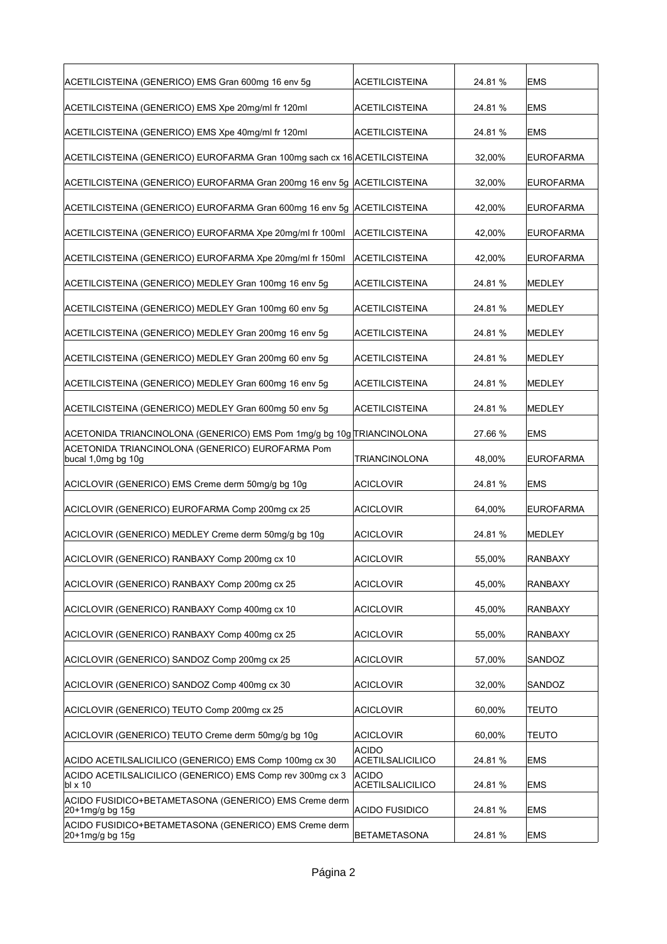| ACETILCISTEINA (GENERICO) EMS Gran 600mg 16 env 5g                       | ACETILCISTEINA                          | 24.81%  | <b>EMS</b>       |
|--------------------------------------------------------------------------|-----------------------------------------|---------|------------------|
| ACETILCISTEINA (GENERICO) EMS Xpe 20mg/ml fr 120ml                       | ACETILCISTEINA                          | 24.81 % | <b>EMS</b>       |
| ACETILCISTEINA (GENERICO) EMS Xpe 40mg/ml fr 120ml                       | ACETILCISTEINA                          | 24.81 % | <b>EMS</b>       |
| ACETILCISTEINA (GENERICO) EUROFARMA Gran 100mg sach cx 16 ACETILCISTEINA |                                         | 32,00%  | <b>EUROFARMA</b> |
| ACETILCISTEINA (GENERICO) EUROFARMA Gran 200mg 16 env 5g ACETILCISTEINA  |                                         | 32,00%  | <b>EUROFARMA</b> |
| ACETILCISTEINA (GENERICO) EUROFARMA Gran 600mg 16 env 5g ACETILCISTEINA  |                                         | 42,00%  | <b>EUROFARMA</b> |
| ACETILCISTEINA (GENERICO) EUROFARMA Xpe 20mg/ml fr 100ml                 | ACETILCISTEINA                          | 42,00%  | <b>EUROFARMA</b> |
| ACETILCISTEINA (GENERICO) EUROFARMA Xpe 20mg/ml fr 150ml                 | ACETILCISTEINA                          | 42,00%  | <b>EUROFARMA</b> |
| ACETILCISTEINA (GENERICO) MEDLEY Gran 100mg 16 env 5g                    | ACETILCISTEINA                          | 24.81%  | <b>MEDLEY</b>    |
| ACETILCISTEINA (GENERICO) MEDLEY Gran 100mg 60 env 5g                    | ACETILCISTEINA                          | 24.81 % | <b>MEDLEY</b>    |
| ACETILCISTEINA (GENERICO) MEDLEY Gran 200mg 16 env 5g                    | ACETILCISTEINA                          | 24.81%  | <b>MEDLEY</b>    |
| ACETILCISTEINA (GENERICO) MEDLEY Gran 200mg 60 env 5g                    | ACETILCISTEINA                          | 24.81 % | <b>MEDLEY</b>    |
| ACETILCISTEINA (GENERICO) MEDLEY Gran 600mg 16 env 5g                    | <b>ACETILCISTEINA</b>                   | 24.81 % | <b>MEDLEY</b>    |
| ACETILCISTEINA (GENERICO) MEDLEY Gran 600mg 50 env 5g                    | ACETILCISTEINA                          | 24.81 % | <b>MEDLEY</b>    |
| ACETONIDA TRIANCINOLONA (GENERICO) EMS Pom 1mg/g bg 10g TRIANCINOLONA    |                                         | 27.66 % | <b>EMS</b>       |
| ACETONIDA TRIANCINOLONA (GENERICO) EUROFARMA Pom<br>bucal 1,0mg bg 10g   | <b>TRIANCINOLONA</b>                    | 48,00%  | <b>EUROFARMA</b> |
| ACICLOVIR (GENERICO) EMS Creme derm 50mg/g bg 10g                        | <b>ACICLOVIR</b>                        | 24.81 % | <b>EMS</b>       |
| ACICLOVIR (GENERICO) EUROFARMA Comp 200mg cx 25                          | <b>ACICLOVIR</b>                        | 64,00%  | <b>EUROFARMA</b> |
| ACICLOVIR (GENERICO) MEDLEY Creme derm 50mg/g bg 10g                     | <b>ACICLOVIR</b>                        | 24.81 % | <b>MEDLEY</b>    |
| ACICLOVIR (GENERICO) RANBAXY Comp 200mg cx 10                            | ACICLOVIR                               | 55,00%  | <b>RANBAXY</b>   |
| ACICLOVIR (GENERICO) RANBAXY Comp 200mg cx 25                            | <b>ACICLOVIR</b>                        | 45,00%  | <b>RANBAXY</b>   |
| ACICLOVIR (GENERICO) RANBAXY Comp 400mg cx 10                            | <b>ACICLOVIR</b>                        | 45,00%  | <b>RANBAXY</b>   |
| ACICLOVIR (GENERICO) RANBAXY Comp 400mg cx 25                            | <b>ACICLOVIR</b>                        | 55,00%  | RANBAXY          |
| ACICLOVIR (GENERICO) SANDOZ Comp 200mg cx 25                             | <b>ACICLOVIR</b>                        | 57,00%  | SANDOZ           |
| ACICLOVIR (GENERICO) SANDOZ Comp 400mg cx 30                             | <b>ACICLOVIR</b>                        | 32,00%  | SANDOZ           |
| ACICLOVIR (GENERICO) TEUTO Comp 200mg cx 25                              | <b>ACICLOVIR</b>                        | 60,00%  | <b>TEUTO</b>     |
| ACICLOVIR (GENERICO) TEUTO Creme derm 50mg/g bg 10g                      | <b>ACICLOVIR</b>                        | 60,00%  | <b>TEUTO</b>     |
| ACIDO ACETILSALICILICO (GENERICO) EMS Comp 100mg cx 30                   | <b>ACIDO</b><br>ACETILSALICILICO        | 24.81%  | <b>EMS</b>       |
| ACIDO ACETILSALICILICO (GENERICO) EMS Comp rev 300mg cx 3<br>bl x 10     | <b>ACIDO</b><br><b>ACETILSALICILICO</b> | 24.81%  | <b>EMS</b>       |
| ACIDO FUSIDICO+BETAMETASONA (GENERICO) EMS Creme derm<br>20+1mg/g bg 15g | ACIDO FUSIDICO                          | 24.81%  | <b>EMS</b>       |
| ACIDO FUSIDICO+BETAMETASONA (GENERICO) EMS Creme derm                    |                                         |         |                  |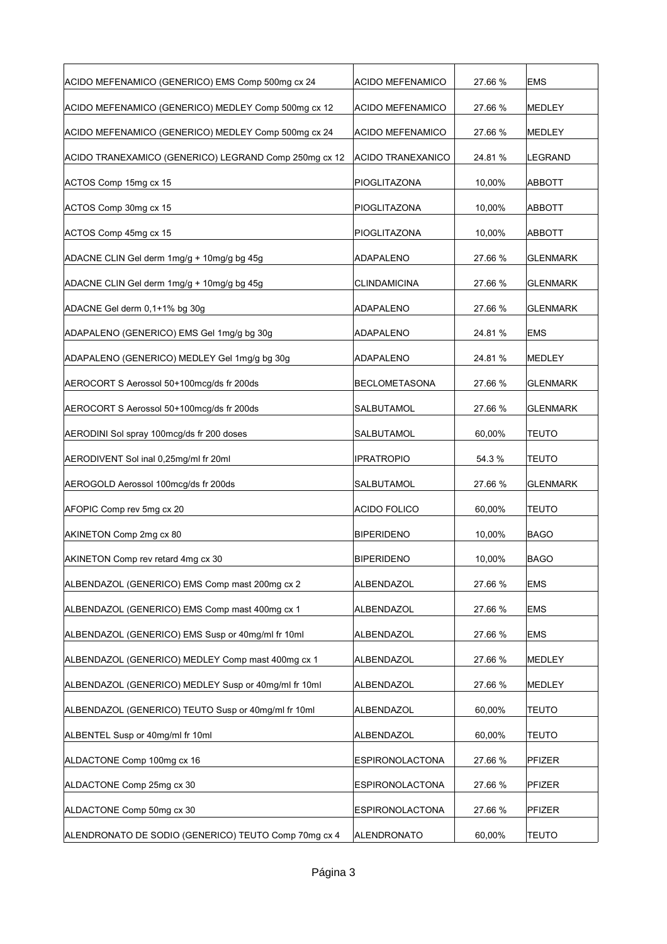| ACIDO MEFENAMICO (GENERICO) EMS Comp 500mg cx 24      | <b>ACIDO MEFENAMICO</b> | 27.66 % | <b>EMS</b>      |
|-------------------------------------------------------|-------------------------|---------|-----------------|
| ACIDO MEFENAMICO (GENERICO) MEDLEY Comp 500mg cx 12   | <b>ACIDO MEFENAMICO</b> | 27.66 % | MEDLEY          |
| ACIDO MEFENAMICO (GENERICO) MEDLEY Comp 500mg cx 24   | <b>ACIDO MEFENAMICO</b> | 27.66 % | <b>MEDLEY</b>   |
| ACIDO TRANEXAMICO (GENERICO) LEGRAND Comp 250mg cx 12 | ACIDO TRANEXANICO       | 24.81%  | LEGRAND         |
| ACTOS Comp 15mg cx 15                                 | PIOGLITAZONA            | 10,00%  | <b>ABBOTT</b>   |
| ACTOS Comp 30mg cx 15                                 | PIOGLITAZONA            | 10,00%  | <b>ABBOTT</b>   |
| ACTOS Comp 45mg cx 15                                 | PIOGLITAZONA            | 10,00%  | <b>ABBOTT</b>   |
| ADACNE CLIN Gel derm 1mg/g + 10mg/g bg 45g            | <b>ADAPALENO</b>        | 27.66 % | <b>GLENMARK</b> |
| ADACNE CLIN Gel derm 1mg/g + 10mg/g bg 45g            | <b>CLINDAMICINA</b>     | 27.66 % | <b>GLENMARK</b> |
| ADACNE Gel derm 0,1+1% bg 30g                         | <b>ADAPALENO</b>        | 27.66 % | <b>GLENMARK</b> |
| ADAPALENO (GENERICO) EMS Gel 1mg/g bg 30g             | <b>ADAPALENO</b>        | 24.81 % | <b>EMS</b>      |
| ADAPALENO (GENERICO) MEDLEY Gel 1mg/g bg 30g          | <b>ADAPALENO</b>        | 24.81 % | MEDLEY          |
| AEROCORT S Aerossol 50+100mcg/ds fr 200ds             | <b>BECLOMETASONA</b>    | 27.66 % | <b>GLENMARK</b> |
| AEROCORT S Aerossol 50+100mcg/ds fr 200ds             | SALBUTAMOL              | 27.66 % | <b>GLENMARK</b> |
| AERODINI Sol spray 100mcg/ds fr 200 doses             | SALBUTAMOL              | 60,00%  | <b>TEUTO</b>    |
| AERODIVENT Sol inal 0,25mg/ml fr 20ml                 | <b>IPRATROPIO</b>       | 54.3%   | <b>TEUTO</b>    |
| AEROGOLD Aerossol 100mcg/ds fr 200ds                  | SALBUTAMOL              | 27.66 % | <b>GLENMARK</b> |
| AFOPIC Comp rev 5mg cx 20                             | <b>ACIDO FOLICO</b>     | 60,00%  | <b>TEUTO</b>    |
| AKINETON Comp 2mg cx 80                               | <b>BIPERIDENO</b>       | 10,00%  | <b>BAGO</b>     |
| AKINETON Comp rev retard 4mg cx 30                    | <b>BIPERIDENO</b>       | 10,00%  | <b>BAGO</b>     |
| ALBENDAZOL (GENERICO) EMS Comp mast 200mg cx 2        | ALBENDAZOL              | 27.66 % | <b>EMS</b>      |
| ALBENDAZOL (GENERICO) EMS Comp mast 400mg cx 1        | ALBENDAZOL              | 27.66 % | <b>EMS</b>      |
| ALBENDAZOL (GENERICO) EMS Susp or 40mg/ml fr 10ml     | ALBENDAZOL              | 27.66 % | <b>EMS</b>      |
| ALBENDAZOL (GENERICO) MEDLEY Comp mast 400mg cx 1     | <b>ALBENDAZOL</b>       | 27.66 % | <b>MEDLEY</b>   |
| ALBENDAZOL (GENERICO) MEDLEY Susp or 40mg/ml fr 10ml  | ALBENDAZOL              | 27.66 % | <b>MEDLEY</b>   |
| ALBENDAZOL (GENERICO) TEUTO Susp or 40mg/ml fr 10ml   | <b>ALBENDAZOL</b>       | 60,00%  | <b>TEUTO</b>    |
| ALBENTEL Susp or 40mg/ml fr 10ml                      | ALBENDAZOL              | 60,00%  | <b>TEUTO</b>    |
| ALDACTONE Comp 100mg cx 16                            | <b>ESPIRONOLACTONA</b>  | 27.66 % | PFIZER          |
| ALDACTONE Comp 25mg cx 30                             | <b>ESPIRONOLACTONA</b>  | 27.66 % | PFIZER          |
|                                                       |                         |         |                 |
| ALDACTONE Comp 50mg cx 30                             | <b>ESPIRONOLACTONA</b>  | 27.66 % | PFIZER          |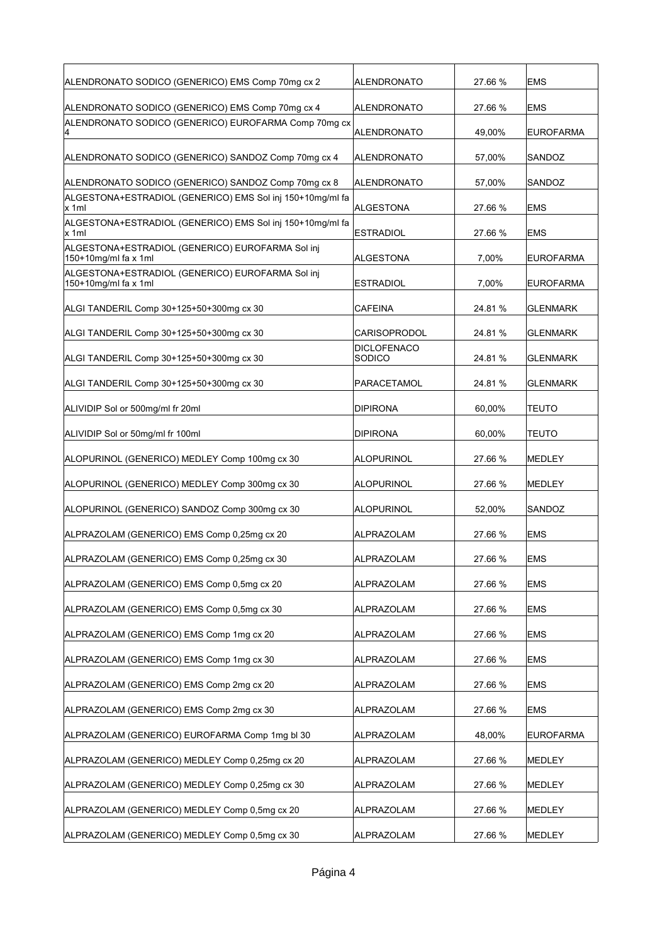| ALENDRONATO SODICO (GENERICO) EMS Comp 70mg cx 2                         | ALENDRONATO           | 27.66 % | <b>EMS</b>       |
|--------------------------------------------------------------------------|-----------------------|---------|------------------|
| ALENDRONATO SODICO (GENERICO) EMS Comp 70mg cx 4                         | ALENDRONATO           | 27.66 % | <b>EMS</b>       |
| ALENDRONATO SODICO (GENERICO) EUROFARMA Comp 70mg cx                     | ALENDRONATO           | 49,00%  | <b>EUROFARMA</b> |
| ALENDRONATO SODICO (GENERICO) SANDOZ Comp 70mg cx 4                      | ALENDRONATO           | 57,00%  | SANDOZ           |
| ALENDRONATO SODICO (GENERICO) SANDOZ Comp 70mg cx 8                      | ALENDRONATO           | 57,00%  | SANDOZ           |
| ALGESTONA+ESTRADIOL (GENERICO) EMS Sol inj 150+10mg/ml fa<br>lx 1ml      | ALGESTONA             | 27.66 % | <b>EMS</b>       |
| ALGESTONA+ESTRADIOL (GENERICO) EMS Sol inj 150+10mg/ml fa<br>x 1ml       | <b>ESTRADIOL</b>      | 27.66 % | <b>EMS</b>       |
| ALGESTONA+ESTRADIOL (GENERICO) EUROFARMA Sol inj<br>150+10mg/ml fa x 1ml | ALGESTONA             | 7,00%   | <b>EUROFARMA</b> |
| ALGESTONA+ESTRADIOL (GENERICO) EUROFARMA Sol inj<br>150+10mg/ml fa x 1ml | ESTRADIOL             | 7,00%   | <b>EUROFARMA</b> |
| ALGI TANDERIL Comp 30+125+50+300mg cx 30                                 | CAFEINA               | 24.81 % | <b>GLENMARK</b>  |
| ALGI TANDERIL Comp 30+125+50+300mg cx 30                                 | CARISOPRODOL          | 24.81 % | <b>GLENMARK</b>  |
| ALGI TANDERIL Comp 30+125+50+300mg cx 30                                 | DICLOFENACO<br>SODICO | 24.81%  | <b>GLENMARK</b>  |
| ALGI TANDERIL Comp 30+125+50+300mg cx 30                                 | PARACETAMOL           | 24.81%  | <b>GLENMARK</b>  |
|                                                                          |                       |         |                  |
| ALIVIDIP Sol or 500mg/ml fr 20ml                                         | DIPIRONA              | 60,00%  | <b>TEUTO</b>     |
| ALIVIDIP Sol or 50mg/ml fr 100ml                                         | DIPIRONA              | 60,00%  | TEUTO            |
| ALOPURINOL (GENERICO) MEDLEY Comp 100mg cx 30                            | ALOPURINOL            | 27.66 % | <b>MEDLEY</b>    |
| ALOPURINOL (GENERICO) MEDLEY Comp 300mg cx 30                            | ALOPURINOL            | 27.66 % | <b>MEDLEY</b>    |
| ALOPURINOL (GENERICO) SANDOZ Comp 300mg cx 30                            | ALOPURINOL            | 52,00%  | SANDOZ           |
| ALPRAZOLAM (GENERICO) EMS Comp 0,25mg cx 20                              | ALPRAZOLAM            | 27.66 % | <b>EMS</b>       |
| ALPRAZOLAM (GENERICO) EMS Comp 0,25mg cx 30                              | ALPRAZOLAM            | 27.66 % | <b>EMS</b>       |
| ALPRAZOLAM (GENERICO) EMS Comp 0,5mg cx 20                               | ALPRAZOLAM            | 27.66 % | <b>EMS</b>       |
| ALPRAZOLAM (GENERICO) EMS Comp 0,5mg cx 30                               | ALPRAZOLAM            | 27.66 % | <b>EMS</b>       |
| ALPRAZOLAM (GENERICO) EMS Comp 1mg cx 20                                 | ALPRAZOLAM            | 27.66 % | <b>EMS</b>       |
| ALPRAZOLAM (GENERICO) EMS Comp 1mg cx 30                                 | ALPRAZOLAM            | 27.66 % | <b>EMS</b>       |
| ALPRAZOLAM (GENERICO) EMS Comp 2mg cx 20                                 | ALPRAZOLAM            | 27.66 % | <b>EMS</b>       |
| ALPRAZOLAM (GENERICO) EMS Comp 2mg cx 30                                 | ALPRAZOLAM            | 27.66 % | <b>EMS</b>       |
| ALPRAZOLAM (GENERICO) EUROFARMA Comp 1mg bl 30                           | ALPRAZOLAM            | 48,00%  | EUROFARMA        |
| ALPRAZOLAM (GENERICO) MEDLEY Comp 0,25mg cx 20                           | ALPRAZOLAM            | 27.66 % | <b>MEDLEY</b>    |
| ALPRAZOLAM (GENERICO) MEDLEY Comp 0,25mg cx 30                           | ALPRAZOLAM            | 27.66 % | <b>MEDLEY</b>    |
| ALPRAZOLAM (GENERICO) MEDLEY Comp 0,5mg cx 20                            | ALPRAZOLAM            | 27.66 % | MEDLEY           |
| ALPRAZOLAM (GENERICO) MEDLEY Comp 0,5mg cx 30                            | ALPRAZOLAM            | 27.66 % | MEDLEY           |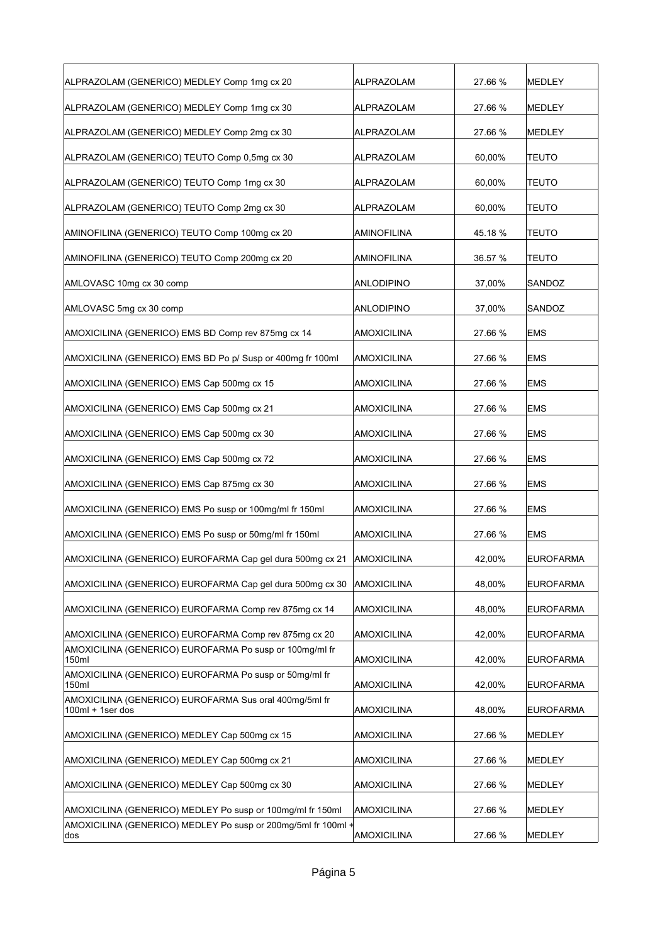| ALPRAZOLAM (GENERICO) MEDLEY Comp 1mg cx 20                                  | ALPRAZOLAM         | 27.66 % | <b>MEDLEY</b>    |
|------------------------------------------------------------------------------|--------------------|---------|------------------|
| ALPRAZOLAM (GENERICO) MEDLEY Comp 1mg cx 30                                  | <b>ALPRAZOLAM</b>  | 27.66 % | MEDLEY           |
| ALPRAZOLAM (GENERICO) MEDLEY Comp 2mg cx 30                                  | <b>ALPRAZOLAM</b>  | 27.66 % | <b>MEDLEY</b>    |
| ALPRAZOLAM (GENERICO) TEUTO Comp 0,5mg cx 30                                 | <b>ALPRAZOLAM</b>  | 60,00%  | <b>TEUTO</b>     |
| ALPRAZOLAM (GENERICO) TEUTO Comp 1mg cx 30                                   | ALPRAZOLAM         | 60,00%  | <b>TEUTO</b>     |
| ALPRAZOLAM (GENERICO) TEUTO Comp 2mg cx 30                                   | ALPRAZOLAM         | 60,00%  | <b>TEUTO</b>     |
| AMINOFILINA (GENERICO) TEUTO Comp 100mg cx 20                                | <b>AMINOFILINA</b> | 45.18 % | TEUTO            |
| AMINOFILINA (GENERICO) TEUTO Comp 200mg cx 20                                | AMINOFILINA        | 36.57 % | <b>TEUTO</b>     |
| AMLOVASC 10mg cx 30 comp                                                     | <b>ANLODIPINO</b>  | 37,00%  | SANDOZ           |
| AMLOVASC 5mg cx 30 comp                                                      | <b>ANLODIPINO</b>  | 37,00%  | SANDOZ           |
| AMOXICILINA (GENERICO) EMS BD Comp rev 875mg cx 14                           | <b>AMOXICILINA</b> | 27.66 % | <b>EMS</b>       |
| AMOXICILINA (GENERICO) EMS BD Po p/ Susp or 400mg fr 100ml                   | <b>AMOXICILINA</b> | 27.66 % | <b>EMS</b>       |
| AMOXICILINA (GENERICO) EMS Cap 500mg cx 15                                   | <b>AMOXICILINA</b> | 27.66 % | <b>EMS</b>       |
| AMOXICILINA (GENERICO) EMS Cap 500mg cx 21                                   | <b>AMOXICILINA</b> | 27.66 % | <b>EMS</b>       |
| AMOXICILINA (GENERICO) EMS Cap 500mg cx 30                                   | <b>AMOXICILINA</b> | 27.66 % | <b>EMS</b>       |
| AMOXICILINA (GENERICO) EMS Cap 500mg cx 72                                   | <b>AMOXICILINA</b> | 27.66 % | <b>EMS</b>       |
| AMOXICILINA (GENERICO) EMS Cap 875mg cx 30                                   | <b>AMOXICILINA</b> | 27.66 % | <b>EMS</b>       |
| AMOXICILINA (GENERICO) EMS Po susp or 100mg/ml fr 150ml                      | <b>AMOXICILINA</b> | 27.66 % | <b>EMS</b>       |
| AMOXICILINA (GENERICO) EMS Po susp or 50mg/ml fr 150ml                       | <b>AMOXICILINA</b> | 27.66 % | <b>EMS</b>       |
| AMOXICILINA (GENERICO) EUROFARMA Cap gel dura 500mg cx 21 AMOXICILINA        |                    | 42,00%  | <b>EUROFARMA</b> |
| AMOXICILINA (GENERICO) EUROFARMA Cap gel dura 500mg cx 30                    | AMOXICILINA        | 48,00%  | <b>EUROFARMA</b> |
| AMOXICILINA (GENERICO) EUROFARMA Comp rev 875mg cx 14                        | <b>AMOXICILINA</b> | 48,00%  | EUROFARMA        |
| AMOXICILINA (GENERICO) EUROFARMA Comp rev 875mg cx 20                        | <b>AMOXICILINA</b> | 42,00%  | <b>EUROFARMA</b> |
| AMOXICILINA (GENERICO) EUROFARMA Po susp or 100mg/ml fr<br>150ml             | <b>AMOXICILINA</b> | 42,00%  | <b>EUROFARMA</b> |
| AMOXICILINA (GENERICO) EUROFARMA Po susp or 50mg/ml fr<br>150ml              | <b>AMOXICILINA</b> | 42,00%  | <b>EUROFARMA</b> |
| AMOXICILINA (GENERICO) EUROFARMA Sus oral 400mg/5ml fr<br>$100ml + 1ser$ dos | <b>AMOXICILINA</b> | 48,00%  | <b>EUROFARMA</b> |
| AMOXICILINA (GENERICO) MEDLEY Cap 500mg cx 15                                | AMOXICILINA        | 27.66 % | MEDLEY           |
| AMOXICILINA (GENERICO) MEDLEY Cap 500mg cx 21                                | <b>AMOXICILINA</b> | 27.66 % | MEDLEY           |
| AMOXICILINA (GENERICO) MEDLEY Cap 500mg cx 30                                | <b>AMOXICILINA</b> | 27.66 % | MEDLEY           |
| AMOXICILINA (GENERICO) MEDLEY Po susp or 100mg/ml fr 150ml                   | AMOXICILINA        | 27.66 % | <b>MEDLEY</b>    |
| AMOXICILINA (GENERICO) MEDLEY Po susp or 200mg/5ml fr 100ml +<br>dos         | <b>AMOXICILINA</b> | 27.66 % | MEDLEY           |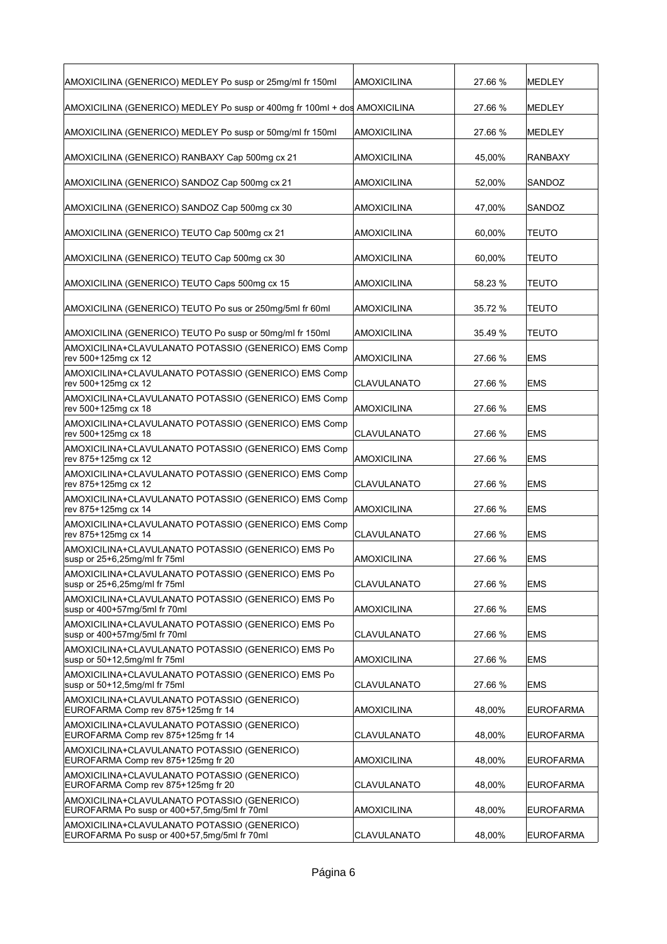| AMOXICILINA (GENERICO) MEDLEY Po susp or 25mg/ml fr 150ml                                  | AMOXICILINA        | 27.66 % | <b>MEDLEY</b>    |
|--------------------------------------------------------------------------------------------|--------------------|---------|------------------|
| AMOXICILINA (GENERICO) MEDLEY Po susp or 400mg fr 100ml + dos AMOXICILINA                  |                    | 27.66 % | <b>MEDLEY</b>    |
| AMOXICILINA (GENERICO) MEDLEY Po susp or 50mg/ml fr 150ml                                  | AMOXICILINA        | 27.66 % | <b>MEDLEY</b>    |
| AMOXICILINA (GENERICO) RANBAXY Cap 500mg cx 21                                             | AMOXICILINA        | 45,00%  | <b>RANBAXY</b>   |
| AMOXICILINA (GENERICO) SANDOZ Cap 500mg cx 21                                              | AMOXICILINA        | 52,00%  | SANDOZ           |
| AMOXICILINA (GENERICO) SANDOZ Cap 500mg cx 30                                              | AMOXICILINA        | 47.00%  | SANDOZ           |
| AMOXICILINA (GENERICO) TEUTO Cap 500mg cx 21                                               | AMOXICILINA        | 60,00%  | <b>TEUTO</b>     |
| AMOXICILINA (GENERICO) TEUTO Cap 500mg cx 30                                               | AMOXICILINA        | 60,00%  | <b>TEUTO</b>     |
| AMOXICILINA (GENERICO) TEUTO Caps 500mg cx 15                                              | AMOXICILINA        | 58.23 % | <b>TEUTO</b>     |
| AMOXICILINA (GENERICO) TEUTO Po sus or 250mg/5ml fr 60ml                                   | AMOXICILINA        | 35.72 % | <b>TEUTO</b>     |
| AMOXICILINA (GENERICO) TEUTO Po susp or 50mg/ml fr 150ml                                   | AMOXICILINA        | 35.49 % | <b>TEUTO</b>     |
| AMOXICILINA+CLAVULANATO POTASSIO (GENERICO) EMS Comp<br>rev 500+125mg cx 12                | <b>AMOXICILINA</b> | 27.66 % | <b>EMS</b>       |
| AMOXICILINA+CLAVULANATO POTASSIO (GENERICO) EMS Comp<br>rev 500+125mg cx 12                | <b>CLAVULANATO</b> | 27.66 % | <b>EMS</b>       |
| AMOXICILINA+CLAVULANATO POTASSIO (GENERICO) EMS Comp<br>rev 500+125mg cx 18                | AMOXICILINA        | 27.66 % | <b>EMS</b>       |
| AMOXICILINA+CLAVULANATO POTASSIO (GENERICO) EMS Comp<br>rev 500+125mg cx 18                | CLAVULANATO        | 27.66 % | <b>EMS</b>       |
| AMOXICILINA+CLAVULANATO POTASSIO (GENERICO) EMS Comp<br>rev 875+125mg cx 12                | <b>AMOXICILINA</b> | 27.66 % | <b>EMS</b>       |
| AMOXICILINA+CLAVULANATO POTASSIO (GENERICO) EMS Comp<br>rev 875+125mg cx 12                | CLAVULANATO        | 27.66 % | <b>EMS</b>       |
| AMOXICILINA+CLAVULANATO POTASSIO (GENERICO) EMS Comp<br>rev 875+125mg cx 14                | <b>AMOXICILINA</b> | 27.66 % | <b>EMS</b>       |
| AMOXICILINA+CLAVULANATO POTASSIO (GENERICO) EMS Comp<br>rev 875+125mg cx 14                | CLAVULANATO        | 27.66 % | <b>EMS</b>       |
| AMOXICILINA+CLAVULANATO POTASSIO (GENERICO) EMS Po<br>susp or 25+6,25mg/ml fr 75ml         | AMOXICILINA        | 27.66 % | <b>EMS</b>       |
| AMOXICILINA+CLAVULANATO POTASSIO (GENERICO) EMS Po<br>susp or 25+6,25mg/ml fr 75ml         | CLAVULANATO        | 27.66 % | <b>EMS</b>       |
| AMOXICILINA+CLAVULANATO POTASSIO (GENERICO) EMS Po<br>susp or 400+57mg/5ml fr 70ml         | AMOXICILINA        | 27.66 % | <b>EMS</b>       |
| AMOXICILINA+CLAVULANATO POTASSIO (GENERICO) EMS Po<br>susp or 400+57mg/5ml fr 70ml         | CLAVULANATO        | 27.66 % | <b>EMS</b>       |
| AMOXICILINA+CLAVULANATO POTASSIO (GENERICO) EMS Po<br>susp or 50+12,5mg/ml fr 75ml         | <b>AMOXICILINA</b> | 27.66 % | EMS              |
| AMOXICILINA+CLAVULANATO POTASSIO (GENERICO) EMS Po<br>susp or 50+12,5mg/ml fr 75ml         | CLAVULANATO        | 27.66 % | EMS              |
| AMOXICILINA+CLAVULANATO POTASSIO (GENERICO)<br>EUROFARMA Comp rev 875+125mg fr 14          | AMOXICILINA        | 48,00%  | <b>EUROFARMA</b> |
| AMOXICILINA+CLAVULANATO POTASSIO (GENERICO)<br>EUROFARMA Comp rev 875+125mg fr 14          | CLAVULANATO        | 48,00%  | <b>EUROFARMA</b> |
| AMOXICILINA+CLAVULANATO POTASSIO (GENERICO)<br>EUROFARMA Comp rev 875+125mg fr 20          | <b>AMOXICILINA</b> | 48,00%  | <b>EUROFARMA</b> |
| AMOXICILINA+CLAVULANATO POTASSIO (GENERICO)<br>EUROFARMA Comp rev 875+125mg fr 20          | CLAVULANATO        | 48,00%  | <b>EUROFARMA</b> |
| AMOXICILINA+CLAVULANATO POTASSIO (GENERICO)<br>EUROFARMA Po susp or 400+57,5mg/5ml fr 70ml | <b>AMOXICILINA</b> | 48,00%  | EUROFARMA        |
| AMOXICILINA+CLAVULANATO POTASSIO (GENERICO)<br>EUROFARMA Po susp or 400+57,5mg/5ml fr 70ml | CLAVULANATO        | 48,00%  | <b>EUROFARMA</b> |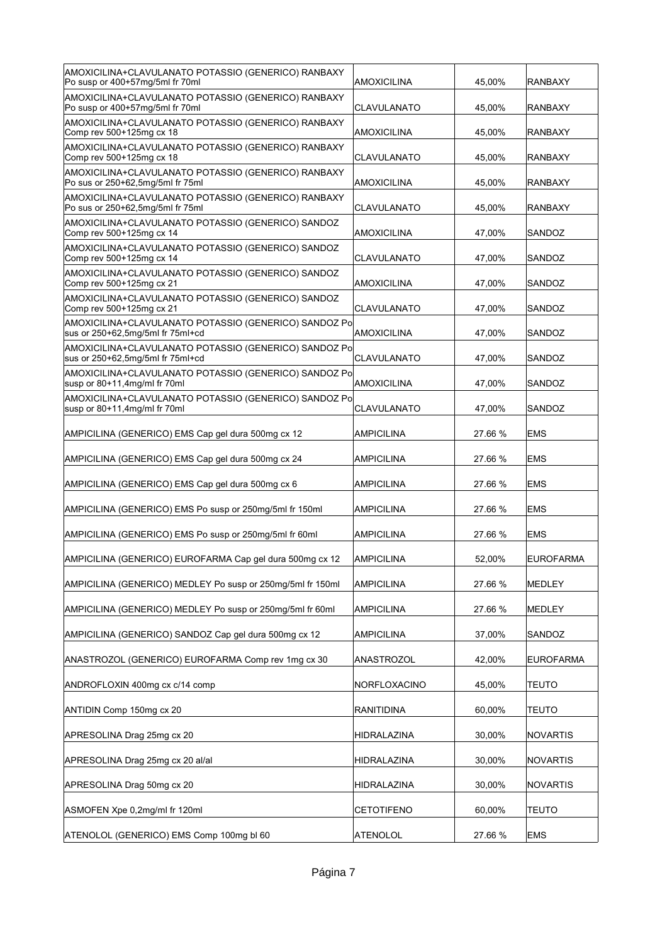| AMOXICILINA+CLAVULANATO POTASSIO (GENERICO) RANBAXY<br>Po susp or 400+57mg/5ml fr 70ml    | AMOXICILINA        | 45,00%  | <b>RANBAXY</b>   |
|-------------------------------------------------------------------------------------------|--------------------|---------|------------------|
| AMOXICILINA+CLAVULANATO POTASSIO (GENERICO) RANBAXY<br>Po susp or 400+57mg/5ml fr 70ml    | CLAVULANATO        | 45,00%  | <b>RANBAXY</b>   |
| AMOXICILINA+CLAVULANATO POTASSIO (GENERICO) RANBAXY<br>Comp rev 500+125mg cx 18           | AMOXICILINA        | 45,00%  | <b>RANBAXY</b>   |
| AMOXICILINA+CLAVULANATO POTASSIO (GENERICO) RANBAXY<br>Comp rev 500+125mg cx 18           | CLAVULANATO        | 45,00%  | <b>RANBAXY</b>   |
| AMOXICILINA+CLAVULANATO POTASSIO (GENERICO) RANBAXY<br>Po sus or 250+62,5mg/5ml fr 75ml   | AMOXICILINA        | 45,00%  | <b>RANBAXY</b>   |
| AMOXICILINA+CLAVULANATO POTASSIO (GENERICO) RANBAXY<br>Po sus or 250+62,5mg/5ml fr 75ml   | CLAVULANATO        | 45,00%  | <b>RANBAXY</b>   |
| AMOXICILINA+CLAVULANATO POTASSIO (GENERICO) SANDOZ<br>Comp rev 500+125mg cx 14            | AMOXICILINA        | 47,00%  | SANDOZ           |
| AMOXICILINA+CLAVULANATO POTASSIO (GENERICO) SANDOZ<br>Comp rev 500+125mg cx 14            | CLAVULANATO        | 47,00%  | SANDOZ           |
| AMOXICILINA+CLAVULANATO POTASSIO (GENERICO) SANDOZ<br>Comp rev 500+125mg cx 21            | <b>AMOXICILINA</b> | 47,00%  | SANDOZ           |
| AMOXICILINA+CLAVULANATO POTASSIO (GENERICO) SANDOZ<br>Comp rev 500+125mg cx 21            | CLAVULANATO        | 47,00%  | SANDOZ           |
| AMOXICILINA+CLAVULANATO POTASSIO (GENERICO) SANDOZ Po<br>sus or 250+62,5mg/5ml fr 75ml+cd | AMOXICILINA        | 47.00%  | SANDOZ           |
| AMOXICILINA+CLAVULANATO POTASSIO (GENERICO) SANDOZ Po<br>sus or 250+62,5mg/5ml fr 75ml+cd | CLAVULANATO        | 47,00%  | SANDOZ           |
| AMOXICILINA+CLAVULANATO POTASSIO (GENERICO) SANDOZ Po<br>susp or 80+11,4mg/ml fr 70ml     | AMOXICILINA        | 47,00%  | SANDOZ           |
| AMOXICILINA+CLAVULANATO POTASSIO (GENERICO) SANDOZ Po<br>susp or 80+11,4mg/ml fr 70ml     | CLAVULANATO        | 47,00%  | SANDOZ           |
| AMPICILINA (GENERICO) EMS Cap gel dura 500mg cx 12                                        | AMPICILINA         | 27.66 % | <b>EMS</b>       |
| AMPICILINA (GENERICO) EMS Cap gel dura 500mg cx 24                                        | AMPICILINA         | 27.66 % | <b>EMS</b>       |
|                                                                                           |                    |         |                  |
| AMPICILINA (GENERICO) EMS Cap gel dura 500mg cx 6                                         | AMPICILINA         | 27.66 % | <b>EMS</b>       |
| AMPICILINA (GENERICO) EMS Po susp or 250mg/5ml fr 150ml                                   | <b>AMPICILINA</b>  | 27.66 % | <b>EMS</b>       |
| AMPICILINA (GENERICO) EMS Po susp or 250mg/5ml fr 60ml                                    | <b>AMPICILINA</b>  | 27.66 % | <b>EMS</b>       |
| AMPICILINA (GENERICO) EUROFARMA Cap gel dura 500mg cx 12                                  | AMPICILINA         | 52,00%  | <b>EUROFARMA</b> |
| AMPICILINA (GENERICO) MEDLEY Po susp or 250mg/5ml fr 150ml                                | <b>AMPICILINA</b>  | 27.66 % | MEDLEY           |
| AMPICILINA (GENERICO) MEDLEY Po susp or 250mg/5ml fr 60ml                                 | AMPICILINA         | 27.66 % | MEDLEY           |
| AMPICILINA (GENERICO) SANDOZ Cap gel dura 500mg cx 12                                     | AMPICILINA         | 37,00%  | SANDOZ           |
| ANASTROZOL (GENERICO) EUROFARMA Comp rev 1mg cx 30                                        | ANASTROZOL         | 42,00%  | EUROFARMA        |
| ANDROFLOXIN 400mg cx c/14 comp                                                            | NORFLOXACINO       | 45,00%  | <b>TEUTO</b>     |
| ANTIDIN Comp 150mg cx 20                                                                  | <b>RANITIDINA</b>  | 60,00%  | <b>TEUTO</b>     |
| APRESOLINA Drag 25mg cx 20                                                                | HIDRALAZINA        | 30,00%  | NOVARTIS         |
| APRESOLINA Drag 25mg cx 20 al/al                                                          | HIDRALAZINA        | 30,00%  | NOVARTIS         |
| APRESOLINA Drag 50mg cx 20                                                                | HIDRALAZINA        | 30,00%  | NOVARTIS         |
| ASMOFEN Xpe 0,2mg/ml fr 120ml                                                             | <b>CETOTIFENO</b>  | 60,00%  | <b>TEUTO</b>     |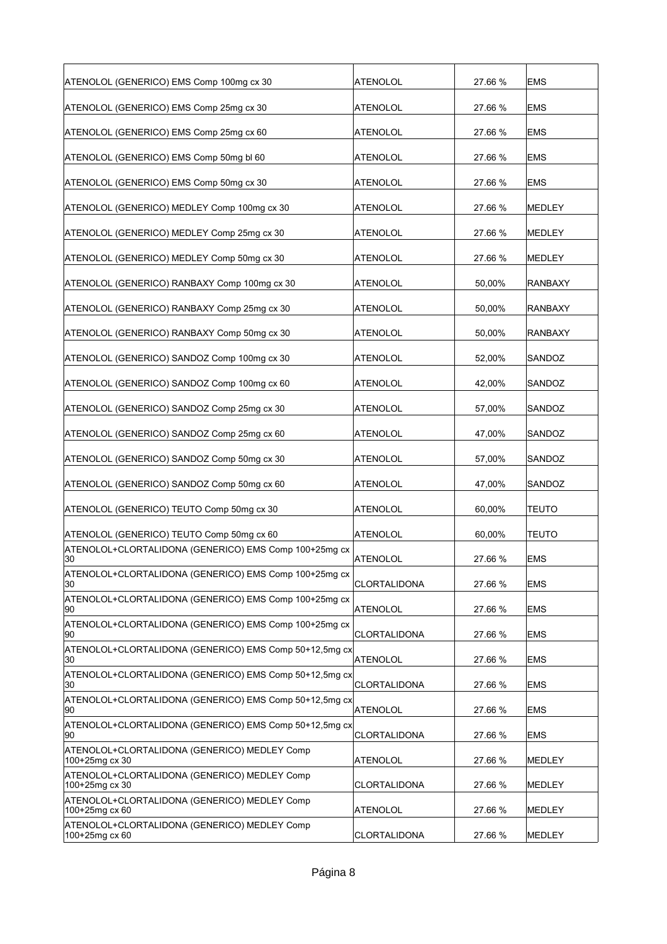| ATENOLOL (GENERICO) EMS Comp 100mg cx 30                       | ATENOLOL            | 27.66 % | <b>EMS</b>     |
|----------------------------------------------------------------|---------------------|---------|----------------|
| ATENOLOL (GENERICO) EMS Comp 25mg cx 30                        | ATENOLOL            | 27.66 % | <b>EMS</b>     |
| ATENOLOL (GENERICO) EMS Comp 25mg cx 60                        | ATENOLOL            | 27.66 % | <b>EMS</b>     |
| ATENOLOL (GENERICO) EMS Comp 50mg bl 60                        | ATENOLOL            | 27.66 % | <b>EMS</b>     |
| ATENOLOL (GENERICO) EMS Comp 50mg cx 30                        | ATENOLOL            | 27.66 % | <b>EMS</b>     |
| ATENOLOL (GENERICO) MEDLEY Comp 100mg cx 30                    | ATENOLOL            | 27.66 % | <b>MEDLEY</b>  |
| ATENOLOL (GENERICO) MEDLEY Comp 25mg cx 30                     | <b>ATENOLOL</b>     | 27.66 % | MEDLEY         |
| ATENOLOL (GENERICO) MEDLEY Comp 50mg cx 30                     | <b>ATENOLOL</b>     | 27.66 % | MEDLEY         |
| ATENOLOL (GENERICO) RANBAXY Comp 100mg cx 30                   | ATENOLOL            | 50,00%  | <b>RANBAXY</b> |
| ATENOLOL (GENERICO) RANBAXY Comp 25mg cx 30                    | ATENOLOL            | 50,00%  | RANBAXY        |
| ATENOLOL (GENERICO) RANBAXY Comp 50mg cx 30                    | <b>ATENOLOL</b>     | 50,00%  | <b>RANBAXY</b> |
| ATENOLOL (GENERICO) SANDOZ Comp 100mg cx 30                    | <b>ATENOLOL</b>     | 52,00%  | SANDOZ         |
| ATENOLOL (GENERICO) SANDOZ Comp 100mg cx 60                    | ATENOLOL            | 42,00%  | SANDOZ         |
| ATENOLOL (GENERICO) SANDOZ Comp 25mg cx 30                     | <b>ATENOLOL</b>     | 57,00%  | SANDOZ         |
| ATENOLOL (GENERICO) SANDOZ Comp 25mg cx 60                     | <b>ATENOLOL</b>     | 47,00%  | SANDOZ         |
| ATENOLOL (GENERICO) SANDOZ Comp 50mg cx 30                     | ATENOLOL            | 57,00%  | SANDOZ         |
| ATENOLOL (GENERICO) SANDOZ Comp 50mg cx 60                     | ATENOLOL            | 47,00%  | SANDOZ         |
| ATENOLOL (GENERICO) TEUTO Comp 50mg cx 30                      | ATENOLOL            | 60,00%  | <b>TEUTO</b>   |
| ATENOLOL (GENERICO) TEUTO Comp 50mg cx 60                      | <b>ATENOLOL</b>     | 60,00%  | <b>TEUTO</b>   |
| ATENOLOL+CLORTALIDONA (GENERICO) EMS Comp 100+25mg cx<br>30    | <b>ATENOLOL</b>     | 27.66 % | <b>EMS</b>     |
| ATENOLOL+CLORTALIDONA (GENERICO) EMS Comp 100+25mg cx<br>30    | <b>CLORTALIDONA</b> | 27.66 % | <b>EMS</b>     |
| ATENOLOL+CLORTALIDONA (GENERICO) EMS Comp 100+25mg cx<br> 90   | <b>ATENOLOL</b>     | 27.66 % | <b>EMS</b>     |
| ATENOLOL+CLORTALIDONA (GENERICO) EMS Comp 100+25mg cx<br> 90   | CLORTALIDONA        | 27.66 % | <b>EMS</b>     |
| ATENOLOL+CLORTALIDONA (GENERICO) EMS Comp 50+12,5mg cx<br>30   | <b>ATENOLOL</b>     | 27.66 % | <b>EMS</b>     |
| ATENOLOL+CLORTALIDONA (GENERICO) EMS Comp 50+12,5mg cx<br>30   | CLORTALIDONA        | 27.66 % | EMS            |
| ATENOLOL+CLORTALIDONA (GENERICO) EMS Comp 50+12,5mg cx<br>90   | ATENOLOL            | 27.66 % | <b>EMS</b>     |
| ATENOLOL+CLORTALIDONA (GENERICO) EMS Comp 50+12,5mg cx<br>90   | CLORTALIDONA        | 27.66 % | <b>EMS</b>     |
| ATENOLOL+CLORTALIDONA (GENERICO) MEDLEY Comp<br>100+25mg cx 30 | <b>ATENOLOL</b>     | 27.66 % | MEDLEY         |
| ATENOLOL+CLORTALIDONA (GENERICO) MEDLEY Comp<br>100+25mg cx 30 | CLORTALIDONA        | 27.66 % | MEDLEY         |
| ATENOLOL+CLORTALIDONA (GENERICO) MEDLEY Comp<br>100+25mg cx 60 | <b>ATENOLOL</b>     | 27.66 % | MEDLEY         |
| ATENOLOL+CLORTALIDONA (GENERICO) MEDLEY Comp<br>100+25mg cx 60 | CLORTALIDONA        | 27.66 % | MEDLEY         |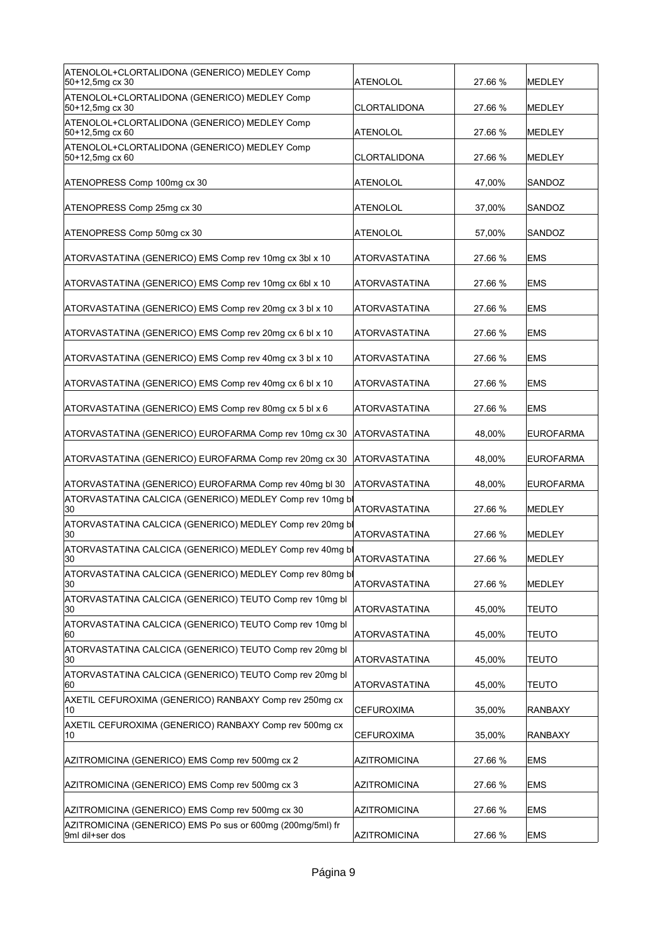| ATENOLOL+CLORTALIDONA (GENERICO) MEDLEY Comp<br>50+12,5mg cx 30 | <b>ATENOLOL</b>      | 27.66 % | <b>MEDLEY</b>    |
|-----------------------------------------------------------------|----------------------|---------|------------------|
| ATENOLOL+CLORTALIDONA (GENERICO) MEDLEY Comp<br>50+12,5mg cx 30 | CLORTALIDONA         | 27.66 % | <b>MEDLEY</b>    |
| ATENOLOL+CLORTALIDONA (GENERICO) MEDLEY Comp<br>50+12,5mg cx 60 | ATENOLOL             | 27.66 % | <b>MEDLEY</b>    |
| ATENOLOL+CLORTALIDONA (GENERICO) MEDLEY Comp<br>50+12,5mg cx 60 | <b>CLORTALIDONA</b>  | 27.66 % | <b>MEDLEY</b>    |
| ATENOPRESS Comp 100mg cx 30                                     | ATENOLOL             | 47,00%  | SANDOZ           |
| ATENOPRESS Comp 25mg cx 30                                      | ATENOLOL             | 37,00%  | SANDOZ           |
| ATENOPRESS Comp 50mg cx 30                                      | ATENOLOL             | 57,00%  | SANDOZ           |
| ATORVASTATINA (GENERICO) EMS Comp rev 10mg cx 3bl x 10          | ATORVASTATINA        | 27.66 % | <b>EMS</b>       |
| ATORVASTATINA (GENERICO) EMS Comp rev 10mg cx 6bl x 10          | <b>ATORVASTATINA</b> | 27.66 % | <b>EMS</b>       |
| ATORVASTATINA (GENERICO) EMS Comp rev 20mg cx 3 bl x 10         | <b>ATORVASTATINA</b> | 27.66 % | <b>EMS</b>       |
| ATORVASTATINA (GENERICO) EMS Comp rev 20mg cx 6 bl x 10         | <b>ATORVASTATINA</b> | 27.66 % | <b>EMS</b>       |
| ATORVASTATINA (GENERICO) EMS Comp rev 40mg cx 3 bl x 10         | <b>ATORVASTATINA</b> | 27.66 % | <b>EMS</b>       |
| ATORVASTATINA (GENERICO) EMS Comp rev 40mg cx 6 bl x 10         | ATORVASTATINA        | 27.66 % | <b>EMS</b>       |
| ATORVASTATINA (GENERICO) EMS Comp rev 80mg cx 5 bl x 6          | ATORVASTATINA        | 27.66 % | <b>EMS</b>       |
| ATORVASTATINA (GENERICO) EUROFARMA Comp rev 10mg cx 30          | ATORVASTATINA        | 48,00%  | <b>EUROFARMA</b> |
|                                                                 |                      |         |                  |
| ATORVASTATINA (GENERICO) EUROFARMA Comp rev 20mg cx 30          | ATORVASTATINA        | 48,00%  | <b>EUROFARMA</b> |
| ATORVASTATINA (GENERICO) EUROFARMA Comp rev 40mg bl 30          | ATORVASTATINA        | 48,00%  | <b>EUROFARMA</b> |
| ATORVASTATINA CALCICA (GENERICO) MEDLEY Comp rev 10mg bl<br>30  | <b>ATORVASTATINA</b> | 27.66 % | <b>MEDLEY</b>    |
| ATORVASTATINA CALCICA (GENERICO) MEDLEY Comp rev 20mg bl<br>30  | <b>ATORVASTATINA</b> | 27.66 % | <b>MEDLEY</b>    |
| ATORVASTATINA CALCICA (GENERICO) MEDLEY Comp rev 40mg bl<br>30  | ATORVASTATINA        | 27.66 % | MEDLEY           |
| ATORVASTATINA CALCICA (GENERICO) MEDLEY Comp rev 80mg bl<br>30  | <b>ATORVASTATINA</b> | 27.66 % | MEDLEY           |
| ATORVASTATINA CALCICA (GENERICO) TEUTO Comp rev 10mg bl<br>30   | <b>ATORVASTATINA</b> | 45,00%  | <b>TEUTO</b>     |
| ATORVASTATINA CALCICA (GENERICO) TEUTO Comp rev 10mg bl<br>60   | <b>ATORVASTATINA</b> | 45,00%  | <b>TEUTO</b>     |
| ATORVASTATINA CALCICA (GENERICO) TEUTO Comp rev 20mg bl<br>30   | <b>ATORVASTATINA</b> | 45,00%  | <b>TEUTO</b>     |
| ATORVASTATINA CALCICA (GENERICO) TEUTO Comp rev 20mg bl<br>60   | <b>ATORVASTATINA</b> | 45,00%  | TEUTO            |
| AXETIL CEFUROXIMA (GENERICO) RANBAXY Comp rev 250mg cx<br>10    | CEFUROXIMA           | 35,00%  | RANBAXY          |
| AXETIL CEFUROXIMA (GENERICO) RANBAXY Comp rev 500mg cx<br>10    | CEFUROXIMA           | 35,00%  | <b>RANBAXY</b>   |
| AZITROMICINA (GENERICO) EMS Comp rev 500mg cx 2                 | <b>AZITROMICINA</b>  | 27.66 % | <b>EMS</b>       |
| AZITROMICINA (GENERICO) EMS Comp rev 500mg cx 3                 | <b>AZITROMICINA</b>  | 27.66 % | <b>EMS</b>       |
| AZITROMICINA (GENERICO) EMS Comp rev 500mg cx 30                | <b>AZITROMICINA</b>  | 27.66 % | <b>EMS</b>       |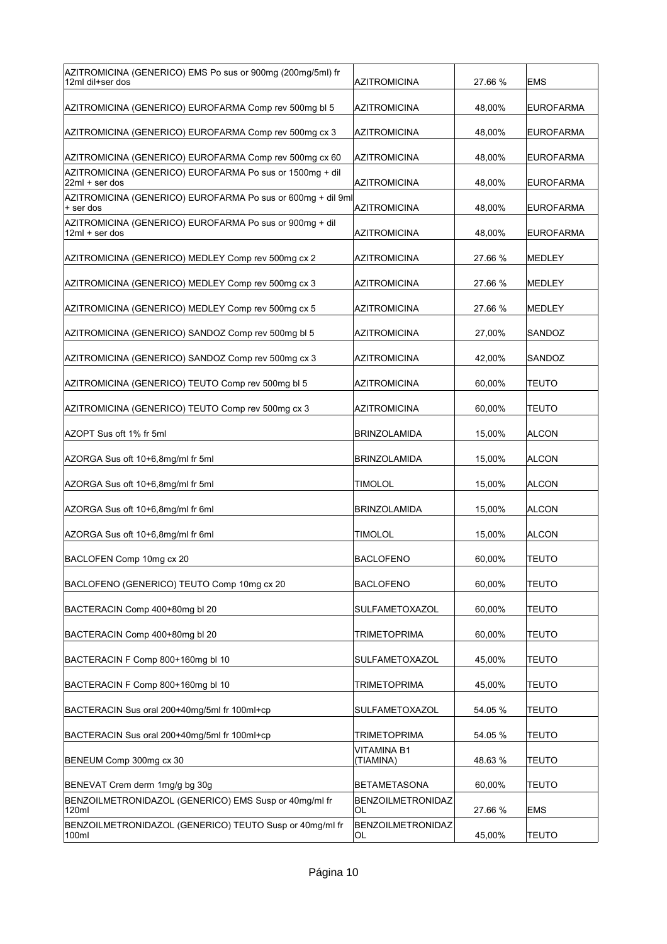| AZITROMICINA (GENERICO) EMS Po sus or 900mg (200mg/5ml) fr<br>12ml dil+ser dos | <b>AZITROMICINA</b>            | 27.66 % | EMS              |
|--------------------------------------------------------------------------------|--------------------------------|---------|------------------|
| AZITROMICINA (GENERICO) EUROFARMA Comp rev 500mg bl 5                          | <b>AZITROMICINA</b>            | 48,00%  | <b>EUROFARMA</b> |
| AZITROMICINA (GENERICO) EUROFARMA Comp rev 500mg cx 3                          | AZITROMICINA                   | 48,00%  | <b>EUROFARMA</b> |
| AZITROMICINA (GENERICO) EUROFARMA Comp rev 500mg cx 60                         | AZITROMICINA                   | 48,00%  | <b>EUROFARMA</b> |
| AZITROMICINA (GENERICO) EUROFARMA Po sus or 1500mg + dil<br>22ml + ser dos     | AZITROMICINA                   | 48,00%  | <b>EUROFARMA</b> |
| AZITROMICINA (GENERICO) EUROFARMA Po sus or 600mg + dil 9ml<br>+ ser dos       | <b>AZITROMICINA</b>            | 48,00%  | <b>EUROFARMA</b> |
| AZITROMICINA (GENERICO) EUROFARMA Po sus or 900mg + dil<br>$12ml + ser$ dos    | AZITROMICINA                   | 48,00%  | <b>EUROFARMA</b> |
| AZITROMICINA (GENERICO) MEDLEY Comp rev 500mg cx 2                             | AZITROMICINA                   | 27.66 % | <b>MEDLEY</b>    |
| AZITROMICINA (GENERICO) MEDLEY Comp rev 500mg cx 3                             | AZITROMICINA                   | 27.66 % | MEDLEY           |
| AZITROMICINA (GENERICO) MEDLEY Comp rev 500mg cx 5                             | AZITROMICINA                   | 27.66 % | MEDLEY           |
| AZITROMICINA (GENERICO) SANDOZ Comp rev 500mg bl 5                             | AZITROMICINA                   | 27,00%  | SANDOZ           |
| AZITROMICINA (GENERICO) SANDOZ Comp rev 500mg cx 3                             | <b>AZITROMICINA</b>            | 42,00%  | SANDOZ           |
| AZITROMICINA (GENERICO) TEUTO Comp rev 500mg bl 5                              | <b>AZITROMICINA</b>            | 60,00%  | <b>TEUTO</b>     |
| AZITROMICINA (GENERICO) TEUTO Comp rev 500mg cx 3                              | AZITROMICINA                   | 60,00%  | <b>TEUTO</b>     |
| AZOPT Sus oft 1% fr 5ml                                                        | <b>BRINZOLAMIDA</b>            | 15,00%  | <b>ALCON</b>     |
| AZORGA Sus oft 10+6,8mg/ml fr 5ml                                              | BRINZOLAMIDA                   | 15,00%  | <b>ALCON</b>     |
| AZORGA Sus oft 10+6,8mg/ml fr 5ml                                              | TIMOLOL                        | 15,00%  | <b>ALCON</b>     |
| AZORGA Sus oft 10+6,8mg/ml fr 6ml                                              | BRINZOLAMIDA                   | 15,00%  | <b>ALCON</b>     |
| AZORGA Sus oft 10+6,8mg/ml fr 6ml                                              | TIMOLOL                        | 15,00%  | <b>ALCON</b>     |
| BACLOFEN Comp 10mg cx 20                                                       | <b>BACLOFENO</b>               | 60,00%  | <b>TEUTO</b>     |
| BACLOFENO (GENERICO) TEUTO Comp 10mg cx 20                                     | <b>BACLOFENO</b>               | 60,00%  | <b>TEUTO</b>     |
| BACTERACIN Comp 400+80mg bl 20                                                 | SULFAMETOXAZOL                 | 60,00%  | <b>TEUTO</b>     |
| BACTERACIN Comp 400+80mg bl 20                                                 | <b>TRIMETOPRIMA</b>            | 60,00%  | <b>TEUTO</b>     |
| BACTERACIN F Comp 800+160mg bl 10                                              | SULFAMETOXAZOL                 | 45,00%  | <b>TEUTO</b>     |
| BACTERACIN F Comp 800+160mg bl 10                                              | <b>TRIMETOPRIMA</b>            | 45,00%  | <b>TEUTO</b>     |
| BACTERACIN Sus oral 200+40mg/5ml fr 100ml+cp                                   | SULFAMETOXAZOL                 | 54.05 % | <b>TEUTO</b>     |
| BACTERACIN Sus oral 200+40mg/5ml fr 100ml+cp                                   | <b>TRIMETOPRIMA</b>            | 54.05 % | TEUTO            |
| BENEUM Comp 300mg cx 30                                                        | VITAMINA B1<br>(TIAMINA)       | 48.63%  | <b>TEUTO</b>     |
| BENEVAT Crem derm 1mg/g bg 30g                                                 | <b>BETAMETASONA</b>            | 60,00%  | <b>TEUTO</b>     |
| BENZOILMETRONIDAZOL (GENERICO) EMS Susp or 40mg/ml fr<br>120ml                 | <b>BENZOILMETRONIDAZ</b><br>OL | 27.66 % | <b>EMS</b>       |
| BENZOILMETRONIDAZOL (GENERICO) TEUTO Susp or 40mg/ml fr<br>100ml               | <b>BENZOILMETRONIDAZ</b><br>OL | 45,00%  | <b>TEUTO</b>     |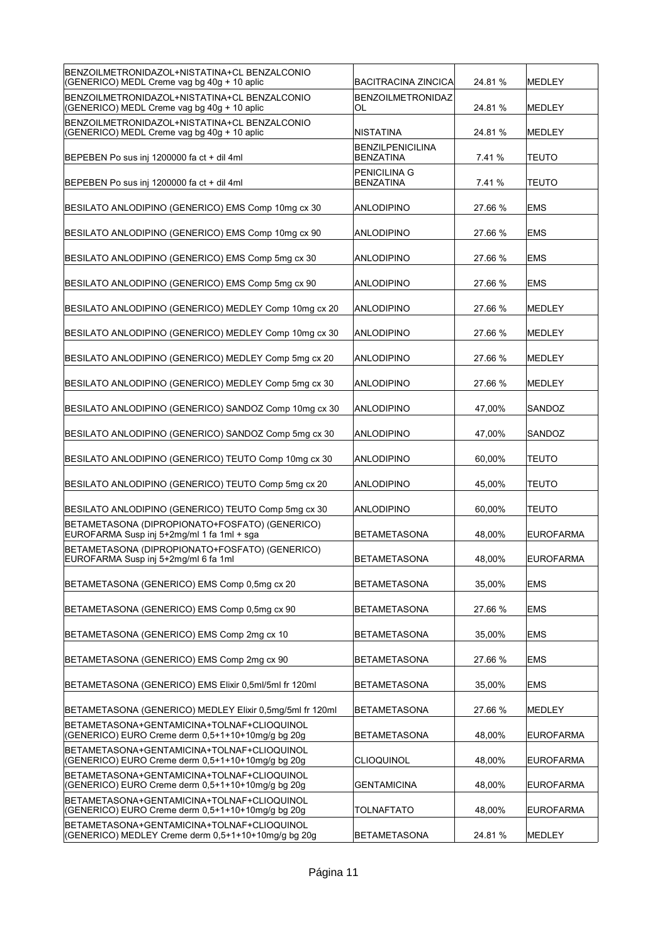| BENZOILMETRONIDAZOL+NISTATINA+CL BENZALCONIO                                                      |                                             |         |                  |
|---------------------------------------------------------------------------------------------------|---------------------------------------------|---------|------------------|
| (GENERICO) MEDL Creme vag bg 40g + 10 aplic                                                       | <b>BACITRACINA ZINCICA</b>                  | 24.81 % | MEDLEY           |
| BENZOILMETRONIDAZOL+NISTATINA+CL BENZALCONIO<br>(GENERICO) MEDL Creme vag bg 40g + 10 aplic       | <b>BENZOILMETRONIDAZ</b><br>OL              | 24.81%  | MEDLEY           |
| BENZOILMETRONIDAZOL+NISTATINA+CL BENZALCONIO<br>(GENERICO) MEDL Creme vag bg 40g + 10 aplic       | <b>NISTATINA</b>                            | 24.81%  | MEDLEY           |
| BEPEBEN Po sus inj 1200000 fa ct + dil 4ml                                                        | <b>BENZILPENICILINA</b><br><b>BENZATINA</b> | 7.41%   | TEUTO            |
| BEPEBEN Po sus inj 1200000 fa ct + dil 4ml                                                        | PENICILINA G<br><b>BENZATINA</b>            | 7.41%   | <b>TEUTO</b>     |
| BESILATO ANLODIPINO (GENERICO) EMS Comp 10mg cx 30                                                | ANLODIPINO                                  | 27.66 % | <b>EMS</b>       |
| BESILATO ANLODIPINO (GENERICO) EMS Comp 10mg cx 90                                                | ANLODIPINO                                  | 27.66 % | <b>EMS</b>       |
| BESILATO ANLODIPINO (GENERICO) EMS Comp 5mg cx 30                                                 | ANLODIPINO                                  | 27.66 % | <b>EMS</b>       |
| BESILATO ANLODIPINO (GENERICO) EMS Comp 5mg cx 90                                                 | ANLODIPINO                                  | 27.66 % | <b>EMS</b>       |
| BESILATO ANLODIPINO (GENERICO) MEDLEY Comp 10mg cx 20                                             | <b>ANLODIPINO</b>                           | 27.66 % | MEDLEY           |
| BESILATO ANLODIPINO (GENERICO) MEDLEY Comp 10mg cx 30                                             | ANLODIPINO                                  | 27.66 % | MEDLEY           |
| BESILATO ANLODIPINO (GENERICO) MEDLEY Comp 5mg cx 20                                              | ANLODIPINO                                  | 27.66 % | MEDLEY           |
| BESILATO ANLODIPINO (GENERICO) MEDLEY Comp 5mg cx 30                                              | ANLODIPINO                                  | 27.66 % | MEDLEY           |
| BESILATO ANLODIPINO (GENERICO) SANDOZ Comp 10mg cx 30                                             | ANLODIPINO                                  | 47,00%  | SANDOZ           |
| BESILATO ANLODIPINO (GENERICO) SANDOZ Comp 5mg cx 30                                              | ANLODIPINO                                  | 47,00%  | SANDOZ           |
| BESILATO ANLODIPINO (GENERICO) TEUTO Comp 10mg cx 30                                              | ANLODIPINO                                  | 60,00%  | TEUTO            |
| BESILATO ANLODIPINO (GENERICO) TEUTO Comp 5mg cx 20                                               | ANLODIPINO                                  | 45,00%  | TEUTO            |
| BESILATO ANLODIPINO (GENERICO) TEUTO Comp 5mg cx 30                                               | <b>ANLODIPINO</b>                           | 60,00%  | <b>TEUTO</b>     |
| BETAMETASONA (DIPROPIONATO+FOSFATO) (GENERICO)<br>EUROFARMA Susp inj 5+2mg/ml 1 fa 1ml + sga      | <b>BETAMETASONA</b>                         | 48,00%  | <b>EUROFARMA</b> |
| BETAMETASONA (DIPROPIONATO+FOSFATO) (GENERICO)<br>EUROFARMA Susp inj 5+2mg/ml 6 fa 1ml            | BETAMETASONA                                | 48,00%  | EUROFARMA        |
| BETAMETASONA (GENERICO) EMS Comp 0,5mg cx 20                                                      | <b>BETAMETASONA</b>                         | 35,00%  | <b>EMS</b>       |
| BETAMETASONA (GENERICO) EMS Comp 0,5mg cx 90                                                      | <b>BETAMETASONA</b>                         | 27.66 % | <b>EMS</b>       |
| BETAMETASONA (GENERICO) EMS Comp 2mg cx 10                                                        | <b>BETAMETASONA</b>                         | 35,00%  | <b>EMS</b>       |
| BETAMETASONA (GENERICO) EMS Comp 2mg cx 90                                                        | <b>BETAMETASONA</b>                         | 27.66 % | <b>EMS</b>       |
| BETAMETASONA (GENERICO) EMS Elixir 0,5ml/5ml fr 120ml                                             | <b>BETAMETASONA</b>                         | 35,00%  | <b>EMS</b>       |
| BETAMETASONA (GENERICO) MEDLEY Elixir 0,5mg/5ml fr 120ml                                          | BETAMETASONA                                | 27.66 % | MEDLEY           |
| BETAMETASONA+GENTAMICINA+TOLNAF+CLIOQUINOL<br>(GENERICO) EURO Creme derm 0,5+1+10+10mg/g bg 20g   | <b>BETAMETASONA</b>                         | 48,00%  | <b>EUROFARMA</b> |
| BETAMETASONA+GENTAMICINA+TOLNAF+CLIOQUINOL<br>(GENERICO) EURO Creme derm 0,5+1+10+10mg/g bg 20g   | <b>CLIOQUINOL</b>                           | 48,00%  | <b>EUROFARMA</b> |
| BETAMETASONA+GENTAMICINA+TOLNAF+CLIOQUINOL<br>(GENERICO) EURO Creme derm 0,5+1+10+10mg/g bg 20g   | <b>GENTAMICINA</b>                          | 48,00%  | <b>EUROFARMA</b> |
| BETAMETASONA+GENTAMICINA+TOLNAF+CLIOQUINOL<br>(GENERICO) EURO Creme derm 0,5+1+10+10mg/g bg 20g   | TOLNAFTATO                                  | 48,00%  | <b>EUROFARMA</b> |
| BETAMETASONA+GENTAMICINA+TOLNAF+CLIOQUINOL<br>(GENERICO) MEDLEY Creme derm 0,5+1+10+10mg/g bg 20g | BETAMETASONA                                | 24.81%  | <b>MEDLEY</b>    |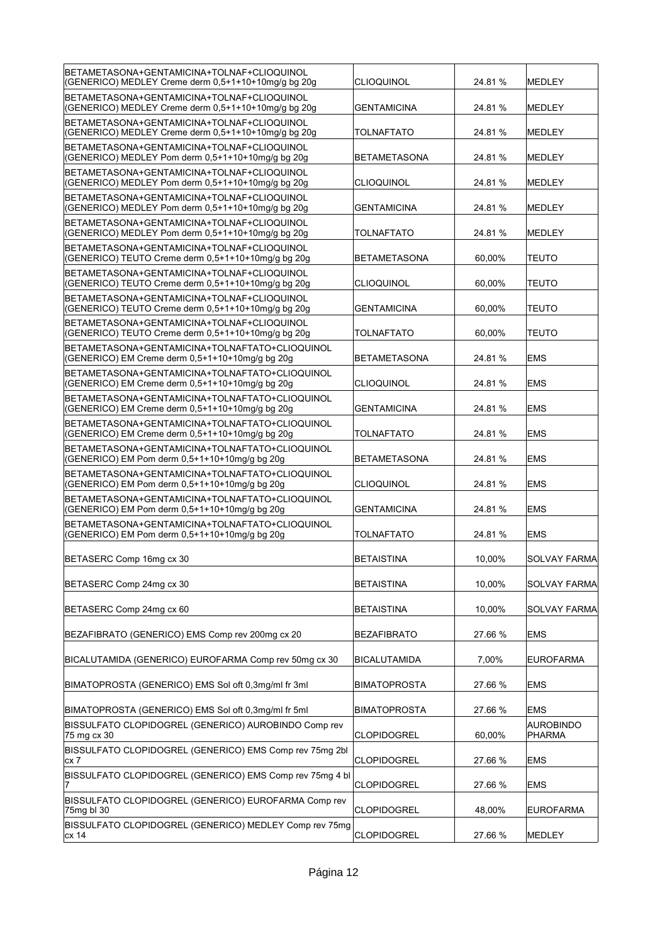| BETAMETASONA+GENTAMICINA+TOLNAF+CLIOQUINOL<br>(GENERICO) MEDLEY Creme derm 0,5+1+10+10mg/g bg 20g | CLIOQUINOL          | 24.81%  | MEDLEY                     |
|---------------------------------------------------------------------------------------------------|---------------------|---------|----------------------------|
| BETAMETASONA+GENTAMICINA+TOLNAF+CLIOQUINOL<br>(GENERICO) MEDLEY Creme derm 0,5+1+10+10mg/g bg 20g | <b>GENTAMICINA</b>  | 24.81%  | <b>MEDLEY</b>              |
| BETAMETASONA+GENTAMICINA+TOLNAF+CLIOQUINOL<br>(GENERICO) MEDLEY Creme derm 0,5+1+10+10mg/g bg 20g | <b>TOLNAFTATO</b>   | 24.81 % | <b>MEDLEY</b>              |
| BETAMETASONA+GENTAMICINA+TOLNAF+CLIOQUINOL<br>(GENERICO) MEDLEY Pom derm 0,5+1+10+10mg/g bg 20g   | <b>BETAMETASONA</b> | 24.81 % | <b>MEDLEY</b>              |
| BETAMETASONA+GENTAMICINA+TOLNAF+CLIOQUINOL<br>(GENERICO) MEDLEY Pom derm 0,5+1+10+10mg/g bg 20g   | CLIOQUINOL          | 24.81 % | <b>MEDLEY</b>              |
| BETAMETASONA+GENTAMICINA+TOLNAF+CLIOQUINOL<br>(GENERICO) MEDLEY Pom derm 0,5+1+10+10mg/g bg 20g   | <b>GENTAMICINA</b>  | 24.81 % | <b>MEDLEY</b>              |
| BETAMETASONA+GENTAMICINA+TOLNAF+CLIOQUINOL<br>(GENERICO) MEDLEY Pom derm 0,5+1+10+10mg/g bg 20g   | TOLNAFTATO          | 24.81 % | MEDLEY                     |
| BETAMETASONA+GENTAMICINA+TOLNAF+CLIOQUINOL<br>(GENERICO) TEUTO Creme derm 0,5+1+10+10mg/g bg 20g  | BETAMETASONA        | 60,00%  | <b>TEUTO</b>               |
| BETAMETASONA+GENTAMICINA+TOLNAF+CLIOQUINOL<br>(GENERICO) TEUTO Creme derm 0.5+1+10+10mg/g bg 20g  | CLIOQUINOL          | 60,00%  | <b>TEUTO</b>               |
| BETAMETASONA+GENTAMICINA+TOLNAF+CLIOQUINOL<br>(GENERICO) TEUTO Creme derm 0,5+1+10+10mg/g bg 20g  | <b>GENTAMICINA</b>  | 60.00%  | <b>TEUTO</b>               |
| BETAMETASONA+GENTAMICINA+TOLNAF+CLIOQUINOL<br>(GENERICO) TEUTO Creme derm 0,5+1+10+10mg/g bg 20g  | TOLNAFTATO          | 60,00%  | TEUTO                      |
| BETAMETASONA+GENTAMICINA+TOLNAFTATO+CLIOQUINOL<br>(GENERICO) EM Creme derm 0,5+1+10+10mg/g bg 20g | <b>BETAMETASONA</b> | 24.81%  | <b>EMS</b>                 |
| BETAMETASONA+GENTAMICINA+TOLNAFTATO+CLIOQUINOL<br>(GENERICO) EM Creme derm 0,5+1+10+10mg/g bg 20g | CLIOQUINOL          | 24.81 % | <b>EMS</b>                 |
| BETAMETASONA+GENTAMICINA+TOLNAFTATO+CLIOQUINOL<br>(GENERICO) EM Creme derm 0,5+1+10+10mg/g bg 20g | <b>GENTAMICINA</b>  | 24.81 % | <b>EMS</b>                 |
| BETAMETASONA+GENTAMICINA+TOLNAFTATO+CLIOQUINOL<br>(GENERICO) EM Creme derm 0,5+1+10+10mg/g bg 20g | TOLNAFTATO          | 24.81 % | <b>EMS</b>                 |
| BETAMETASONA+GENTAMICINA+TOLNAFTATO+CLIOQUINOL<br>(GENERICO) EM Pom derm 0,5+1+10+10mg/g bg 20g   | BETAMETASONA        | 24.81 % | <b>EMS</b>                 |
|                                                                                                   |                     |         |                            |
| BETAMETASONA+GENTAMICINA+TOLNAFTATO+CLIOQUINOL<br>(GENERICO) EM Pom derm 0,5+1+10+10mg/g bg 20g   | CLIOQUINOL          | 24.81 % | <b>EMS</b>                 |
| BETAMETASONA+GENTAMICINA+TOLNAFTATO+CLIOQUINOL<br>(GENERICO) EM Pom derm 0,5+1+10+10mg/g bg 20g   | <b>GENTAMICINA</b>  | 24.81 % | <b>EMS</b>                 |
| BETAMETASONA+GENTAMICINA+TOLNAFTATO+CLIOQUINOL<br>(GENERICO) EM Pom derm 0,5+1+10+10mg/g bg 20g   | <b>TOLNAFTATO</b>   | 24.81 % | <b>EMS</b>                 |
| BETASERC Comp 16mg cx 30                                                                          | BETAISTINA          | 10,00%  | <b>SOLVAY FARMA</b>        |
| BETASERC Comp 24mg cx 30                                                                          | <b>BETAISTINA</b>   | 10,00%  | <b>SOLVAY FARMA</b>        |
| BETASERC Comp 24mg cx 60                                                                          | <b>BETAISTINA</b>   | 10,00%  | <b>SOLVAY FARMA</b>        |
| BEZAFIBRATO (GENERICO) EMS Comp rev 200mg cx 20                                                   | <b>BEZAFIBRATO</b>  | 27.66 % | <b>EMS</b>                 |
| BICALUTAMIDA (GENERICO) EUROFARMA Comp rev 50mg cx 30                                             | <b>BICALUTAMIDA</b> | 7,00%   | <b>EUROFARMA</b>           |
| BIMATOPROSTA (GENERICO) EMS Sol oft 0.3mg/ml fr 3ml                                               | <b>BIMATOPROSTA</b> | 27.66 % | <b>EMS</b>                 |
| BIMATOPROSTA (GENERICO) EMS Sol oft 0,3mg/ml fr 5ml                                               | <b>BIMATOPROSTA</b> | 27.66 % | EMS                        |
| BISSULFATO CLOPIDOGREL (GENERICO) AUROBINDO Comp rev<br>75 mg cx 30                               | <b>CLOPIDOGREL</b>  | 60,00%  | <b>AUROBINDO</b><br>PHARMA |
| BISSULFATO CLOPIDOGREL (GENERICO) EMS Comp rev 75mg 2bl<br>cx 7                                   | <b>CLOPIDOGREL</b>  | 27.66 % | <b>EMS</b>                 |
| BISSULFATO CLOPIDOGREL (GENERICO) EMS Comp rev 75mg 4 bl                                          | <b>CLOPIDOGREL</b>  | 27.66 % | <b>EMS</b>                 |
| BISSULFATO CLOPIDOGREL (GENERICO) EUROFARMA Comp rev<br>75mg bl 30                                | <b>CLOPIDOGREL</b>  | 48,00%  | <b>EUROFARMA</b>           |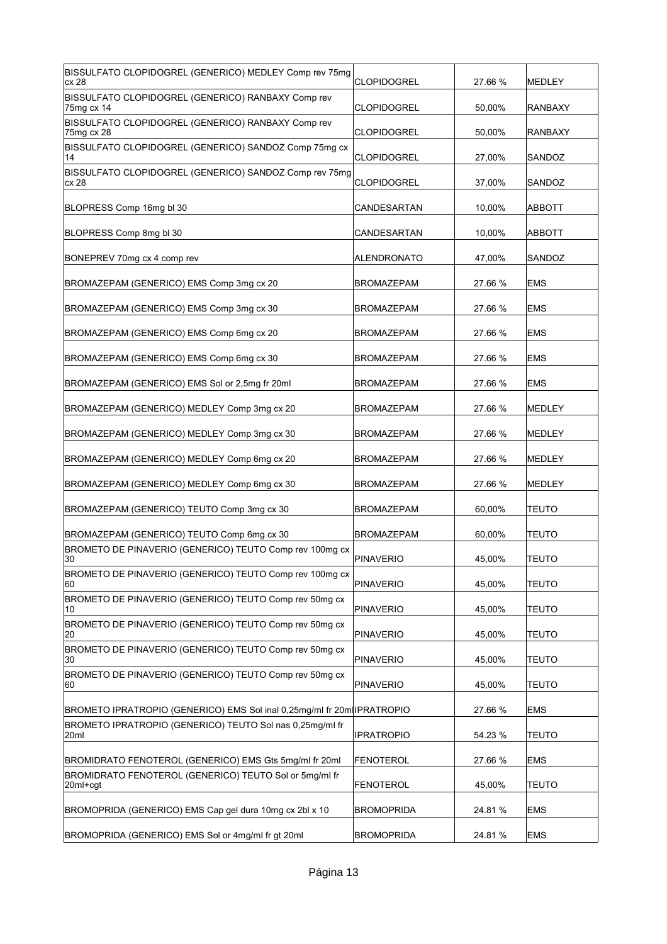| BISSULFATO CLOPIDOGREL (GENERICO) MEDLEY Comp rev 75mg<br>cx 28        | <b>CLOPIDOGREL</b> | 27.66 % | MEDLEY        |
|------------------------------------------------------------------------|--------------------|---------|---------------|
| BISSULFATO CLOPIDOGREL (GENERICO) RANBAXY Comp rev<br>75mg cx 14       | <b>CLOPIDOGREL</b> | 50,00%  | RANBAXY       |
| BISSULFATO CLOPIDOGREL (GENERICO) RANBAXY Comp rev<br>75mg cx 28       | <b>CLOPIDOGREL</b> | 50,00%  | RANBAXY       |
| BISSULFATO CLOPIDOGREL (GENERICO) SANDOZ Comp 75mg cx<br>14            | <b>CLOPIDOGREL</b> | 27,00%  | SANDOZ        |
| BISSULFATO CLOPIDOGREL (GENERICO) SANDOZ Comp rev 75mg<br>cx 28        | <b>CLOPIDOGREL</b> | 37,00%  | SANDOZ        |
| BLOPRESS Comp 16mg bl 30                                               | CANDESARTAN        | 10.00%  | ABBOTT        |
| BLOPRESS Comp 8mg bl 30                                                | CANDESARTAN        | 10,00%  | ABBOTT        |
| BONEPREV 70mg cx 4 comp rev                                            | <b>ALENDRONATO</b> | 47,00%  | SANDOZ        |
| BROMAZEPAM (GENERICO) EMS Comp 3mg cx 20                               | <b>BROMAZEPAM</b>  | 27.66 % | <b>EMS</b>    |
| BROMAZEPAM (GENERICO) EMS Comp 3mg cx 30                               | <b>BROMAZEPAM</b>  | 27.66 % | <b>EMS</b>    |
| BROMAZEPAM (GENERICO) EMS Comp 6mg cx 20                               | <b>BROMAZEPAM</b>  | 27.66 % | <b>EMS</b>    |
| BROMAZEPAM (GENERICO) EMS Comp 6mg cx 30                               | <b>BROMAZEPAM</b>  | 27.66 % | <b>EMS</b>    |
| BROMAZEPAM (GENERICO) EMS Sol or 2,5mg fr 20ml                         | <b>BROMAZEPAM</b>  | 27.66 % | <b>EMS</b>    |
| BROMAZEPAM (GENERICO) MEDLEY Comp 3mg cx 20                            | <b>BROMAZEPAM</b>  | 27.66 % | <b>MEDLEY</b> |
| BROMAZEPAM (GENERICO) MEDLEY Comp 3mg cx 30                            | <b>BROMAZEPAM</b>  | 27.66 % | MEDLEY        |
|                                                                        |                    |         |               |
| BROMAZEPAM (GENERICO) MEDLEY Comp 6mg cx 20                            | <b>BROMAZEPAM</b>  | 27.66 % | MEDLEY        |
| BROMAZEPAM (GENERICO) MEDLEY Comp 6mg cx 30                            | BROMAZEPAM         | 27.66 % | MEDLEY        |
| BROMAZEPAM (GENERICO) TEUTO Comp 3mg cx 30                             | <b>BROMAZEPAM</b>  | 60.00%  | TEUTO         |
| BROMAZEPAM (GENERICO) TEUTO Comp 6mg cx 30                             | <b>BROMAZEPAM</b>  | 60,00%  | <b>TEUTO</b>  |
| BROMETO DE PINAVERIO (GENERICO) TEUTO Comp rev 100mg cx<br>30          | PINAVERIO          | 45,00%  | <b>TEUTO</b>  |
| BROMETO DE PINAVERIO (GENERICO) TEUTO Comp rev 100mg cx<br>60          | <b>PINAVERIO</b>   | 45,00%  | TEUTO         |
| BROMETO DE PINAVERIO (GENERICO) TEUTO Comp rev 50mg cx<br>10           | <b>PINAVERIO</b>   | 45,00%  | <b>TEUTO</b>  |
| BROMETO DE PINAVERIO (GENERICO) TEUTO Comp rev 50mg cx<br>20           | <b>PINAVERIO</b>   | 45,00%  | TEUTO         |
| BROMETO DE PINAVERIO (GENERICO) TEUTO Comp rev 50mg cx<br>30           | <b>PINAVERIO</b>   | 45,00%  | <b>TEUTO</b>  |
| BROMETO DE PINAVERIO (GENERICO) TEUTO Comp rev 50mg cx<br>60           | <b>PINAVERIO</b>   | 45,00%  | <b>TEUTO</b>  |
| BROMETO IPRATROPIO (GENERICO) EMS Sol inal 0,25mg/ml fr 20m(IPRATROPIO |                    | 27.66 % | <b>EMS</b>    |
| BROMETO IPRATROPIO (GENERICO) TEUTO Sol nas 0,25mg/ml fr<br>20ml       | <b>IPRATROPIO</b>  | 54.23 % | <b>TEUTO</b>  |
| BROMIDRATO FENOTEROL (GENERICO) EMS Gts 5mg/ml fr 20ml                 | FENOTEROL          | 27.66 % | <b>EMS</b>    |
| BROMIDRATO FENOTEROL (GENERICO) TEUTO Sol or 5mg/ml fr<br>20ml+cgt     | <b>FENOTEROL</b>   | 45,00%  | <b>TEUTO</b>  |
| BROMOPRIDA (GENERICO) EMS Cap gel dura 10mg cx 2bl x 10                | <b>BROMOPRIDA</b>  | 24.81 % | <b>EMS</b>    |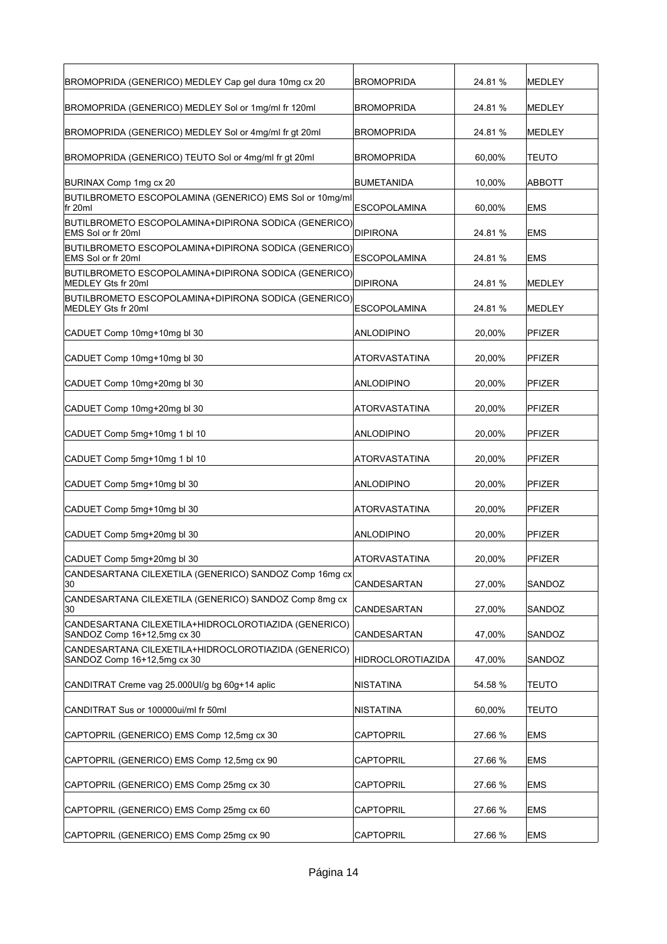| BROMOPRIDA (GENERICO) MEDLEY Cap gel dura 10mg cx 20                                | <b>BROMOPRIDA</b>        | 24.81 % | <b>MEDLEY</b> |
|-------------------------------------------------------------------------------------|--------------------------|---------|---------------|
| BROMOPRIDA (GENERICO) MEDLEY Sol or 1mg/ml fr 120ml                                 | <b>BROMOPRIDA</b>        | 24.81 % | <b>MEDLEY</b> |
| BROMOPRIDA (GENERICO) MEDLEY Sol or 4mg/ml fr gt 20ml                               | BROMOPRIDA               | 24.81 % | <b>MEDLEY</b> |
| BROMOPRIDA (GENERICO) TEUTO Sol or 4mg/ml fr gt 20ml                                | <b>BROMOPRIDA</b>        | 60,00%  | <b>TEUTO</b>  |
| BURINAX Comp 1mg cx 20                                                              | BUMETANIDA               | 10,00%  | <b>ABBOTT</b> |
| BUTILBROMETO ESCOPOLAMINA (GENERICO) EMS Sol or 10mg/ml<br>fr 20ml                  | <b>ESCOPOLAMINA</b>      | 60,00%  | <b>EMS</b>    |
| BUTILBROMETO ESCOPOLAMINA+DIPIRONA SODICA (GENERICO)<br>EMS Sol or fr 20ml          | DIPIRONA                 | 24.81 % | <b>EMS</b>    |
| BUTILBROMETO ESCOPOLAMINA+DIPIRONA SODICA (GENERICO)<br>EMS Sol or fr 20ml          | <b>ESCOPOLAMINA</b>      | 24.81 % | <b>EMS</b>    |
| BUTILBROMETO ESCOPOLAMINA+DIPIRONA SODICA (GENERICO)<br>MEDLEY Gts fr 20ml          | <b>DIPIRONA</b>          | 24.81 % | <b>MEDLEY</b> |
| BUTILBROMETO ESCOPOLAMINA+DIPIRONA SODICA (GENERICO)<br>MEDLEY Gts fr 20ml          | <b>ESCOPOLAMINA</b>      | 24.81 % | <b>MEDLEY</b> |
| CADUET Comp 10mg+10mg bl 30                                                         | ANLODIPINO               | 20,00%  | <b>PFIZER</b> |
| CADUET Comp 10mg+10mg bl 30                                                         | ATORVASTATINA            | 20,00%  | <b>PFIZER</b> |
| CADUET Comp 10mg+20mg bl 30                                                         | ANLODIPINO               | 20.00%  | <b>PFIZER</b> |
| CADUET Comp 10mg+20mg bl 30                                                         | ATORVASTATINA            | 20,00%  | <b>PFIZER</b> |
| CADUET Comp 5mg+10mg 1 bl 10                                                        | <b>ANLODIPINO</b>        | 20,00%  | <b>PFIZER</b> |
| CADUET Comp 5mg+10mg 1 bl 10                                                        | ATORVASTATINA            | 20,00%  | <b>PFIZER</b> |
| CADUET Comp 5mg+10mg bl 30                                                          | ANLODIPINO               | 20,00%  | <b>PFIZER</b> |
| CADUET Comp 5mg+10mg bl 30                                                          | <b>ATORVASTATINA</b>     | 20,00%  | <b>PFIZER</b> |
| CADUET Comp 5mg+20mg bl 30                                                          | ANLODIPINO               | 20,00%  | <b>PFIZER</b> |
| CADUET Comp 5mg+20mg bl 30                                                          | ATORVASTATINA            | 20,00%  | PFIZER        |
| CANDESARTANA CILEXETILA (GENERICO) SANDOZ Comp 16mg cx<br>30                        | CANDESARTAN              | 27,00%  | SANDOZ        |
| CANDESARTANA CILEXETILA (GENERICO) SANDOZ Comp 8mg cx<br>30                         | CANDESARTAN              | 27,00%  | SANDOZ        |
| CANDESARTANA CILEXETILA+HIDROCLOROTIAZIDA (GENERICO)<br>SANDOZ Comp 16+12,5mg cx 30 | CANDESARTAN              | 47,00%  | SANDOZ        |
| CANDESARTANA CILEXETILA+HIDROCLOROTIAZIDA (GENERICO)<br>SANDOZ Comp 16+12,5mg cx 30 | <b>HIDROCLOROTIAZIDA</b> | 47,00%  | SANDOZ        |
| CANDITRAT Creme vag 25.000UI/g bg 60g+14 aplic                                      | <b>NISTATINA</b>         | 54.58 % | TEUTO         |
| CANDITRAT Sus or 100000ui/ml fr 50ml                                                | NISTATINA                | 60,00%  | TEUTO         |
| CAPTOPRIL (GENERICO) EMS Comp 12,5mg cx 30                                          | <b>CAPTOPRIL</b>         | 27.66 % | <b>EMS</b>    |
| CAPTOPRIL (GENERICO) EMS Comp 12,5mg cx 90                                          | CAPTOPRIL                | 27.66 % | <b>EMS</b>    |
| CAPTOPRIL (GENERICO) EMS Comp 25mg cx 30                                            | CAPTOPRIL                | 27.66 % | <b>EMS</b>    |
| CAPTOPRIL (GENERICO) EMS Comp 25mg cx 60                                            | CAPTOPRIL                | 27.66 % | <b>EMS</b>    |
| CAPTOPRIL (GENERICO) EMS Comp 25mg cx 90                                            | <b>CAPTOPRIL</b>         | 27.66 % | <b>EMS</b>    |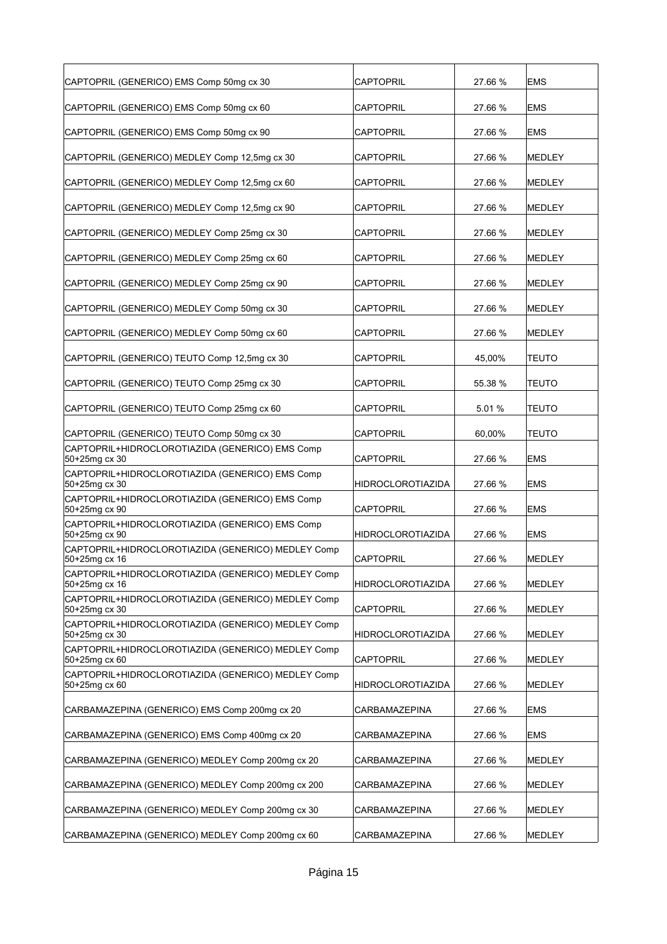| CAPTOPRIL (GENERICO) EMS Comp 50mg cx 30                            | CAPTOPRIL            | 27.66 % | <b>EMS</b>     |
|---------------------------------------------------------------------|----------------------|---------|----------------|
| CAPTOPRIL (GENERICO) EMS Comp 50mg cx 60                            | CAPTOPRIL            | 27.66 % | <b>EMS</b>     |
| CAPTOPRIL (GENERICO) EMS Comp 50mg cx 90                            | CAPTOPRIL            | 27.66 % | <b>EMS</b>     |
| CAPTOPRIL (GENERICO) MEDLEY Comp 12,5mg cx 30                       | CAPTOPRIL            | 27.66 % | MEDLEY         |
| CAPTOPRIL (GENERICO) MEDLEY Comp 12,5mg cx 60                       | CAPTOPRIL            | 27.66 % | MEDLEY         |
| CAPTOPRIL (GENERICO) MEDLEY Comp 12,5mg cx 90                       | CAPTOPRIL            | 27.66 % | MEDLEY         |
| CAPTOPRIL (GENERICO) MEDLEY Comp 25mg cx 30                         | CAPTOPRIL            | 27.66 % | MEDLEY         |
| CAPTOPRIL (GENERICO) MEDLEY Comp 25mg cx 60                         | CAPTOPRIL            | 27.66 % | MEDLEY         |
| CAPTOPRIL (GENERICO) MEDLEY Comp 25mg cx 90                         | CAPTOPRIL            | 27.66 % | MEDLEY         |
| CAPTOPRIL (GENERICO) MEDLEY Comp 50mg cx 30                         | CAPTOPRIL            | 27.66 % | MEDLEY         |
| CAPTOPRIL (GENERICO) MEDLEY Comp 50mg cx 60                         | <b>CAPTOPRIL</b>     | 27.66 % | MEDLEY         |
| CAPTOPRIL (GENERICO) TEUTO Comp 12,5mg cx 30                        | CAPTOPRIL            | 45,00%  | <b>TEUTO</b>   |
| CAPTOPRIL (GENERICO) TEUTO Comp 25mg cx 30                          | CAPTOPRIL            | 55.38 % | <b>TEUTO</b>   |
| CAPTOPRIL (GENERICO) TEUTO Comp 25mg cx 60                          | CAPTOPRIL            | 5.01%   | <b>TEUTO</b>   |
| CAPTOPRIL (GENERICO) TEUTO Comp 50mg cx 30                          | CAPTOPRIL            | 60,00%  | <b>TEUTO</b>   |
| CAPTOPRIL+HIDROCLOROTIAZIDA (GENERICO) EMS Comp<br>50+25mg cx 30    | CAPTOPRIL            | 27.66 % | <b>EMS</b>     |
| CAPTOPRIL+HIDROCLOROTIAZIDA (GENERICO) EMS Comp<br>50+25mg cx 30    | HIDROCLOROTIAZIDA    | 27.66 % | <b>EMS</b>     |
| CAPTOPRIL+HIDROCLOROTIAZIDA (GENERICO) EMS Comp<br>50+25mg cx 90    | CAPTOPRIL            | 27.66 % | <b>IEMS</b>    |
| CAPTOPRIL+HIDROCLOROTIAZIDA (GENERICO) EMS Comp<br>50+25mg cx 90    | HIDROCLOROTIAZIDA    | 27.66 % | <b>EMS</b>     |
| CAPTOPRIL+HIDROCLOROTIAZIDA (GENERICO) MEDLEY Comp<br>50+25mg cx 16 | CAPTOPRIL            | 27.66 % | <b>IMEDLEY</b> |
| CAPTOPRIL+HIDROCLOROTIAZIDA (GENERICO) MEDLEY Comp<br>50+25mg cx 16 | HIDROCLOROTIAZIDA    | 27.66 % | MEDLEY         |
| CAPTOPRIL+HIDROCLOROTIAZIDA (GENERICO) MEDLEY Comp<br>50+25mg cx 30 | <b>CAPTOPRIL</b>     | 27.66 % | MEDLEY         |
| CAPTOPRIL+HIDROCLOROTIAZIDA (GENERICO) MEDLEY Comp<br>50+25mg cx 30 | HIDROCLOROTIAZIDA    | 27.66 % | MEDLEY         |
| CAPTOPRIL+HIDROCLOROTIAZIDA (GENERICO) MEDLEY Comp<br>50+25mg cx 60 | <b>CAPTOPRIL</b>     | 27.66 % | MEDLEY         |
| CAPTOPRIL+HIDROCLOROTIAZIDA (GENERICO) MEDLEY Comp<br>50+25mg cx 60 | HIDROCLOROTIAZIDA    | 27.66 % | MEDLEY         |
| CARBAMAZEPINA (GENERICO) EMS Comp 200mg cx 20                       | CARBAMAZEPINA        | 27.66 % | <b>EMS</b>     |
| CARBAMAZEPINA (GENERICO) EMS Comp 400mg cx 20                       | CARBAMAZEPINA        | 27.66 % | <b>EMS</b>     |
| CARBAMAZEPINA (GENERICO) MEDLEY Comp 200mg cx 20                    | <b>CARBAMAZEPINA</b> | 27.66 % | MEDLEY         |
| CARBAMAZEPINA (GENERICO) MEDLEY Comp 200mg cx 200                   | CARBAMAZEPINA        | 27.66 % | MEDLEY         |
| CARBAMAZEPINA (GENERICO) MEDLEY Comp 200mg cx 30                    | CARBAMAZEPINA        | 27.66 % | MEDLEY         |
| CARBAMAZEPINA (GENERICO) MEDLEY Comp 200mg cx 60                    | <b>CARBAMAZEPINA</b> | 27.66 % | MEDLEY         |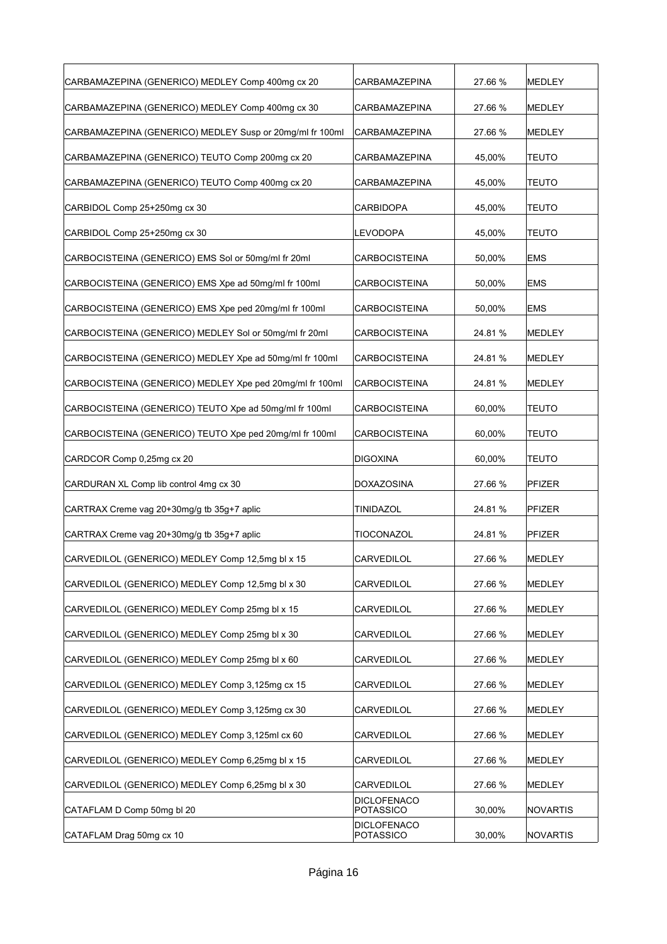| CARBAMAZEPINA (GENERICO) MEDLEY Comp 400mg cx 20         | CARBAMAZEPINA                   | 27.66 % | MEDLEY        |
|----------------------------------------------------------|---------------------------------|---------|---------------|
| CARBAMAZEPINA (GENERICO) MEDLEY Comp 400mg cx 30         | CARBAMAZEPINA                   | 27.66 % | MEDLEY        |
| CARBAMAZEPINA (GENERICO) MEDLEY Susp or 20mg/ml fr 100ml | <b>CARBAMAZEPINA</b>            | 27.66 % | <b>MEDLEY</b> |
| CARBAMAZEPINA (GENERICO) TEUTO Comp 200mg cx 20          | CARBAMAZEPINA                   | 45,00%  | <b>TEUTO</b>  |
| CARBAMAZEPINA (GENERICO) TEUTO Comp 400mg cx 20          | CARBAMAZEPINA                   | 45,00%  | <b>TEUTO</b>  |
| CARBIDOL Comp 25+250mg cx 30                             | CARBIDOPA                       | 45,00%  | <b>TEUTO</b>  |
| CARBIDOL Comp 25+250mg cx 30                             | <b>LEVODOPA</b>                 | 45,00%  | TEUTO         |
| CARBOCISTEINA (GENERICO) EMS Sol or 50mg/ml fr 20ml      | <b>CARBOCISTEINA</b>            | 50,00%  | EMS           |
| CARBOCISTEINA (GENERICO) EMS Xpe ad 50mg/ml fr 100ml     | <b>CARBOCISTEINA</b>            | 50,00%  | <b>EMS</b>    |
| CARBOCISTEINA (GENERICO) EMS Xpe ped 20mg/ml fr 100ml    | CARBOCISTEINA                   | 50,00%  | EMS           |
| CARBOCISTEINA (GENERICO) MEDLEY Sol or 50mg/ml fr 20ml   | <b>CARBOCISTEINA</b>            | 24.81%  | <b>MEDLEY</b> |
| CARBOCISTEINA (GENERICO) MEDLEY Xpe ad 50mg/ml fr 100ml  | <b>CARBOCISTEINA</b>            | 24.81%  | <b>MEDLEY</b> |
| CARBOCISTEINA (GENERICO) MEDLEY Xpe ped 20mg/ml fr 100ml | <b>CARBOCISTEINA</b>            | 24.81 % | <b>MEDLEY</b> |
| CARBOCISTEINA (GENERICO) TEUTO Xpe ad 50mg/ml fr 100ml   | CARBOCISTEINA                   | 60,00%  | TEUTO         |
| CARBOCISTEINA (GENERICO) TEUTO Xpe ped 20mg/ml fr 100ml  | <b>CARBOCISTEINA</b>            | 60,00%  | TEUTO         |
| CARDCOR Comp 0,25mg cx 20                                | <b>DIGOXINA</b>                 | 60,00%  | <b>TEUTO</b>  |
| CARDURAN XL Comp lib control 4mg cx 30                   | DOXAZOSINA                      | 27.66 % | PFIZER        |
| CARTRAX Creme vag 20+30mg/g tb 35g+7 aplic               | TINIDAZOL                       | 24.81%  | PFIZER        |
| CARTRAX Creme vag 20+30mg/g tb 35g+7 aplic               | TIOCONAZOL                      | 24.81%  | PFIZER        |
| CARVEDILOL (GENERICO) MEDLEY Comp 12,5mg bl x 15         | <b>CARVEDILOL</b>               | 27.66 % | MEDLEY        |
| CARVEDILOL (GENERICO) MEDLEY Comp 12,5mg bl x 30         | CARVEDILOL                      | 27.66 % | MEDLEY        |
| CARVEDILOL (GENERICO) MEDLEY Comp 25mg bl x 15           | <b>CARVEDILOL</b>               | 27.66 % | MEDLEY        |
| CARVEDILOL (GENERICO) MEDLEY Comp 25mg bl x 30           | CARVEDILOL                      | 27.66 % | MEDLEY        |
| CARVEDILOL (GENERICO) MEDLEY Comp 25mg bl x 60           | <b>CARVEDILOL</b>               | 27.66 % | MEDLEY        |
| CARVEDILOL (GENERICO) MEDLEY Comp 3,125mg cx 15          | CARVEDILOL                      | 27.66 % | MEDLEY        |
| CARVEDILOL (GENERICO) MEDLEY Comp 3,125mg cx 30          | <b>CARVEDILOL</b>               | 27.66 % | <b>MEDLEY</b> |
| CARVEDILOL (GENERICO) MEDLEY Comp 3,125ml cx 60          | CARVEDILOL                      | 27.66 % | MEDLEY        |
| CARVEDILOL (GENERICO) MEDLEY Comp 6,25mg bl x 15         | CARVEDILOL                      | 27.66 % | MEDLEY        |
| CARVEDILOL (GENERICO) MEDLEY Comp 6,25mg bl x 30         | <b>CARVEDILOL</b>               | 27.66 % | MEDLEY        |
| CATAFLAM D Comp 50mg bl 20                               | <b>DICLOFENACO</b><br>POTASSICO | 30,00%  | NOVARTIS      |
| CATAFLAM Drag 50mg cx 10                                 | <b>DICLOFENACO</b><br>POTASSICO | 30,00%  | NOVARTIS      |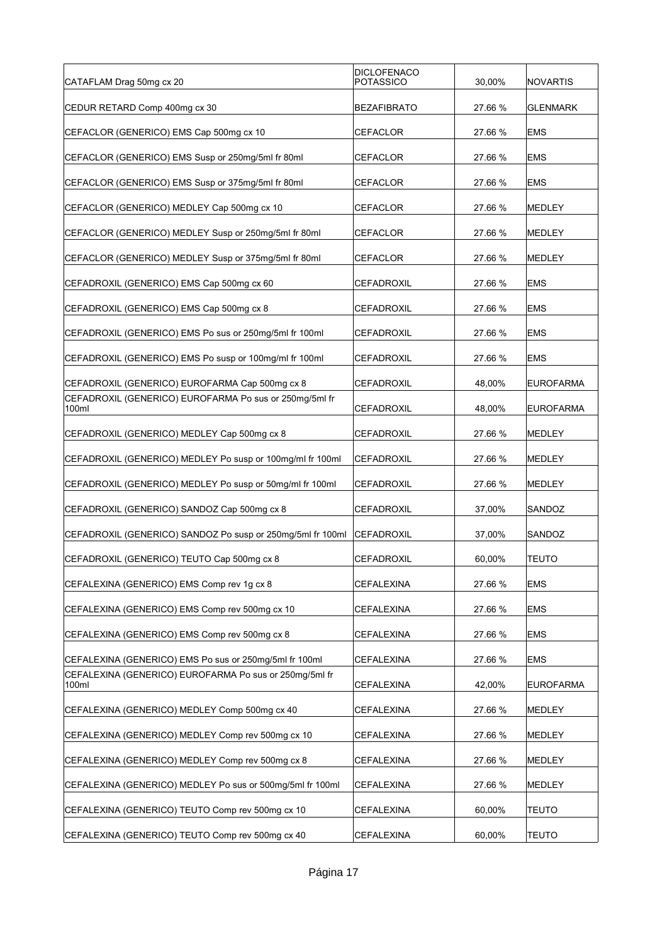| CATAFLAM Drag 50mg cx 20                                        | <b>DICLOFENACO</b><br><b>POTASSICO</b> | 30,00%  | NOVARTIS         |
|-----------------------------------------------------------------|----------------------------------------|---------|------------------|
| CEDUR RETARD Comp 400mg cx 30                                   | <b>BEZAFIBRATO</b>                     | 27.66 % | <b>GLENMARK</b>  |
| CEFACLOR (GENERICO) EMS Cap 500mg cx 10                         | CEFACLOR                               | 27.66 % | <b>EMS</b>       |
| CEFACLOR (GENERICO) EMS Susp or 250mg/5ml fr 80ml               | <b>CEFACLOR</b>                        | 27.66 % | <b>EMS</b>       |
| CEFACLOR (GENERICO) EMS Susp or 375mg/5ml fr 80ml               | <b>CEFACLOR</b>                        | 27.66 % | <b>EMS</b>       |
| CEFACLOR (GENERICO) MEDLEY Cap 500mg cx 10                      | CEFACLOR                               | 27.66 % | <b>MEDLEY</b>    |
| CEFACLOR (GENERICO) MEDLEY Susp or 250mg/5ml fr 80ml            | CEFACLOR                               | 27.66 % | MEDLEY           |
| CEFACLOR (GENERICO) MEDLEY Susp or 375mg/5ml fr 80ml            | <b>CEFACLOR</b>                        | 27.66 % | <b>MEDLEY</b>    |
| CEFADROXIL (GENERICO) EMS Cap 500mg cx 60                       | <b>CEFADROXIL</b>                      | 27.66 % | <b>EMS</b>       |
| CEFADROXIL (GENERICO) EMS Cap 500mg cx 8                        | CEFADROXIL                             | 27.66 % | <b>EMS</b>       |
| CEFADROXIL (GENERICO) EMS Po sus or 250mg/5ml fr 100ml          | CEFADROXIL                             | 27.66 % | <b>EMS</b>       |
| CEFADROXIL (GENERICO) EMS Po susp or 100mg/ml fr 100ml          | <b>CEFADROXIL</b>                      | 27.66 % | <b>EMS</b>       |
| CEFADROXIL (GENERICO) EUROFARMA Cap 500mg cx 8                  | CEFADROXIL                             | 48,00%  | <b>EUROFARMA</b> |
| CEFADROXIL (GENERICO) EUROFARMA Po sus or 250mg/5ml fr<br>100ml | <b>CEFADROXIL</b>                      | 48,00%  | <b>EUROFARMA</b> |
| CEFADROXIL (GENERICO) MEDLEY Cap 500mg cx 8                     | <b>CEFADROXIL</b>                      | 27.66 % | MEDLEY           |
| CEFADROXIL (GENERICO) MEDLEY Po susp or 100mg/ml fr 100ml       | <b>CEFADROXIL</b>                      | 27.66 % | MEDLEY           |
| CEFADROXIL (GENERICO) MEDLEY Po susp or 50mg/ml fr 100ml        | <b>CEFADROXIL</b>                      | 27.66 % | <b>MEDLEY</b>    |
| CEFADROXIL (GENERICO) SANDOZ Cap 500mg cx 8                     | <b>CEFADROXIL</b>                      | 37,00%  | SANDOZ           |
| CEFADROXIL (GENERICO) SANDOZ Po susp or 250mg/5ml fr 100ml      | <b>CEFADROXIL</b>                      | 37,00%  | SANDOZ           |
| CEFADROXIL (GENERICO) TEUTO Cap 500mg cx 8                      | <b>CEFADROXIL</b>                      | 60,00%  | <b>TEUTO</b>     |
| CEFALEXINA (GENERICO) EMS Comp rev 1g cx 8                      | <b>CEFALEXINA</b>                      | 27.66 % | <b>EMS</b>       |
| CEFALEXINA (GENERICO) EMS Comp rev 500mg cx 10                  | CEFALEXINA                             | 27.66 % | <b>EMS</b>       |
| CEFALEXINA (GENERICO) EMS Comp rev 500mg cx 8                   | CEFALEXINA                             | 27.66 % | <b>EMS</b>       |
| CEFALEXINA (GENERICO) EMS Po sus or 250mg/5ml fr 100ml          | <b>CEFALEXINA</b>                      | 27.66 % | <b>EMS</b>       |
| CEFALEXINA (GENERICO) EUROFARMA Po sus or 250mg/5ml fr<br>100ml | <b>CEFALEXINA</b>                      | 42,00%  | <b>EUROFARMA</b> |
| CEFALEXINA (GENERICO) MEDLEY Comp 500mg cx 40                   | CEFALEXINA                             | 27.66 % | MEDLEY           |
| CEFALEXINA (GENERICO) MEDLEY Comp rev 500mg cx 10               | CEFALEXINA                             | 27.66 % | MEDLEY           |
| CEFALEXINA (GENERICO) MEDLEY Comp rev 500mg cx 8                | CEFALEXINA                             | 27.66 % | MEDLEY           |
| CEFALEXINA (GENERICO) MEDLEY Po sus or 500mg/5ml fr 100ml       | CEFALEXINA                             | 27.66 % | MEDLEY           |
| CEFALEXINA (GENERICO) TEUTO Comp rev 500mg cx 10                | <b>CEFALEXINA</b>                      | 60,00%  | <b>TEUTO</b>     |
| CEFALEXINA (GENERICO) TEUTO Comp rev 500mg cx 40                | CEFALEXINA                             | 60,00%  | <b>TEUTO</b>     |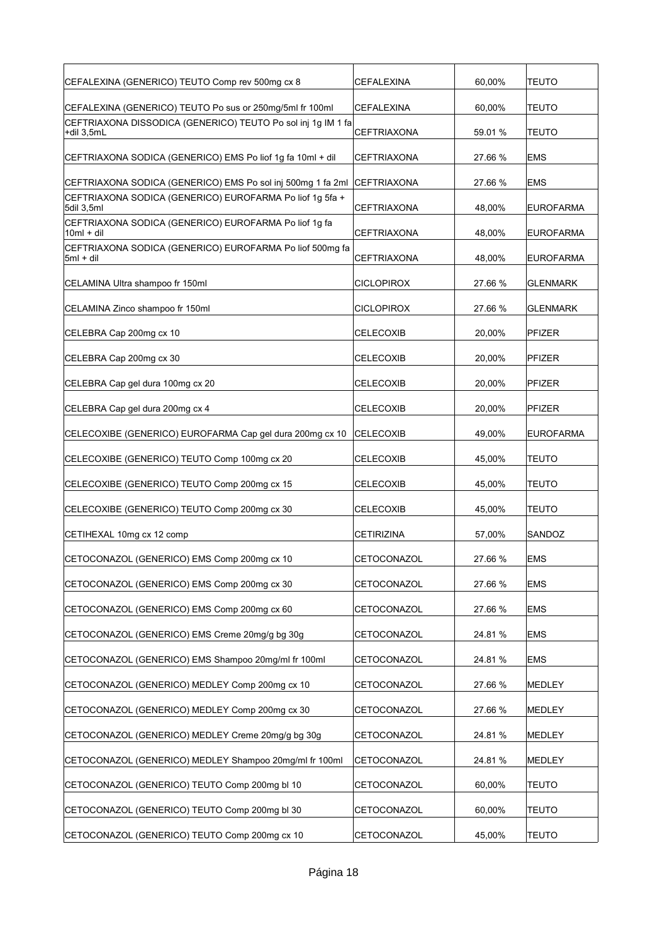| CEFALEXINA (GENERICO) TEUTO Comp rev 500mg cx 8                            | CEFALEXINA         | 60,00%  | TEUTO            |
|----------------------------------------------------------------------------|--------------------|---------|------------------|
| CEFALEXINA (GENERICO) TEUTO Po sus or 250mg/5ml fr 100ml                   | CEFALEXINA         | 60,00%  | <b>TEUTO</b>     |
| CEFTRIAXONA DISSODICA (GENERICO) TEUTO Po sol inj 1g IM 1 fa<br>+dil 3,5mL | CEFTRIAXONA        | 59.01 % | <b>TEUTO</b>     |
| CEFTRIAXONA SODICA (GENERICO) EMS Po liof 1g fa 10ml + dil                 | CEFTRIAXONA        | 27.66 % | <b>EMS</b>       |
| CEFTRIAXONA SODICA (GENERICO) EMS Po sol inj 500mg 1 fa 2ml                | <b>CEFTRIAXONA</b> | 27.66 % | <b>EMS</b>       |
| CEFTRIAXONA SODICA (GENERICO) EUROFARMA Po liof 1g 5fa +<br>5dil 3,5ml     | CEFTRIAXONA        | 48,00%  | <b>EUROFARMA</b> |
| CEFTRIAXONA SODICA (GENERICO) EUROFARMA Po liof 1g fa<br>$10ml + dil$      | CEFTRIAXONA        | 48,00%  | <b>EUROFARMA</b> |
| CEFTRIAXONA SODICA (GENERICO) EUROFARMA Po liof 500mg fa<br>5ml + dil      | <b>CEFTRIAXONA</b> | 48,00%  | <b>EUROFARMA</b> |
| CELAMINA Ultra shampoo fr 150ml                                            | <b>CICLOPIROX</b>  | 27.66 % | <b>GLENMARK</b>  |
| CELAMINA Zinco shampoo fr 150ml                                            | <b>CICLOPIROX</b>  | 27.66 % | <b>GLENMARK</b>  |
| CELEBRA Cap 200mg cx 10                                                    | CELECOXIB          | 20,00%  | <b>PFIZER</b>    |
| CELEBRA Cap 200mg cx 30                                                    | CELECOXIB          | 20,00%  | <b>PFIZER</b>    |
| CELEBRA Cap gel dura 100mg cx 20                                           | CELECOXIB          | 20,00%  | <b>PFIZER</b>    |
| CELEBRA Cap gel dura 200mg cx 4                                            | CELECOXIB          | 20,00%  | <b>PFIZER</b>    |
| CELECOXIBE (GENERICO) EUROFARMA Cap gel dura 200mg cx 10                   | CELECOXIB          | 49,00%  | <b>EUROFARMA</b> |
| CELECOXIBE (GENERICO) TEUTO Comp 100mg cx 20                               | CELECOXIB          | 45,00%  | <b>TEUTO</b>     |
| CELECOXIBE (GENERICO) TEUTO Comp 200mg cx 15                               | CELECOXIB          | 45,00%  | <b>TEUTO</b>     |
| CELECOXIBE (GENERICO) TEUTO Comp 200mg cx 30                               | <b>CELECOXIB</b>   | 45,00%  | <b>TEUTO</b>     |
| CETIHEXAL 10mg cx 12 comp                                                  | <b>CETIRIZINA</b>  | 57,00%  | SANDOZ           |
| CETOCONAZOL (GENERICO) EMS Comp 200mg cx 10                                | CETOCONAZOL        | 27.66 % | <b>EMS</b>       |
| CETOCONAZOL (GENERICO) EMS Comp 200mg cx 30                                | CETOCONAZOL        | 27.66 % | <b>EMS</b>       |
| CETOCONAZOL (GENERICO) EMS Comp 200mg cx 60                                | CETOCONAZOL        | 27.66 % | <b>EMS</b>       |
| CETOCONAZOL (GENERICO) EMS Creme 20mg/g bg 30g                             | CETOCONAZOL        | 24.81 % | <b>EMS</b>       |
| CETOCONAZOL (GENERICO) EMS Shampoo 20mg/ml fr 100ml                        | CETOCONAZOL        | 24.81 % | <b>EMS</b>       |
| CETOCONAZOL (GENERICO) MEDLEY Comp 200mg cx 10                             | CETOCONAZOL        | 27.66 % | MEDLEY           |
| CETOCONAZOL (GENERICO) MEDLEY Comp 200mg cx 30                             | CETOCONAZOL        | 27.66 % | MEDLEY           |
| CETOCONAZOL (GENERICO) MEDLEY Creme 20mg/g bg 30g                          | CETOCONAZOL        | 24.81%  | MEDLEY           |
| CETOCONAZOL (GENERICO) MEDLEY Shampoo 20mg/ml fr 100ml                     | CETOCONAZOL        | 24.81%  | MEDLEY           |
| CETOCONAZOL (GENERICO) TEUTO Comp 200mg bl 10                              | CETOCONAZOL        | 60,00%  | <b>TEUTO</b>     |
| CETOCONAZOL (GENERICO) TEUTO Comp 200mg bl 30                              | CETOCONAZOL        | 60,00%  | <b>TEUTO</b>     |
| CETOCONAZOL (GENERICO) TEUTO Comp 200mg cx 10                              | CETOCONAZOL        | 45,00%  | <b>TEUTO</b>     |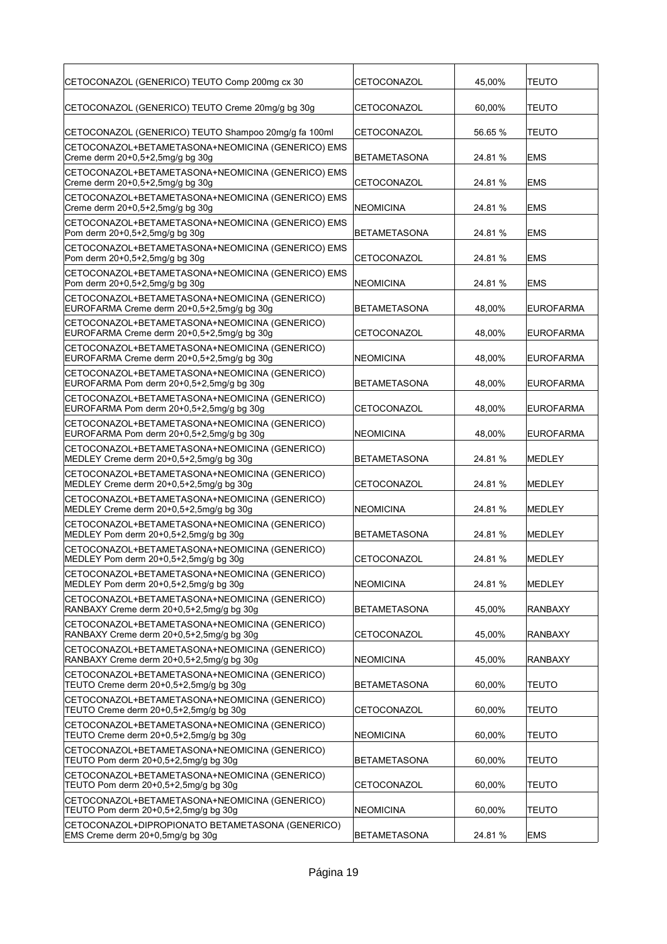| CETOCONAZOL (GENERICO) TEUTO Comp 200mg cx 30<br>CETOCONAZOL<br>45,00%<br><b>TEUTO</b>                                                          |  |
|-------------------------------------------------------------------------------------------------------------------------------------------------|--|
| CETOCONAZOL (GENERICO) TEUTO Creme 20mg/g bg 30g<br>CETOCONAZOL<br>60,00%<br><b>TEUTO</b>                                                       |  |
| CETOCONAZOL (GENERICO) TEUTO Shampoo 20mg/g fa 100ml<br>CETOCONAZOL<br>56.65 %<br><b>TEUTO</b>                                                  |  |
| CETOCONAZOL+BETAMETASONA+NEOMICINA (GENERICO) EMS<br>Creme derm 20+0,5+2,5mg/g bg 30g<br><b>IBETAMETASONA</b><br>24.81 %<br><b>EMS</b>          |  |
| CETOCONAZOL+BETAMETASONA+NEOMICINA (GENERICO) EMS<br>Creme derm 20+0,5+2,5mg/g bg 30g<br><b>CETOCONAZOL</b><br>24.81 %<br><b>EMS</b>            |  |
| CETOCONAZOL+BETAMETASONA+NEOMICINA (GENERICO) EMS<br>Creme derm 20+0,5+2,5mg/g bg 30g<br>NEOMICINA<br>24.81 %<br><b>EMS</b>                     |  |
| CETOCONAZOL+BETAMETASONA+NEOMICINA (GENERICO) EMS<br>Pom derm 20+0,5+2,5mg/g bg 30g<br>BETAMETASONA<br>24.81 %<br>EMS                           |  |
| CETOCONAZOL+BETAMETASONA+NEOMICINA (GENERICO) EMS<br>Pom derm 20+0,5+2,5mg/g bg 30g<br>CETOCONAZOL<br>24.81 %<br><b>EMS</b>                     |  |
| CETOCONAZOL+BETAMETASONA+NEOMICINA (GENERICO) EMS<br>Pom derm 20+0,5+2,5mg/g bg 30g<br><b>INEOMICINA</b><br>24.81 %<br><b>EMS</b>               |  |
| CETOCONAZOL+BETAMETASONA+NEOMICINA (GENERICO)<br>EUROFARMA Creme derm 20+0,5+2,5mg/g bg 30g<br>BETAMETASONA<br>48,00%<br><b>EUROFARMA</b>       |  |
| CETOCONAZOL+BETAMETASONA+NEOMICINA (GENERICO)<br>EUROFARMA Creme derm 20+0,5+2,5mg/g bg 30g<br><b>CETOCONAZOL</b><br>48,00%<br><b>EUROFARMA</b> |  |
| CETOCONAZOL+BETAMETASONA+NEOMICINA (GENERICO)<br>EUROFARMA Creme derm 20+0,5+2,5mg/g bg 30g<br>NEOMICINA<br>48.00%<br><b>EUROFARMA</b>          |  |
| CETOCONAZOL+BETAMETASONA+NEOMICINA (GENERICO)<br>EUROFARMA Pom derm 20+0,5+2,5mg/g bg 30g<br> BETAMETASONA<br>48,00%<br><b>EUROFARMA</b>        |  |
| CETOCONAZOL+BETAMETASONA+NEOMICINA (GENERICO)<br>EUROFARMA Pom derm 20+0,5+2,5mg/g bg 30g<br><b>CETOCONAZOL</b><br>48,00%<br><b>EUROFARMA</b>   |  |
| CETOCONAZOL+BETAMETASONA+NEOMICINA (GENERICO)<br>EUROFARMA Pom derm 20+0,5+2,5mg/g bg 30g<br>NEOMICINA<br>48,00%<br><b>EUROFARMA</b>            |  |
| CETOCONAZOL+BETAMETASONA+NEOMICINA (GENERICO)<br>MEDLEY Creme derm 20+0,5+2,5mg/g bg 30g<br>24.81 %<br><b>MEDLEY</b><br> BETAMETASONA           |  |
| CETOCONAZOL+BETAMETASONA+NEOMICINA (GENERICO)<br>MEDLEY Creme derm 20+0,5+2,5mg/g bg 30g<br>CETOCONAZOL<br>24.81 %<br><b>IMEDLEY</b>            |  |
| CETOCONAZOL+BETAMETASONA+NEOMICINA (GENERICO)<br>MEDLEY Creme derm 20+0,5+2,5mg/g bg 30g<br>NEOMICINA<br>24.81 %<br><b>IMEDLEY</b>              |  |
| CETOCONAZOL+BETAMETASONA+NEOMICINA (GENERICO)<br>MEDLEY Pom derm 20+0,5+2,5mg/g bg 30g<br>BETAMETASONA<br>24.81 %<br>MEDLEY                     |  |
| CETOCONAZOL+BETAMETASONA+NEOMICINA (GENERICO)<br>MEDLEY Pom derm 20+0,5+2,5mg/g bg 30g<br><b>CETOCONAZOL</b><br>24.81 %<br>MEDLEY               |  |
| CETOCONAZOL+BETAMETASONA+NEOMICINA (GENERICO)<br>MEDLEY Pom derm 20+0,5+2,5mg/g bg 30g<br>NEOMICINA<br>24.81%<br>MEDLEY                         |  |
| CETOCONAZOL+BETAMETASONA+NEOMICINA (GENERICO)<br>RANBAXY Creme derm 20+0,5+2,5mg/g bg 30g<br>BETAMETASONA<br>45,00%<br><b>RANBAXY</b>           |  |
| CETOCONAZOL+BETAMETASONA+NEOMICINA (GENERICO)<br>RANBAXY Creme derm 20+0,5+2,5mg/g bg 30g<br>CETOCONAZOL<br>45,00%<br>RANBAXY                   |  |
| CETOCONAZOL+BETAMETASONA+NEOMICINA (GENERICO)<br>RANBAXY Creme derm 20+0,5+2,5mg/g bg 30g<br>NEOMICINA<br>45,00%<br><b>RANBAXY</b>              |  |
| CETOCONAZOL+BETAMETASONA+NEOMICINA (GENERICO)<br>TEUTO Creme derm 20+0,5+2,5mg/g bg 30g<br>60,00%<br>BETAMETASONA<br><b>TEUTO</b>               |  |
| CETOCONAZOL+BETAMETASONA+NEOMICINA (GENERICO)<br>TEUTO Creme derm 20+0,5+2,5mg/g bg 30g<br>CETOCONAZOL<br>60,00%<br>TEUTO                       |  |
| CETOCONAZOL+BETAMETASONA+NEOMICINA (GENERICO)<br>TEUTO Creme derm 20+0,5+2,5mg/g bg 30g<br>NEOMICINA<br>60,00%<br><b>TEUTO</b>                  |  |
| CETOCONAZOL+BETAMETASONA+NEOMICINA (GENERICO)<br>60,00%<br>TEUTO Pom derm 20+0,5+2,5mg/g bg 30g<br>BETAMETASONA<br><b>TEUTO</b>                 |  |
| CETOCONAZOL+BETAMETASONA+NEOMICINA (GENERICO)<br>TEUTO Pom derm 20+0,5+2,5mg/g bg 30g<br>CETOCONAZOL<br>60,00%<br><b>TEUTO</b>                  |  |
| CETOCONAZOL+BETAMETASONA+NEOMICINA (GENERICO)<br>TEUTO Pom derm 20+0,5+2,5mg/g bg 30g<br>NEOMICINA<br>60,00%<br><b>TEUTO</b>                    |  |
| CETOCONAZOL+DIPROPIONATO BETAMETASONA (GENERICO)<br>EMS Creme derm 20+0,5mg/g bg 30g<br>24.81 %<br>BETAMETASONA<br><b>EMS</b>                   |  |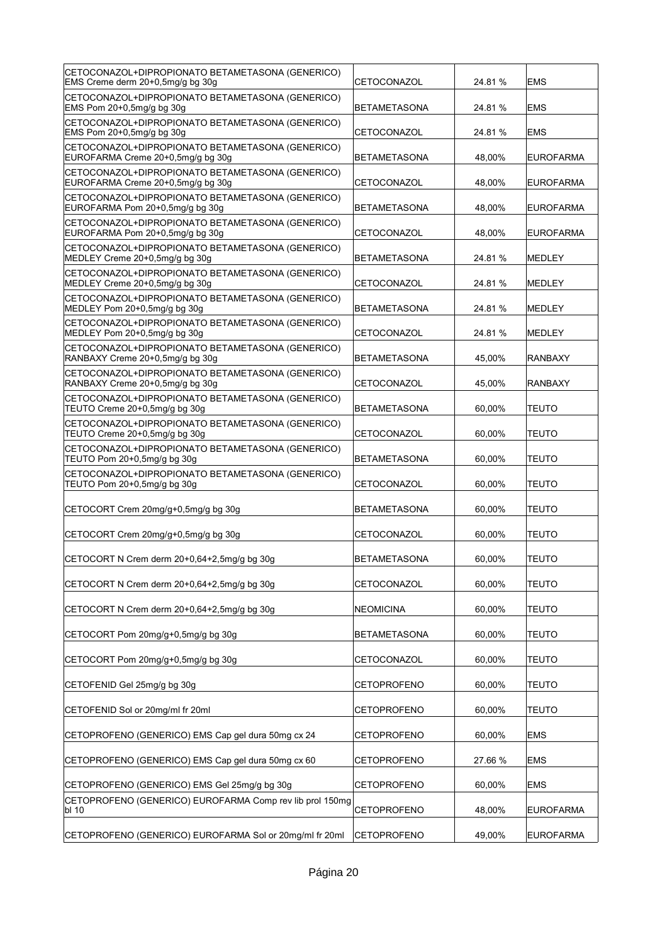| CETOCONAZOL+DIPROPIONATO BETAMETASONA (GENERICO)<br>EMS Creme derm 20+0,5mg/g bg 30g  | CETOCONAZOL         | 24.81 % | <b>EMS</b>       |
|---------------------------------------------------------------------------------------|---------------------|---------|------------------|
| CETOCONAZOL+DIPROPIONATO BETAMETASONA (GENERICO)<br>EMS Pom 20+0,5mg/g bg 30g         | <b>BETAMETASONA</b> | 24.81 % | <b>EMS</b>       |
| CETOCONAZOL+DIPROPIONATO BETAMETASONA (GENERICO)<br>EMS Pom 20+0,5mg/g bg 30g         | CETOCONAZOL         | 24.81 % | <b>EMS</b>       |
| CETOCONAZOL+DIPROPIONATO BETAMETASONA (GENERICO)<br>EUROFARMA Creme 20+0,5mg/g bg 30g | <b>BETAMETASONA</b> | 48,00%  | <b>EUROFARMA</b> |
| CETOCONAZOL+DIPROPIONATO BETAMETASONA (GENERICO)<br>EUROFARMA Creme 20+0,5mg/g bg 30g | CETOCONAZOL         | 48,00%  | <b>EUROFARMA</b> |
| CETOCONAZOL+DIPROPIONATO BETAMETASONA (GENERICO)<br>EUROFARMA Pom 20+0,5mg/g bg 30g   | <b>BETAMETASONA</b> | 48,00%  | <b>EUROFARMA</b> |
| CETOCONAZOL+DIPROPIONATO BETAMETASONA (GENERICO)<br>EUROFARMA Pom 20+0,5mg/g bg 30g   | CETOCONAZOL         | 48,00%  | <b>EUROFARMA</b> |
| CETOCONAZOL+DIPROPIONATO BETAMETASONA (GENERICO)<br>MEDLEY Creme 20+0,5mg/g bg 30g    | <b>BETAMETASONA</b> | 24.81 % | MEDLEY           |
| CETOCONAZOL+DIPROPIONATO BETAMETASONA (GENERICO)<br>MEDLEY Creme 20+0,5mg/g bg 30g    | CETOCONAZOL         | 24.81 % | MEDLEY           |
| CETOCONAZOL+DIPROPIONATO BETAMETASONA (GENERICO)<br>MEDLEY Pom 20+0,5mg/g bg 30g      | <b>BETAMETASONA</b> | 24.81%  | <b>MEDLEY</b>    |
| CETOCONAZOL+DIPROPIONATO BETAMETASONA (GENERICO)<br>MEDLEY Pom 20+0,5mg/g bg 30g      | CETOCONAZOL         | 24.81 % | <b>MEDLEY</b>    |
| CETOCONAZOL+DIPROPIONATO BETAMETASONA (GENERICO)<br>RANBAXY Creme 20+0,5mg/g bg 30g   | <b>BETAMETASONA</b> | 45,00%  | RANBAXY          |
| CETOCONAZOL+DIPROPIONATO BETAMETASONA (GENERICO)<br>RANBAXY Creme 20+0,5mg/g bg 30g   | CETOCONAZOL         | 45,00%  | <b>RANBAXY</b>   |
| CETOCONAZOL+DIPROPIONATO BETAMETASONA (GENERICO)<br>TEUTO Creme 20+0,5mg/g bg 30g     | <b>BETAMETASONA</b> | 60,00%  | <b>TEUTO</b>     |
| CETOCONAZOL+DIPROPIONATO BETAMETASONA (GENERICO)<br>TEUTO Creme 20+0,5mg/g bg 30g     | CETOCONAZOL         | 60,00%  | <b>TEUTO</b>     |
| CETOCONAZOL+DIPROPIONATO BETAMETASONA (GENERICO)<br>TEUTO Pom 20+0,5mg/g bg 30g       | <b>BETAMETASONA</b> | 60,00%  | TEUTO            |
| CETOCONAZOL+DIPROPIONATO BETAMETASONA (GENERICO)<br>TEUTO Pom 20+0,5mg/g bg 30g       | CETOCONAZOL         | 60,00%  | <b>TEUTO</b>     |
| CETOCORT Crem 20mg/g+0,5mg/g bg 30g                                                   | <b>BETAMETASONA</b> | 60.00%  | <b>TEUTO</b>     |
| CETOCORT Crem 20mg/g+0,5mg/g bg 30g                                                   | <b>CETOCONAZOL</b>  | 60,00%  | <b>TEUTO</b>     |
| CETOCORT N Crem derm 20+0,64+2,5mg/g bg 30g                                           | BETAMETASONA        | 60,00%  | <b>TEUTO</b>     |
| CETOCORT N Crem derm 20+0,64+2,5mg/g bg 30g                                           | CETOCONAZOL         | 60,00%  | TEUTO            |
| CETOCORT N Crem derm 20+0,64+2,5mg/g bg 30g                                           | NEOMICINA           | 60,00%  | <b>TEUTO</b>     |
| CETOCORT Pom 20mg/g+0,5mg/g bg 30g                                                    | <b>BETAMETASONA</b> | 60,00%  | <b>TEUTO</b>     |
| CETOCORT Pom 20mg/g+0,5mg/g bg 30g                                                    | CETOCONAZOL         | 60,00%  | <b>TEUTO</b>     |
| CETOFENID Gel 25mg/g bg 30g                                                           | <b>CETOPROFENO</b>  | 60,00%  | <b>TEUTO</b>     |
| CETOFENID Sol or 20mg/ml fr 20ml                                                      | <b>CETOPROFENO</b>  | 60,00%  | TEUTO            |
| CETOPROFENO (GENERICO) EMS Cap gel dura 50mg cx 24                                    | CETOPROFENO         | 60,00%  | <b>EMS</b>       |
| CETOPROFENO (GENERICO) EMS Cap gel dura 50mg cx 60                                    | CETOPROFENO         | 27.66 % | <b>EMS</b>       |
| CETOPROFENO (GENERICO) EMS Gel 25mg/g bg 30g                                          | <b>CETOPROFENO</b>  | 60,00%  | <b>EMS</b>       |
| CETOPROFENO (GENERICO) EUROFARMA Comp rev lib prol 150mg                              |                     |         |                  |
| bl 10                                                                                 | <b>CETOPROFENO</b>  | 48,00%  | <b>EUROFARMA</b> |
| CETOPROFENO (GENERICO) EUROFARMA Sol or 20mg/ml fr 20ml                               | CETOPROFENO         | 49,00%  | <b>EUROFARMA</b> |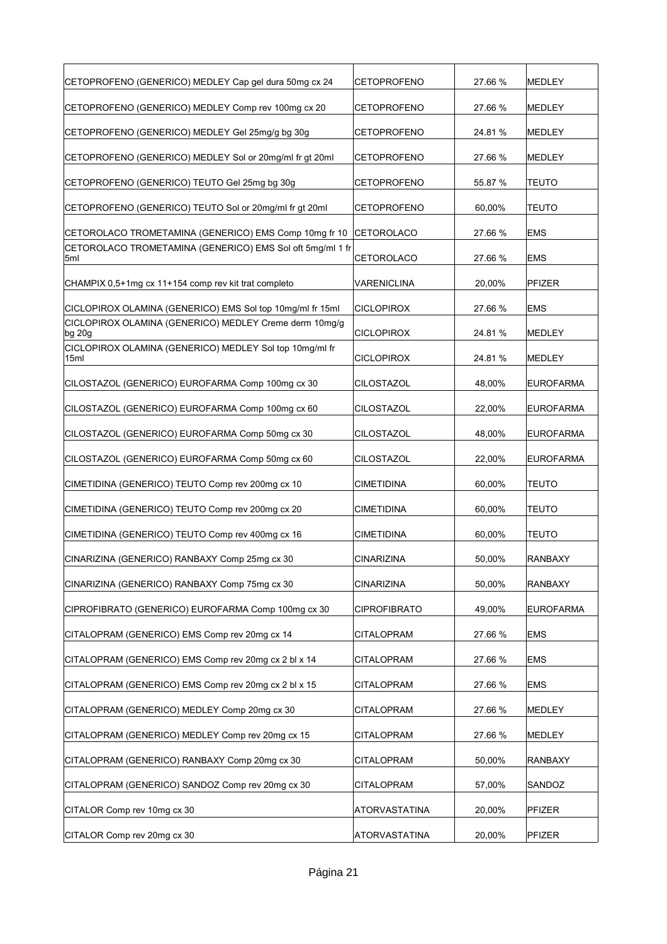| CETOPROFENO (GENERICO) MEDLEY Cap gel dura 50mg cx 24            | <b>CETOPROFENO</b>  | 27.66 % | MEDLEY           |
|------------------------------------------------------------------|---------------------|---------|------------------|
| CETOPROFENO (GENERICO) MEDLEY Comp rev 100mg cx 20               | <b>CETOPROFENO</b>  | 27.66 % | MEDLEY           |
| CETOPROFENO (GENERICO) MEDLEY Gel 25mg/g bg 30g                  | <b>CETOPROFENO</b>  | 24.81 % | <b>MEDLEY</b>    |
| CETOPROFENO (GENERICO) MEDLEY Sol or 20mg/ml fr gt 20ml          | CETOPROFENO         | 27.66 % | <b>MEDLEY</b>    |
| CETOPROFENO (GENERICO) TEUTO Gel 25mg bg 30g                     | <b>CETOPROFENO</b>  | 55.87 % | <b>TEUTO</b>     |
| CETOPROFENO (GENERICO) TEUTO Sol or 20mg/ml fr gt 20ml           | <b>CETOPROFENO</b>  | 60,00%  | <b>TEUTO</b>     |
| CETOROLACO TROMETAMINA (GENERICO) EMS Comp 10mg fr 10            | <b>CETOROLACO</b>   | 27.66 % | <b>EMS</b>       |
| CETOROLACO TROMETAMINA (GENERICO) EMS Sol oft 5mg/ml 1 fr<br>5ml | CETOROLACO          | 27.66 % | <b>EMS</b>       |
| CHAMPIX 0,5+1mg cx 11+154 comp rev kit trat completo             | VARENICLINA         | 20,00%  | <b>PFIZER</b>    |
| CICLOPIROX OLAMINA (GENERICO) EMS Sol top 10mg/ml fr 15ml        | <b>CICLOPIROX</b>   | 27.66 % | <b>EMS</b>       |
| CICLOPIROX OLAMINA (GENERICO) MEDLEY Creme derm 10mg/g<br>bg 20g | <b>CICLOPIROX</b>   | 24.81 % | <b>MEDLEY</b>    |
| CICLOPIROX OLAMINA (GENERICO) MEDLEY Sol top 10mg/ml fr<br>15ml  | <b>CICLOPIROX</b>   | 24.81 % | MEDLEY           |
| CILOSTAZOL (GENERICO) EUROFARMA Comp 100mg cx 30                 | CILOSTAZOL          | 48,00%  | <b>EUROFARMA</b> |
| CILOSTAZOL (GENERICO) EUROFARMA Comp 100mg cx 60                 | CILOSTAZOL          | 22,00%  | <b>EUROFARMA</b> |
| CILOSTAZOL (GENERICO) EUROFARMA Comp 50mg cx 30                  | CILOSTAZOL          | 48,00%  | <b>EUROFARMA</b> |
| CILOSTAZOL (GENERICO) EUROFARMA Comp 50mg cx 60                  | <b>CILOSTAZOL</b>   | 22,00%  | <b>EUROFARMA</b> |
| CIMETIDINA (GENERICO) TEUTO Comp rev 200mg cx 10                 | CIMETIDINA          | 60,00%  | <b>TEUTO</b>     |
| CIMETIDINA (GENERICO) TEUTO Comp rev 200mg cx 20                 | CIMETIDINA          | 60,00%  | <b>TEUTO</b>     |
| CIMETIDINA (GENERICO) TEUTO Comp rev 400mg cx 16                 | <b>CIMETIDINA</b>   | 60,00%  | TEUTO            |
| CINARIZINA (GENERICO) RANBAXY Comp 25mg cx 30                    | CINARIZINA          | 50,00%  | <b>RANBAXY</b>   |
| CINARIZINA (GENERICO) RANBAXY Comp 75mg cx 30                    | <b>CINARIZINA</b>   | 50,00%  | <b>RANBAXY</b>   |
| CIPROFIBRATO (GENERICO) EUROFARMA Comp 100mg cx 30               | <b>CIPROFIBRATO</b> | 49,00%  | EUROFARMA        |
| CITALOPRAM (GENERICO) EMS Comp rev 20mg cx 14                    | <b>CITALOPRAM</b>   | 27.66 % | <b>EMS</b>       |
| CITALOPRAM (GENERICO) EMS Comp rev 20mg cx 2 bl x 14             | <b>CITALOPRAM</b>   | 27.66 % | <b>EMS</b>       |
| CITALOPRAM (GENERICO) EMS Comp rev 20mg cx 2 bl x 15             | <b>CITALOPRAM</b>   | 27.66 % | <b>EMS</b>       |
| CITALOPRAM (GENERICO) MEDLEY Comp 20mg cx 30                     | CITALOPRAM          | 27.66 % | <b>MEDLEY</b>    |
| CITALOPRAM (GENERICO) MEDLEY Comp rev 20mg cx 15                 | CITALOPRAM          | 27.66 % | <b>MEDLEY</b>    |
| CITALOPRAM (GENERICO) RANBAXY Comp 20mg cx 30                    | <b>CITALOPRAM</b>   | 50,00%  | <b>RANBAXY</b>   |
| CITALOPRAM (GENERICO) SANDOZ Comp rev 20mg cx 30                 | <b>CITALOPRAM</b>   | 57,00%  | SANDOZ           |
| CITALOR Comp rev 10mg cx 30                                      | ATORVASTATINA       | 20,00%  | PFIZER           |
| CITALOR Comp rev 20mg cx 30                                      | ATORVASTATINA       | 20,00%  | PFIZER           |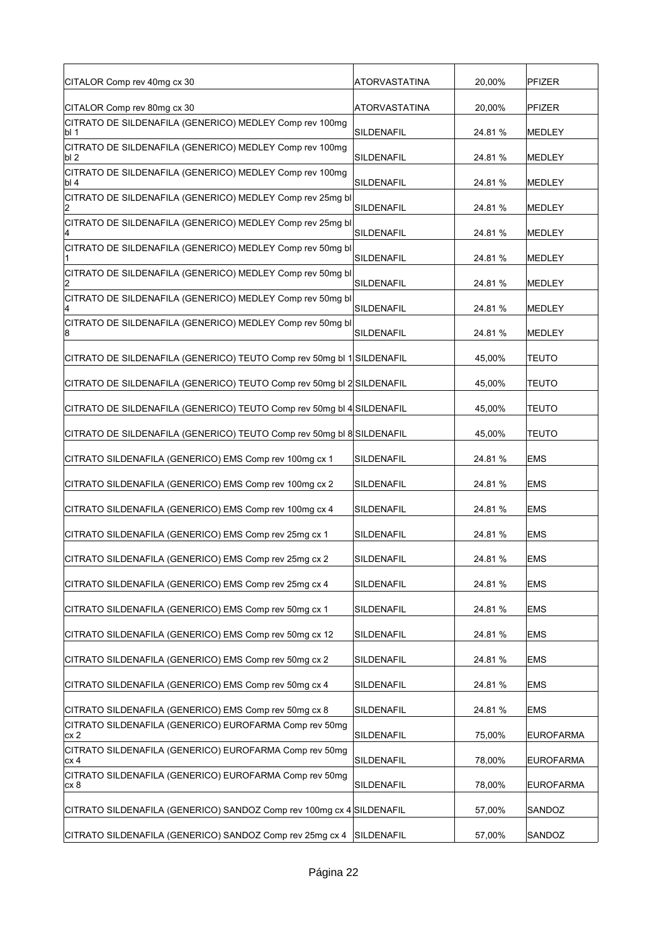| CITALOR Comp rev 40mg cx 30                                                            | ATORVASTATINA | 20,00%  | <b>PFIZER</b>    |
|----------------------------------------------------------------------------------------|---------------|---------|------------------|
|                                                                                        |               |         |                  |
| CITALOR Comp rev 80mg cx 30<br>CITRATO DE SILDENAFILA (GENERICO) MEDLEY Comp rev 100mg | ATORVASTATINA | 20,00%  | <b>PFIZER</b>    |
| bl 1                                                                                   | SILDENAFIL    | 24.81%  | <b>MEDLEY</b>    |
| CITRATO DE SILDENAFILA (GENERICO) MEDLEY Comp rev 100mg<br>lbl 2                       | SILDENAFIL    | 24.81%  | <b>MEDLEY</b>    |
| CITRATO DE SILDENAFILA (GENERICO) MEDLEY Comp rev 100mg<br>lbl 4                       | SILDENAFIL    | 24.81%  | <b>MEDLEY</b>    |
| CITRATO DE SILDENAFILA (GENERICO) MEDLEY Comp rev 25mg bl                              | SILDENAFIL    | 24.81%  | MEDLEY           |
| CITRATO DE SILDENAFILA (GENERICO) MEDLEY Comp rev 25mg bl                              | SILDENAFIL    | 24.81%  | MEDLEY           |
| CITRATO DE SILDENAFILA (GENERICO) MEDLEY Comp rev 50mg bl                              | SILDENAFIL    | 24.81%  | MEDLEY           |
| CITRATO DE SILDENAFILA (GENERICO) MEDLEY Comp rev 50mg bl                              | SILDENAFIL    | 24.81%  | MEDLEY           |
| CITRATO DE SILDENAFILA (GENERICO) MEDLEY Comp rev 50mg bl<br>4                         | SILDENAFIL    | 24.81%  | MEDLEY           |
| CITRATO DE SILDENAFILA (GENERICO) MEDLEY Comp rev 50mg bl<br>8                         | SILDENAFIL    | 24.81%  | MEDLEY           |
| CITRATO DE SILDENAFILA (GENERICO) TEUTO Comp rev 50mg bl 1 SILDENAFIL                  |               | 45,00%  | <b>TEUTO</b>     |
| CITRATO DE SILDENAFILA (GENERICO) TEUTO Comp rev 50mg bl 2 SILDENAFIL                  |               | 45,00%  | <b>TEUTO</b>     |
| CITRATO DE SILDENAFILA (GENERICO) TEUTO Comp rev 50mg bl 4 SILDENAFIL                  |               | 45,00%  | <b>TEUTO</b>     |
| CITRATO DE SILDENAFILA (GENERICO) TEUTO Comp rev 50mg bl 8 SILDENAFIL                  |               | 45,00%  | <b>TEUTO</b>     |
| CITRATO SILDENAFILA (GENERICO) EMS Comp rev 100mg cx 1                                 | SILDENAFIL    | 24.81%  | <b>EMS</b>       |
| CITRATO SILDENAFILA (GENERICO) EMS Comp rev 100mg cx 2                                 | SILDENAFIL    | 24.81%  | <b>EMS</b>       |
| CITRATO SILDENAFILA (GENERICO) EMS Comp rev 100mg cx 4                                 | SILDENAFIL    | 24.81%  | <b>EMS</b>       |
| CITRATO SILDENAFILA (GENERICO) EMS Comp rev 25mg cx 1                                  | SILDENAFIL    | 24.81%  | <b>EMS</b>       |
| CITRATO SILDENAFILA (GENERICO) EMS Comp rev 25mg cx 2                                  | SILDENAFIL    | 24.81 % | <b>EMS</b>       |
| CITRATO SILDENAFILA (GENERICO) EMS Comp rev 25mg cx 4                                  | SILDENAFIL    | 24.81%  | <b>EMS</b>       |
| CITRATO SILDENAFILA (GENERICO) EMS Comp rev 50mg cx 1                                  | SILDENAFIL    | 24.81%  | <b>EMS</b>       |
| CITRATO SILDENAFILA (GENERICO) EMS Comp rev 50mg cx 12                                 | SILDENAFIL    | 24.81 % | <b>EMS</b>       |
| CITRATO SILDENAFILA (GENERICO) EMS Comp rev 50mg cx 2                                  | SILDENAFIL    | 24.81%  | <b>EMS</b>       |
| CITRATO SILDENAFILA (GENERICO) EMS Comp rev 50mg cx 4                                  | SILDENAFIL    | 24.81 % | <b>EMS</b>       |
| CITRATO SILDENAFILA (GENERICO) EMS Comp rev 50mg cx 8                                  | SILDENAFIL    | 24.81 % | <b>EMS</b>       |
| CITRATO SILDENAFILA (GENERICO) EUROFARMA Comp rev 50mg<br>cx2                          | SILDENAFIL    | 75,00%  | <b>EUROFARMA</b> |
| CITRATO SILDENAFILA (GENERICO) EUROFARMA Comp rev 50mg<br>cx 4                         | SILDENAFIL    | 78,00%  | <b>EUROFARMA</b> |
| CITRATO SILDENAFILA (GENERICO) EUROFARMA Comp rev 50mg<br>cx 8                         | SILDENAFIL    | 78,00%  | EUROFARMA        |
| CITRATO SILDENAFILA (GENERICO) SANDOZ Comp rev 100mg cx 4 SILDENAFIL                   |               | 57,00%  | SANDOZ           |
| CITRATO SILDENAFILA (GENERICO) SANDOZ Comp rev 25mg cx 4 SILDENAFIL                    |               | 57,00%  | SANDOZ           |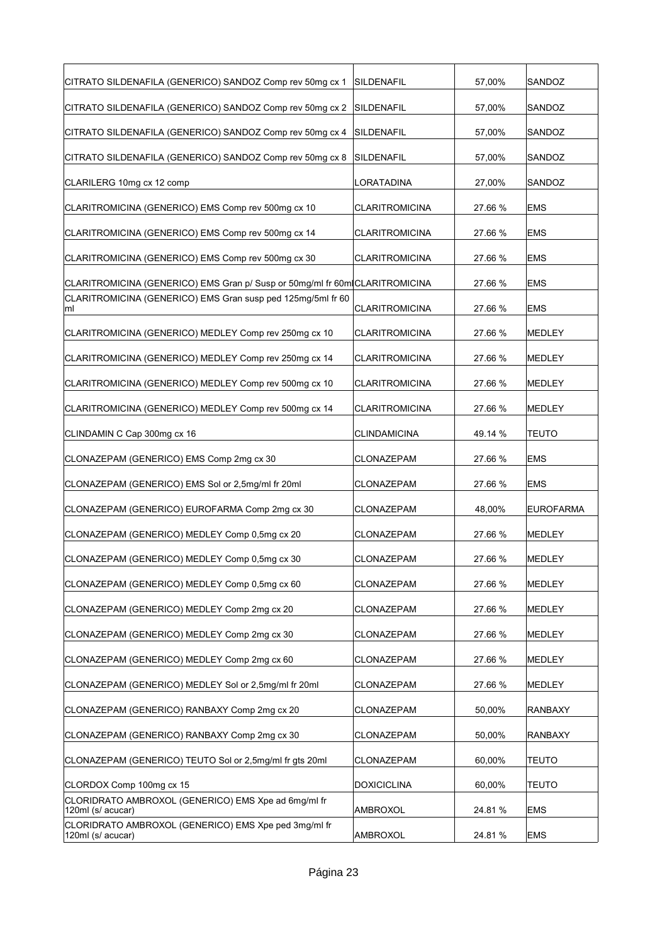| CITRATO SILDENAFILA (GENERICO) SANDOZ Comp rev 50mg cx 1                                             | SILDENAFIL                     | 57,00%           | SANDOZ                     |
|------------------------------------------------------------------------------------------------------|--------------------------------|------------------|----------------------------|
| CITRATO SILDENAFILA (GENERICO) SANDOZ Comp rev 50mg cx 2                                             | SILDENAFIL                     | 57,00%           | SANDOZ                     |
| CITRATO SILDENAFILA (GENERICO) SANDOZ Comp rev 50mg cx 4                                             | SILDENAFIL                     | 57,00%           | SANDOZ                     |
| CITRATO SILDENAFILA (GENERICO) SANDOZ Comp rev 50mg cx 8                                             | SILDENAFIL                     | 57,00%           | SANDOZ                     |
| CLARILERG 10mg cx 12 comp                                                                            | <b>LORATADINA</b>              | 27,00%           | SANDOZ                     |
| CLARITROMICINA (GENERICO) EMS Comp rev 500mg cx 10                                                   | CLARITROMICINA                 | 27.66 %          | <b>EMS</b>                 |
| CLARITROMICINA (GENERICO) EMS Comp rev 500mg cx 14                                                   | CLARITROMICINA                 | 27.66 %          | EMS                        |
| CLARITROMICINA (GENERICO) EMS Comp rev 500mg cx 30                                                   | CLARITROMICINA                 | 27.66 %          | EMS                        |
| CLARITROMICINA (GENERICO) EMS Gran p/ Susp or 50mg/ml fr 60mlCLARITROMICINA                          |                                | 27.66 %          | <b>EMS</b>                 |
| CLARITROMICINA (GENERICO) EMS Gran susp ped 125mg/5ml fr 60<br>ml                                    | CLARITROMICINA                 | 27.66 %          | <b>EMS</b>                 |
| CLARITROMICINA (GENERICO) MEDLEY Comp rev 250mg cx 10                                                | CLARITROMICINA                 | 27.66 %          | MEDLEY                     |
| CLARITROMICINA (GENERICO) MEDLEY Comp rev 250mg cx 14                                                | <b>CLARITROMICINA</b>          | 27.66 %          | MEDLEY                     |
| CLARITROMICINA (GENERICO) MEDLEY Comp rev 500mg cx 10                                                | CLARITROMICINA                 | 27.66 %          | <b>MEDLEY</b>              |
| CLARITROMICINA (GENERICO) MEDLEY Comp rev 500mg cx 14                                                | CLARITROMICINA                 | 27.66 %          | <b>MEDLEY</b>              |
| CLINDAMIN C Cap 300mg cx 16                                                                          | <b>CLINDAMICINA</b>            | 49.14 %          | TEUTO                      |
| CLONAZEPAM (GENERICO) EMS Comp 2mg cx 30                                                             | CLONAZEPAM                     | 27.66 %          | EMS                        |
| CLONAZEPAM (GENERICO) EMS Sol or 2,5mg/ml fr 20ml                                                    | CLONAZEPAM                     | 27.66 %          | <b>EMS</b>                 |
| CLONAZEPAM (GENERICO) EUROFARMA Comp 2mg cx 30                                                       | CLONAZEPAM                     | 48,00%           | <b>EUROFARMA</b>           |
| CLONAZEPAM (GENERICO) MEDLEY Comp 0,5mg cx 20                                                        | CLONAZEPAM                     | 27.66 %          | <b>MEDLEY</b>              |
| CLONAZEPAM (GENERICO) MEDLEY Comp 0,5mg cx 30                                                        | <b>CLONAZEPAM</b>              | 27.66 %          | <b>MEDLEY</b>              |
| CLONAZEPAM (GENERICO) MEDLEY Comp 0,5mg cx 60                                                        | CLONAZEPAM                     | 27.66 %          | <b>MEDLEY</b>              |
| CLONAZEPAM (GENERICO) MEDLEY Comp 2mg cx 20                                                          | <b>CLONAZEPAM</b>              | 27.66 %          | MEDLEY                     |
| CLONAZEPAM (GENERICO) MEDLEY Comp 2mg cx 30                                                          | CLONAZEPAM                     | 27.66 %          | MEDLEY                     |
| CLONAZEPAM (GENERICO) MEDLEY Comp 2mg cx 60                                                          | CLONAZEPAM                     |                  |                            |
| CLONAZEPAM (GENERICO) MEDLEY Sol or 2,5mg/ml fr 20ml                                                 |                                | 27.66 %          | MEDLEY                     |
|                                                                                                      | CLONAZEPAM                     | 27.66 %          | MEDLEY                     |
| CLONAZEPAM (GENERICO) RANBAXY Comp 2mg cx 20                                                         | CLONAZEPAM                     | 50,00%           | RANBAXY                    |
| CLONAZEPAM (GENERICO) RANBAXY Comp 2mg cx 30                                                         | CLONAZEPAM                     | 50,00%           | <b>RANBAXY</b>             |
| CLONAZEPAM (GENERICO) TEUTO Sol or 2,5mg/ml fr gts 20ml                                              | CLONAZEPAM                     | 60,00%           | <b>TEUTO</b>               |
|                                                                                                      |                                |                  |                            |
| CLORDOX Comp 100mg cx 15<br>CLORIDRATO AMBROXOL (GENERICO) EMS Xpe ad 6mg/ml fr<br>120ml (s/ acucar) | <b>DOXICICLINA</b><br>AMBROXOL | 60,00%<br>24.81% | <b>TEUTO</b><br><b>EMS</b> |
| CLORIDRATO AMBROXOL (GENERICO) EMS Xpe ped 3mg/ml fr<br>120ml (s/ acucar)                            | AMBROXOL                       | 24.81 %          | <b>EMS</b>                 |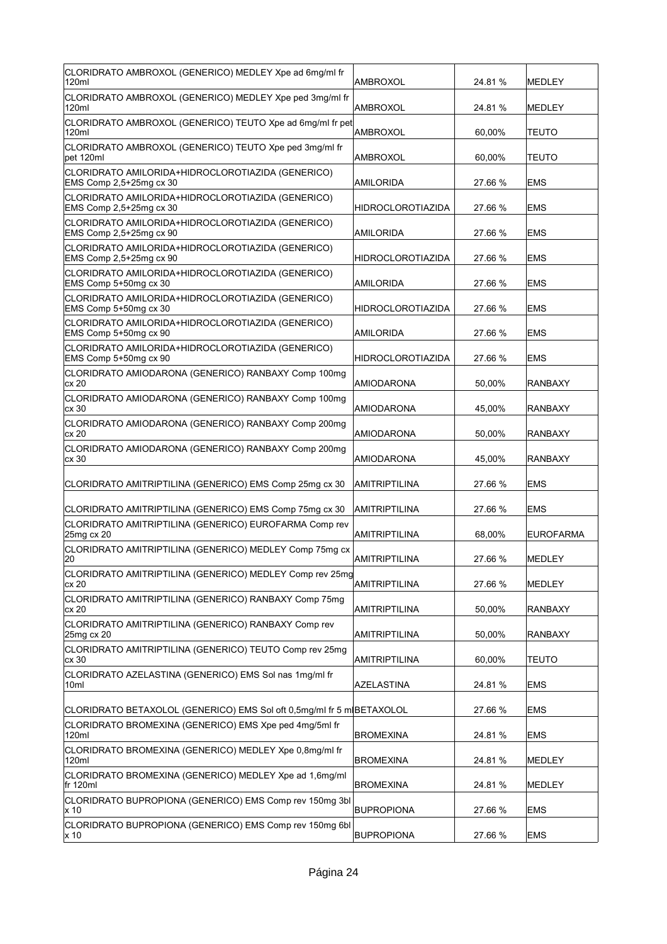| CLORIDRATO AMBROXOL (GENERICO) MEDLEY Xpe ad 6mg/ml fr<br>120ml                                                                          | AMBROXOL                                     | 24.81 %           | <b>MEDLEY</b>        |
|------------------------------------------------------------------------------------------------------------------------------------------|----------------------------------------------|-------------------|----------------------|
| CLORIDRATO AMBROXOL (GENERICO) MEDLEY Xpe ped 3mg/ml fr<br>120ml                                                                         | AMBROXOL                                     | 24.81 %           | <b>MEDLEY</b>        |
| CLORIDRATO AMBROXOL (GENERICO) TEUTO Xpe ad 6mg/ml fr pet<br>120ml                                                                       | AMBROXOL                                     | 60.00%            | <b>TEUTO</b>         |
| CLORIDRATO AMBROXOL (GENERICO) TEUTO Xpe ped 3mg/ml fr<br>pet 120ml                                                                      | AMBROXOL                                     | 60,00%            | <b>TEUTO</b>         |
| CLORIDRATO AMILORIDA+HIDROCLOROTIAZIDA (GENERICO)<br>EMS Comp 2,5+25mg cx 30                                                             | AMILORIDA                                    | 27.66 %           | <b>EMS</b>           |
| CLORIDRATO AMILORIDA+HIDROCLOROTIAZIDA (GENERICO)<br>EMS Comp 2,5+25mg cx 30                                                             | <b>HIDROCLOROTIAZIDA</b>                     | 27.66 %           | <b>EMS</b>           |
| CLORIDRATO AMILORIDA+HIDROCLOROTIAZIDA (GENERICO)<br>EMS Comp 2,5+25mg cx 90                                                             | AMILORIDA                                    | 27.66 %           | EMS                  |
| CLORIDRATO AMILORIDA+HIDROCLOROTIAZIDA (GENERICO)<br>EMS Comp 2,5+25mg cx 90                                                             | HIDROCLOROTIAZIDA                            | 27.66 %           | EMS                  |
| CLORIDRATO AMILORIDA+HIDROCLOROTIAZIDA (GENERICO)<br>EMS Comp 5+50mg cx 30                                                               | AMILORIDA                                    | 27.66 %           | <b>EMS</b>           |
| CLORIDRATO AMILORIDA+HIDROCLOROTIAZIDA (GENERICO)<br>EMS Comp 5+50mg cx 30                                                               | <b>HIDROCLOROTIAZIDA</b>                     | 27.66 %           | <b>EMS</b>           |
| CLORIDRATO AMILORIDA+HIDROCLOROTIAZIDA (GENERICO)<br>EMS Comp 5+50mg cx 90                                                               | AMILORIDA                                    | 27.66 %           | <b>EMS</b>           |
| CLORIDRATO AMILORIDA+HIDROCLOROTIAZIDA (GENERICO)<br>EMS Comp 5+50mg cx 90                                                               | <b>HIDROCLOROTIAZIDA</b>                     | 27.66 %           | <b>EMS</b>           |
| CLORIDRATO AMIODARONA (GENERICO) RANBAXY Comp 100mg<br>cx 20                                                                             | AMIODARONA                                   | 50,00%            | <b>RANBAXY</b>       |
| CLORIDRATO AMIODARONA (GENERICO) RANBAXY Comp 100mg<br>cx 30                                                                             | AMIODARONA                                   | 45,00%            | <b>RANBAXY</b>       |
| CLORIDRATO AMIODARONA (GENERICO) RANBAXY Comp 200mg<br>cx 20                                                                             | AMIODARONA                                   | 50,00%            | RANBAXY              |
| CLORIDRATO AMIODARONA (GENERICO) RANBAXY Comp 200mg                                                                                      |                                              |                   |                      |
| cx 30                                                                                                                                    | AMIODARONA                                   | 45,00%            | <b>RANBAXY</b>       |
| CLORIDRATO AMITRIPTILINA (GENERICO) EMS Comp 25mg cx 30                                                                                  | AMITRIPTILINA                                | 27.66 %           | <b>EMS</b>           |
|                                                                                                                                          |                                              |                   | <b>EMS</b>           |
| CLORIDRATO AMITRIPTILINA (GENERICO) EMS Comp 75mg cx 30<br>CLORIDRATO AMITRIPTILINA (GENERICO) EUROFARMA Comp rev                        | AMITRIPTILINA                                | 27.66 %           |                      |
| 25mg cx 20<br>CLORIDRATO AMITRIPTILINA (GENERICO) MEDLEY Comp 75mg cx                                                                    | AMITRIPTILINA<br><b>AMITRIPTILINA</b>        | 68,00%            | <b>EUROFARMA</b>     |
| 20<br>CLORIDRATO AMITRIPTILINA (GENERICO) MEDLEY Comp rev 25mg                                                                           |                                              | 27.66 %           | <b>IMEDLEY</b>       |
| cx 20<br>CLORIDRATO AMITRIPTILINA (GENERICO) RANBAXY Comp 75mg<br>cx 20                                                                  | <b>AMITRIPTILINA</b>                         | 27.66 %           | MEDLEY               |
| CLORIDRATO AMITRIPTILINA (GENERICO) RANBAXY Comp rev                                                                                     | <b>AMITRIPTILINA</b>                         | 50,00%            | RANBAXY              |
| 25mg cx 20<br>CLORIDRATO AMITRIPTILINA (GENERICO) TEUTO Comp rev 25mg<br>cx 30                                                           | <b>AMITRIPTILINA</b><br><b>AMITRIPTILINA</b> | 50,00%<br>60,00%  | RANBAXY<br>TEUTO     |
| CLORIDRATO AZELASTINA (GENERICO) EMS Sol nas 1mg/ml fr<br>10ml                                                                           | <b>AZELASTINA</b>                            | 24.81%            | <b>EMS</b>           |
|                                                                                                                                          |                                              |                   |                      |
| CLORIDRATO BETAXOLOL (GENERICO) EMS Sol oft 0,5mg/ml fr 5 m(BETAXOLOL<br>CLORIDRATO BROMEXINA (GENERICO) EMS Xpe ped 4mg/5ml fr<br>120ml | <b>BROMEXINA</b>                             | 27.66 %<br>24.81% | EMS<br>EMS           |
| CLORIDRATO BROMEXINA (GENERICO) MEDLEY Xpe 0,8mg/ml fr<br>120ml                                                                          | <b>BROMEXINA</b>                             | 24.81%            | MEDLEY               |
| CLORIDRATO BROMEXINA (GENERICO) MEDLEY Xpe ad 1,6mg/ml<br>fr 120ml                                                                       |                                              |                   |                      |
| CLORIDRATO BUPROPIONA (GENERICO) EMS Comp rev 150mg 3bl<br>x 10                                                                          | <b>BROMEXINA</b><br><b>BUPROPIONA</b>        | 24.81%<br>27.66 % | MEDLEY<br><b>EMS</b> |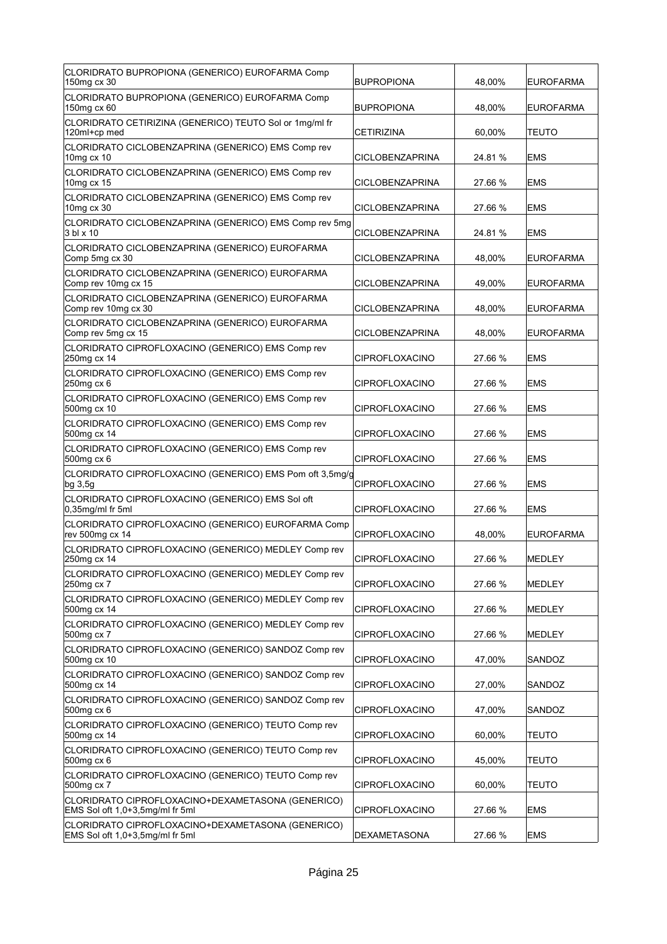| CLORIDRATO BUPROPIONA (GENERICO) EUROFARMA Comp<br>150mg cx 30                       | <b>BUPROPIONA</b>      | 48,00%  | <b>EUROFARMA</b> |
|--------------------------------------------------------------------------------------|------------------------|---------|------------------|
| CLORIDRATO BUPROPIONA (GENERICO) EUROFARMA Comp<br>150mg cx 60                       | <b>BUPROPIONA</b>      | 48,00%  | <b>EUROFARMA</b> |
| CLORIDRATO CETIRIZINA (GENERICO) TEUTO Sol or 1mg/ml fr<br>120ml+cp med              | <b>CETIRIZINA</b>      | 60,00%  | <b>TEUTO</b>     |
| CLORIDRATO CICLOBENZAPRINA (GENERICO) EMS Comp rev<br>10mg cx 10                     | CICLOBENZAPRINA        | 24.81 % | <b>IEMS</b>      |
| CLORIDRATO CICLOBENZAPRINA (GENERICO) EMS Comp rev<br>10mg cx 15                     | <b>CICLOBENZAPRINA</b> | 27.66 % | <b>IEMS</b>      |
| CLORIDRATO CICLOBENZAPRINA (GENERICO) EMS Comp rev<br>10mg cx 30                     | <b>CICLOBENZAPRINA</b> | 27.66 % | <b>EMS</b>       |
| CLORIDRATO CICLOBENZAPRINA (GENERICO) EMS Comp rev 5mg<br>3 bl x 10                  | <b>CICLOBENZAPRINA</b> | 24.81 % | <b>EMS</b>       |
| CLORIDRATO CICLOBENZAPRINA (GENERICO) EUROFARMA<br>Comp 5mg cx 30                    | <b>CICLOBENZAPRINA</b> | 48,00%  | <b>EUROFARMA</b> |
| CLORIDRATO CICLOBENZAPRINA (GENERICO) EUROFARMA<br>Comp rev 10mg cx 15               | CICLOBENZAPRINA        | 49,00%  | <b>EUROFARMA</b> |
| CLORIDRATO CICLOBENZAPRINA (GENERICO) EUROFARMA<br>Comp rev 10mg cx 30               | <b>CICLOBENZAPRINA</b> | 48,00%  | <b>EUROFARMA</b> |
| CLORIDRATO CICLOBENZAPRINA (GENERICO) EUROFARMA<br>Comp rev 5mg cx 15                | <b>CICLOBENZAPRINA</b> | 48.00%  | <b>EUROFARMA</b> |
| CLORIDRATO CIPROFLOXACINO (GENERICO) EMS Comp rev<br>250mg cx 14                     | <b>CIPROFLOXACINO</b>  | 27.66 % | <b>EMS</b>       |
| CLORIDRATO CIPROFLOXACINO (GENERICO) EMS Comp rev<br>250mg cx 6                      | <b>CIPROFLOXACINO</b>  | 27.66 % | <b>EMS</b>       |
| CLORIDRATO CIPROFLOXACINO (GENERICO) EMS Comp rev<br>500mg cx 10                     | <b>CIPROFLOXACINO</b>  | 27.66 % | <b>EMS</b>       |
| CLORIDRATO CIPROFLOXACINO (GENERICO) EMS Comp rev<br>500mg cx 14                     | CIPROFLOXACINO         | 27.66 % | EMS              |
| CLORIDRATO CIPROFLOXACINO (GENERICO) EMS Comp rev<br>500mg cx 6                      | CIPROFLOXACINO         | 27.66 % | <b>EMS</b>       |
| CLORIDRATO CIPROFLOXACINO (GENERICO) EMS Pom oft 3,5mg/g<br>$bg\,3,5g$               | CIPROFLOXACINO         | 27.66 % | <b>EMS</b>       |
| CLORIDRATO CIPROFLOXACINO (GENERICO) EMS Sol oft<br>$0,35$ mg/ml fr 5ml              | <b>CIPROFLOXACINO</b>  | 27.66 % | <b>EMS</b>       |
| CLORIDRATO CIPROFLOXACINO (GENERICO) EUROFARMA Comp<br>rev 500mg cx 14               | <b>CIPROFLOXACINO</b>  | 48,00%  | <b>EUROFARMA</b> |
| CLORIDRATO CIPROFLOXACINO (GENERICO) MEDLEY Comp rev<br>250mg cx 14                  | <b>CIPROFLOXACINO</b>  | 27.66 % | MEDLEY           |
| CLORIDRATO CIPROFLOXACINO (GENERICO) MEDLEY Comp rev<br>250mg cx 7                   | <b>CIPROFLOXACINO</b>  | 27.66 % | MEDLEY           |
| CLORIDRATO CIPROFLOXACINO (GENERICO) MEDLEY Comp rev<br>500mg cx 14                  | <b>CIPROFLOXACINO</b>  | 27.66 % | MEDLEY           |
| CLORIDRATO CIPROFLOXACINO (GENERICO) MEDLEY Comp rev<br>500mg cx 7                   | <b>CIPROFLOXACINO</b>  | 27.66 % | <b>MEDLEY</b>    |
| CLORIDRATO CIPROFLOXACINO (GENERICO) SANDOZ Comp rev<br>500mg cx 10                  | <b>CIPROFLOXACINO</b>  | 47,00%  | SANDOZ           |
| CLORIDRATO CIPROFLOXACINO (GENERICO) SANDOZ Comp rev<br>500mg cx 14                  | <b>CIPROFLOXACINO</b>  | 27,00%  | <b>SANDOZ</b>    |
| CLORIDRATO CIPROFLOXACINO (GENERICO) SANDOZ Comp rev<br>500mg cx 6                   | <b>CIPROFLOXACINO</b>  | 47,00%  | SANDOZ           |
| CLORIDRATO CIPROFLOXACINO (GENERICO) TEUTO Comp rev<br>500mg cx 14                   | <b>CIPROFLOXACINO</b>  | 60,00%  | TEUTO            |
| CLORIDRATO CIPROFLOXACINO (GENERICO) TEUTO Comp rev<br>500mg cx 6                    | <b>CIPROFLOXACINO</b>  | 45,00%  | TEUTO            |
| CLORIDRATO CIPROFLOXACINO (GENERICO) TEUTO Comp rev<br>500mg cx 7                    | <b>CIPROFLOXACINO</b>  | 60,00%  | <b>TEUTO</b>     |
| CLORIDRATO CIPROFLOXACINO+DEXAMETASONA (GENERICO)<br>EMS Sol oft 1,0+3,5mg/ml fr 5ml | <b>CIPROFLOXACINO</b>  | 27.66 % | <b>EMS</b>       |
| CLORIDRATO CIPROFLOXACINO+DEXAMETASONA (GENERICO)<br>EMS Sol oft 1,0+3,5mg/ml fr 5ml | <b>DEXAMETASONA</b>    | 27.66 % | <b>EMS</b>       |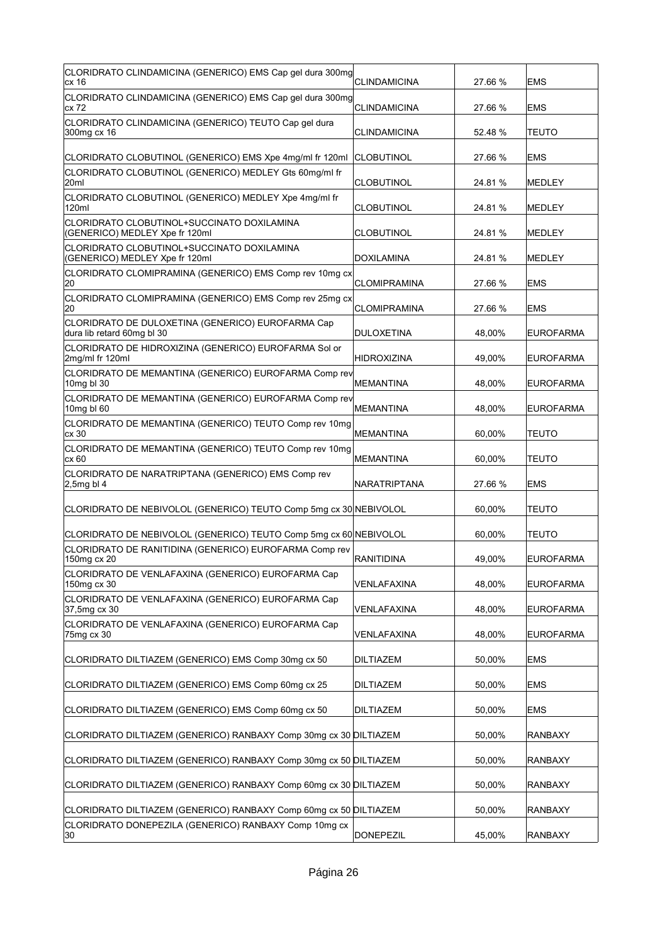| CLORIDRATO CLINDAMICINA (GENERICO) EMS Cap gel dura 300mg<br>cx 16              | <b>CLINDAMICINA</b> | 27.66 % | <b>EMS</b>       |
|---------------------------------------------------------------------------------|---------------------|---------|------------------|
| CLORIDRATO CLINDAMICINA (GENERICO) EMS Cap gel dura 300mg<br>cx 72              | <b>CLINDAMICINA</b> | 27.66 % | <b>EMS</b>       |
| CLORIDRATO CLINDAMICINA (GENERICO) TEUTO Cap gel dura<br>300mg cx 16            | <b>CLINDAMICINA</b> | 52.48 % | <b>TEUTO</b>     |
| CLORIDRATO CLOBUTINOL (GENERICO) EMS Xpe 4mg/ml fr 120ml                        | CLOBUTINOL          | 27.66 % | <b>EMS</b>       |
| CLORIDRATO CLOBUTINOL (GENERICO) MEDLEY Gts 60mg/ml fr<br>20ml                  | <b>CLOBUTINOL</b>   | 24.81%  | <b>MEDLEY</b>    |
| CLORIDRATO CLOBUTINOL (GENERICO) MEDLEY Xpe 4mg/ml fr<br>120ml                  | <b>CLOBUTINOL</b>   | 24.81 % | <b>MEDLEY</b>    |
| CLORIDRATO CLOBUTINOL+SUCCINATO DOXILAMINA<br>(GENERICO) MEDLEY Xpe fr 120ml    | <b>CLOBUTINOL</b>   | 24.81 % | MEDLEY           |
| CLORIDRATO CLOBUTINOL+SUCCINATO DOXILAMINA<br>(GENERICO) MEDLEY Xpe fr 120ml    | <b>DOXILAMINA</b>   | 24.81 % | <b>MEDLEY</b>    |
| CLORIDRATO CLOMIPRAMINA (GENERICO) EMS Comp rev 10mg cx<br>20                   | <b>CLOMIPRAMINA</b> | 27.66 % | <b>EMS</b>       |
| CLORIDRATO CLOMIPRAMINA (GENERICO) EMS Comp rev 25mg cx<br>20                   | <b>CLOMIPRAMINA</b> | 27.66 % | <b>EMS</b>       |
| CLORIDRATO DE DULOXETINA (GENERICO) EUROFARMA Cap<br>dura lib retard 60mg bl 30 | DULOXETINA          | 48,00%  | <b>EUROFARMA</b> |
| CLORIDRATO DE HIDROXIZINA (GENERICO) EUROFARMA Sol or<br>2mg/ml fr 120ml        | <b>HIDROXIZINA</b>  | 49,00%  | <b>EUROFARMA</b> |
| CLORIDRATO DE MEMANTINA (GENERICO) EUROFARMA Comp rev<br>10mg bl 30             | MEMANTINA           | 48,00%  | <b>EUROFARMA</b> |
| CLORIDRATO DE MEMANTINA (GENERICO) EUROFARMA Comp rev<br>10mg bl 60             | MEMANTINA           | 48,00%  | <b>EUROFARMA</b> |
| CLORIDRATO DE MEMANTINA (GENERICO) TEUTO Comp rev 10mg<br>cx 30                 | MEMANTINA           | 60,00%  | TEUTO            |
| CLORIDRATO DE MEMANTINA (GENERICO) TEUTO Comp rev 10mg<br>cx 60                 | <b>MEMANTINA</b>    | 60,00%  | TEUTO            |
| CLORIDRATO DE NARATRIPTANA (GENERICO) EMS Comp rev<br>$ 2,5$ mg bl $4$          | NARATRIPTANA        | 27.66 % | <b>EMS</b>       |
| CLORIDRATO DE NEBIVOLOL (GENERICO) TEUTO Comp 5mg cx 30 NEBIVOLOL               |                     | 60,00%  | <b>TEUTO</b>     |
| CLORIDRATO DE NEBIVOLOL (GENERICO) TEUTO Comp 5mg cx 60 NEBIVOLOL               |                     | 60,00%  | <b>TEUTO</b>     |
| CLORIDRATO DE RANITIDINA (GENERICO) EUROFARMA Comp rev<br>150mg cx 20           | <b>RANITIDINA</b>   | 49.00%  | <b>EUROFARMA</b> |
| CLORIDRATO DE VENLAFAXINA (GENERICO) EUROFARMA Cap<br>150mg cx 30               | VENLAFAXINA         | 48,00%  | <b>EUROFARMA</b> |
| CLORIDRATO DE VENLAFAXINA (GENERICO) EUROFARMA Cap<br>37,5mg cx 30              | VENLAFAXINA         | 48,00%  | <b>EUROFARMA</b> |
| CLORIDRATO DE VENLAFAXINA (GENERICO) EUROFARMA Cap<br>75mg cx 30                | VENLAFAXINA         | 48,00%  | <b>EUROFARMA</b> |
| CLORIDRATO DILTIAZEM (GENERICO) EMS Comp 30mg cx 50                             | <b>DILTIAZEM</b>    | 50,00%  | <b>EMS</b>       |
| CLORIDRATO DILTIAZEM (GENERICO) EMS Comp 60mg cx 25                             | <b>DILTIAZEM</b>    | 50,00%  | <b>EMS</b>       |
| CLORIDRATO DILTIAZEM (GENERICO) EMS Comp 60mg cx 50                             | <b>DILTIAZEM</b>    | 50,00%  | EMS              |
| CLORIDRATO DILTIAZEM (GENERICO) RANBAXY Comp 30mg cx 30 DILTIAZEM               |                     | 50,00%  | <b>RANBAXY</b>   |
| CLORIDRATO DILTIAZEM (GENERICO) RANBAXY Comp 30mg cx 50 DILTIAZEM               |                     | 50,00%  | <b>RANBAXY</b>   |
| CLORIDRATO DILTIAZEM (GENERICO) RANBAXY Comp 60mg cx 30 DILTIAZEM               |                     | 50,00%  | <b>RANBAXY</b>   |
| CLORIDRATO DILTIAZEM (GENERICO) RANBAXY Comp 60mg cx 50 DILTIAZEM               |                     | 50,00%  | <b>RANBAXY</b>   |
| CLORIDRATO DONEPEZILA (GENERICO) RANBAXY Comp 10mg cx<br>30                     | <b>DONEPEZIL</b>    | 45,00%  | <b>RANBAXY</b>   |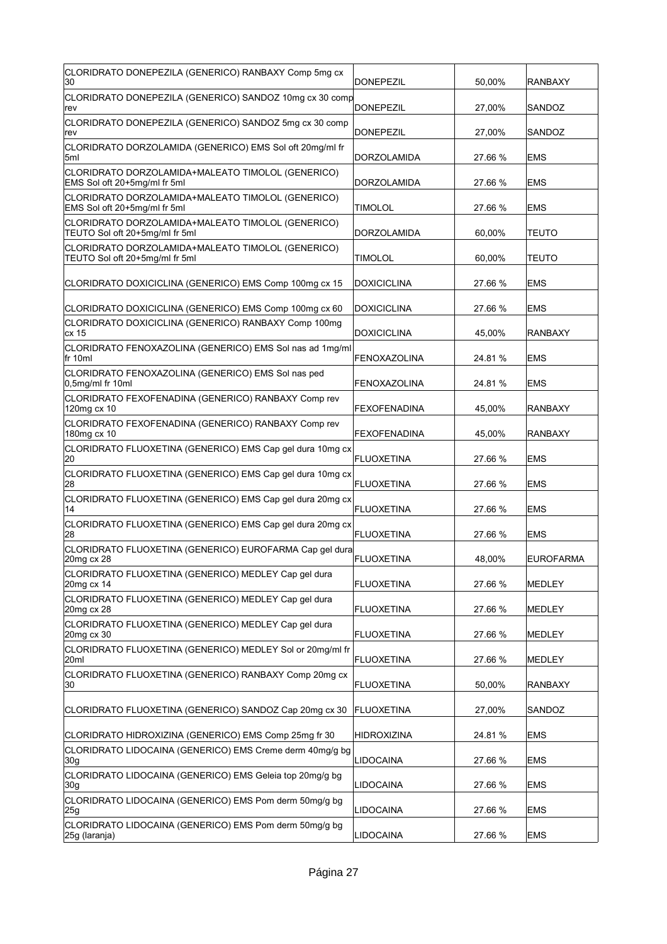| CLORIDRATO DONEPEZILA (GENERICO) RANBAXY Comp 5mg cx<br>30                          | <b>DONEPEZIL</b>    | 50,00%  | <b>RANBAXY</b> |
|-------------------------------------------------------------------------------------|---------------------|---------|----------------|
| CLORIDRATO DONEPEZILA (GENERICO) SANDOZ 10mg cx 30 comp<br>rev                      | DONEPEZIL           | 27,00%  | SANDOZ         |
| CLORIDRATO DONEPEZILA (GENERICO) SANDOZ 5mg cx 30 comp<br>rev                       | <b>DONEPEZIL</b>    | 27,00%  | SANDOZ         |
| CLORIDRATO DORZOLAMIDA (GENERICO) EMS Sol oft 20mg/ml fr<br>5ml                     | DORZOLAMIDA         | 27.66 % | <b>EMS</b>     |
| CLORIDRATO DORZOLAMIDA+MALEATO TIMOLOL (GENERICO)<br>EMS Sol oft 20+5mg/ml fr 5ml   | DORZOLAMIDA         | 27.66 % | <b>EMS</b>     |
| CLORIDRATO DORZOLAMIDA+MALEATO TIMOLOL (GENERICO)<br>EMS Sol oft 20+5mg/ml fr 5ml   | <b>TIMOLOL</b>      | 27.66 % | <b>EMS</b>     |
| CLORIDRATO DORZOLAMIDA+MALEATO TIMOLOL (GENERICO)<br>TEUTO Sol oft 20+5mg/ml fr 5ml | <b>DORZOLAMIDA</b>  | 60,00%  | <b>TEUTO</b>   |
| CLORIDRATO DORZOLAMIDA+MALEATO TIMOLOL (GENERICO)<br>TEUTO Sol oft 20+5mg/ml fr 5ml | TIMOLOL             | 60,00%  | <b>TEUTO</b>   |
| CLORIDRATO DOXICICLINA (GENERICO) EMS Comp 100mg cx 15                              | <b>DOXICICLINA</b>  | 27.66 % | <b>EMS</b>     |
| CLORIDRATO DOXICICLINA (GENERICO) EMS Comp 100mg cx 60                              | <b>DOXICICLINA</b>  | 27.66 % | <b>EMS</b>     |
| CLORIDRATO DOXICICLINA (GENERICO) RANBAXY Comp 100mg<br>cx 15                       | <b>DOXICICLINA</b>  | 45,00%  | <b>RANBAXY</b> |
| CLORIDRATO FENOXAZOLINA (GENERICO) EMS Sol nas ad 1mg/ml<br>fr 10ml                 | <b>FENOXAZOLINA</b> | 24.81 % | EMS            |
| CLORIDRATO FENOXAZOLINA (GENERICO) EMS Sol nas ped<br>$0.5$ mg/ml fr 10ml           | <b>FENOXAZOLINA</b> | 24.81 % | <b>EMS</b>     |
| CLORIDRATO FEXOFENADINA (GENERICO) RANBAXY Comp rev<br>120mg cx 10                  | <b>FEXOFENADINA</b> | 45,00%  | <b>RANBAXY</b> |
| CLORIDRATO FEXOFENADINA (GENERICO) RANBAXY Comp rev<br>180mg cx 10                  | <b>FEXOFENADINA</b> | 45,00%  | <b>RANBAXY</b> |
| CLORIDRATO FLUOXETINA (GENERICO) EMS Cap gel dura 10mg cx                           |                     |         |                |
| 20                                                                                  | <b>FLUOXETINA</b>   | 27.66 % | <b>EMS</b>     |
| CLORIDRATO FLUOXETINA (GENERICO) EMS Cap gel dura 10mg cx<br>28                     | <b>FLUOXETINA</b>   | 27.66 % | <b>EMS</b>     |
| CLORIDRATO FLUOXETINA (GENERICO) EMS Cap gel dura 20mg cx<br>14                     | <b>FLUOXETINA</b>   | 27.66 % | <b>EMS</b>     |
| CLORIDRATO FLUOXETINA (GENERICO) EMS Cap gel dura 20mg cx<br>28                     | <b>FLUOXETINA</b>   | 27.66 % | <b>EMS</b>     |
| CLORIDRATO FLUOXETINA (GENERICO) EUROFARMA Cap gel dura<br>20mg cx 28               | FLUOXETINA          | 48.00%  | EUROFARMA      |
| CLORIDRATO FLUOXETINA (GENERICO) MEDLEY Cap gel dura<br>20mg cx 14                  | <b>FLUOXETINA</b>   | 27.66 % | MEDLEY         |
| CLORIDRATO FLUOXETINA (GENERICO) MEDLEY Cap gel dura<br>20mg cx 28                  | <b>FLUOXETINA</b>   | 27.66 % | MEDLEY         |
| CLORIDRATO FLUOXETINA (GENERICO) MEDLEY Cap gel dura<br>20mg cx 30                  | <b>FLUOXETINA</b>   | 27.66 % | MEDLEY         |
| CLORIDRATO FLUOXETINA (GENERICO) MEDLEY Sol or 20mg/ml fr<br>20ml                   | FLUOXETINA          | 27.66 % | MEDLEY         |
| CLORIDRATO FLUOXETINA (GENERICO) RANBAXY Comp 20mg cx<br>30                         | <b>FLUOXETINA</b>   | 50,00%  | RANBAXY        |
| CLORIDRATO FLUOXETINA (GENERICO) SANDOZ Cap 20mg cx 30                              | FLUOXETINA          | 27,00%  | SANDOZ         |
| CLORIDRATO HIDROXIZINA (GENERICO) EMS Comp 25mg fr 30                               | <b>HIDROXIZINA</b>  | 24.81 % | EMS            |
| CLORIDRATO LIDOCAINA (GENERICO) EMS Creme derm 40mg/g bg<br>30g                     | LIDOCAINA           | 27.66 % | <b>EMS</b>     |
| CLORIDRATO LIDOCAINA (GENERICO) EMS Geleia top 20mg/g bg<br>30 <sub>g</sub>         | <b>LIDOCAINA</b>    | 27.66 % | <b>EMS</b>     |
| CLORIDRATO LIDOCAINA (GENERICO) EMS Pom derm 50mg/g bg<br>25g                       | LIDOCAINA           | 27.66 % | <b>EMS</b>     |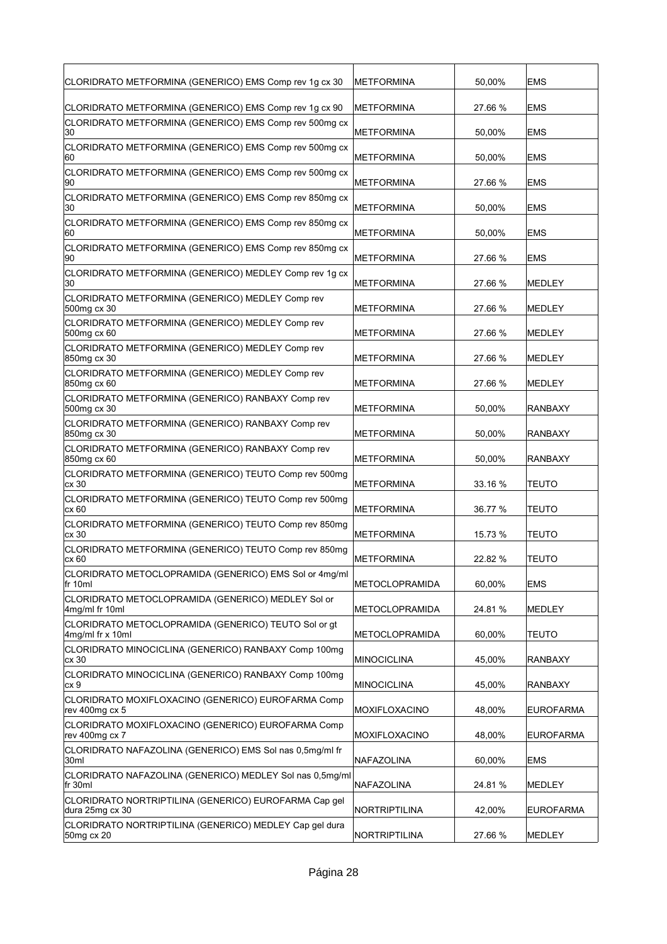| CLORIDRATO METFORMINA (GENERICO) EMS Comp rev 1g cx 30                   | METFORMINA            | 50,00%  | <b>EMS</b>       |
|--------------------------------------------------------------------------|-----------------------|---------|------------------|
| CLORIDRATO METFORMINA (GENERICO) EMS Comp rev 1g cx 90                   | <b>METFORMINA</b>     | 27.66 % | <b>EMS</b>       |
| CLORIDRATO METFORMINA (GENERICO) EMS Comp rev 500mg cx<br>30             | METFORMINA            | 50,00%  | <b>EMS</b>       |
| CLORIDRATO METFORMINA (GENERICO) EMS Comp rev 500mg cx<br>60             | <b>METFORMINA</b>     | 50,00%  | <b>EMS</b>       |
| CLORIDRATO METFORMINA (GENERICO) EMS Comp rev 500mg cx<br>90             | <b>METFORMINA</b>     | 27.66 % | <b>EMS</b>       |
| CLORIDRATO METFORMINA (GENERICO) EMS Comp rev 850mg cx<br>30             | METFORMINA            | 50,00%  | <b>EMS</b>       |
| CLORIDRATO METFORMINA (GENERICO) EMS Comp rev 850mg cx<br>160            | <b>METFORMINA</b>     | 50,00%  | EMS              |
| CLORIDRATO METFORMINA (GENERICO) EMS Comp rev 850mg cx<br>90             | <b>METFORMINA</b>     | 27.66 % | <b>EMS</b>       |
| CLORIDRATO METFORMINA (GENERICO) MEDLEY Comp rev 1g cx<br>30             | <b>IMETFORMINA</b>    | 27.66 % | <b>MEDLEY</b>    |
| CLORIDRATO METFORMINA (GENERICO) MEDLEY Comp rev<br>500mg cx 30          | METFORMINA            | 27.66 % | <b>MEDLEY</b>    |
| CLORIDRATO METFORMINA (GENERICO) MEDLEY Comp rev<br>500mg cx 60          | METFORMINA            | 27.66 % | <b>MEDLEY</b>    |
| CLORIDRATO METFORMINA (GENERICO) MEDLEY Comp rev<br>850mg cx 30          | <b>METFORMINA</b>     | 27.66 % | <b>MEDLEY</b>    |
| CLORIDRATO METFORMINA (GENERICO) MEDLEY Comp rev<br>850mg cx 60          | <b>METFORMINA</b>     | 27.66 % | <b>MEDLEY</b>    |
| CLORIDRATO METFORMINA (GENERICO) RANBAXY Comp rev<br>500mg cx 30         | METFORMINA            | 50,00%  | RANBAXY          |
| CLORIDRATO METFORMINA (GENERICO) RANBAXY Comp rev<br>850mg cx 30         | METFORMINA            | 50,00%  | <b>RANBAXY</b>   |
| CLORIDRATO METFORMINA (GENERICO) RANBAXY Comp rev<br>850mg cx 60         | <b>METFORMINA</b>     | 50,00%  | RANBAXY          |
| CLORIDRATO METFORMINA (GENERICO) TEUTO Comp rev 500mg<br>cx 30           | <b>METFORMINA</b>     | 33.16 % | <b>TEUTO</b>     |
| CLORIDRATO METFORMINA (GENERICO) TEUTO Comp rev 500mg<br>cx 60           | METFORMINA            | 36.77 % | <b>TEUTO</b>     |
| CLORIDRATO METFORMINA (GENERICO) TEUTO Comp rev 850mg<br>cx 30           | <b>METFORMINA</b>     | 15.73 % | <b>TEUTO</b>     |
| CLORIDRATO METFORMINA (GENERICO) TEUTO Comp rev 850mg<br>cx 60           | <b>METFORMINA</b>     | 22.82 % | <b>TEUTO</b>     |
| CLORIDRATO METOCLOPRAMIDA (GENERICO) EMS Sol or 4mg/ml<br>fr 10ml        | METOCLOPRAMIDA        | 60,00%  | <b>EMS</b>       |
| CLORIDRATO METOCLOPRAMIDA (GENERICO) MEDLEY Sol or<br>4mg/ml fr 10ml     | <b>METOCLOPRAMIDA</b> | 24.81%  | MEDLEY           |
| CLORIDRATO METOCLOPRAMIDA (GENERICO) TEUTO Sol or gt<br>4mg/ml fr x 10ml | METOCLOPRAMIDA        | 60,00%  | <b>TEUTO</b>     |
| CLORIDRATO MINOCICLINA (GENERICO) RANBAXY Comp 100mg<br>cx 30            | <b>MINOCICLINA</b>    | 45,00%  | <b>RANBAXY</b>   |
| CLORIDRATO MINOCICLINA (GENERICO) RANBAXY Comp 100mg<br>cx 9             | <b>MINOCICLINA</b>    | 45,00%  | RANBAXY          |
| CLORIDRATO MOXIFLOXACINO (GENERICO) EUROFARMA Comp<br>rev 400mg cx 5     | MOXIFLOXACINO         | 48,00%  | <b>EUROFARMA</b> |
| CLORIDRATO MOXIFLOXACINO (GENERICO) EUROFARMA Comp<br>rev 400mg cx 7     | MOXIFLOXACINO         | 48,00%  | <b>EUROFARMA</b> |
| CLORIDRATO NAFAZOLINA (GENERICO) EMS Sol nas 0,5mg/ml fr<br>30ml         | NAFAZOLINA            | 60,00%  | <b>EMS</b>       |
| CLORIDRATO NAFAZOLINA (GENERICO) MEDLEY Sol nas 0,5mg/ml<br>fr 30ml      | NAFAZOLINA            | 24.81%  | MEDLEY           |
| CLORIDRATO NORTRIPTILINA (GENERICO) EUROFARMA Cap gel<br>dura 25mg cx 30 | NORTRIPTILINA         | 42,00%  | EUROFARMA        |
| CLORIDRATO NORTRIPTILINA (GENERICO) MEDLEY Cap gel dura<br>50mg cx 20    | NORTRIPTILINA         | 27.66 % | MEDLEY           |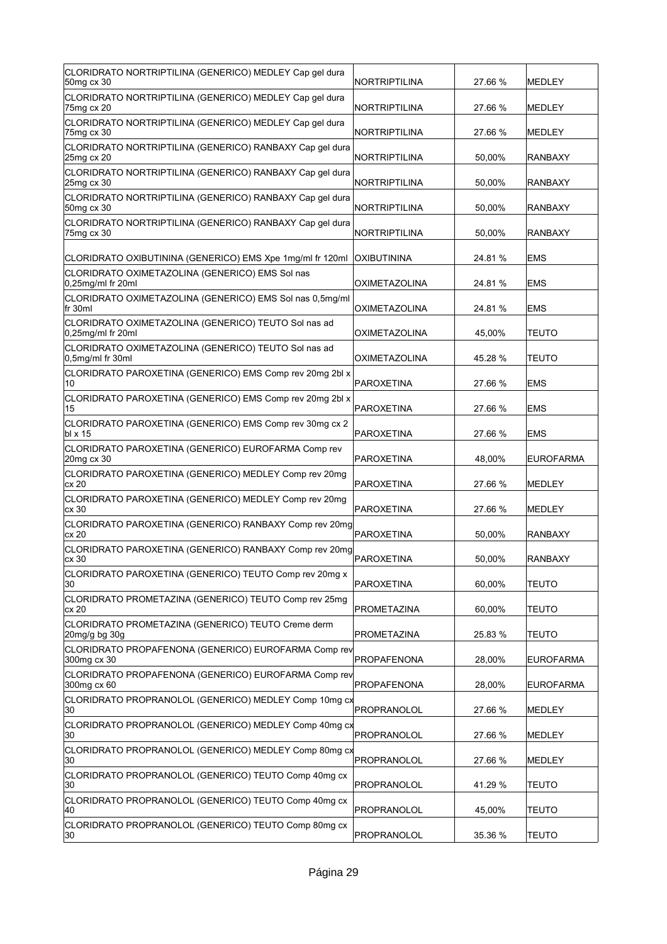| CLORIDRATO NORTRIPTILINA (GENERICO) MEDLEY Cap gel dura<br>50mg cx 30        | NORTRIPTILINA        | 27.66 % | <b>MEDLEY</b>    |
|------------------------------------------------------------------------------|----------------------|---------|------------------|
| CLORIDRATO NORTRIPTILINA (GENERICO) MEDLEY Cap gel dura<br>75mg cx 20        | NORTRIPTILINA        | 27.66 % | <b>MEDLEY</b>    |
| CLORIDRATO NORTRIPTILINA (GENERICO) MEDLEY Cap gel dura<br>75mg cx 30        | NORTRIPTILINA        | 27.66 % | <b>MEDLEY</b>    |
| CLORIDRATO NORTRIPTILINA (GENERICO) RANBAXY Cap gel dura<br>25mg cx 20       | NORTRIPTILINA        | 50,00%  | <b>RANBAXY</b>   |
| CLORIDRATO NORTRIPTILINA (GENERICO) RANBAXY Cap gel dura<br>25mg cx 30       | NORTRIPTILINA        | 50,00%  | <b>RANBAXY</b>   |
| CLORIDRATO NORTRIPTILINA (GENERICO) RANBAXY Cap gel dura<br>50mg cx 30       | NORTRIPTILINA        | 50,00%  | <b>RANBAXY</b>   |
| CLORIDRATO NORTRIPTILINA (GENERICO) RANBAXY Cap gel dura<br>75mg cx 30       | NORTRIPTILINA        | 50,00%  | <b>RANBAXY</b>   |
| CLORIDRATO OXIBUTININA (GENERICO) EMS Xpe 1mg/ml fr 120ml                    | <b>OXIBUTININA</b>   | 24.81 % | EMS              |
| CLORIDRATO OXIMETAZOLINA (GENERICO) EMS Sol nas<br>$0.25$ mg/ml fr 20ml      | OXIMETAZOLINA        | 24.81 % | <b>EMS</b>       |
| CLORIDRATO OXIMETAZOLINA (GENERICO) EMS Sol nas 0,5mg/ml<br>lfr 30ml         | OXIMETAZOLINA        | 24.81 % | <b>EMS</b>       |
| CLORIDRATO OXIMETAZOLINA (GENERICO) TEUTO Sol nas ad<br>$0,25$ mg/ml fr 20ml | <b>OXIMETAZOLINA</b> | 45,00%  | <b>TEUTO</b>     |
| CLORIDRATO OXIMETAZOLINA (GENERICO) TEUTO Sol nas ad<br>$0,5$ mg/ml fr 30ml  | OXIMETAZOLINA        | 45.28 % | <b>TEUTO</b>     |
| CLORIDRATO PAROXETINA (GENERICO) EMS Comp rev 20mg 2bl x<br>10               | <b>PAROXETINA</b>    | 27.66 % | <b>EMS</b>       |
| CLORIDRATO PAROXETINA (GENERICO) EMS Comp rev 20mg 2bl x<br>15               | PAROXETINA           | 27.66 % | <b>EMS</b>       |
| CLORIDRATO PAROXETINA (GENERICO) EMS Comp rev 30mg cx 2<br>bl x 15           | <b>PAROXETINA</b>    | 27.66 % | <b>EMS</b>       |
| CLORIDRATO PAROXETINA (GENERICO) EUROFARMA Comp rev<br>20mg cx 30            | PAROXETINA           | 48,00%  | <b>EUROFARMA</b> |
| CLORIDRATO PAROXETINA (GENERICO) MEDLEY Comp rev 20mg                        |                      |         |                  |
| cx 20                                                                        | PAROXETINA           | 27.66 % | <b>MEDLEY</b>    |
| CLORIDRATO PAROXETINA (GENERICO) MEDLEY Comp rev 20mg<br>cx 30               | <b>PAROXETINA</b>    | 27.66 % | <b>MEDLEY</b>    |
| CLORIDRATO PAROXETINA (GENERICO) RANBAXY Comp rev 20mg<br>cx 20              | <b>PAROXETINA</b>    | 50,00%  | <b>RANBAXY</b>   |
| CLORIDRATO PAROXETINA (GENERICO) RANBAXY Comp rev 20mg<br>cx 30              | PAROXETINA           | 50.00%  | RANBAXY          |
| CLORIDRATO PAROXETINA (GENERICO) TEUTO Comp rev 20mg x<br>30                 | PAROXETINA           | 60,00%  | TEUTO            |
| CLORIDRATO PROMETAZINA (GENERICO) TEUTO Comp rev 25mg<br>cx 20               | PROMETAZINA          | 60,00%  | TEUTO            |
| CLORIDRATO PROMETAZINA (GENERICO) TEUTO Creme derm<br>20mg/g bg 30g          | PROMETAZINA          | 25.83 % | <b>TEUTO</b>     |
| CLORIDRATO PROPAFENONA (GENERICO) EUROFARMA Comp rev<br>300mg cx 30          | PROPAFENONA          | 28,00%  | <b>EUROFARMA</b> |
| CLORIDRATO PROPAFENONA (GENERICO) EUROFARMA Comp rev<br>300mg cx 60          | PROPAFENONA          | 28,00%  | EUROFARMA        |
| CLORIDRATO PROPRANOLOL (GENERICO) MEDLEY Comp 10mg cx<br>30                  | PROPRANOLOL          | 27.66 % | MEDLEY           |
| CLORIDRATO PROPRANOLOL (GENERICO) MEDLEY Comp 40mg cx<br>30                  | PROPRANOLOL          | 27.66 % | MEDLEY           |
| CLORIDRATO PROPRANOLOL (GENERICO) MEDLEY Comp 80mg cx<br>30                  | PROPRANOLOL          | 27.66 % | MEDLEY           |
| CLORIDRATO PROPRANOLOL (GENERICO) TEUTO Comp 40mg cx<br>30                   | PROPRANOLOL          | 41.29 % | <b>TEUTO</b>     |
| CLORIDRATO PROPRANOLOL (GENERICO) TEUTO Comp 40mg cx<br>40                   | PROPRANOLOL          | 45,00%  | <b>TEUTO</b>     |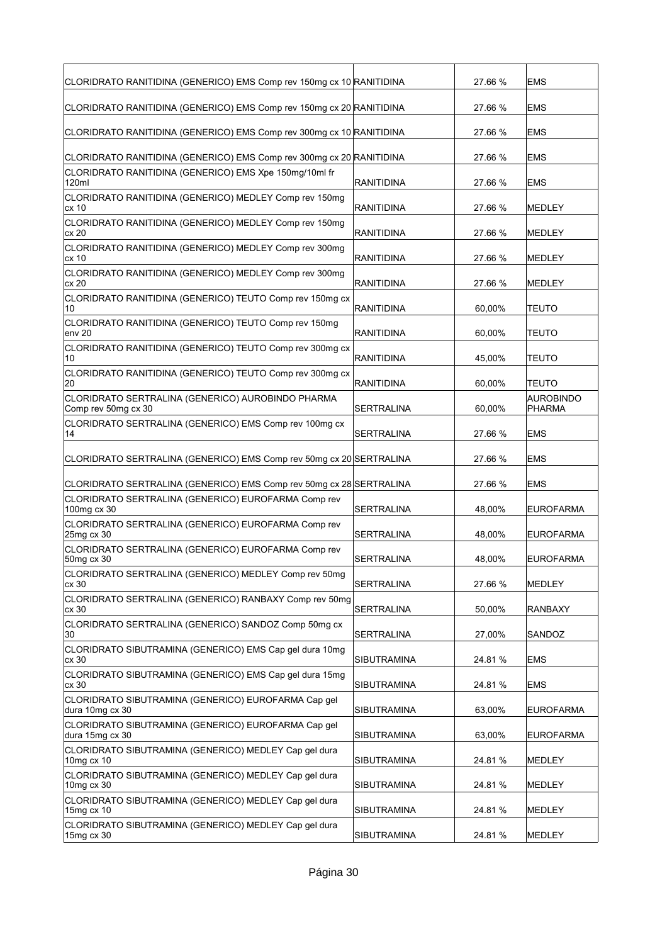| CLORIDRATO RANITIDINA (GENERICO) EMS Comp rev 150mg cx 10 RANITIDINA       |                    | 27.66 % | <b>EMS</b>                 |
|----------------------------------------------------------------------------|--------------------|---------|----------------------------|
| CLORIDRATO RANITIDINA (GENERICO) EMS Comp rev 150mg cx 20 RANITIDINA       |                    | 27.66 % | <b>EMS</b>                 |
| CLORIDRATO RANITIDINA (GENERICO) EMS Comp rev 300mg cx 10 RANITIDINA       |                    | 27.66 % | <b>EMS</b>                 |
| CLORIDRATO RANITIDINA (GENERICO) EMS Comp rev 300mg cx 20 RANITIDINA       |                    | 27.66 % | <b>EMS</b>                 |
| CLORIDRATO RANITIDINA (GENERICO) EMS Xpe 150mg/10ml fr<br>120ml            | RANITIDINA         | 27.66 % | <b>EMS</b>                 |
| CLORIDRATO RANITIDINA (GENERICO) MEDLEY Comp rev 150mg<br>cx 10            | <b>RANITIDINA</b>  | 27.66 % | <b>MEDLEY</b>              |
| CLORIDRATO RANITIDINA (GENERICO) MEDLEY Comp rev 150mg<br>lcx 20           | RANITIDINA         | 27.66 % | <b>MEDLEY</b>              |
| CLORIDRATO RANITIDINA (GENERICO) MEDLEY Comp rev 300mg<br>lcx 10           | RANITIDINA         | 27.66 % | <b>MEDLEY</b>              |
| CLORIDRATO RANITIDINA (GENERICO) MEDLEY Comp rev 300mg<br>cx <sub>20</sub> | <b>RANITIDINA</b>  | 27.66 % | <b>MEDLEY</b>              |
| CLORIDRATO RANITIDINA (GENERICO) TEUTO Comp rev 150mg cx<br>10             | RANITIDINA         | 60,00%  | <b>TEUTO</b>               |
| CLORIDRATO RANITIDINA (GENERICO) TEUTO Comp rev 150mg<br>env 20            | RANITIDINA         | 60,00%  | <b>TEUTO</b>               |
| CLORIDRATO RANITIDINA (GENERICO) TEUTO Comp rev 300mg cx<br>10             | <b>RANITIDINA</b>  | 45,00%  | <b>TEUTO</b>               |
| CLORIDRATO RANITIDINA (GENERICO) TEUTO Comp rev 300mg cx<br>20             | <b>RANITIDINA</b>  | 60,00%  | <b>TEUTO</b>               |
| CLORIDRATO SERTRALINA (GENERICO) AUROBINDO PHARMA<br>Comp rev 50mg cx 30   | SERTRALINA         | 60,00%  | <b>AUROBINDO</b><br>PHARMA |
| CLORIDRATO SERTRALINA (GENERICO) EMS Comp rev 100mg cx<br>14               | SERTRALINA         | 27.66 % | <b>EMS</b>                 |
| CLORIDRATO SERTRALINA (GENERICO) EMS Comp rev 50mg cx 20 SERTRALINA        |                    | 27.66 % | <b>EMS</b>                 |
| CLORIDRATO SERTRALINA (GENERICO) EMS Comp rev 50mg cx 28 SERTRALINA        |                    | 27.66 % | <b>EMS</b>                 |
| CLORIDRATO SERTRALINA (GENERICO) EUROFARMA Comp rev<br>100mg cx 30         | SERTRALINA         | 48.00%  | <b>EUROFARMA</b>           |
| CLORIDRATO SERTRALINA (GENERICO) EUROFARMA Comp rev<br>25mg cx 30          | <b>SERTRALINA</b>  | 48,00%  | <b>EUROFARMA</b>           |
| CLORIDRATO SERTRALINA (GENERICO) EUROFARMA Comp rev<br>50mg cx 30          | SERTRALINA         | 48,00%  | <b>EUROFARMA</b>           |
| CLORIDRATO SERTRALINA (GENERICO) MEDLEY Comp rev 50mg<br>cx 30             | <b>SERTRALINA</b>  | 27.66 % | <b>MEDLEY</b>              |
| CLORIDRATO SERTRALINA (GENERICO) RANBAXY Comp rev 50mg<br>cx30             | <b>SERTRALINA</b>  | 50,00%  | RANBAXY                    |
| CLORIDRATO SERTRALINA (GENERICO) SANDOZ Comp 50mg cx<br>30                 | SERTRALINA         | 27,00%  | SANDOZ                     |
| CLORIDRATO SIBUTRAMINA (GENERICO) EMS Cap gel dura 10mg<br>cx 30           | SIBUTRAMINA        | 24.81%  | EMS                        |
| CLORIDRATO SIBUTRAMINA (GENERICO) EMS Cap gel dura 15mg<br>cx 30           | SIBUTRAMINA        | 24.81 % | EMS                        |
| CLORIDRATO SIBUTRAMINA (GENERICO) EUROFARMA Cap gel<br>dura 10mg cx 30     | SIBUTRAMINA        | 63,00%  | <b>EUROFARMA</b>           |
| CLORIDRATO SIBUTRAMINA (GENERICO) EUROFARMA Cap gel<br>dura 15mg cx 30     | SIBUTRAMINA        | 63,00%  | EUROFARMA                  |
| CLORIDRATO SIBUTRAMINA (GENERICO) MEDLEY Cap gel dura<br>10mg cx 10        | <b>SIBUTRAMINA</b> | 24.81%  | MEDLEY                     |
| CLORIDRATO SIBUTRAMINA (GENERICO) MEDLEY Cap gel dura<br>10mg cx 30        | SIBUTRAMINA        | 24.81%  | MEDLEY                     |
| CLORIDRATO SIBUTRAMINA (GENERICO) MEDLEY Cap gel dura<br>15mg cx 10        | SIBUTRAMINA        | 24.81%  | MEDLEY                     |
| CLORIDRATO SIBUTRAMINA (GENERICO) MEDLEY Cap gel dura<br>15mg cx 30        | SIBUTRAMINA        | 24.81 % | MEDLEY                     |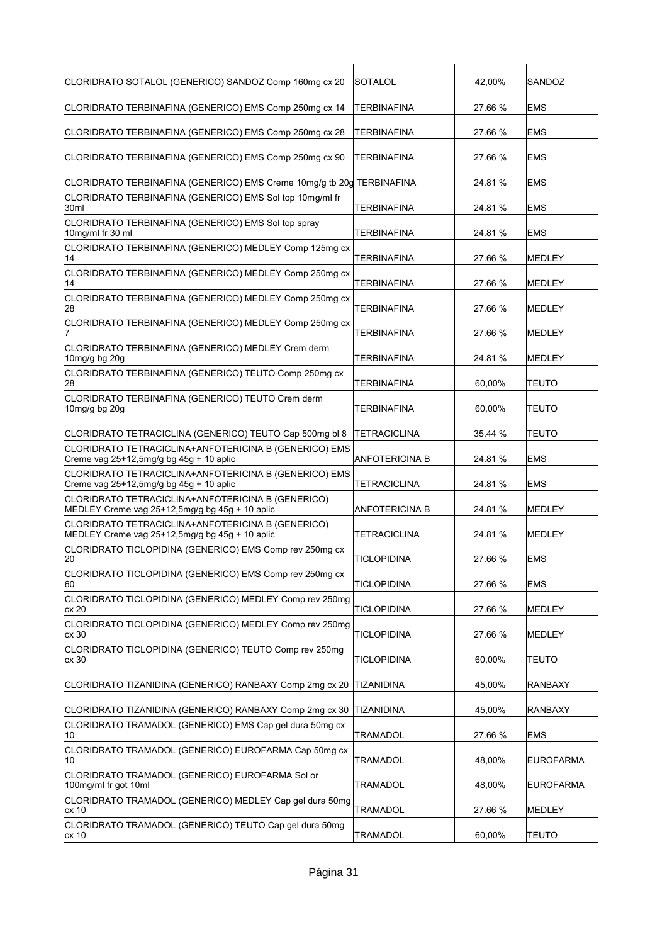| CLORIDRATO SOTALOL (GENERICO) SANDOZ Comp 160mg cx 20                                                              | SOTALOL                     | 42.00%            | SANDOZ                 |
|--------------------------------------------------------------------------------------------------------------------|-----------------------------|-------------------|------------------------|
| CLORIDRATO TERBINAFINA (GENERICO) EMS Comp 250mg cx 14                                                             | TERBINAFINA                 | 27.66 %           | <b>EMS</b>             |
| CLORIDRATO TERBINAFINA (GENERICO) EMS Comp 250mg cx 28                                                             | TERBINAFINA                 | 27.66 %           | <b>EMS</b>             |
| CLORIDRATO TERBINAFINA (GENERICO) EMS Comp 250mg cx 90                                                             | TERBINAFINA                 | 27.66 %           | <b>EMS</b>             |
| CLORIDRATO TERBINAFINA (GENERICO) EMS Creme 10mg/g tb 20g TERBINAFINA                                              |                             | 24.81 %           | <b>EMS</b>             |
| CLORIDRATO TERBINAFINA (GENERICO) EMS Sol top 10mg/ml fr<br>30ml                                                   | TERBINAFINA                 | 24.81 %           | <b>EMS</b>             |
| CLORIDRATO TERBINAFINA (GENERICO) EMS Sol top spray<br>10mg/ml fr 30 ml                                            | TERBINAFINA                 | 24.81 %           | <b>EMS</b>             |
| CLORIDRATO TERBINAFINA (GENERICO) MEDLEY Comp 125mg cx<br>14                                                       | TERBINAFINA                 | 27.66 %           | MEDLEY                 |
| CLORIDRATO TERBINAFINA (GENERICO) MEDLEY Comp 250mg cx<br>14                                                       | <b>TERBINAFINA</b>          | 27.66 %           | <b>MEDLEY</b>          |
| CLORIDRATO TERBINAFINA (GENERICO) MEDLEY Comp 250mg cx<br>28                                                       | <b>TERBINAFINA</b>          | 27.66 %           | <b>MEDLEY</b>          |
| CLORIDRATO TERBINAFINA (GENERICO) MEDLEY Comp 250mg cx                                                             | TERBINAFINA                 | 27.66 %           | <b>MEDLEY</b>          |
| CLORIDRATO TERBINAFINA (GENERICO) MEDLEY Crem derm<br>10mg/g bg 20g                                                | <b>TERBINAFINA</b>          | 24.81 %           | MEDLEY                 |
| CLORIDRATO TERBINAFINA (GENERICO) TEUTO Comp 250mg cx<br>28                                                        | <b>TERBINAFINA</b>          | 60,00%            | <b>TEUTO</b>           |
| CLORIDRATO TERBINAFINA (GENERICO) TEUTO Crem derm<br>10mg/g bg 20g                                                 | TERBINAFINA                 | 60,00%            | TEUTO                  |
| CLORIDRATO TETRACICLINA (GENERICO) TEUTO Cap 500mg bl 8                                                            | TETRACICLINA                | 35.44 %           | TEUTO                  |
| CLORIDRATO TETRACICLINA+ANFOTERICINA B (GENERICO) EMS<br>Creme vag 25+12,5mg/g bg 45g + 10 aplic                   | ANFOTERICINA B              | 24.81 %           | <b>EMS</b>             |
| CLORIDRATO TETRACICLINA+ANFOTERICINA B (GENERICO) EMS<br>Creme vag 25+12,5mg/g bg 45g + 10 aplic                   | TETRACICLINA                | 24.81 %           | <b>EMS</b>             |
|                                                                                                                    |                             |                   |                        |
| CLORIDRATO TETRACICLINA+ANFOTERICINA B (GENERICO)<br>MEDLEY Creme vag 25+12,5mg/g bg 45g + 10 aplic                | <b>ANFOTERICINA B</b>       | 24.81 %           | <b>MEDLEY</b>          |
| CLORIDRATO TETRACICLINA+ANFOTERICINA B (GENERICO)<br>MEDLEY Creme vag 25+12,5mg/g bg 45g + 10 aplic                | <b>TETRACICLINA</b>         | 24.81 %           | <b>MEDLEY</b>          |
| CLORIDRATO TICLOPIDINA (GENERICO) EMS Comp rev 250mg cx                                                            |                             |                   |                        |
| 20<br>CLORIDRATO TICLOPIDINA (GENERICO) EMS Comp rev 250mg cx                                                      | TICLOPIDINA                 | 27.66 %           | <b>EMS</b>             |
| 60<br>CLORIDRATO TICLOPIDINA (GENERICO) MEDLEY Comp rev 250mg                                                      | <b>TICLOPIDINA</b>          | 27.66 %           | <b>EMS</b>             |
| cx 20<br>CLORIDRATO TICLOPIDINA (GENERICO) MEDLEY Comp rev 250mg                                                   | <b>TICLOPIDINA</b>          | 27.66 %           | MEDLEY                 |
| cx 30<br>CLORIDRATO TICLOPIDINA (GENERICO) TEUTO Comp rev 250mg                                                    | <b>TICLOPIDINA</b>          | 27.66 %           | MEDLEY                 |
| cx 30                                                                                                              | TICLOPIDINA<br>TIZANIDINA   | 60,00%            | TEUTO                  |
| CLORIDRATO TIZANIDINA (GENERICO) RANBAXY Comp 2mg cx 20                                                            |                             | 45,00%            | <b>RANBAXY</b>         |
| CLORIDRATO TIZANIDINA (GENERICO) RANBAXY Comp 2mg cx 30<br>CLORIDRATO TRAMADOL (GENERICO) EMS Cap gel dura 50mg cx | TIZANIDINA                  | 45,00%            | RANBAXY                |
| 10<br>CLORIDRATO TRAMADOL (GENERICO) EUROFARMA Cap 50mg cx                                                         | <b>TRAMADOL</b>             | 27.66 %           | <b>EMS</b>             |
| 10<br>CLORIDRATO TRAMADOL (GENERICO) EUROFARMA Sol or                                                              | TRAMADOL                    | 48,00%            | <b>EUROFARMA</b>       |
| 100mg/ml fr got 10ml<br>CLORIDRATO TRAMADOL (GENERICO) MEDLEY Cap gel dura 50mg                                    | TRAMADOL                    | 48,00%            | <b>EUROFARMA</b>       |
| cx 10<br>CLORIDRATO TRAMADOL (GENERICO) TEUTO Cap gel dura 50mg<br>cx 10                                           | TRAMADOL<br><b>TRAMADOL</b> | 27.66 %<br>60,00% | MEDLEY<br><b>TEUTO</b> |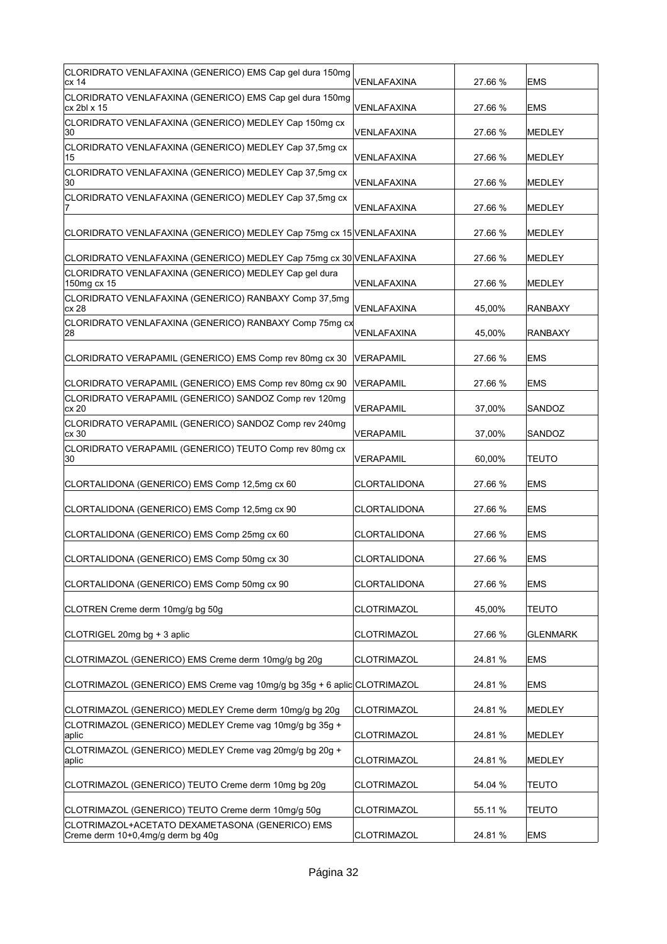| CLORIDRATO VENLAFAXINA (GENERICO) EMS Cap gel dura 150mg<br>lcx 14                   | VENLAFAXINA         | 27.66 % | EMS             |
|--------------------------------------------------------------------------------------|---------------------|---------|-----------------|
| CLORIDRATO VENLAFAXINA (GENERICO) EMS Cap gel dura 150mg<br>cx 2bl x 15              | VENLAFAXINA         | 27.66 % | <b>EMS</b>      |
| CLORIDRATO VENLAFAXINA (GENERICO) MEDLEY Cap 150mg cx<br>30                          | VENLAFAXINA         | 27.66 % | <b>MEDLEY</b>   |
| CLORIDRATO VENLAFAXINA (GENERICO) MEDLEY Cap 37,5mg cx<br>15                         | VENLAFAXINA         | 27.66 % | <b>MEDLEY</b>   |
| CLORIDRATO VENLAFAXINA (GENERICO) MEDLEY Cap 37,5mg cx<br>30                         | VENLAFAXINA         | 27.66 % | <b>MEDLEY</b>   |
| CLORIDRATO VENLAFAXINA (GENERICO) MEDLEY Cap 37,5mg cx                               | VENLAFAXINA         | 27.66 % | <b>MEDLEY</b>   |
| CLORIDRATO VENLAFAXINA (GENERICO) MEDLEY Cap 75mg cx 15 VENLAFAXINA                  |                     | 27.66 % | <b>MEDLEY</b>   |
| CLORIDRATO VENLAFAXINA (GENERICO) MEDLEY Cap 75mg cx 30 VENLAFAXINA                  |                     | 27.66 % | <b>MEDLEY</b>   |
| CLORIDRATO VENLAFAXINA (GENERICO) MEDLEY Cap gel dura<br>150mg cx 15                 | VENLAFAXINA         | 27.66 % | <b>MEDLEY</b>   |
| CLORIDRATO VENLAFAXINA (GENERICO) RANBAXY Comp 37,5mg<br>lcx 28                      | VENLAFAXINA         | 45,00%  | <b>RANBAXY</b>  |
| CLORIDRATO VENLAFAXINA (GENERICO) RANBAXY Comp 75mg cx<br>28                         | VENLAFAXINA         | 45,00%  | <b>RANBAXY</b>  |
| CLORIDRATO VERAPAMIL (GENERICO) EMS Comp rev 80mg cx 30                              | VERAPAMIL           | 27.66 % | <b>EMS</b>      |
| CLORIDRATO VERAPAMIL (GENERICO) EMS Comp rev 80mg cx 90                              | VERAPAMIL           | 27.66 % | <b>EMS</b>      |
| CLORIDRATO VERAPAMIL (GENERICO) SANDOZ Comp rev 120mg<br>cx 20                       | VERAPAMIL           | 37,00%  | SANDOZ          |
| CLORIDRATO VERAPAMIL (GENERICO) SANDOZ Comp rev 240mg<br>cx 30                       | VERAPAMIL           | 37,00%  | SANDOZ          |
| CLORIDRATO VERAPAMIL (GENERICO) TEUTO Comp rev 80mg cx<br>30                         | VERAPAMIL           | 60,00%  | TEUTO           |
| CLORTALIDONA (GENERICO) EMS Comp 12,5mg cx 60                                        | CLORTALIDONA        | 27.66 % | <b>EMS</b>      |
| CLORTALIDONA (GENERICO) EMS Comp 12,5mg cx 90                                        | CLORTALIDONA        | 27.66 % | <b>EMS</b>      |
| CLORTALIDONA (GENERICO) EMS Comp 25mg cx 60                                          | <b>CLORTALIDONA</b> | 27.66 % | <b>EMS</b>      |
| CLORTALIDONA (GENERICO) EMS Comp 50mg cx 30                                          | CLORTALIDONA        | 27.66 % | <b>EMS</b>      |
| CLORTALIDONA (GENERICO) EMS Comp 50mg cx 90                                          | CLORTALIDONA        | 27.66 % | <b>EMS</b>      |
| CLOTREN Creme derm 10mg/g bg 50g                                                     | <b>CLOTRIMAZOL</b>  | 45,00%  | <b>TEUTO</b>    |
| CLOTRIGEL 20mg bg + 3 aplic                                                          | <b>CLOTRIMAZOL</b>  | 27.66 % | <b>GLENMARK</b> |
| CLOTRIMAZOL (GENERICO) EMS Creme derm 10mg/g bg 20g                                  | <b>CLOTRIMAZOL</b>  | 24.81%  | <b>EMS</b>      |
| CLOTRIMAZOL (GENERICO) EMS Creme vag 10mg/g bg 35g + 6 aplic CLOTRIMAZOL             |                     | 24.81 % | <b>EMS</b>      |
| CLOTRIMAZOL (GENERICO) MEDLEY Creme derm 10mg/g bg 20g                               | <b>CLOTRIMAZOL</b>  | 24.81 % | <b>MEDLEY</b>   |
| CLOTRIMAZOL (GENERICO) MEDLEY Creme vag 10mg/g bg 35g +<br>aplic                     | <b>CLOTRIMAZOL</b>  | 24.81%  | <b>MEDLEY</b>   |
| CLOTRIMAZOL (GENERICO) MEDLEY Creme vag 20mg/g bg 20g +<br>∣aplic                    | <b>CLOTRIMAZOL</b>  | 24.81%  | <b>MEDLEY</b>   |
| CLOTRIMAZOL (GENERICO) TEUTO Creme derm 10mg bg 20g                                  | <b>CLOTRIMAZOL</b>  | 54.04 % | <b>TEUTO</b>    |
| CLOTRIMAZOL (GENERICO) TEUTO Creme derm 10mg/g 50g                                   | <b>CLOTRIMAZOL</b>  | 55.11 % | TEUTO           |
| CLOTRIMAZOL+ACETATO DEXAMETASONA (GENERICO) EMS<br>Creme derm 10+0,4mg/g derm bg 40g | <b>CLOTRIMAZOL</b>  | 24.81%  | <b>EMS</b>      |
|                                                                                      |                     |         |                 |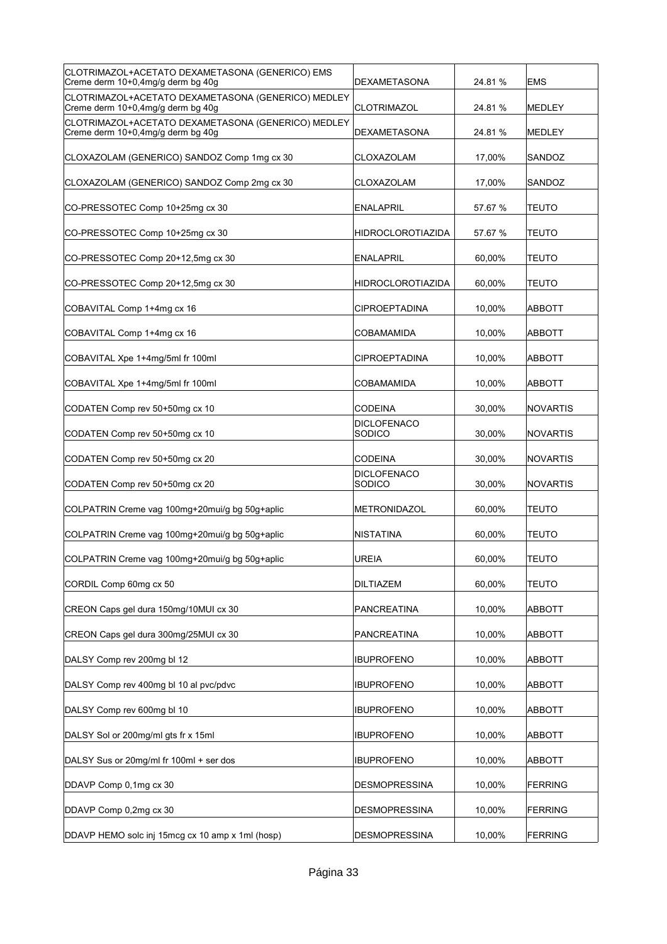| CLOTRIMAZOL+ACETATO DEXAMETASONA (GENERICO) EMS<br>Creme derm 10+0,4mg/g derm bg 40g    | DEXAMETASONA                 | 24.81 % | <b>EMS</b>      |
|-----------------------------------------------------------------------------------------|------------------------------|---------|-----------------|
| CLOTRIMAZOL+ACETATO DEXAMETASONA (GENERICO) MEDLEY<br>Creme derm 10+0,4mg/g derm bg 40g | <b>CLOTRIMAZOL</b>           | 24.81 % | MEDLEY          |
| CLOTRIMAZOL+ACETATO DEXAMETASONA (GENERICO) MEDLEY<br>Creme derm 10+0,4mg/g derm bg 40g | <b>DEXAMETASONA</b>          | 24.81 % | MEDLEY          |
| CLOXAZOLAM (GENERICO) SANDOZ Comp 1mg cx 30                                             | CLOXAZOLAM                   | 17,00%  | SANDOZ          |
| CLOXAZOLAM (GENERICO) SANDOZ Comp 2mg cx 30                                             | CLOXAZOLAM                   | 17,00%  | SANDOZ          |
| CO-PRESSOTEC Comp 10+25mg cx 30                                                         | <b>ENALAPRIL</b>             | 57.67 % | TEUTO           |
| CO-PRESSOTEC Comp 10+25mg cx 30                                                         | <b>HIDROCLOROTIAZIDA</b>     | 57.67 % | TEUTO           |
| CO-PRESSOTEC Comp 20+12,5mg cx 30                                                       | <b>ENALAPRIL</b>             | 60,00%  | TEUTO           |
| CO-PRESSOTEC Comp 20+12,5mg cx 30                                                       | <b>HIDROCLOROTIAZIDA</b>     | 60,00%  | TEUTO           |
| COBAVITAL Comp 1+4mg cx 16                                                              | <b>CIPROEPTADINA</b>         | 10,00%  | ABBOTT          |
| COBAVITAL Comp 1+4mq cx 16                                                              | <b>COBAMAMIDA</b>            | 10,00%  | <b>ABBOTT</b>   |
| COBAVITAL Xpe 1+4mg/5ml fr 100ml                                                        | <b>CIPROEPTADINA</b>         | 10,00%  | ABBOTT          |
| COBAVITAL Xpe 1+4mg/5ml fr 100ml                                                        | <b>COBAMAMIDA</b>            | 10,00%  | <b>ABBOTT</b>   |
| CODATEN Comp rev 50+50mg cx 10                                                          | <b>CODEINA</b>               | 30,00%  | <b>NOVARTIS</b> |
| CODATEN Comp rev 50+50mg cx 10                                                          | <b>DICLOFENACO</b><br>SODICO | 30,00%  | <b>NOVARTIS</b> |
| CODATEN Comp rev 50+50mg cx 20                                                          | <b>CODEINA</b>               | 30,00%  | <b>NOVARTIS</b> |
| CODATEN Comp rev 50+50mg cx 20                                                          | <b>DICLOFENACO</b><br>SODICO | 30,00%  | <b>NOVARTIS</b> |
| COLPATRIN Creme vag 100mg+20mui/g bg 50g+aplic                                          | <b>METRONIDAZOL</b>          | 60,00%  | <b>TEUTO</b>    |
| COLPATRIN Creme vag 100mg+20mui/g bg 50g+aplic                                          | <b>NISTATINA</b>             | 60,00%  | TEUTO           |
| COLPATRIN Creme vag 100mg+20mui/g bg 50g+aplic                                          | <b>UREIA</b>                 | 60.00%  | <b>TEUTO</b>    |
| CORDIL Comp 60mg cx 50                                                                  | <b>DILTIAZEM</b>             | 60,00%  | <b>TEUTO</b>    |
| CREON Caps gel dura 150mg/10MUI cx 30                                                   | <b>PANCREATINA</b>           | 10,00%  | <b>ABBOTT</b>   |
| CREON Caps gel dura 300mg/25MUI cx 30                                                   | <b>PANCREATINA</b>           | 10,00%  | <b>ABBOTT</b>   |
| DALSY Comp rev 200mg bl 12                                                              | <b>IBUPROFENO</b>            | 10,00%  | <b>ABBOTT</b>   |
| DALSY Comp rev 400mg bl 10 al pvc/pdvc                                                  | <b>IBUPROFENO</b>            | 10,00%  | <b>ABBOTT</b>   |
| DALSY Comp rev 600mg bl 10                                                              | <b>IBUPROFENO</b>            | 10,00%  | ABBOTT          |
| DALSY Sol or 200mg/ml gts fr x 15ml                                                     | <b>IBUPROFENO</b>            | 10,00%  | ABBOTT          |
| DALSY Sus or 20mg/ml fr 100ml + ser dos                                                 | <b>IBUPROFENO</b>            | 10,00%  | <b>ABBOTT</b>   |
| DDAVP Comp 0,1mg cx 30                                                                  | <b>DESMOPRESSINA</b>         | 10,00%  | FERRING         |
| DDAVP Comp 0,2mg cx 30                                                                  | <b>DESMOPRESSINA</b>         | 10,00%  | FERRING         |
| DDAVP HEMO solc inj 15mcg cx 10 amp x 1ml (hosp)                                        | <b>DESMOPRESSINA</b>         | 10,00%  | FERRING         |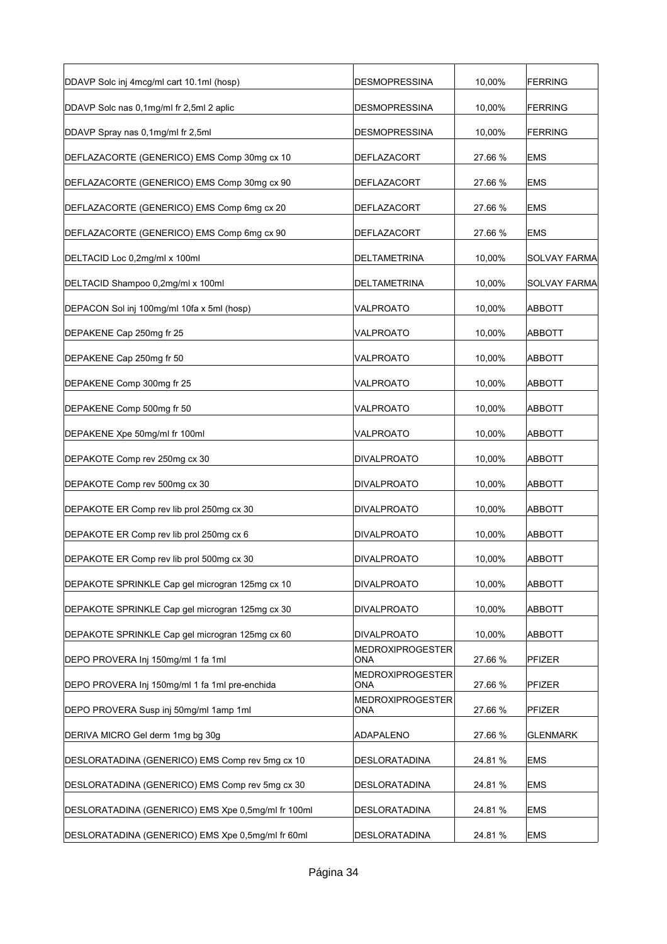| DDAVP Solc inj 4mcg/ml cart 10.1ml (hosp)          | <b>DESMOPRESSINA</b>    | 10,00%  | <b>FERRING</b>      |
|----------------------------------------------------|-------------------------|---------|---------------------|
| DDAVP Solc nas 0,1mg/ml fr 2,5ml 2 aplic           | <b>DESMOPRESSINA</b>    | 10,00%  | FERRING             |
| DDAVP Spray nas 0,1mg/ml fr 2,5ml                  | <b>DESMOPRESSINA</b>    | 10,00%  | <b>FERRING</b>      |
| DEFLAZACORTE (GENERICO) EMS Comp 30mg cx 10        | DEFLAZACORT             | 27.66 % | <b>EMS</b>          |
| DEFLAZACORTE (GENERICO) EMS Comp 30mg cx 90        | <b>DEFLAZACORT</b>      | 27.66 % | <b>EMS</b>          |
| DEFLAZACORTE (GENERICO) EMS Comp 6mg cx 20         | <b>DEFLAZACORT</b>      | 27.66 % | <b>EMS</b>          |
| DEFLAZACORTE (GENERICO) EMS Comp 6mg cx 90         | DEFLAZACORT             | 27.66 % | <b>EMS</b>          |
| DELTACID Loc 0,2mg/ml x 100ml                      | DELTAMETRINA            | 10,00%  | SOLVAY FARMA        |
| DELTACID Shampoo 0,2mg/ml x 100ml                  | DELTAMETRINA            | 10,00%  | <b>SOLVAY FARMA</b> |
| DEPACON Sol inj 100mg/ml 10fa x 5ml (hosp)         | VALPROATO               | 10,00%  | ABBOTT              |
| DEPAKENE Cap 250mg fr 25                           | VALPROATO               | 10,00%  | ABBOTT              |
| DEPAKENE Cap 250mg fr 50                           | VALPROATO               | 10,00%  | ABBOTT              |
| DEPAKENE Comp 300mg fr 25                          | VALPROATO               | 10,00%  | <b>ABBOTT</b>       |
| DEPAKENE Comp 500mg fr 50                          | VALPROATO               | 10,00%  | ABBOTT              |
| DEPAKENE Xpe 50mg/ml fr 100ml                      | VALPROATO               | 10,00%  | ABBOTT              |
| DEPAKOTE Comp rev 250mg cx 30                      | <b>DIVALPROATO</b>      | 10,00%  | <b>ABBOTT</b>       |
| DEPAKOTE Comp rev 500mg cx 30                      | <b>DIVALPROATO</b>      | 10,00%  | ABBOTT              |
| DEPAKOTE ER Comp rev lib prol 250mg cx 30          | <b>DIVALPROATO</b>      | 10,00%  | <b>ABBOTT</b>       |
| DEPAKOTE ER Comp rev lib prol 250mg cx 6           | <b>DIVALPROATO</b>      | 10,00%  | <b>ABBOTT</b>       |
| DEPAKOTE ER Comp rev lib prol 500mg cx 30          | <b>DIVALPROATO</b>      | 10,00%  | ABBOTT              |
| DEPAKOTE SPRINKLE Cap gel microgran 125mg cx 10    | <b>DIVALPROATO</b>      | 10,00%  | <b>ABBOTT</b>       |
| DEPAKOTE SPRINKLE Cap gel microgran 125mg cx 30    | <b>DIVALPROATO</b>      | 10,00%  | ABBOTT              |
| DEPAKOTE SPRINKLE Cap gel microgran 125mg cx 60    | <b>DIVALPROATO</b>      | 10,00%  | <b>ABBOTT</b>       |
| DEPO PROVERA Inj 150mg/ml 1 fa 1ml                 | MEDROXIPROGESTER<br>ONA | 27.66 % | PFIZER              |
| DEPO PROVERA Inj 150mg/ml 1 fa 1ml pre-enchida     | MEDROXIPROGESTER<br>ONA | 27.66 % | PFIZER              |
| DEPO PROVERA Susp inj 50mg/ml 1amp 1ml             | MEDROXIPROGESTER<br>ONA | 27.66 % | PFIZER              |
| DERIVA MICRO Gel derm 1mg bg 30g                   | ADAPALENO               | 27.66 % | <b>GLENMARK</b>     |
| DESLORATADINA (GENERICO) EMS Comp rev 5mg cx 10    | <b>DESLORATADINA</b>    | 24.81%  | <b>EMS</b>          |
| DESLORATADINA (GENERICO) EMS Comp rev 5mg cx 30    | <b>DESLORATADINA</b>    | 24.81%  | <b>EMS</b>          |
| DESLORATADINA (GENERICO) EMS Xpe 0,5mg/ml fr 100ml | DESLORATADINA           | 24.81%  | <b>EMS</b>          |
| DESLORATADINA (GENERICO) EMS Xpe 0,5mg/ml fr 60ml  | <b>DESLORATADINA</b>    | 24.81%  | <b>EMS</b>          |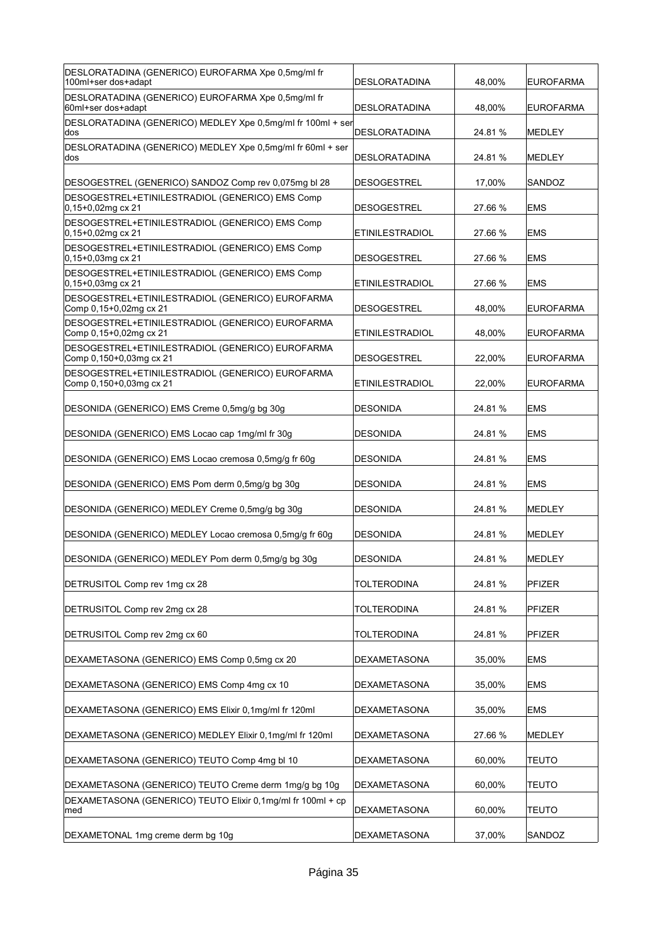| DESLORATADINA (GENERICO) EUROFARMA Xpe 0,5mg/ml fr<br>100ml+ser dos+adapt   | DESLORATADINA          | 48,00%  | <b>EUROFARMA</b> |
|-----------------------------------------------------------------------------|------------------------|---------|------------------|
| DESLORATADINA (GENERICO) EUROFARMA Xpe 0,5mg/ml fr<br>60ml+ser dos+adapt    | <b>DESLORATADINA</b>   | 48,00%  | <b>EUROFARMA</b> |
| DESLORATADINA (GENERICO) MEDLEY Xpe 0,5mg/ml fr 100ml + ser<br>dos          | <b>DESLORATADINA</b>   | 24.81 % | MEDLEY           |
| DESLORATADINA (GENERICO) MEDLEY Xpe 0,5mg/ml fr 60ml + ser<br>dos           | <b>DESLORATADINA</b>   | 24.81 % | MEDLEY           |
| DESOGESTREL (GENERICO) SANDOZ Comp rev 0,075mg bl 28                        | <b>DESOGESTREL</b>     | 17,00%  | SANDOZ           |
| DESOGESTREL+ETINILESTRADIOL (GENERICO) EMS Comp<br>$0.15 + 0.02$ mg cx 21   | <b>DESOGESTREL</b>     | 27.66 % | <b>EMS</b>       |
| DESOGESTREL+ETINILESTRADIOL (GENERICO) EMS Comp<br>$0,15+0,02$ mg cx 21     | <b>ETINILESTRADIOL</b> | 27.66 % | <b>EMS</b>       |
| DESOGESTREL+ETINILESTRADIOL (GENERICO) EMS Comp<br>$0,15+0,03$ mg cx 21     | <b>DESOGESTREL</b>     | 27.66 % | <b>EMS</b>       |
| DESOGESTREL+ETINILESTRADIOL (GENERICO) EMS Comp<br>$0.15 + 0.03$ mg cx 21   | <b>ETINILESTRADIOL</b> | 27.66 % | <b>EMS</b>       |
| DESOGESTREL+ETINILESTRADIOL (GENERICO) EUROFARMA<br>Comp 0,15+0,02mg cx 21  | <b>DESOGESTREL</b>     | 48,00%  | <b>EUROFARMA</b> |
| DESOGESTREL+ETINILESTRADIOL (GENERICO) EUROFARMA<br>Comp 0,15+0,02mg cx 21  | <b>ETINILESTRADIOL</b> | 48,00%  | <b>EUROFARMA</b> |
| DESOGESTREL+ETINILESTRADIOL (GENERICO) EUROFARMA<br>Comp 0,150+0,03mg cx 21 | <b>DESOGESTREL</b>     | 22,00%  | <b>EUROFARMA</b> |
| DESOGESTREL+ETINILESTRADIOL (GENERICO) EUROFARMA<br>Comp 0,150+0,03mg cx 21 | <b>ETINILESTRADIOL</b> | 22,00%  | <b>EUROFARMA</b> |
| DESONIDA (GENERICO) EMS Creme 0,5mg/g bg 30g                                | <b>DESONIDA</b>        | 24.81 % | <b>EMS</b>       |
| DESONIDA (GENERICO) EMS Locao cap 1mg/ml fr 30g                             | <b>DESONIDA</b>        | 24.81 % | EMS              |
|                                                                             |                        |         |                  |
| DESONIDA (GENERICO) EMS Locao cremosa 0,5mg/g fr 60g                        | <b>DESONIDA</b>        | 24.81 % | EMS              |
| DESONIDA (GENERICO) EMS Pom derm 0,5mg/g bg 30g                             | <b>DESONIDA</b>        | 24.81 % | <b>EMS</b>       |
| DESONIDA (GENERICO) MEDLEY Creme 0,5mg/g bg 30g                             | <b>DESONIDA</b>        | 24.81 % | MEDLEY           |
| DESONIDA (GENERICO) MEDLEY Locao cremosa 0,5mg/g fr 60g                     | <b>DESONIDA</b>        | 24.81 % | <b>MEDLEY</b>    |
| DESONIDA (GENERICO) MEDLEY Pom derm 0,5mg/g bg 30g                          | DESONIDA               | 24.81 % | MEDLEY           |
| DETRUSITOL Comp rev 1mg cx 28                                               | <b>TOLTERODINA</b>     | 24.81%  | <b>PFIZER</b>    |
| DETRUSITOL Comp rev 2mg cx 28                                               | <b>TOLTERODINA</b>     | 24.81%  | PFIZER           |
| DETRUSITOL Comp rev 2mg cx 60                                               | <b>TOLTERODINA</b>     | 24.81 % | PFIZER           |
| DEXAMETASONA (GENERICO) EMS Comp 0,5mg cx 20                                | <b>DEXAMETASONA</b>    | 35,00%  | <b>EMS</b>       |
| DEXAMETASONA (GENERICO) EMS Comp 4mg cx 10                                  | <b>DEXAMETASONA</b>    | 35,00%  | <b>EMS</b>       |
| DEXAMETASONA (GENERICO) EMS Elixir 0,1mg/ml fr 120ml                        | <b>DEXAMETASONA</b>    | 35,00%  | <b>EMS</b>       |
| DEXAMETASONA (GENERICO) MEDLEY Elixir 0,1mg/ml fr 120ml                     | <b>DEXAMETASONA</b>    | 27.66 % | MEDLEY           |
| DEXAMETASONA (GENERICO) TEUTO Comp 4mg bl 10                                | DEXAMETASONA           | 60,00%  | TEUTO            |
| DEXAMETASONA (GENERICO) TEUTO Creme derm 1mg/g bg 10g                       | <b>DEXAMETASONA</b>    | 60,00%  | <b>TEUTO</b>     |
| DEXAMETASONA (GENERICO) TEUTO Elixir 0,1mg/ml fr 100ml + cp<br>med          | <b>DEXAMETASONA</b>    | 60,00%  | <b>TEUTO</b>     |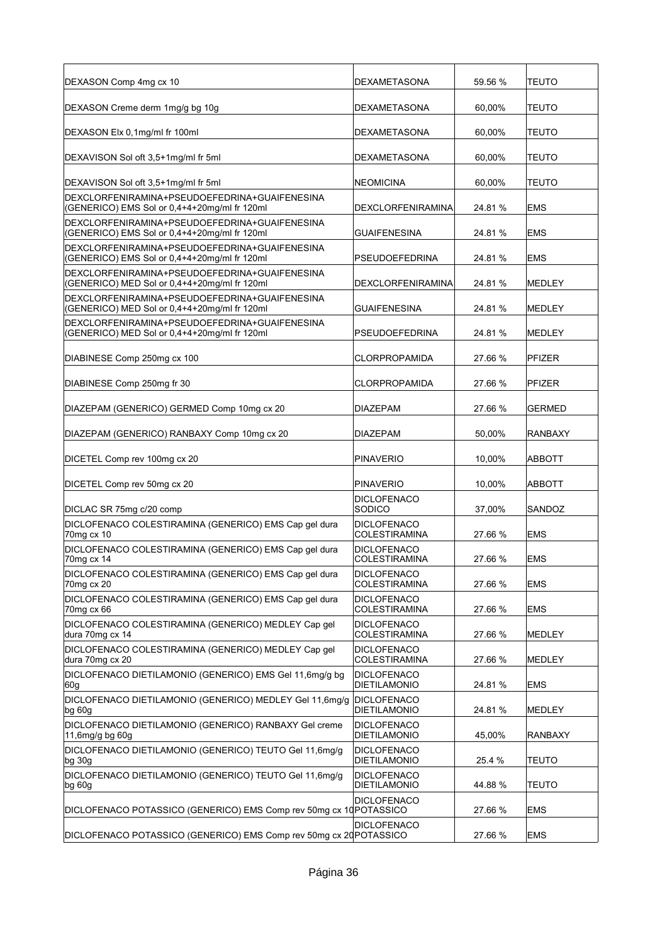| DEXASON Comp 4mg cx 10                                                                        | <b>DEXAMETASONA</b>                        | 59.56 % | <b>TEUTO</b>   |
|-----------------------------------------------------------------------------------------------|--------------------------------------------|---------|----------------|
| DEXASON Creme derm 1mg/g bg 10g                                                               | <b>DEXAMETASONA</b>                        | 60,00%  | <b>TEUTO</b>   |
| DEXASON Elx 0,1mg/ml fr 100ml                                                                 | <b>DEXAMETASONA</b>                        | 60,00%  | <b>TEUTO</b>   |
| DEXAVISON Sol oft 3,5+1mg/ml fr 5ml                                                           | <b>DEXAMETASONA</b>                        | 60,00%  | <b>TEUTO</b>   |
| DEXAVISON Sol oft 3,5+1mg/ml fr 5ml                                                           | <b>NEOMICINA</b>                           | 60,00%  | <b>TEUTO</b>   |
| DEXCLORFENIRAMINA+PSEUDOEFEDRINA+GUAIFENESINA<br>(GENERICO) EMS Sol or 0,4+4+20mg/ml fr 120ml | <b>DEXCLORFENIRAMINA</b>                   | 24.81 % | <b>EMS</b>     |
| DEXCLORFENIRAMINA+PSEUDOEFEDRINA+GUAIFENESINA<br>(GENERICO) EMS Sol or 0,4+4+20mg/ml fr 120ml | <b>GUAIFENESINA</b>                        | 24.81 % | EMS            |
| DEXCLORFENIRAMINA+PSEUDOEFEDRINA+GUAIFENESINA<br>(GENERICO) EMS Sol or 0,4+4+20mg/ml fr 120ml | <b>PSEUDOEFEDRINA</b>                      | 24.81 % | <b>EMS</b>     |
| DEXCLORFENIRAMINA+PSEUDOEFEDRINA+GUAIFENESINA<br>(GENERICO) MED Sol or 0,4+4+20mg/ml fr 120ml | <b>DEXCLORFENIRAMINA</b>                   | 24.81 % | MEDLEY         |
| DEXCLORFENIRAMINA+PSEUDOEFEDRINA+GUAIFENESINA<br>(GENERICO) MED Sol or 0,4+4+20mg/ml fr 120ml | <b>GUAIFENESINA</b>                        | 24.81 % | MEDLEY         |
| DEXCLORFENIRAMINA+PSEUDOEFEDRINA+GUAIFENESINA<br>(GENERICO) MED Sol or 0,4+4+20mg/ml fr 120ml | <b>PSEUDOEFEDRINA</b>                      | 24.81 % | MEDLEY         |
| DIABINESE Comp 250mg cx 100                                                                   | <b>CLORPROPAMIDA</b>                       | 27.66 % | PFIZER         |
| DIABINESE Comp 250mg fr 30                                                                    | <b>CLORPROPAMIDA</b>                       | 27.66 % | PFIZER         |
| DIAZEPAM (GENERICO) GERMED Comp 10mg cx 20                                                    | <b>DIAZEPAM</b>                            | 27.66 % | GERMED         |
| DIAZEPAM (GENERICO) RANBAXY Comp 10mg cx 20                                                   | <b>DIAZEPAM</b>                            | 50,00%  | RANBAXY        |
| DICETEL Comp rev 100mg cx 20                                                                  | <b>PINAVERIO</b>                           | 10,00%  | ABBOTT         |
| DICETEL Comp rev 50mg cx 20                                                                   | <b>PINAVERIO</b>                           | 10,00%  | ABBOTT         |
| DICLAC SR 75mg c/20 comp                                                                      | <b>DICLOFENACO</b><br>SODICO               | 37,00%  | SANDOZ         |
| DICLOFENACO COLESTIRAMINA (GENERICO) EMS Cap gel dura<br>70mg cx 10                           | <b>DICLOFENACO</b><br><b>COLESTIRAMINA</b> | 27.66 % | <b>EMS</b>     |
| DICLOFENACO COLESTIRAMINA (GENERICO) EMS Cap gel dura<br>70mg cx 14                           | <b>DICLOFENACO</b><br><b>COLESTIRAMINA</b> | 27.66 % | <b>EMS</b>     |
| DICLOFENACO COLESTIRAMINA (GENERICO) EMS Cap gel dura<br>70mg cx 20                           | <b>DICLOFENACO</b><br><b>COLESTIRAMINA</b> | 27.66 % | <b>EMS</b>     |
| DICLOFENACO COLESTIRAMINA (GENERICO) EMS Cap gel dura<br>70mg cx 66                           | <b>DICLOFENACO</b><br><b>COLESTIRAMINA</b> | 27.66 % | <b>EMS</b>     |
| DICLOFENACO COLESTIRAMINA (GENERICO) MEDLEY Cap gel<br>dura 70mg cx 14                        | <b>DICLOFENACO</b><br><b>COLESTIRAMINA</b> | 27.66 % | MEDLEY         |
| DICLOFENACO COLESTIRAMINA (GENERICO) MEDLEY Cap gel<br>dura 70mg cx 20                        | <b>DICLOFENACO</b><br><b>COLESTIRAMINA</b> | 27.66 % | MEDLEY         |
| DICLOFENACO DIETILAMONIO (GENERICO) EMS Gel 11,6mg/g bg<br>60g                                | <b>DICLOFENACO</b><br><b>DIETILAMONIO</b>  | 24.81 % | <b>EMS</b>     |
| DICLOFENACO DIETILAMONIO (GENERICO) MEDLEY Gel 11,6mg/g<br>$bg\ 60g$                          | <b>DICLOFENACO</b><br><b>DIETILAMONIO</b>  | 24.81%  | MEDLEY         |
| DICLOFENACO DIETILAMONIO (GENERICO) RANBAXY Gel creme<br>11,6mg/g bg 60g                      | <b>DICLOFENACO</b><br><b>DIETILAMONIO</b>  | 45,00%  | <b>RANBAXY</b> |
| DICLOFENACO DIETILAMONIO (GENERICO) TEUTO Gel 11,6mg/g<br>$bg$ 30g                            | <b>DICLOFENACO</b><br><b>DIETILAMONIO</b>  | 25.4 %  | <b>TEUTO</b>   |
| DICLOFENACO DIETILAMONIO (GENERICO) TEUTO Gel 11,6mg/g<br>$bg\ 60g$                           | <b>DICLOFENACO</b><br><b>DIETILAMONIO</b>  | 44.88%  | <b>TEUTO</b>   |
| DICLOFENACO POTASSICO (GENERICO) EMS Comp rev 50mg cx 10 POTASSICO                            | <b>DICLOFENACO</b>                         | 27.66 % | <b>EMS</b>     |
| DICLOFENACO POTASSICO (GENERICO) EMS Comp rev 50mg cx 20 POTASSICO                            | <b>DICLOFENACO</b>                         | 27.66 % | <b>EMS</b>     |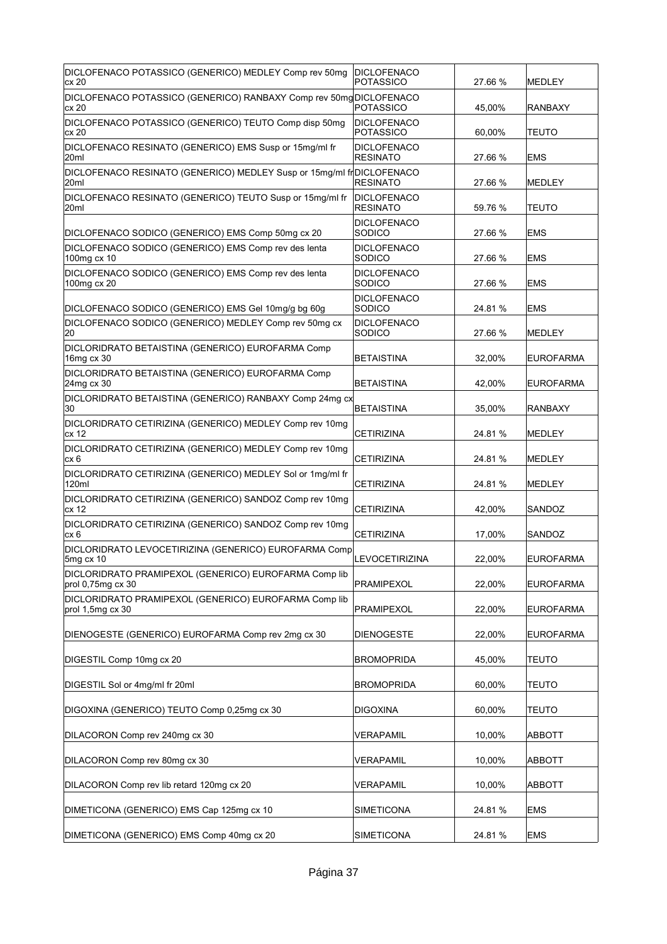| <b>DICLOFENACO</b><br><b>POTASSICO</b>                                                                                                                                                                                                                                                               | 27.66 %                                                                                                                                                                                                                                                         | MEDLEY           |
|------------------------------------------------------------------------------------------------------------------------------------------------------------------------------------------------------------------------------------------------------------------------------------------------------|-----------------------------------------------------------------------------------------------------------------------------------------------------------------------------------------------------------------------------------------------------------------|------------------|
| <b>POTASSICO</b>                                                                                                                                                                                                                                                                                     | 45,00%                                                                                                                                                                                                                                                          | <b>RANBAXY</b>   |
| DICLOFENACO<br><b>POTASSICO</b>                                                                                                                                                                                                                                                                      | 60,00%                                                                                                                                                                                                                                                          | <b>TEUTO</b>     |
| <b>DICLOFENACO</b><br><b>RESINATO</b>                                                                                                                                                                                                                                                                | 27.66 %                                                                                                                                                                                                                                                         | <b>EMS</b>       |
| <b>RESINATO</b>                                                                                                                                                                                                                                                                                      | 27.66 %                                                                                                                                                                                                                                                         | <b>IMEDLEY</b>   |
| <b>DICLOFENACO</b><br><b>RESINATO</b>                                                                                                                                                                                                                                                                | 59.76 %                                                                                                                                                                                                                                                         | <b>TEUTO</b>     |
| <b>DICLOFENACO</b><br>SODICO                                                                                                                                                                                                                                                                         | 27.66 %                                                                                                                                                                                                                                                         | EMS              |
| <b>DICLOFENACO</b><br>SODICO                                                                                                                                                                                                                                                                         | 27.66 %                                                                                                                                                                                                                                                         | EMS              |
| <b>DICLOFENACO</b><br>SODICO                                                                                                                                                                                                                                                                         | 27.66 %                                                                                                                                                                                                                                                         | EMS              |
| <b>DICLOFENACO</b><br>SODICO                                                                                                                                                                                                                                                                         | 24.81 %                                                                                                                                                                                                                                                         | <b>EMS</b>       |
| <b>DICLOFENACO</b><br>SODICO                                                                                                                                                                                                                                                                         | 27.66 %                                                                                                                                                                                                                                                         | MEDLEY           |
| <b>BETAISTINA</b>                                                                                                                                                                                                                                                                                    | 32,00%                                                                                                                                                                                                                                                          | <b>EUROFARMA</b> |
| <b>BETAISTINA</b>                                                                                                                                                                                                                                                                                    | 42,00%                                                                                                                                                                                                                                                          | <b>EUROFARMA</b> |
| BETAISTINA                                                                                                                                                                                                                                                                                           | 35,00%                                                                                                                                                                                                                                                          | <b>RANBAXY</b>   |
| <b>CETIRIZINA</b>                                                                                                                                                                                                                                                                                    | 24.81 %                                                                                                                                                                                                                                                         | <b>MEDLEY</b>    |
| <b>CETIRIZINA</b>                                                                                                                                                                                                                                                                                    | 24.81 %                                                                                                                                                                                                                                                         | <b>IMEDLEY</b>   |
| <b>CETIRIZINA</b>                                                                                                                                                                                                                                                                                    | 24.81 %                                                                                                                                                                                                                                                         | MEDLEY           |
| <b>CETIRIZINA</b>                                                                                                                                                                                                                                                                                    | 42,00%                                                                                                                                                                                                                                                          | SANDOZ           |
| <b>CETIRIZINA</b>                                                                                                                                                                                                                                                                                    | 17,00%                                                                                                                                                                                                                                                          | SANDOZ           |
| LEVOCETIRIZINA                                                                                                                                                                                                                                                                                       | 22,00%                                                                                                                                                                                                                                                          | <b>EUROFARMA</b> |
| PRAMIPEXOL                                                                                                                                                                                                                                                                                           | 22,00%                                                                                                                                                                                                                                                          | <b>EUROFARMA</b> |
| PRAMIPEXOL                                                                                                                                                                                                                                                                                           | 22,00%                                                                                                                                                                                                                                                          | <b>EUROFARMA</b> |
| DIENOGESTE                                                                                                                                                                                                                                                                                           | 22,00%                                                                                                                                                                                                                                                          | <b>EUROFARMA</b> |
| <b>BROMOPRIDA</b>                                                                                                                                                                                                                                                                                    | 45,00%                                                                                                                                                                                                                                                          | <b>TEUTO</b>     |
| <b>BROMOPRIDA</b>                                                                                                                                                                                                                                                                                    | 60,00%                                                                                                                                                                                                                                                          | <b>TEUTO</b>     |
| DIGOXINA                                                                                                                                                                                                                                                                                             | 60,00%                                                                                                                                                                                                                                                          | TEUTO            |
| <b>VERAPAMIL</b>                                                                                                                                                                                                                                                                                     | 10,00%                                                                                                                                                                                                                                                          | ABBOTT           |
| <b>VERAPAMIL</b>                                                                                                                                                                                                                                                                                     | 10,00%                                                                                                                                                                                                                                                          | ABBOTT           |
| <b>VERAPAMIL</b>                                                                                                                                                                                                                                                                                     | 10,00%                                                                                                                                                                                                                                                          | ABBOTT           |
| <b>SIMETICONA</b>                                                                                                                                                                                                                                                                                    | 24.81%                                                                                                                                                                                                                                                          | <b>EMS</b>       |
| <b>SIMETICONA</b>                                                                                                                                                                                                                                                                                    | 24.81 %                                                                                                                                                                                                                                                         | <b>EMS</b>       |
| DICLORIDRATO CETIRIZINA (GENERICO) MEDLEY Comp rev 10mg<br>DICLORIDRATO CETIRIZINA (GENERICO) MEDLEY Sol or 1mg/ml fr<br>DICLORIDRATO CETIRIZINA (GENERICO) SANDOZ Comp rev 10mg<br>DICLORIDRATO CETIRIZINA (GENERICO) SANDOZ Comp rev 10mg<br>DICLORIDRATO PRAMIPEXOL (GENERICO) EUROFARMA Comp lib | DICLOFENACO POTASSICO (GENERICO) RANBAXY Comp rev 50mg DICLOFENACO<br>DICLOFENACO RESINATO (GENERICO) MEDLEY Susp or 15mg/ml fr DICLOFENACO<br>DICLORIDRATO BETAISTINA (GENERICO) RANBAXY Comp 24mg cx<br>DICLORIDRATO LEVOCETIRIZINA (GENERICO) EUROFARMA Comp |                  |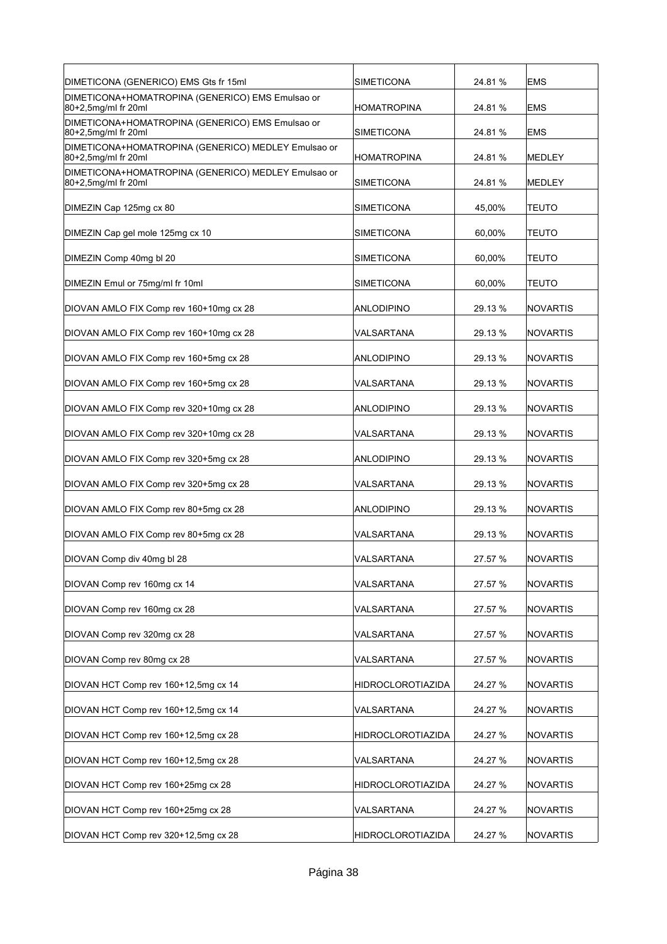| DIMETICONA (GENERICO) EMS Gts fr 15ml                                      | <b>SIMETICONA</b>        | 24.81 % | <b>EMS</b>      |
|----------------------------------------------------------------------------|--------------------------|---------|-----------------|
| DIMETICONA+HOMATROPINA (GENERICO) EMS Emulsao or<br>80+2,5mg/ml fr 20ml    | <b>HOMATROPINA</b>       | 24.81 % | <b>EMS</b>      |
| DIMETICONA+HOMATROPINA (GENERICO) EMS Emulsao or<br>80+2,5mg/ml fr 20ml    | <b>SIMETICONA</b>        | 24.81 % | <b>EMS</b>      |
| DIMETICONA+HOMATROPINA (GENERICO) MEDLEY Emulsao or<br>80+2,5mg/ml fr 20ml | <b>HOMATROPINA</b>       | 24.81 % | <b>MEDLEY</b>   |
| DIMETICONA+HOMATROPINA (GENERICO) MEDLEY Emulsao or<br>80+2,5mg/ml fr 20ml | <b>SIMETICONA</b>        | 24.81 % | <b>MEDLEY</b>   |
| DIMEZIN Cap 125mg cx 80                                                    | <b>SIMETICONA</b>        | 45,00%  | TEUTO           |
| DIMEZIN Cap gel mole 125mg cx 10                                           | SIMETICONA               | 60,00%  | TEUTO           |
| DIMEZIN Comp 40mg bl 20                                                    | <b>SIMETICONA</b>        | 60,00%  | TEUTO           |
| DIMEZIN Emul or 75mg/ml fr 10ml                                            | <b>SIMETICONA</b>        | 60.00%  | TEUTO           |
| DIOVAN AMLO FIX Comp rev 160+10mg cx 28                                    | ANLODIPINO               | 29.13 % | <b>NOVARTIS</b> |
| DIOVAN AMLO FIX Comp rev 160+10mg cx 28                                    | VALSARTANA               | 29.13 % | <b>NOVARTIS</b> |
| DIOVAN AMLO FIX Comp rev 160+5mg cx 28                                     | ANLODIPINO               | 29.13 % | <b>NOVARTIS</b> |
| DIOVAN AMLO FIX Comp rev 160+5mg cx 28                                     | VALSARTANA               | 29.13 % | <b>NOVARTIS</b> |
| DIOVAN AMLO FIX Comp rev 320+10mg cx 28                                    | ANLODIPINO               | 29.13 % | <b>NOVARTIS</b> |
| DIOVAN AMLO FIX Comp rev 320+10mg cx 28                                    | VALSARTANA               | 29.13 % | <b>NOVARTIS</b> |
| DIOVAN AMLO FIX Comp rev 320+5mg cx 28                                     | ANLODIPINO               | 29.13 % | <b>NOVARTIS</b> |
| DIOVAN AMLO FIX Comp rev 320+5mg cx 28                                     | VALSARTANA               | 29.13 % | <b>NOVARTIS</b> |
| DIOVAN AMLO FIX Comp rev 80+5mg cx 28                                      | ANLODIPINO               | 29.13 % | <b>NOVARTIS</b> |
| DIOVAN AMLO FIX Comp rev 80+5mg cx 28                                      | VALSARTANA               | 29.13 % | <b>NOVARTIS</b> |
| DIOVAN Comp div 40mg bl 28                                                 | VALSARTANA               | 27.57 % | <b>NOVARTIS</b> |
| DIOVAN Comp rev 160mg cx 14                                                | VALSARTANA               | 27.57 % | NOVARTIS        |
| DIOVAN Comp rev 160mg cx 28                                                | VALSARTANA               | 27.57 % | NOVARTIS        |
| DIOVAN Comp rev 320mg cx 28                                                | VALSARTANA               | 27.57 % | NOVARTIS        |
| DIOVAN Comp rev 80mg cx 28                                                 | VALSARTANA               | 27.57 % | NOVARTIS        |
| DIOVAN HCT Comp rev 160+12,5mg cx 14                                       | HIDROCLOROTIAZIDA        | 24.27 % | NOVARTIS        |
| DIOVAN HCT Comp rev 160+12,5mg cx 14                                       | VALSARTANA               | 24.27 % | <b>NOVARTIS</b> |
| DIOVAN HCT Comp rev 160+12,5mg cx 28                                       | <b>HIDROCLOROTIAZIDA</b> | 24.27 % | NOVARTIS        |
| DIOVAN HCT Comp rev 160+12,5mg cx 28                                       | VALSARTANA               | 24.27 % | NOVARTIS        |
| DIOVAN HCT Comp rev 160+25mg cx 28                                         | <b>HIDROCLOROTIAZIDA</b> | 24.27 % | <b>NOVARTIS</b> |
| DIOVAN HCT Comp rev 160+25mg cx 28                                         | VALSARTANA               | 24.27 % | <b>NOVARTIS</b> |
| DIOVAN HCT Comp rev 320+12,5mg cx 28                                       | <b>HIDROCLOROTIAZIDA</b> | 24.27 % | NOVARTIS        |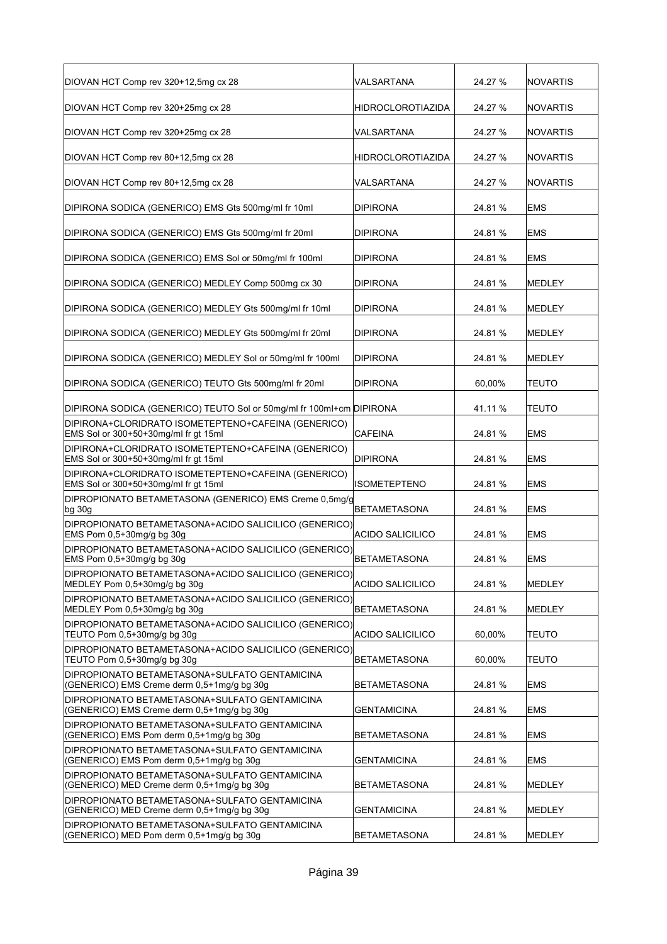| DIOVAN HCT Comp rev 320+12,5mg cx 28                                                        | VALSARTANA              | 24.27 % | <b>NOVARTIS</b> |
|---------------------------------------------------------------------------------------------|-------------------------|---------|-----------------|
| DIOVAN HCT Comp rev 320+25mg cx 28                                                          | HIDROCLOROTIAZIDA       | 24.27 % | <b>NOVARTIS</b> |
| DIOVAN HCT Comp rev 320+25mg cx 28                                                          | VALSARTANA              | 24.27 % | <b>NOVARTIS</b> |
| DIOVAN HCT Comp rev 80+12,5mg cx 28                                                         | HIDROCLOROTIAZIDA       | 24.27 % | <b>NOVARTIS</b> |
| DIOVAN HCT Comp rev 80+12,5mg cx 28                                                         | VALSARTANA              | 24.27 % | <b>NOVARTIS</b> |
| DIPIRONA SODICA (GENERICO) EMS Gts 500mg/ml fr 10ml                                         | <b>DIPIRONA</b>         | 24.81 % | <b>EMS</b>      |
| DIPIRONA SODICA (GENERICO) EMS Gts 500mg/ml fr 20ml                                         | DIPIRONA                | 24.81 % | EMS             |
| DIPIRONA SODICA (GENERICO) EMS Sol or 50mg/ml fr 100ml                                      | DIPIRONA                | 24.81%  | <b>EMS</b>      |
| DIPIRONA SODICA (GENERICO) MEDLEY Comp 500mg cx 30                                          | DIPIRONA                | 24.81%  | <b>MEDLEY</b>   |
| DIPIRONA SODICA (GENERICO) MEDLEY Gts 500mg/ml fr 10ml                                      | <b>DIPIRONA</b>         | 24.81 % | <b>MEDLEY</b>   |
| DIPIRONA SODICA (GENERICO) MEDLEY Gts 500mg/ml fr 20ml                                      | DIPIRONA                | 24.81 % | <b>MEDLEY</b>   |
| DIPIRONA SODICA (GENERICO) MEDLEY Sol or 50mg/ml fr 100ml                                   | <b>DIPIRONA</b>         | 24.81 % | <b>MEDLEY</b>   |
| DIPIRONA SODICA (GENERICO) TEUTO Gts 500mg/ml fr 20ml                                       | <b>DIPIRONA</b>         | 60,00%  | <b>TEUTO</b>    |
| DIPIRONA SODICA (GENERICO) TEUTO Sol or 50mg/ml fr 100ml+cm DIPIRONA                        |                         | 41.11 % | <b>TEUTO</b>    |
| DIPIRONA+CLORIDRATO ISOMETEPTENO+CAFEINA (GENERICO)<br>EMS Sol or 300+50+30mg/ml fr gt 15ml | CAFEINA                 | 24.81 % | <b>EMS</b>      |
| DIPIRONA+CLORIDRATO ISOMETEPTENO+CAFEINA (GENERICO)<br>EMS Sol or 300+50+30mg/ml fr gt 15ml | <b>DIPIRONA</b>         | 24.81%  | <b>EMS</b>      |
| DIPIRONA+CLORIDRATO ISOMETEPTENO+CAFEINA (GENERICO)<br>EMS Sol or 300+50+30mg/ml fr gt 15ml | ISOMETEPTENO            | 24.81 % | <b>EMS</b>      |
| DIPROPIONATO BETAMETASONA (GENERICO) EMS Creme 0,5mg/g<br>bg 30g                            | <b>BETAMETASONA</b>     | 24.81 % | <b>EMS</b>      |
| DIPROPIONATO BETAMETASONA+ACIDO SALICILICO (GENERICO)<br>EMS Pom 0,5+30mg/g bg 30g          | ACIDO SALICILICO        | 24.81 % | <b>EMS</b>      |
| DIPROPIONATO BETAMETASONA+ACIDO SALICILICO (GENERICO)<br>EMS Pom 0,5+30mg/g bg 30g          | <b>BETAMETASONA</b>     | 24.81 % | <b>EMS</b>      |
| DIPROPIONATO BETAMETASONA+ACIDO SALICILICO (GENERICO)<br>MEDLEY Pom 0,5+30mg/g bg 30g       | <b>ACIDO SALICILICO</b> | 24.81 % | MEDLEY          |
| DIPROPIONATO BETAMETASONA+ACIDO SALICILICO (GENERICO)<br>MEDLEY Pom 0,5+30mg/g bg 30g       | BETAMETASONA            | 24.81%  | MEDLEY          |
| DIPROPIONATO BETAMETASONA+ACIDO SALICILICO (GENERICO)<br>TEUTO Pom 0,5+30mg/g bg 30g        | ACIDO SALICILICO        | 60,00%  | <b>TEUTO</b>    |
| DIPROPIONATO BETAMETASONA+ACIDO SALICILICO (GENERICO)<br>TEUTO Pom 0,5+30mg/g bg 30g        | BETAMETASONA            | 60,00%  | TEUTO           |
| DIPROPIONATO BETAMETASONA+SULFATO GENTAMICINA<br>(GENERICO) EMS Creme derm 0,5+1mg/g bg 30g | <b>BETAMETASONA</b>     | 24.81%  | <b>EMS</b>      |
| DIPROPIONATO BETAMETASONA+SULFATO GENTAMICINA<br>(GENERICO) EMS Creme derm 0,5+1mg/g bg 30g | <b>GENTAMICINA</b>      | 24.81 % | EMS             |
| DIPROPIONATO BETAMETASONA+SULFATO GENTAMICINA<br>(GENERICO) EMS Pom derm 0,5+1mg/g bg 30g   | <b>BETAMETASONA</b>     | 24.81%  | <b>EMS</b>      |
| DIPROPIONATO BETAMETASONA+SULFATO GENTAMICINA<br>(GENERICO) EMS Pom derm 0,5+1mg/g bg 30g   | <b>GENTAMICINA</b>      | 24.81%  | <b>EMS</b>      |
| DIPROPIONATO BETAMETASONA+SULFATO GENTAMICINA<br>(GENERICO) MED Creme derm 0,5+1mg/g bg 30g | BETAMETASONA            | 24.81%  | MEDLEY          |
| DIPROPIONATO BETAMETASONA+SULFATO GENTAMICINA<br>(GENERICO) MED Creme derm 0,5+1mg/g bg 30g | <b>GENTAMICINA</b>      | 24.81 % | MEDLEY          |
| DIPROPIONATO BETAMETASONA+SULFATO GENTAMICINA<br>(GENERICO) MED Pom derm 0,5+1mg/g bg 30g   | BETAMETASONA            | 24.81%  | MEDLEY          |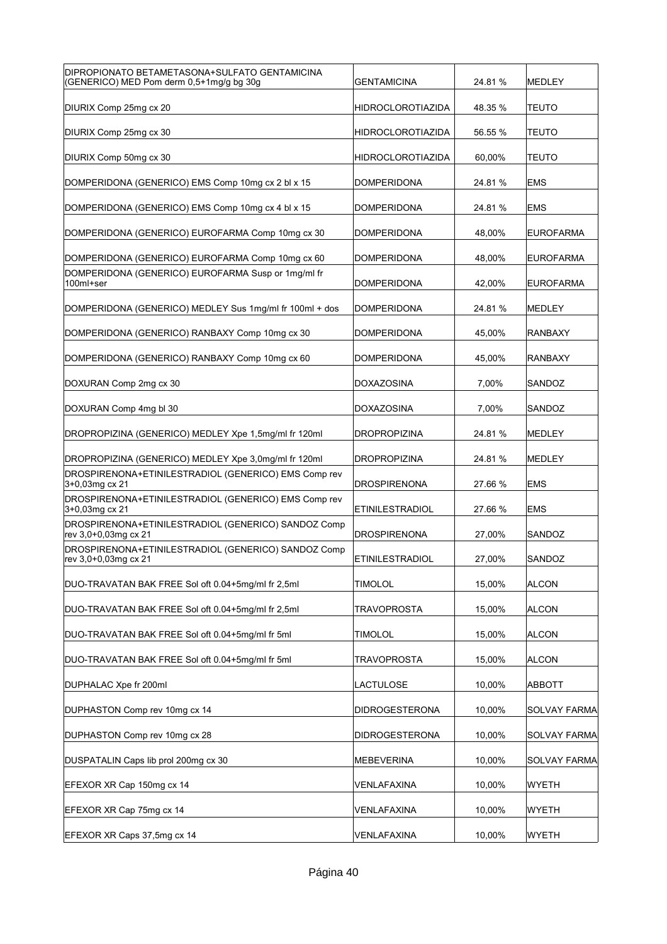| DIPROPIONATO BETAMETASONA+SULFATO GENTAMICINA<br>(GENERICO) MED Pom derm 0,5+1mg/g bg 30g | <b>GENTAMICINA</b>       | 24.81 % | MEDLEY              |
|-------------------------------------------------------------------------------------------|--------------------------|---------|---------------------|
| DIURIX Comp 25mg cx 20                                                                    | <b>HIDROCLOROTIAZIDA</b> | 48.35 % | TEUTO               |
| DIURIX Comp 25mg cx 30                                                                    | <b>HIDROCLOROTIAZIDA</b> | 56.55 % | TEUTO               |
| DIURIX Comp 50mg cx 30                                                                    | <b>HIDROCLOROTIAZIDA</b> | 60,00%  | TEUTO               |
| DOMPERIDONA (GENERICO) EMS Comp 10mg cx 2 bl x 15                                         | <b>DOMPERIDONA</b>       | 24.81 % | <b>EMS</b>          |
| DOMPERIDONA (GENERICO) EMS Comp 10mg cx 4 bl x 15                                         | <b>DOMPERIDONA</b>       | 24.81 % | <b>EMS</b>          |
| DOMPERIDONA (GENERICO) EUROFARMA Comp 10mg cx 30                                          | <b>DOMPERIDONA</b>       | 48,00%  | <b>EUROFARMA</b>    |
| DOMPERIDONA (GENERICO) EUROFARMA Comp 10mg cx 60                                          | <b>DOMPERIDONA</b>       | 48,00%  | <b>EUROFARMA</b>    |
| DOMPERIDONA (GENERICO) EUROFARMA Susp or 1mg/ml fr<br>100ml+ser                           | <b>DOMPERIDONA</b>       | 42,00%  | <b>EUROFARMA</b>    |
| DOMPERIDONA (GENERICO) MEDLEY Sus 1mg/ml fr 100ml + dos                                   | <b>DOMPERIDONA</b>       | 24.81 % | <b>MEDLEY</b>       |
| DOMPERIDONA (GENERICO) RANBAXY Comp 10mg cx 30                                            | <b>DOMPERIDONA</b>       | 45,00%  | <b>RANBAXY</b>      |
| DOMPERIDONA (GENERICO) RANBAXY Comp 10mg cx 60                                            | <b>DOMPERIDONA</b>       | 45,00%  | RANBAXY             |
| DOXURAN Comp 2mg cx 30                                                                    | <b>DOXAZOSINA</b>        | 7,00%   | SANDOZ              |
| DOXURAN Comp 4mg bl 30                                                                    | <b>DOXAZOSINA</b>        | 7,00%   | SANDOZ              |
| DROPROPIZINA (GENERICO) MEDLEY Xpe 1,5mg/ml fr 120ml                                      | <b>DROPROPIZINA</b>      | 24.81 % | MEDLEY              |
|                                                                                           |                          |         |                     |
| DROPROPIZINA (GENERICO) MEDLEY Xpe 3,0mg/ml fr 120ml                                      | <b>DROPROPIZINA</b>      | 24.81 % | <b>MEDLEY</b>       |
| DROSPIRENONA+ETINILESTRADIOL (GENERICO) EMS Comp rev<br>3+0,03mg cx 21                    | <b>DROSPIRENONA</b>      | 27.66 % | <b>EMS</b>          |
| DROSPIRENONA+ETINILESTRADIOL (GENERICO) EMS Comp rev<br>3+0,03mg cx 21                    | <b>ETINILESTRADIOL</b>   | 27.66 % | <b>EMS</b>          |
| DROSPIRENONA+ETINILESTRADIOL (GENERICO) SANDOZ Comp<br>rev 3,0+0,03mg cx 21               | <b>DROSPIRENONA</b>      | 27,00%  | SANDOZ              |
| DROSPIRENONA+ETINILESTRADIOL (GENERICO) SANDOZ Comp<br> rev 3,0+0,03mg cx 21              | ETINILESTRADIOL          | 27,00%  | SANDOZ              |
| DUO-TRAVATAN BAK FREE Sol oft 0.04+5mg/ml fr 2,5ml                                        | <b>TIMOLOL</b>           | 15,00%  | <b>ALCON</b>        |
| DUO-TRAVATAN BAK FREE Sol oft 0.04+5mg/ml fr 2,5ml                                        | TRAVOPROSTA              | 15,00%  | <b>ALCON</b>        |
| DUO-TRAVATAN BAK FREE Sol oft 0.04+5mg/ml fr 5ml                                          | TIMOLOL                  | 15,00%  | <b>ALCON</b>        |
| DUO-TRAVATAN BAK FREE Sol oft 0.04+5mg/ml fr 5ml                                          | TRAVOPROSTA              | 15,00%  | <b>ALCON</b>        |
| DUPHALAC Xpe fr 200ml                                                                     | LACTULOSE                | 10,00%  | ABBOTT              |
| DUPHASTON Comp rev 10mg cx 14                                                             | <b>DIDROGESTERONA</b>    | 10,00%  | SOLVAY FARMA        |
| DUPHASTON Comp rev 10mg cx 28                                                             | <b>DIDROGESTERONA</b>    | 10,00%  | SOLVAY FARMA        |
| DUSPATALIN Caps lib prol 200mg cx 30                                                      | <b>MEBEVERINA</b>        | 10,00%  | <b>SOLVAY FARMA</b> |
| EFEXOR XR Cap 150mg cx 14                                                                 | VENLAFAXINA              | 10,00%  | WYETH               |
| EFEXOR XR Cap 75mg cx 14                                                                  | VENLAFAXINA              | 10,00%  | WYETH               |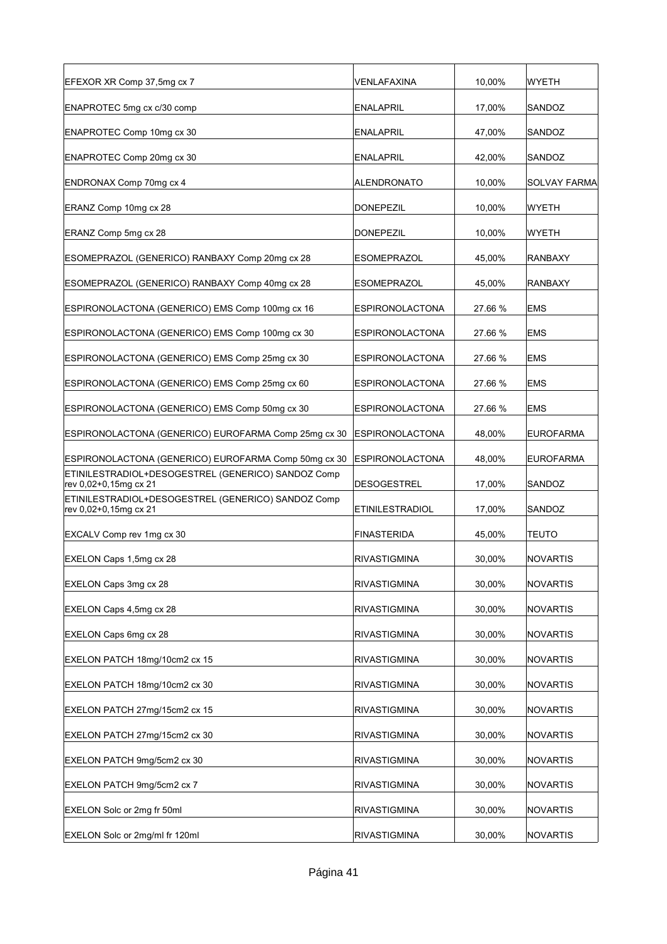| EFEXOR XR Comp 37,5mg cx 7                                                  | VENLAFAXINA            | 10,00%  | WYETH            |
|-----------------------------------------------------------------------------|------------------------|---------|------------------|
| ENAPROTEC 5mg cx c/30 comp                                                  | <b>ENALAPRIL</b>       | 17,00%  | SANDOZ           |
| ENAPROTEC Comp 10mg cx 30                                                   | ENALAPRIL              | 47,00%  | SANDOZ           |
| ENAPROTEC Comp 20mg cx 30                                                   | ENALAPRIL              | 42,00%  | SANDOZ           |
| ENDRONAX Comp 70mg cx 4                                                     | <b>ALENDRONATO</b>     | 10,00%  | SOLVAY FARMA     |
| ERANZ Comp 10mg cx 28                                                       | <b>DONEPEZIL</b>       | 10,00%  | <b>WYETH</b>     |
| ERANZ Comp 5mg cx 28                                                        | <b>DONEPEZIL</b>       | 10,00%  | WYETH            |
| ESOMEPRAZOL (GENERICO) RANBAXY Comp 20mg cx 28                              | <b>ESOMEPRAZOL</b>     | 45,00%  | <b>RANBAXY</b>   |
| ESOMEPRAZOL (GENERICO) RANBAXY Comp 40mg cx 28                              | <b>ESOMEPRAZOL</b>     | 45,00%  | RANBAXY          |
| ESPIRONOLACTONA (GENERICO) EMS Comp 100mg cx 16                             | <b>ESPIRONOLACTONA</b> | 27.66 % | <b>EMS</b>       |
| ESPIRONOLACTONA (GENERICO) EMS Comp 100mg cx 30                             | ESPIRONOLACTONA        | 27.66 % | <b>EMS</b>       |
| ESPIRONOLACTONA (GENERICO) EMS Comp 25mg cx 30                              | ESPIRONOLACTONA        | 27.66 % | <b>EMS</b>       |
| ESPIRONOLACTONA (GENERICO) EMS Comp 25mg cx 60                              | <b>ESPIRONOLACTONA</b> | 27.66 % | <b>EMS</b>       |
| ESPIRONOLACTONA (GENERICO) EMS Comp 50mg cx 30                              | ESPIRONOLACTONA        | 27.66 % | <b>EMS</b>       |
| ESPIRONOLACTONA (GENERICO) EUROFARMA Comp 25mg cx 30                        | ESPIRONOLACTONA        | 48,00%  | <b>EUROFARMA</b> |
| ESPIRONOLACTONA (GENERICO) EUROFARMA Comp 50mg cx 30                        | ESPIRONOLACTONA        | 48,00%  | <b>EUROFARMA</b> |
| ETINILESTRADIOL+DESOGESTREL (GENERICO) SANDOZ Comp<br>rev 0,02+0,15mg cx 21 | DESOGESTREL            | 17,00%  | SANDOZ           |
| ETINILESTRADIOL+DESOGESTREL (GENERICO) SANDOZ Comp<br>rev 0,02+0,15mg cx 21 | <b>ETINILESTRADIOL</b> | 17,00%  | SANDOZ           |
| EXCALV Comp rev 1mg cx 30                                                   | <b>FINASTERIDA</b>     | 45,00%  | <b>TEUTO</b>     |
| EXELON Caps 1,5mg cx 28                                                     | RIVASTIGMINA           | 30,00%  | INOVARTIS        |
| EXELON Caps 3mg cx 28                                                       | RIVASTIGMINA           | 30,00%  | NOVARTIS         |
| EXELON Caps 4,5mg cx 28                                                     | RIVASTIGMINA           | 30,00%  | <b>NOVARTIS</b>  |
| EXELON Caps 6mg cx 28                                                       | RIVASTIGMINA           | 30,00%  | NOVARTIS         |
| EXELON PATCH 18mg/10cm2 cx 15                                               | <b>RIVASTIGMINA</b>    | 30,00%  | NOVARTIS         |
| EXELON PATCH 18mg/10cm2 cx 30                                               | RIVASTIGMINA           | 30,00%  | NOVARTIS         |
| EXELON PATCH 27mg/15cm2 cx 15                                               | <b>RIVASTIGMINA</b>    | 30,00%  | <b>NOVARTIS</b>  |
| EXELON PATCH 27mg/15cm2 cx 30                                               | RIVASTIGMINA           | 30,00%  | NOVARTIS         |
| EXELON PATCH 9mg/5cm2 cx 30                                                 | <b>RIVASTIGMINA</b>    | 30,00%  | <b>NOVARTIS</b>  |
| EXELON PATCH 9mg/5cm2 cx 7                                                  | RIVASTIGMINA           | 30,00%  | <b>NOVARTIS</b>  |
| EXELON Solc or 2mg fr 50ml                                                  | RIVASTIGMINA           | 30,00%  | <b>NOVARTIS</b>  |
| <b>EXELON Solc or 2mg/ml fr 120ml</b>                                       | RIVASTIGMINA           | 30,00%  | NOVARTIS         |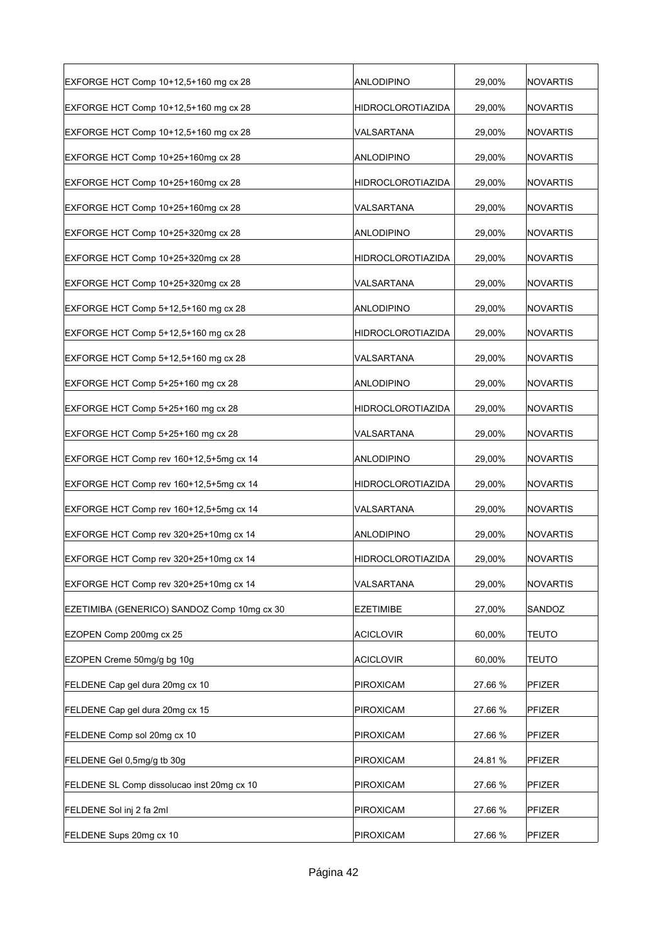| EXFORGE HCT Comp 10+12,5+160 mg cx 28       | <b>ANLODIPINO</b>        | 29,00%  | NOVARTIS      |
|---------------------------------------------|--------------------------|---------|---------------|
| EXFORGE HCT Comp 10+12,5+160 mg cx 28       | <b>HIDROCLOROTIAZIDA</b> | 29,00%  | NOVARTIS      |
| EXFORGE HCT Comp 10+12,5+160 mg cx 28       | VALSARTANA               | 29,00%  | NOVARTIS      |
| EXFORGE HCT Comp 10+25+160mg cx 28          | <b>ANLODIPINO</b>        | 29,00%  | NOVARTIS      |
| EXFORGE HCT Comp 10+25+160mg cx 28          | <b>HIDROCLOROTIAZIDA</b> | 29,00%  | NOVARTIS      |
| EXFORGE HCT Comp 10+25+160mg cx 28          | VALSARTANA               | 29,00%  | NOVARTIS      |
| EXFORGE HCT Comp 10+25+320mg cx 28          | <b>ANLODIPINO</b>        | 29,00%  | NOVARTIS      |
| EXFORGE HCT Comp 10+25+320mg cx 28          | HIDROCLOROTIAZIDA        | 29,00%  | NOVARTIS      |
| EXFORGE HCT Comp 10+25+320mg cx 28          | VALSARTANA               | 29,00%  | NOVARTIS      |
| EXFORGE HCT Comp 5+12,5+160 mg cx 28        | ANLODIPINO               | 29,00%  | NOVARTIS      |
| EXFORGE HCT Comp 5+12,5+160 mg cx 28        | <b>HIDROCLOROTIAZIDA</b> | 29,00%  | NOVARTIS      |
| EXFORGE HCT Comp 5+12,5+160 mg cx 28        | VALSARTANA               | 29,00%  | NOVARTIS      |
| EXFORGE HCT Comp 5+25+160 mg cx 28          | ANLODIPINO               | 29,00%  | NOVARTIS      |
| EXFORGE HCT Comp 5+25+160 mg cx 28          | <b>HIDROCLOROTIAZIDA</b> | 29,00%  | NOVARTIS      |
| EXFORGE HCT Comp 5+25+160 mg cx 28          | VALSARTANA               | 29,00%  | NOVARTIS      |
| EXFORGE HCT Comp rev 160+12,5+5mg cx 14     | <b>ANLODIPINO</b>        | 29,00%  | NOVARTIS      |
| EXFORGE HCT Comp rev 160+12,5+5mg cx 14     | <b>HIDROCLOROTIAZIDA</b> | 29,00%  | NOVARTIS      |
| EXFORGE HCT Comp rev 160+12,5+5mg cx 14     | VALSARTANA               | 29,00%  | NOVARTIS      |
| EXFORGE HCT Comp rev 320+25+10mg cx 14      | <b>ANLODIPINO</b>        | 29,00%  | NOVARTIS      |
| EXFORGE HCT Comp rev 320+25+10mg cx 14      | <b>HIDROCLOROTIAZIDA</b> | 29.00%  | NOVARTIS      |
| EXFORGE HCT Comp rev 320+25+10mg cx 14      | VALSARTANA               | 29,00%  | NOVARTIS      |
| EZETIMIBA (GENERICO) SANDOZ Comp 10mg cx 30 | <b>EZETIMIBE</b>         | 27,00%  | SANDOZ        |
| EZOPEN Comp 200mg cx 25                     | <b>ACICLOVIR</b>         | 60,00%  | <b>TEUTO</b>  |
| EZOPEN Creme 50mg/g bg 10g                  | <b>ACICLOVIR</b>         | 60,00%  | <b>TEUTO</b>  |
| FELDENE Cap gel dura 20mg cx 10             | PIROXICAM                | 27.66 % | PFIZER        |
| FELDENE Cap gel dura 20mg cx 15             | <b>PIROXICAM</b>         | 27.66 % | PFIZER        |
| FELDENE Comp sol 20mg cx 10                 | PIROXICAM                | 27.66 % | PFIZER        |
| FELDENE Gel 0,5mg/g tb 30g                  | PIROXICAM                | 24.81 % | PFIZER        |
| FELDENE SL Comp dissolucao inst 20mg cx 10  | PIROXICAM                | 27.66 % | <b>PFIZER</b> |
| FELDENE Sol inj 2 fa 2ml                    | <b>PIROXICAM</b>         | 27.66 % | PFIZER        |
| FELDENE Sups 20mg cx 10                     | <b>PIROXICAM</b>         | 27.66 % | PFIZER        |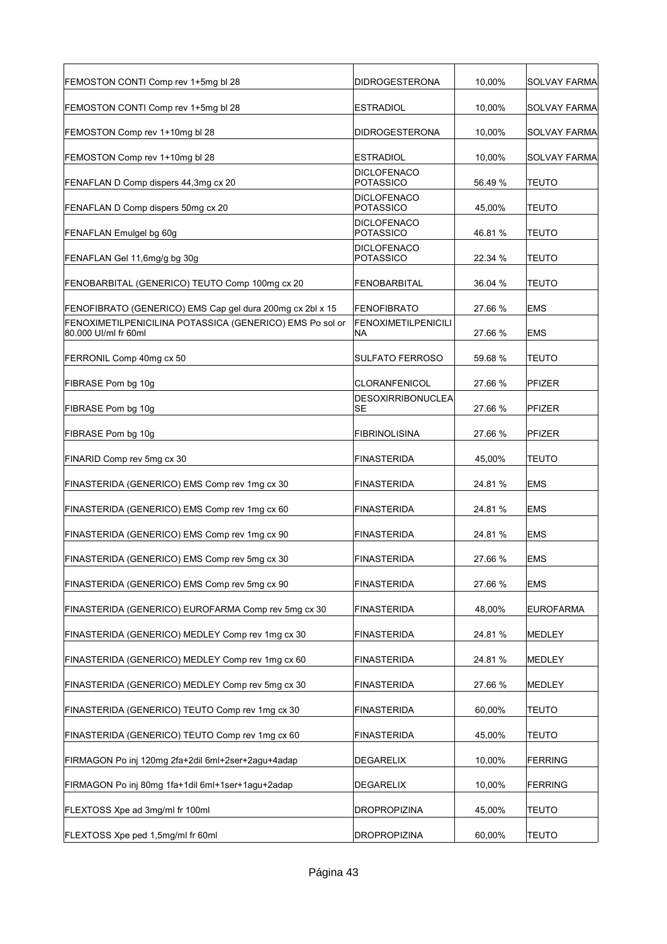| FEMOSTON CONTI Comp rev 1+5mg bl 28                                              | <b>DIDROGESTERONA</b>                  | 10,00%  | <b>SOLVAY FARMA</b> |
|----------------------------------------------------------------------------------|----------------------------------------|---------|---------------------|
| FEMOSTON CONTI Comp rev 1+5mg bl 28                                              | <b>ESTRADIOL</b>                       | 10,00%  | <b>SOLVAY FARMA</b> |
| FEMOSTON Comp rev 1+10mg bl 28                                                   | <b>DIDROGESTERONA</b>                  | 10,00%  | SOLVAY FARMA        |
| FEMOSTON Comp rev 1+10mg bl 28                                                   | <b>ESTRADIOL</b>                       | 10,00%  | SOLVAY FARMA        |
| FENAFLAN D Comp dispers 44,3mg cx 20                                             | <b>DICLOFENACO</b><br>POTASSICO        | 56.49 % | TEUTO               |
| FENAFLAN D Comp dispers 50mg cx 20                                               | <b>DICLOFENACO</b><br><b>POTASSICO</b> | 45,00%  | TEUTO               |
| FENAFLAN Emulgel bg 60g                                                          | <b>DICLOFENACO</b><br>POTASSICO        | 46.81 % | TEUTO               |
| FENAFLAN Gel 11,6mg/g bg 30g                                                     | <b>DICLOFENACO</b><br><b>POTASSICO</b> | 22.34 % | TEUTO               |
| FENOBARBITAL (GENERICO) TEUTO Comp 100mg cx 20                                   | <b>FENOBARBITAL</b>                    | 36.04 % | TEUTO               |
| FENOFIBRATO (GENERICO) EMS Cap gel dura 200mg cx 2bl x 15                        | FENOFIBRATO                            | 27.66 % | <b>EMS</b>          |
| FENOXIMETILPENICILINA POTASSICA (GENERICO) EMS Po sol or<br>80.000 UI/ml fr 60ml | <b>FENOXIMETILPENICILI</b><br>NA       | 27.66 % | <b>EMS</b>          |
| FERRONIL Comp 40mg cx 50                                                         | <b>SULFATO FERROSO</b>                 | 59.68 % | TEUTO               |
| FIBRASE Pom bg 10g                                                               | <b>CLORANFENICOL</b>                   | 27.66 % | PFIZER              |
| FIBRASE Pom bg 10g                                                               | <b>DESOXIRRIBONUCLEA</b><br>SE         | 27.66 % | <b>PFIZER</b>       |
| FIBRASE Pom bg 10g                                                               | <b>FIBRINOLISINA</b>                   | 27.66 % | PFIZER              |
| FINARID Comp rev 5mg cx 30                                                       | FINASTERIDA                            | 45,00%  | TEUTO               |
| FINASTERIDA (GENERICO) EMS Comp rev 1mg cx 30                                    | <b>FINASTERIDA</b>                     | 24.81 % | <b>EMS</b>          |
| FINASTERIDA (GENERICO) EMS Comp rev 1mg cx 60                                    | <b>FINASTERIDA</b>                     | 24.81 % | EMS                 |
| FINASTERIDA (GENERICO) EMS Comp rev 1mg cx 90                                    | <b>FINASTERIDA</b>                     | 24.81 % | <b>EMS</b>          |
| FINASTERIDA (GENERICO) EMS Comp rev 5mg cx 30                                    | FINASTERIDA                            | 27.66 % | <b>EMS</b>          |
| FINASTERIDA (GENERICO) EMS Comp rev 5mg cx 90                                    | FINASTERIDA                            | 27.66 % | <b>EMS</b>          |
| FINASTERIDA (GENERICO) EUROFARMA Comp rev 5mg cx 30                              | FINASTERIDA                            | 48,00%  | <b>EUROFARMA</b>    |
| FINASTERIDA (GENERICO) MEDLEY Comp rev 1mg cx 30                                 | FINASTERIDA                            | 24.81%  | MEDLEY              |
| FINASTERIDA (GENERICO) MEDLEY Comp rev 1mg cx 60                                 | FINASTERIDA                            | 24.81 % | MEDLEY              |
| FINASTERIDA (GENERICO) MEDLEY Comp rev 5mg cx 30                                 | FINASTERIDA                            | 27.66 % | <b>MEDLEY</b>       |
| FINASTERIDA (GENERICO) TEUTO Comp rev 1mg cx 30                                  | FINASTERIDA                            | 60,00%  | <b>TEUTO</b>        |
| FINASTERIDA (GENERICO) TEUTO Comp rev 1mg cx 60                                  | <b>FINASTERIDA</b>                     | 45,00%  | <b>TEUTO</b>        |
| FIRMAGON Po inj 120mg 2fa+2dil 6ml+2ser+2agu+4adap                               | DEGARELIX                              | 10,00%  | <b>FERRING</b>      |
| FIRMAGON Po inj 80mg 1fa+1dil 6ml+1ser+1agu+2adap                                | DEGARELIX                              | 10,00%  | <b>FERRING</b>      |
| FLEXTOSS Xpe ad 3mg/ml fr 100ml                                                  | DROPROPIZINA                           | 45,00%  | <b>TEUTO</b>        |
| FLEXTOSS Xpe ped 1,5mg/ml fr 60ml                                                | DROPROPIZINA                           | 60,00%  | <b>TEUTO</b>        |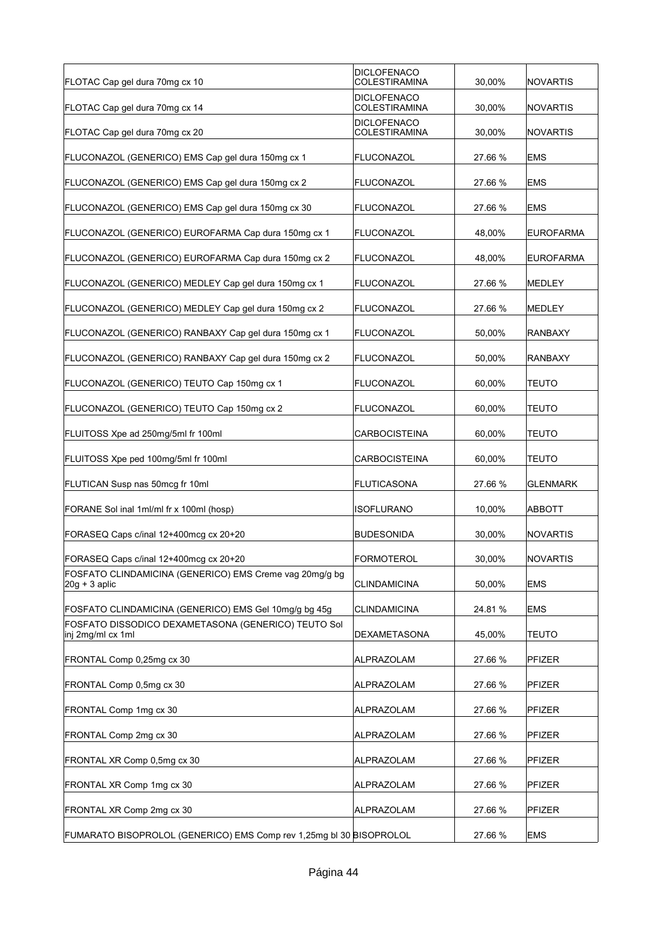| FLOTAC Cap gel dura 70mg cx 10                                             | <b>DICLOFENACO</b><br><b>COLESTIRAMINA</b> | 30,00%  | <b>NOVARTIS</b>  |
|----------------------------------------------------------------------------|--------------------------------------------|---------|------------------|
| FLOTAC Cap gel dura 70mg cx 14                                             | DICLOFENACO<br>COLESTIRAMINA               | 30,00%  | NOVARTIS         |
| FLOTAC Cap gel dura 70mg cx 20                                             | <b>DICLOFENACO</b><br><b>COLESTIRAMINA</b> | 30,00%  | <b>NOVARTIS</b>  |
| FLUCONAZOL (GENERICO) EMS Cap gel dura 150mg cx 1                          | FLUCONAZOL                                 | 27.66 % | <b>EMS</b>       |
| FLUCONAZOL (GENERICO) EMS Cap gel dura 150mg cx 2                          | <b>FLUCONAZOL</b>                          | 27.66 % | <b>EMS</b>       |
| FLUCONAZOL (GENERICO) EMS Cap gel dura 150mg cx 30                         | <b>FLUCONAZOL</b>                          | 27.66 % | <b>EMS</b>       |
| FLUCONAZOL (GENERICO) EUROFARMA Cap dura 150mg cx 1                        | <b>FLUCONAZOL</b>                          | 48,00%  | <b>EUROFARMA</b> |
| FLUCONAZOL (GENERICO) EUROFARMA Cap dura 150mg cx 2                        | <b>FLUCONAZOL</b>                          | 48,00%  | <b>EUROFARMA</b> |
| FLUCONAZOL (GENERICO) MEDLEY Cap gel dura 150mg cx 1                       | FLUCONAZOL                                 | 27.66 % | <b>MEDLEY</b>    |
| FLUCONAZOL (GENERICO) MEDLEY Cap gel dura 150mg cx 2                       | FLUCONAZOL                                 | 27.66 % | <b>MEDLEY</b>    |
| FLUCONAZOL (GENERICO) RANBAXY Cap gel dura 150mg cx 1                      | <b>FLUCONAZOL</b>                          | 50,00%  | <b>RANBAXY</b>   |
| FLUCONAZOL (GENERICO) RANBAXY Cap gel dura 150mg cx 2                      | <b>FLUCONAZOL</b>                          | 50,00%  | <b>RANBAXY</b>   |
| FLUCONAZOL (GENERICO) TEUTO Cap 150mg cx 1                                 | <b>FLUCONAZOL</b>                          | 60,00%  | <b>TEUTO</b>     |
| FLUCONAZOL (GENERICO) TEUTO Cap 150mg cx 2                                 | FLUCONAZOL                                 | 60,00%  | TEUTO            |
| FLUITOSS Xpe ad 250mg/5ml fr 100ml                                         | <b>CARBOCISTEINA</b>                       | 60,00%  | <b>TEUTO</b>     |
| FLUITOSS Xpe ped 100mg/5ml fr 100ml                                        | <b>CARBOCISTEINA</b>                       | 60,00%  | TEUTO            |
| FLUTICAN Susp nas 50mcg fr 10ml                                            | <b>FLUTICASONA</b>                         | 27.66 % | <b>GLENMARK</b>  |
| FORANE Sol inal 1ml/ml fr x 100ml (hosp)                                   | <b>ISOFLURANO</b>                          | 10.00%  | <b>ABBOTT</b>    |
| FORASEQ Caps c/inal 12+400mcq cx 20+20                                     | <b>BUDESONIDA</b>                          | 30,00%  | NOVARTIS         |
| FORASEQ Caps c/inal 12+400mcg cx 20+20                                     | FORMOTEROL                                 | 30,00%  | NOVARTIS         |
| FOSFATO CLINDAMICINA (GENERICO) EMS Creme vag 20mg/g bg<br>$20g + 3$ aplic | <b>CLINDAMICINA</b>                        | 50,00%  | <b>EMS</b>       |
| FOSFATO CLINDAMICINA (GENERICO) EMS Gel 10mg/g bg 45g                      | <b>CLINDAMICINA</b>                        | 24.81%  | <b>EMS</b>       |
| FOSFATO DISSODICO DEXAMETASONA (GENERICO) TEUTO Sol<br>inj 2mg/ml cx 1ml   | DEXAMETASONA                               | 45,00%  | <b>TEUTO</b>     |
| FRONTAL Comp 0,25mg cx 30                                                  | <b>ALPRAZOLAM</b>                          | 27.66 % | PFIZER           |
| FRONTAL Comp 0,5mg cx 30                                                   | ALPRAZOLAM                                 | 27.66 % | <b>PFIZER</b>    |
| FRONTAL Comp 1mg cx 30                                                     | ALPRAZOLAM                                 | 27.66 % | PFIZER           |
| FRONTAL Comp 2mg cx 30                                                     | ALPRAZOLAM                                 | 27.66 % | PFIZER           |
| FRONTAL XR Comp 0,5mg cx 30                                                | ALPRAZOLAM                                 | 27.66 % | PFIZER           |
| FRONTAL XR Comp 1mg cx 30                                                  | ALPRAZOLAM                                 | 27.66 % | PFIZER           |
| FRONTAL XR Comp 2mg cx 30                                                  | ALPRAZOLAM                                 | 27.66 % | PFIZER           |
| FUMARATO BISOPROLOL (GENERICO) EMS Comp rev 1,25mg bl 30 BISOPROLOL        |                                            | 27.66 % | <b>EMS</b>       |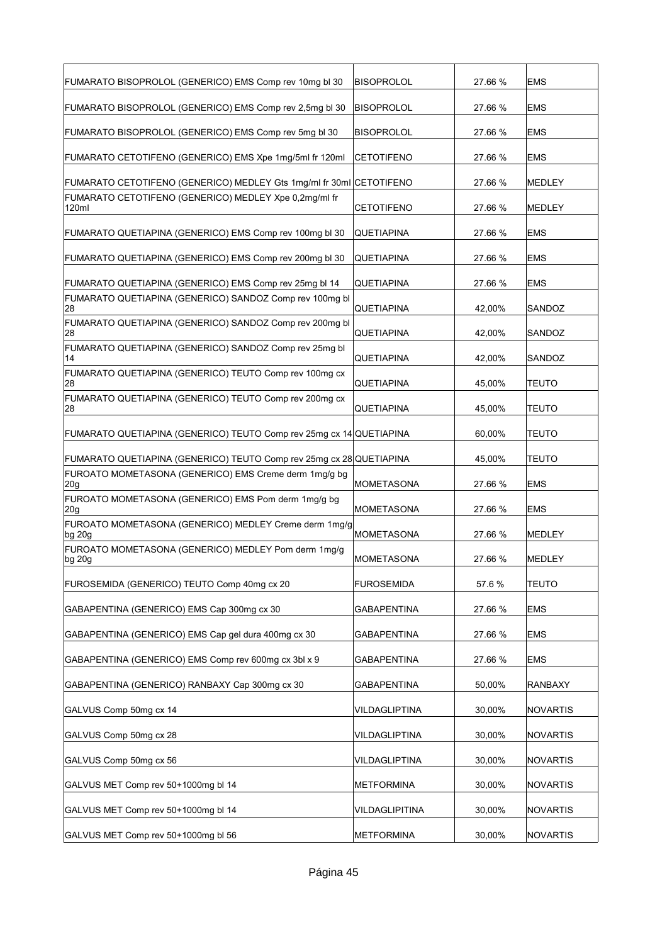| FUMARATO BISOPROLOL (GENERICO) EMS Comp rev 10mg bl 30              | <b>BISOPROLOL</b>  | 27.66 % | <b>EMS</b>      |
|---------------------------------------------------------------------|--------------------|---------|-----------------|
| FUMARATO BISOPROLOL (GENERICO) EMS Comp rev 2,5mg bl 30             | <b>BISOPROLOL</b>  | 27.66 % | <b>EMS</b>      |
| FUMARATO BISOPROLOL (GENERICO) EMS Comp rev 5mg bl 30               | <b>BISOPROLOL</b>  | 27.66 % | <b>EMS</b>      |
| FUMARATO CETOTIFENO (GENERICO) EMS Xpe 1mg/5ml fr 120ml             | CETOTIFENO         | 27.66 % | <b>EMS</b>      |
| FUMARATO CETOTIFENO (GENERICO) MEDLEY Gts 1mg/ml fr 30ml CETOTIFENO |                    | 27.66 % | MEDLEY          |
| FUMARATO CETOTIFENO (GENERICO) MEDLEY Xpe 0,2mq/ml fr<br>120ml      | <b>CETOTIFENO</b>  | 27.66 % | MEDLEY          |
| FUMARATO QUETIAPINA (GENERICO) EMS Comp rev 100mg bl 30             | QUETIAPINA         | 27.66 % | <b>EMS</b>      |
| FUMARATO QUETIAPINA (GENERICO) EMS Comp rev 200mg bl 30             | QUETIAPINA         | 27.66 % | <b>EMS</b>      |
| FUMARATO QUETIAPINA (GENERICO) EMS Comp rev 25mg bl 14              | QUETIAPINA         | 27.66 % | <b>EMS</b>      |
| FUMARATO QUETIAPINA (GENERICO) SANDOZ Comp rev 100mg bl<br>28       | QUETIAPINA         | 42.00%  | SANDOZ          |
| FUMARATO QUETIAPINA (GENERICO) SANDOZ Comp rev 200mg bl<br>28       | QUETIAPINA         | 42,00%  | SANDOZ          |
| FUMARATO QUETIAPINA (GENERICO) SANDOZ Comp rev 25mg bl<br>14        | QUETIAPINA         | 42,00%  | SANDOZ          |
| FUMARATO QUETIAPINA (GENERICO) TEUTO Comp rev 100mg cx<br>28        | <b>QUETIAPINA</b>  | 45,00%  | <b>TEUTO</b>    |
| FUMARATO QUETIAPINA (GENERICO) TEUTO Comp rev 200mg cx<br>28        | QUETIAPINA         | 45,00%  | <b>TEUTO</b>    |
| FUMARATO QUETIAPINA (GENERICO) TEUTO Comp rev 25mg cx 14 QUETIAPINA |                    | 60,00%  | TEUTO           |
| FUMARATO QUETIAPINA (GENERICO) TEUTO Comp rev 25mg cx 28 QUETIAPINA |                    | 45,00%  | <b>TEUTO</b>    |
| FUROATO MOMETASONA (GENERICO) EMS Creme derm 1mg/g bg<br>20g        | <b>MOMETASONA</b>  | 27.66 % | <b>EMS</b>      |
| FUROATO MOMETASONA (GENERICO) EMS Pom derm 1mg/g bg<br>20q          | <b>MOMETASONA</b>  | 27.66 % | <b>EMS</b>      |
| FUROATO MOMETASONA (GENERICO) MEDLEY Creme derm 1mg/g<br>$bg\ 20g$  | <b>MOMETASONA</b>  | 27.66 % | <b>MEDLEY</b>   |
| FUROATO MOMETASONA (GENERICO) MEDLEY Pom derm 1mg/g<br>bg 20g       | <b>MOMETASONA</b>  | 27.66 % | MEDLEY          |
| FUROSEMIDA (GENERICO) TEUTO Comp 40mg cx 20                         | <b>FUROSEMIDA</b>  | 57.6%   | <b>TEUTO</b>    |
| GABAPENTINA (GENERICO) EMS Cap 300mg cx 30                          | <b>GABAPENTINA</b> | 27.66 % | <b>EMS</b>      |
| GABAPENTINA (GENERICO) EMS Cap gel dura 400mg cx 30                 | <b>GABAPENTINA</b> | 27.66 % | <b>EMS</b>      |
| GABAPENTINA (GENERICO) EMS Comp rev 600mg cx 3bl x 9                | <b>GABAPENTINA</b> | 27.66 % | <b>EMS</b>      |
| GABAPENTINA (GENERICO) RANBAXY Cap 300mg cx 30                      | <b>GABAPENTINA</b> | 50,00%  | <b>RANBAXY</b>  |
| GALVUS Comp 50mg cx 14                                              | VILDAGLIPTINA      | 30,00%  | NOVARTIS        |
| GALVUS Comp 50mg cx 28                                              | VILDAGLIPTINA      | 30,00%  | NOVARTIS        |
| GALVUS Comp 50mg cx 56                                              | VILDAGLIPTINA      | 30,00%  | NOVARTIS        |
| GALVUS MET Comp rev 50+1000mg bl 14                                 | <b>METFORMINA</b>  | 30,00%  | NOVARTIS        |
| GALVUS MET Comp rev 50+1000mg bl 14                                 | VILDAGLIPITINA     | 30,00%  | <b>NOVARTIS</b> |
| GALVUS MET Comp rev 50+1000mg bl 56                                 | <b>METFORMINA</b>  | 30,00%  | NOVARTIS        |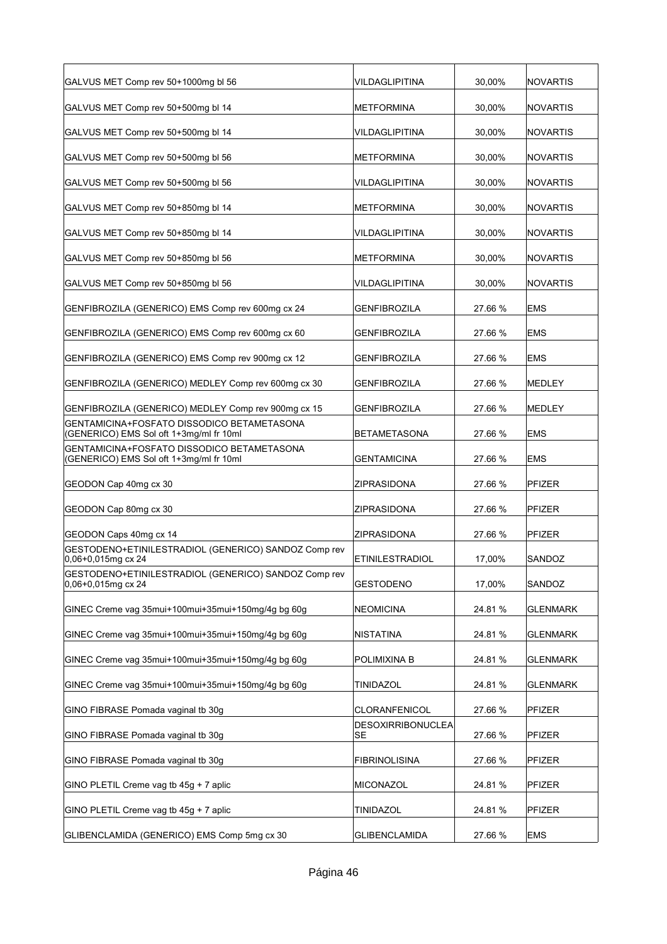| GALVUS MET Comp rev 50+1000mg bl 56                                                   | VILDAGLIPITINA                 | 30,00%  | <b>NOVARTIS</b> |
|---------------------------------------------------------------------------------------|--------------------------------|---------|-----------------|
| GALVUS MET Comp rev 50+500mg bl 14                                                    | <b>METFORMINA</b>              | 30,00%  | <b>NOVARTIS</b> |
| GALVUS MET Comp rev 50+500mg bl 14                                                    | VILDAGLIPITINA                 | 30,00%  | <b>NOVARTIS</b> |
| GALVUS MET Comp rev 50+500mg bl 56                                                    | METFORMINA                     | 30,00%  | <b>NOVARTIS</b> |
| GALVUS MET Comp rev 50+500mg bl 56                                                    | VILDAGLIPITINA                 | 30,00%  | <b>NOVARTIS</b> |
| GALVUS MET Comp rev 50+850mg bl 14                                                    | METFORMINA                     | 30,00%  | <b>NOVARTIS</b> |
| GALVUS MET Comp rev 50+850mg bl 14                                                    | VILDAGLIPITINA                 | 30,00%  | <b>NOVARTIS</b> |
| GALVUS MET Comp rev 50+850mg bl 56                                                    | <b>METFORMINA</b>              | 30,00%  | NOVARTIS        |
| GALVUS MET Comp rev 50+850mg bl 56                                                    | VILDAGLIPITINA                 | 30,00%  | <b>NOVARTIS</b> |
| GENFIBROZILA (GENERICO) EMS Comp rev 600mg cx 24                                      | GENFIBROZILA                   | 27.66 % | <b>EMS</b>      |
| GENFIBROZILA (GENERICO) EMS Comp rev 600mg cx 60                                      | <b>GENFIBROZILA</b>            | 27.66 % | <b>EMS</b>      |
| GENFIBROZILA (GENERICO) EMS Comp rev 900mg cx 12                                      | GENFIBROZILA                   | 27.66 % | <b>EMS</b>      |
| GENFIBROZILA (GENERICO) MEDLEY Comp rev 600mg cx 30                                   | GENFIBROZILA                   | 27.66 % | <b>MEDLEY</b>   |
| GENFIBROZILA (GENERICO) MEDLEY Comp rev 900mg cx 15                                   | GENFIBROZILA                   | 27.66 % | <b>MEDLEY</b>   |
| GENTAMICINA+FOSFATO DISSODICO BETAMETASONA<br>(GENERICO) EMS Sol oft 1+3mg/ml fr 10ml | BETAMETASONA                   | 27.66 % | <b>EMS</b>      |
| GENTAMICINA+FOSFATO DISSODICO BETAMETASONA<br>(GENERICO) EMS Sol oft 1+3mg/ml fr 10ml | <b>GENTAMICINA</b>             | 27.66 % | <b>EMS</b>      |
| GEODON Cap 40mg cx 30                                                                 | ZIPRASIDONA                    | 27.66 % | <b>PFIZER</b>   |
| GEODON Cap 80mg cx 30                                                                 | <b>ZIPRASIDONA</b>             | 27.66 % | <b>PFIZER</b>   |
| GEODON Caps 40mg cx 14                                                                | <b>ZIPRASIDONA</b>             | 27.66 % | <b>PFIZER</b>   |
| GESTODENO+ETINILESTRADIOL (GENERICO) SANDOZ Comp rev<br>$ 0,06+0,015$ mg cx 24        | <b>ETINILESTRADIOL</b>         | 17,00%  | SANDOZ          |
| GESTODENO+ETINILESTRADIOL (GENERICO) SANDOZ Comp rev<br>0.06+0.015mg cx 24            | <b>GESTODENO</b>               | 17,00%  | SANDOZ          |
| GINEC Creme vag 35mui+100mui+35mui+150mg/4g bg 60g                                    | <b>NEOMICINA</b>               | 24.81%  | <b>GLENMARK</b> |
| GINEC Creme vag 35mui+100mui+35mui+150mg/4g bg 60g                                    | <b>NISTATINA</b>               | 24.81%  | <b>GLENMARK</b> |
| GINEC Creme vag 35mui+100mui+35mui+150mg/4g bg 60g                                    | POLIMIXINA B                   | 24.81%  | <b>GLENMARK</b> |
| GINEC Creme vag 35mui+100mui+35mui+150mg/4g bg 60g                                    | TINIDAZOL                      | 24.81%  | <b>GLENMARK</b> |
| GINO FIBRASE Pomada vaginal tb 30g                                                    | CLORANFENICOL                  | 27.66 % | PFIZER          |
| GINO FIBRASE Pomada vaginal tb 30g                                                    | <b>DESOXIRRIBONUCLEA</b><br>SE | 27.66 % | PFIZER          |
| GINO FIBRASE Pomada vaginal tb 30g                                                    | <b>FIBRINOLISINA</b>           | 27.66 % | PFIZER          |
| GINO PLETIL Creme vag tb 45g + 7 aplic                                                | <b>MICONAZOL</b>               | 24.81%  | PFIZER          |
| GINO PLETIL Creme vag tb 45g + 7 aplic                                                | TINIDAZOL                      | 24.81%  | PFIZER          |
| GLIBENCLAMIDA (GENERICO) EMS Comp 5mg cx 30                                           | <b>GLIBENCLAMIDA</b>           | 27.66 % | <b>EMS</b>      |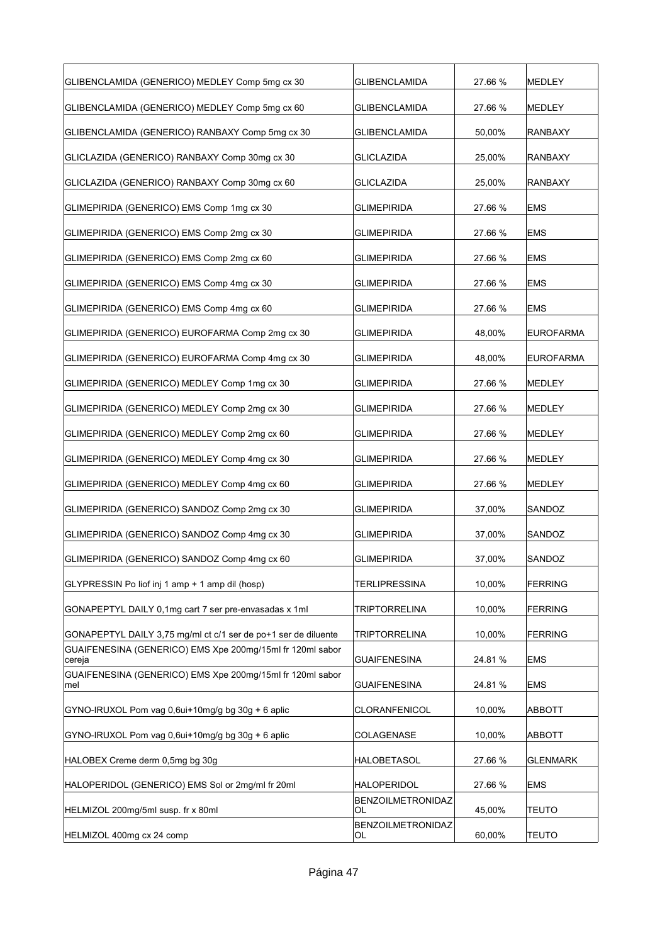| GLIBENCLAMIDA (GENERICO) MEDLEY Comp 5mg cx 30                      | <b>GLIBENCLAMIDA</b>           | 27.66 % | MEDLEY           |
|---------------------------------------------------------------------|--------------------------------|---------|------------------|
| GLIBENCLAMIDA (GENERICO) MEDLEY Comp 5mg cx 60                      | <b>GLIBENCLAMIDA</b>           | 27.66 % | MEDLEY           |
| GLIBENCLAMIDA (GENERICO) RANBAXY Comp 5mg cx 30                     | <b>GLIBENCLAMIDA</b>           | 50,00%  | <b>RANBAXY</b>   |
| GLICLAZIDA (GENERICO) RANBAXY Comp 30mg cx 30                       | <b>GLICLAZIDA</b>              | 25,00%  | <b>RANBAXY</b>   |
| GLICLAZIDA (GENERICO) RANBAXY Comp 30mg cx 60                       | <b>GLICLAZIDA</b>              | 25,00%  | <b>RANBAXY</b>   |
| GLIMEPIRIDA (GENERICO) EMS Comp 1mg cx 30                           | <b>GLIMEPIRIDA</b>             | 27.66 % | <b>EMS</b>       |
| GLIMEPIRIDA (GENERICO) EMS Comp 2mg cx 30                           | <b>GLIMEPIRIDA</b>             | 27.66 % | <b>EMS</b>       |
| GLIMEPIRIDA (GENERICO) EMS Comp 2mg cx 60                           | <b>GLIMEPIRIDA</b>             | 27.66 % | <b>EMS</b>       |
| GLIMEPIRIDA (GENERICO) EMS Comp 4mg cx 30                           | <b>GLIMEPIRIDA</b>             | 27.66 % | <b>EMS</b>       |
| GLIMEPIRIDA (GENERICO) EMS Comp 4mg cx 60                           | <b>GLIMEPIRIDA</b>             | 27.66 % | <b>EMS</b>       |
| GLIMEPIRIDA (GENERICO) EUROFARMA Comp 2mg cx 30                     | <b>GLIMEPIRIDA</b>             | 48,00%  | <b>EUROFARMA</b> |
| GLIMEPIRIDA (GENERICO) EUROFARMA Comp 4mg cx 30                     | <b>GLIMEPIRIDA</b>             | 48,00%  | <b>EUROFARMA</b> |
| GLIMEPIRIDA (GENERICO) MEDLEY Comp 1mg cx 30                        | <b>GLIMEPIRIDA</b>             | 27.66 % | <b>MEDLEY</b>    |
| GLIMEPIRIDA (GENERICO) MEDLEY Comp 2mg cx 30                        | <b>GLIMEPIRIDA</b>             | 27.66 % | MEDLEY           |
| GLIMEPIRIDA (GENERICO) MEDLEY Comp 2mg cx 60                        | <b>GLIMEPIRIDA</b>             | 27.66 % | MEDLEY           |
| GLIMEPIRIDA (GENERICO) MEDLEY Comp 4mg cx 30                        | <b>GLIMEPIRIDA</b>             | 27.66 % | MEDLEY           |
| GLIMEPIRIDA (GENERICO) MEDLEY Comp 4mg cx 60                        | <b>GLIMEPIRIDA</b>             | 27.66 % | MEDLEY           |
| GLIMEPIRIDA (GENERICO) SANDOZ Comp 2mg cx 30                        | <b>GLIMEPIRIDA</b>             | 37,00%  | SANDOZ           |
| GLIMEPIRIDA (GENERICO) SANDOZ Comp 4mg cx 30                        | <b>GLIMEPIRIDA</b>             | 37,00%  | SANDOZ           |
| GLIMEPIRIDA (GENERICO) SANDOZ Comp 4mg cx 60                        | <b>GLIMEPIRIDA</b>             | 37,00%  | SANDOZ           |
| GLYPRESSIN Po liof inj 1 amp + 1 amp dil (hosp)                     | <b>TERLIPRESSINA</b>           | 10,00%  | <b>FERRING</b>   |
| GONAPEPTYL DAILY 0,1mg cart 7 ser pre-envasadas x 1ml               | <b>TRIPTORRELINA</b>           | 10,00%  | <b>FERRING</b>   |
| GONAPEPTYL DAILY 3.75 mg/ml ct c/1 ser de po+1 ser de diluente      | <b>TRIPTORRELINA</b>           | 10,00%  | <b>FERRING</b>   |
| GUAIFENESINA (GENERICO) EMS Xpe 200mg/15ml fr 120ml sabor<br>cereja | <b>GUAIFENESINA</b>            | 24.81 % | <b>EMS</b>       |
| GUAIFENESINA (GENERICO) EMS Xpe 200mg/15ml fr 120ml sabor<br>mel    | GUAIFENESINA                   | 24.81 % | EMS              |
| GYNO-IRUXOL Pom vag 0,6ui+10mg/g bg 30g + 6 aplic                   | CLORANFENICOL                  | 10,00%  | <b>ABBOTT</b>    |
| GYNO-IRUXOL Pom vag 0,6ui+10mg/g bg 30g + 6 aplic                   | COLAGENASE                     | 10,00%  | ABBOTT           |
| HALOBEX Creme derm 0,5mg bg 30g                                     | HALOBETASOL                    | 27.66 % | <b>GLENMARK</b>  |
| HALOPERIDOL (GENERICO) EMS Sol or 2mg/ml fr 20ml                    | <b>HALOPERIDOL</b>             | 27.66 % | <b>EMS</b>       |
| HELMIZOL 200mg/5ml susp. fr x 80ml                                  | <b>BENZOILMETRONIDAZ</b><br>OL | 45,00%  | <b>TEUTO</b>     |
| HELMIZOL 400mg cx 24 comp                                           | BENZOILMETRONIDAZ<br>OL        | 60,00%  | <b>TEUTO</b>     |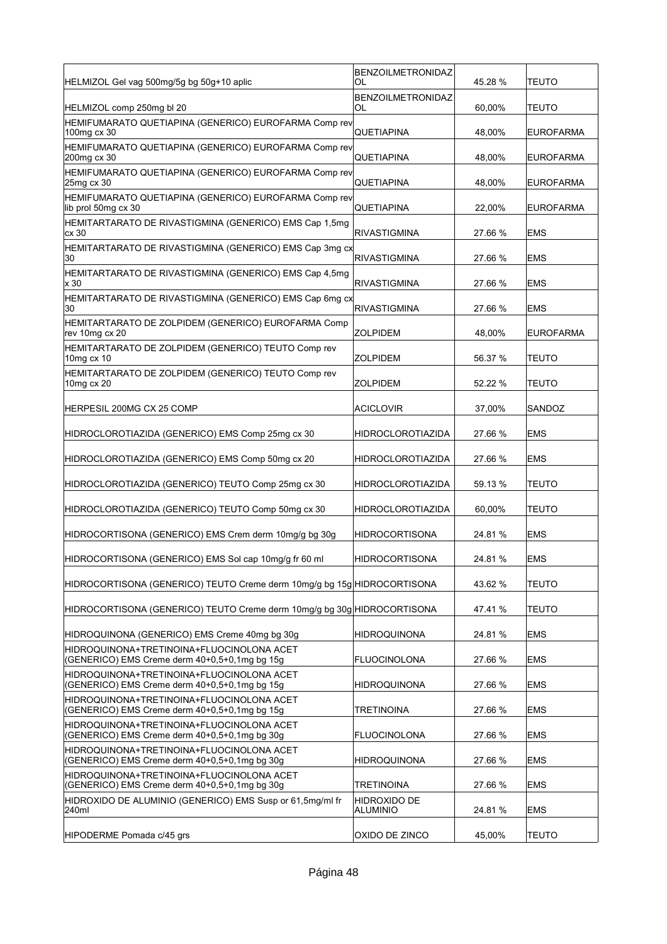| HELMIZOL Gel vag 500mg/5g bg 50g+10 aplic                                                  | <b>BENZOILMETRONIDAZ</b><br>OL | 45.28 % | TEUTO            |
|--------------------------------------------------------------------------------------------|--------------------------------|---------|------------------|
|                                                                                            | BENZOILMETRONIDAZ              |         |                  |
| HELMIZOL comp 250mg bl 20<br>HEMIFUMARATO QUETIAPINA (GENERICO) EUROFARMA Comp rev         | OL                             | 60,00%  | <b>TEUTO</b>     |
| 100mg cx 30                                                                                | QUETIAPINA                     | 48,00%  | <b>EUROFARMA</b> |
| HEMIFUMARATO QUETIAPINA (GENERICO) EUROFARMA Comp rev<br>200mg cx 30                       | QUETIAPINA                     | 48,00%  | <b>EUROFARMA</b> |
| HEMIFUMARATO QUETIAPINA (GENERICO) EUROFARMA Comp rev<br>25mg cx 30                        | QUETIAPINA                     | 48,00%  | <b>EUROFARMA</b> |
| HEMIFUMARATO QUETIAPINA (GENERICO) EUROFARMA Comp rev<br>lib prol 50mg cx 30               | QUETIAPINA                     | 22,00%  | <b>EUROFARMA</b> |
| HEMITARTARATO DE RIVASTIGMINA (GENERICO) EMS Cap 1,5mg<br>cx30                             | RIVASTIGMINA                   | 27.66 % | <b>EMS</b>       |
| HEMITARTARATO DE RIVASTIGMINA (GENERICO) EMS Cap 3mg cx<br>30                              | RIVASTIGMINA                   | 27.66 % | <b>EMS</b>       |
| HEMITARTARATO DE RIVASTIGMINA (GENERICO) EMS Cap 4,5mg<br>x 30                             | RIVASTIGMINA                   | 27.66 % | <b>EMS</b>       |
| HEMITARTARATO DE RIVASTIGMINA (GENERICO) EMS Cap 6mg cx<br>30                              | <b>RIVASTIGMINA</b>            | 27.66 % | <b>EMS</b>       |
| HEMITARTARATO DE ZOLPIDEM (GENERICO) EUROFARMA Comp<br>rev 10mg cx 20                      | ZOLPIDEM                       | 48,00%  | <b>EUROFARMA</b> |
| HEMITARTARATO DE ZOLPIDEM (GENERICO) TEUTO Comp rev<br>10mg cx 10                          | ZOLPIDEM                       | 56.37 % | <b>TEUTO</b>     |
| HEMITARTARATO DE ZOLPIDEM (GENERICO) TEUTO Comp rev<br>10mg cx 20                          | ZOLPIDEM                       | 52.22 % | <b>TEUTO</b>     |
| HERPESIL 200MG CX 25 COMP                                                                  | <b>ACICLOVIR</b>               | 37,00%  | SANDOZ           |
| HIDROCLOROTIAZIDA (GENERICO) EMS Comp 25mg cx 30                                           | HIDROCLOROTIAZIDA              | 27.66 % | EMS              |
| HIDROCLOROTIAZIDA (GENERICO) EMS Comp 50mg cx 20                                           | <b>HIDROCLOROTIAZIDA</b>       | 27.66 % | <b>EMS</b>       |
| HIDROCLOROTIAZIDA (GENERICO) TEUTO Comp 25mg cx 30                                         | <b>HIDROCLOROTIAZIDA</b>       | 59.13 % | <b>TEUTO</b>     |
| HIDROCLOROTIAZIDA (GENERICO) TEUTO Comp 50mg cx 30                                         | <b>HIDROCLOROTIAZIDA</b>       | 60,00%  | <b>TEUTO</b>     |
| HIDROCORTISONA (GENERICO) EMS Crem derm 10mg/g bg 30g                                      | HIDROCORTISONA                 | 24.81 % | <b>EMS</b>       |
| HIDROCORTISONA (GENERICO) EMS Sol cap 10mg/g fr 60 ml                                      | <b>HIDROCORTISONA</b>          | 24.81 % | <b>EMS</b>       |
| HIDROCORTISONA (GENERICO) TEUTO Creme derm 10mg/g bg 15g HIDROCORTISONA                    |                                | 43.62 % | <b>TEUTO</b>     |
| HIDROCORTISONA (GENERICO) TEUTO Creme derm 10mg/g bg 30g HIDROCORTISONA                    |                                | 47.41 % | <b>TEUTO</b>     |
| HIDROQUINONA (GENERICO) EMS Creme 40mg bg 30g                                              | HIDROQUINONA                   | 24.81 % | <b>EMS</b>       |
| HIDROQUINONA+TRETINOINA+FLUOCINOLONA ACET<br>(GENERICO) EMS Creme derm 40+0.5+0.1mg bg 15g | <b>FLUOCINOLONA</b>            | 27.66 % | <b>EMS</b>       |
| HIDROQUINONA+TRETINOINA+FLUOCINOLONA ACET<br>(GENERICO) EMS Creme derm 40+0,5+0,1mg bg 15g | <b>HIDROQUINONA</b>            | 27.66 % | <b>EMS</b>       |
| HIDROQUINONA+TRETINOINA+FLUOCINOLONA ACET<br>(GENERICO) EMS Creme derm 40+0.5+0.1mg bg 15g | TRETINOINA                     | 27.66 % | EMS              |
| HIDROQUINONA+TRETINOINA+FLUOCINOLONA ACET<br>(GENERICO) EMS Creme derm 40+0,5+0,1mg bg 30g | <b>FLUOCINOLONA</b>            | 27.66 % | <b>EMS</b>       |
| HIDROQUINONA+TRETINOINA+FLUOCINOLONA ACET<br>(GENERICO) EMS Creme derm 40+0,5+0,1mg bg 30g | HIDROQUINONA                   | 27.66 % | <b>EMS</b>       |
| HIDROQUINONA+TRETINOINA+FLUOCINOLONA ACET<br>(GENERICO) EMS Creme derm 40+0,5+0,1mg bg 30g | TRETINOINA                     | 27.66 % | <b>EMS</b>       |
| HIDROXIDO DE ALUMINIO (GENERICO) EMS Susp or 61,5mg/ml fr<br>240ml                         | HIDROXIDO DE<br>ALUMINIO       | 24.81%  | <b>EMS</b>       |
|                                                                                            |                                |         |                  |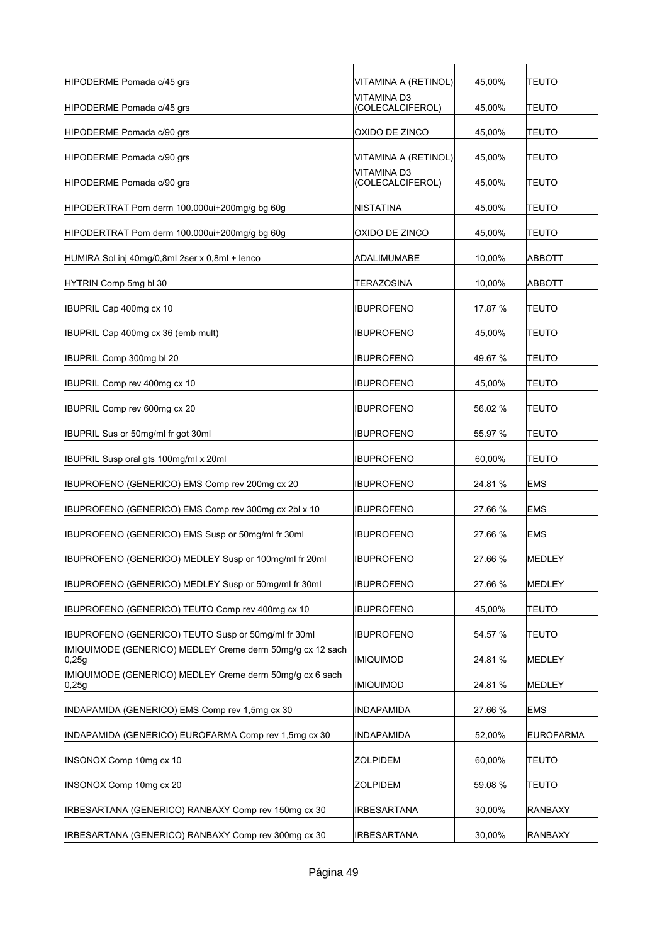| HIPODERME Pomada c/45 grs                                           | VITAMINA A (RETINOL)                   | 45,00%  | <b>TEUTO</b>     |
|---------------------------------------------------------------------|----------------------------------------|---------|------------------|
| HIPODERME Pomada c/45 grs                                           | <b>VITAMINA D3</b><br>(COLECALCIFEROL) | 45,00%  | TEUTO            |
| HIPODERME Pomada c/90 grs                                           | OXIDO DE ZINCO                         | 45,00%  | <b>TEUTO</b>     |
| HIPODERME Pomada c/90 grs                                           | VITAMINA A (RETINOL)                   | 45,00%  | <b>TEUTO</b>     |
| HIPODERME Pomada c/90 grs                                           | <b>VITAMINA D3</b><br>(COLECALCIFEROL) | 45,00%  | <b>TEUTO</b>     |
| HIPODERTRAT Pom derm 100.000ui+200mg/g bg 60g                       | <b>NISTATINA</b>                       | 45,00%  | <b>TEUTO</b>     |
| HIPODERTRAT Pom derm 100.000ui+200mg/g bg 60g                       | OXIDO DE ZINCO                         | 45,00%  | <b>TEUTO</b>     |
| HUMIRA Sol inj 40mg/0,8ml 2ser x 0,8ml + lenco                      | ADALIMUMABE                            | 10,00%  | ABBOTT           |
| HYTRIN Comp 5mg bl 30                                               | <b>TERAZOSINA</b>                      | 10,00%  | <b>ABBOTT</b>    |
| IBUPRIL Cap 400mg cx 10                                             | <b>IBUPROFENO</b>                      | 17.87 % | TEUTO            |
| IBUPRIL Cap 400mg cx 36 (emb mult)                                  | <b>IBUPROFENO</b>                      | 45,00%  | TEUTO            |
| IBUPRIL Comp 300mg bl 20                                            | <b>IBUPROFENO</b>                      | 49.67%  | TEUTO            |
| IBUPRIL Comp rev 400mg cx 10                                        | <b>IBUPROFENO</b>                      | 45,00%  | TEUTO            |
| IBUPRIL Comp rev 600mg cx 20                                        | <b>IBUPROFENO</b>                      | 56.02 % | TEUTO            |
| IBUPRIL Sus or 50mg/ml fr got 30ml                                  | <b>IBUPROFENO</b>                      | 55.97 % | TEUTO            |
| IBUPRIL Susp oral gts 100mg/ml x 20ml                               | <b>IBUPROFENO</b>                      | 60,00%  | TEUTO            |
| IBUPROFENO (GENERICO) EMS Comp rev 200mg cx 20                      | <b>IBUPROFENO</b>                      | 24.81%  | <b>EMS</b>       |
| BUPROFENO (GENERICO) EMS Comp rev 300mg cx 2bl x 10                 | <b>IBUPROFENO</b>                      | 27.66 % | <b>EMS</b>       |
| IBUPROFENO (GENERICO) EMS Susp or 50mg/ml fr 30ml                   | <b>IBUPROFENO</b>                      | 27.66 % | <b>EMS</b>       |
| IBUPROFENO (GENERICO) MEDLEY Susp or 100mg/ml fr 20ml               | <b>IBUPROFENO</b>                      | 27.66 % | <b>MEDLEY</b>    |
| BUPROFENO (GENERICO) MEDLEY Susp or 50mg/ml fr 30ml                 | <b>IBUPROFENO</b>                      | 27.66 % | MEDLEY           |
| IBUPROFENO (GENERICO) TEUTO Comp rev 400mg cx 10                    | <b>IBUPROFENO</b>                      | 45,00%  | <b>TEUTO</b>     |
| BUPROFENO (GENERICO) TEUTO Susp or 50mg/ml fr 30ml                  | <b>IBUPROFENO</b>                      | 54.57 % | <b>TEUTO</b>     |
| IMIQUIMODE (GENERICO) MEDLEY Creme derm 50mg/g cx 12 sach<br> 0,25g | <b>IMIQUIMOD</b>                       | 24.81%  | MEDLEY           |
| IMIQUIMODE (GENERICO) MEDLEY Creme derm 50mg/g cx 6 sach<br> 0,25g  | <b>IMIQUIMOD</b>                       | 24.81 % | MEDLEY           |
| INDAPAMIDA (GENERICO) EMS Comp rev 1,5mg cx 30                      | <b>INDAPAMIDA</b>                      | 27.66 % | <b>EMS</b>       |
| INDAPAMIDA (GENERICO) EUROFARMA Comp rev 1,5mg cx 30                | <b>INDAPAMIDA</b>                      | 52,00%  | <b>EUROFARMA</b> |
| INSONOX Comp 10mg cx 10                                             | <b>ZOLPIDEM</b>                        | 60,00%  | <b>TEUTO</b>     |
| INSONOX Comp 10mg cx 20                                             | <b>ZOLPIDEM</b>                        | 59.08 % | <b>TEUTO</b>     |
| IRBESARTANA (GENERICO) RANBAXY Comp rev 150mg cx 30                 | <b>IRBESARTANA</b>                     | 30,00%  | <b>RANBAXY</b>   |
| IRBESARTANA (GENERICO) RANBAXY Comp rev 300mg cx 30                 | <b>IRBESARTANA</b>                     | 30,00%  | <b>RANBAXY</b>   |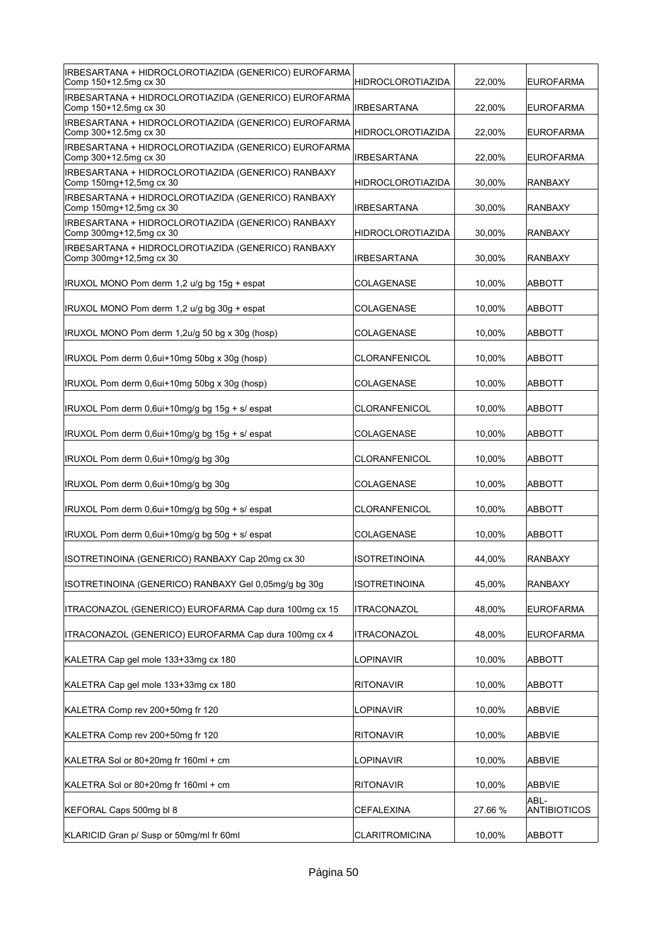| IRBESARTANA + HIDROCLOROTIAZIDA (GENERICO) EUROFARMA<br>Comp 150+12.5mg cx 30 | <b>HIDROCLOROTIAZIDA</b> | 22,00%  | <b>EUROFARMA</b>            |
|-------------------------------------------------------------------------------|--------------------------|---------|-----------------------------|
| IRBESARTANA + HIDROCLOROTIAZIDA (GENERICO) EUROFARMA<br>Comp 150+12.5mg cx 30 | <b>IRBESARTANA</b>       | 22,00%  | <b>EUROFARMA</b>            |
| IRBESARTANA + HIDROCLOROTIAZIDA (GENERICO) EUROFARMA<br>Comp 300+12.5mg cx 30 | <b>HIDROCLOROTIAZIDA</b> | 22,00%  | <b>EUROFARMA</b>            |
| IRBESARTANA + HIDROCLOROTIAZIDA (GENERICO) EUROFARMA<br>Comp 300+12.5mg cx 30 | <b>IRBESARTANA</b>       | 22,00%  | <b>EUROFARMA</b>            |
| IRBESARTANA + HIDROCLOROTIAZIDA (GENERICO) RANBAXY<br>Comp 150mg+12,5mg cx 30 | <b>HIDROCLOROTIAZIDA</b> | 30,00%  | RANBAXY                     |
| IRBESARTANA + HIDROCLOROTIAZIDA (GENERICO) RANBAXY<br>Comp 150mg+12,5mg cx 30 | <b>IRBESARTANA</b>       | 30,00%  | <b>RANBAXY</b>              |
| IRBESARTANA + HIDROCLOROTIAZIDA (GENERICO) RANBAXY<br>Comp 300mg+12,5mg cx 30 | <b>HIDROCLOROTIAZIDA</b> | 30,00%  | <b>RANBAXY</b>              |
| IRBESARTANA + HIDROCLOROTIAZIDA (GENERICO) RANBAXY<br>Comp 300mg+12,5mg cx 30 | IRBESARTANA              | 30,00%  | RANBAXY                     |
| IRUXOL MONO Pom derm 1,2 u/g bg 15g + espat                                   | COLAGENASE               | 10,00%  | ABBOTT                      |
| IRUXOL MONO Pom derm 1,2 u/g bg 30g + espat                                   | COLAGENASE               | 10,00%  | ABBOTT                      |
| IRUXOL MONO Pom derm 1,2u/g 50 bg x 30g (hosp)                                | COLAGENASE               | 10,00%  | ABBOTT                      |
| IRUXOL Pom derm 0,6ui+10mg 50bg x 30g (hosp)                                  | <b>CLORANFENICOL</b>     | 10,00%  | <b>ABBOTT</b>               |
| IRUXOL Pom derm 0.6ui+10mg 50bg x 30g (hosp)                                  | <b>COLAGENASE</b>        | 10,00%  | <b>ABBOTT</b>               |
| IRUXOL Pom derm 0,6ui+10mg/g bg 15g + s/ espat                                | CLORANFENICOL            | 10,00%  | ABBOTT                      |
| IRUXOL Pom derm 0,6ui+10mg/g bg 15g + s/ espat                                | COLAGENASE               | 10,00%  | ABBOTT                      |
| IRUXOL Pom derm 0,6ui+10mg/g bg 30g                                           | <b>CLORANFENICOL</b>     | 10,00%  | ABBOTT                      |
| IRUXOL Pom derm 0,6ui+10mg/g bg 30g                                           | COLAGENASE               | 10,00%  | ABBOTT                      |
| IRUXOL Pom derm 0,6ui+10mg/g bg 50g + s/ espat                                | CLORANFENICOL            | 10.00%  | <b>ABBOTT</b>               |
| IRUXOL Pom derm 0,6ui+10mg/g bg 50g + s/ espat                                | COLAGENASE               | 10,00%  | <b>ABBOTT</b>               |
| ISOTRETINOINA (GENERICO) RANBAXY Cap 20mg cx 30                               | <b>ISOTRETINOINA</b>     | 44,00%  | RANBAXY                     |
| ISOTRETINOINA (GENERICO) RANBAXY Gel 0,05mg/g bg 30g                          | <b>ISOTRETINOINA</b>     | 45,00%  | RANBAXY                     |
| ITRACONAZOL (GENERICO) EUROFARMA Cap dura 100mg cx 15                         | <b>ITRACONAZOL</b>       | 48,00%  | <b>EUROFARMA</b>            |
| ITRACONAZOL (GENERICO) EUROFARMA Cap dura 100mg cx 4                          | ITRACONAZOL              | 48,00%  | <b>EUROFARMA</b>            |
| KALETRA Cap gel mole 133+33mg cx 180                                          | LOPINAVIR                | 10,00%  | <b>ABBOTT</b>               |
| KALETRA Cap gel mole 133+33mg cx 180                                          | <b>RITONAVIR</b>         | 10,00%  | <b>ABBOTT</b>               |
| KALETRA Comp rev 200+50mg fr 120                                              | LOPINAVIR                | 10,00%  | <b>ABBVIE</b>               |
| KALETRA Comp rev 200+50mg fr 120                                              | <b>RITONAVIR</b>         | 10,00%  | ABBVIE                      |
| KALETRA Sol or 80+20mg fr 160ml + cm                                          | LOPINAVIR                | 10,00%  | <b>ABBVIE</b>               |
| KALETRA Sol or 80+20mg fr 160ml + cm                                          | <b>RITONAVIR</b>         | 10,00%  | <b>ABBVIE</b>               |
| KEFORAL Caps 500mg bl 8                                                       | <b>CEFALEXINA</b>        | 27.66 % | ABL-<br><b>ANTIBIOTICOS</b> |
| KLARICID Gran p/ Susp or 50mg/ml fr 60ml                                      | <b>CLARITROMICINA</b>    | 10,00%  | ABBOTT                      |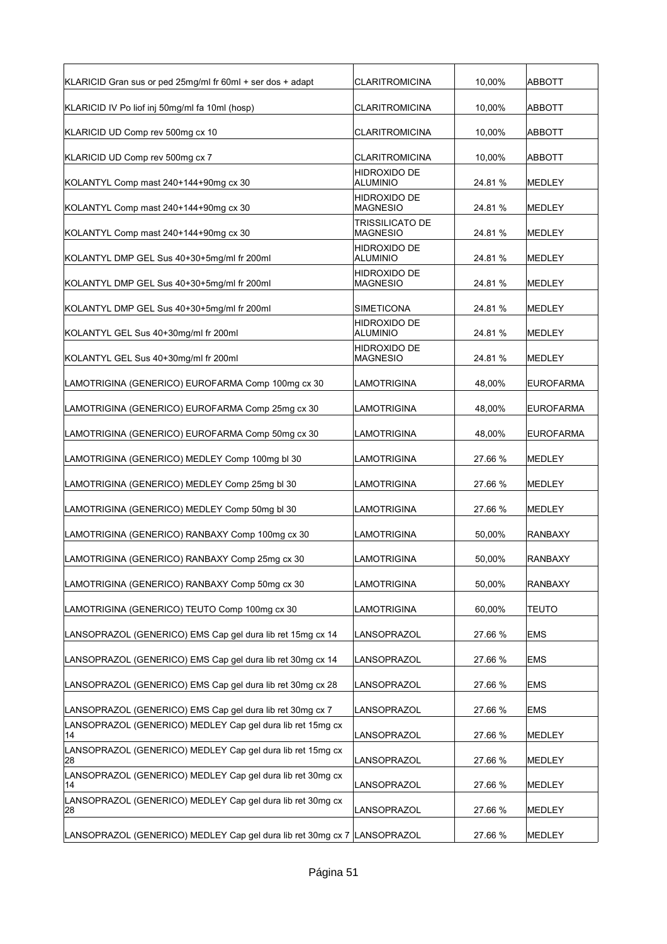| KLARICID Gran sus or ped 25mg/ml fr 60ml + ser dos + adapt       | <b>CLARITROMICINA</b>              | 10,00%  | ABBOTT           |
|------------------------------------------------------------------|------------------------------------|---------|------------------|
| KLARICID IV Po liof inj 50mg/ml fa 10ml (hosp)                   | CLARITROMICINA                     | 10,00%  | <b>ABBOTT</b>    |
| KLARICID UD Comp rev 500mg cx 10                                 | CLARITROMICINA                     | 10,00%  | <b>ABBOTT</b>    |
| KLARICID UD Comp rev 500mg cx 7                                  | CLARITROMICINA                     | 10,00%  | ABBOTT           |
| KOLANTYL Comp mast 240+144+90mg cx 30                            | HIDROXIDO DE<br><b>ALUMINIO</b>    | 24.81 % | <b>MEDLEY</b>    |
| KOLANTYL Comp mast 240+144+90mg cx 30                            | HIDROXIDO DE<br><b>MAGNESIO</b>    | 24.81 % | <b>MEDLEY</b>    |
| KOLANTYL Comp mast 240+144+90mg cx 30                            | TRISSILICATO DE<br><b>MAGNESIO</b> | 24.81%  | <b>MEDLEY</b>    |
| KOLANTYL DMP GEL Sus 40+30+5mg/ml fr 200ml                       | HIDROXIDO DE<br>ALUMINIO           | 24.81%  | <b>MEDLEY</b>    |
| KOLANTYL DMP GEL Sus 40+30+5mg/ml fr 200ml                       | HIDROXIDO DE<br><b>MAGNESIO</b>    | 24.81%  | <b>MEDLEY</b>    |
| KOLANTYL DMP GEL Sus 40+30+5mg/ml fr 200ml                       | SIMETICONA                         | 24.81 % | <b>MEDLEY</b>    |
| KOLANTYL GEL Sus 40+30mg/ml fr 200ml                             | HIDROXIDO DE<br>ALUMINIO           | 24.81 % | <b>MEDLEY</b>    |
| KOLANTYL GEL Sus 40+30mg/ml fr 200ml                             | HIDROXIDO DE<br>MAGNESIO           | 24.81 % | <b>MEDLEY</b>    |
| LAMOTRIGINA (GENERICO) EUROFARMA Comp 100mg cx 30                | LAMOTRIGINA                        | 48,00%  | <b>EUROFARMA</b> |
| LAMOTRIGINA (GENERICO) EUROFARMA Comp 25mg cx 30                 | LAMOTRIGINA                        | 48,00%  | <b>EUROFARMA</b> |
| LAMOTRIGINA (GENERICO) EUROFARMA Comp 50mg cx 30                 | LAMOTRIGINA                        | 48,00%  | <b>EUROFARMA</b> |
| LAMOTRIGINA (GENERICO) MEDLEY Comp 100mg bl 30                   | LAMOTRIGINA                        | 27.66 % | <b>MEDLEY</b>    |
| LAMOTRIGINA (GENERICO) MEDLEY Comp 25mg bl 30                    | LAMOTRIGINA                        | 27.66 % | <b>MEDLEY</b>    |
| LAMOTRIGINA (GENERICO) MEDLEY Comp 50mg bl 30                    | LAMOTRIGINA                        | 27.66 % | <b>MEDLEY</b>    |
| LAMOTRIGINA (GENERICO) RANBAXY Comp 100mg cx 30                  | LAMOTRIGINA                        | 50,00%  | <b>RANBAXY</b>   |
| LAMOTRIGINA (GENERICO) RANBAXY Comp 25mg cx 30                   | <b>LAMOTRIGINA</b>                 | 50,00%  | <b>RANBAXY</b>   |
| LAMOTRIGINA (GENERICO) RANBAXY Comp 50mg cx 30                   | LAMOTRIGINA                        | 50,00%  | <b>RANBAXY</b>   |
| LAMOTRIGINA (GENERICO) TEUTO Comp 100mg cx 30                    | LAMOTRIGINA                        | 60,00%  | <b>TEUTO</b>     |
| LANSOPRAZOL (GENERICO) EMS Cap gel dura lib ret 15mg cx 14       | LANSOPRAZOL                        | 27.66 % | <b>EMS</b>       |
| LANSOPRAZOL (GENERICO) EMS Cap gel dura lib ret 30mg cx 14       | LANSOPRAZOL                        | 27.66 % | <b>EMS</b>       |
| LANSOPRAZOL (GENERICO) EMS Cap gel dura lib ret 30mg cx 28       | LANSOPRAZOL                        | 27.66 % | <b>EMS</b>       |
| LANSOPRAZOL (GENERICO) EMS Cap gel dura lib ret 30mg cx 7        | LANSOPRAZOL                        | 27.66 % | <b>EMS</b>       |
| LANSOPRAZOL (GENERICO) MEDLEY Cap gel dura lib ret 15mg cx<br>14 | LANSOPRAZOL                        | 27.66 % | MEDLEY           |
| LANSOPRAZOL (GENERICO) MEDLEY Cap gel dura lib ret 15mg cx<br>28 | LANSOPRAZOL                        | 27.66 % | MEDLEY           |
| LANSOPRAZOL (GENERICO) MEDLEY Cap gel dura lib ret 30mg cx<br>14 |                                    |         |                  |
|                                                                  | LANSOPRAZOL                        | 27.66 % | MEDLEY           |
| LANSOPRAZOL (GENERICO) MEDLEY Cap gel dura lib ret 30mg cx<br>28 | LANSOPRAZOL                        | 27.66 % | MEDLEY           |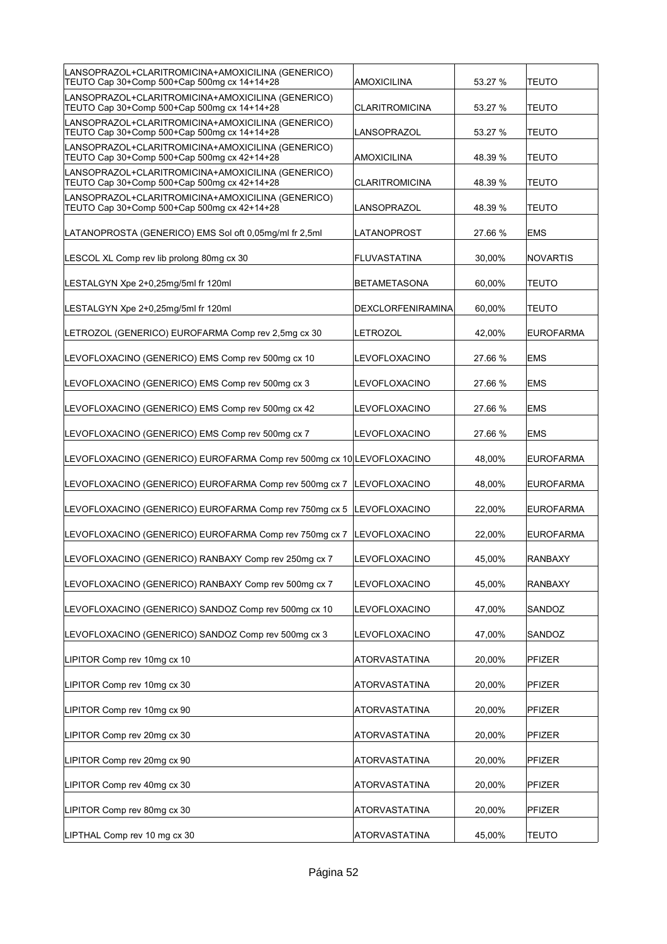| LANSOPRAZOL+CLARITROMICINA+AMOXICILINA (GENERICO)<br>TEUTO Cap 30+Comp 500+Cap 500mg cx 14+14+28 | AMOXICILINA           | 53.27 % | <b>TEUTO</b>     |
|--------------------------------------------------------------------------------------------------|-----------------------|---------|------------------|
| LANSOPRAZOL+CLARITROMICINA+AMOXICILINA (GENERICO)<br>TEUTO Cap 30+Comp 500+Cap 500mg cx 14+14+28 | <b>CLARITROMICINA</b> | 53.27 % | <b>TEUTO</b>     |
| LANSOPRAZOL+CLARITROMICINA+AMOXICILINA (GENERICO)<br>TEUTO Cap 30+Comp 500+Cap 500mg cx 14+14+28 | LANSOPRAZOL           | 53.27 % | <b>TEUTO</b>     |
| LANSOPRAZOL+CLARITROMICINA+AMOXICILINA (GENERICO)<br>TEUTO Cap 30+Comp 500+Cap 500mg cx 42+14+28 | <b>AMOXICILINA</b>    | 48.39 % | <b>TEUTO</b>     |
| LANSOPRAZOL+CLARITROMICINA+AMOXICILINA (GENERICO)<br>TEUTO Cap 30+Comp 500+Cap 500mg cx 42+14+28 | <b>CLARITROMICINA</b> | 48.39 % | <b>TEUTO</b>     |
| LANSOPRAZOL+CLARITROMICINA+AMOXICILINA (GENERICO)<br>TEUTO Cap 30+Comp 500+Cap 500mg cx 42+14+28 | LANSOPRAZOL           | 48.39 % | <b>TEUTO</b>     |
| LATANOPROSTA (GENERICO) EMS Sol oft 0,05mg/ml fr 2,5ml                                           | LATANOPROST           | 27.66 % | EMS              |
| LESCOL XL Comp rev lib prolong 80mg cx 30                                                        | <b>FLUVASTATINA</b>   | 30,00%  | <b>NOVARTIS</b>  |
| LESTALGYN Xpe 2+0,25mg/5ml fr 120ml                                                              | <b>BETAMETASONA</b>   | 60,00%  | TEUTO            |
| LESTALGYN Xpe 2+0,25mg/5ml fr 120ml                                                              | DEXCLORFENIRAMINA     | 60.00%  | <b>TEUTO</b>     |
| LETROZOL (GENERICO) EUROFARMA Comp rev 2,5mg cx 30                                               | LETROZOL              | 42,00%  | <b>EUROFARMA</b> |
| LEVOFLOXACINO (GENERICO) EMS Comp rev 500mg cx 10                                                | LEVOFLOXACINO         | 27.66 % | <b>EMS</b>       |
| LEVOFLOXACINO (GENERICO) EMS Comp rev 500mg cx 3                                                 | LEVOFLOXACINO         | 27.66 % | <b>EMS</b>       |
| LEVOFLOXACINO (GENERICO) EMS Comp rev 500mg cx 42                                                | LEVOFLOXACINO         | 27.66 % | <b>EMS</b>       |
| LEVOFLOXACINO (GENERICO) EMS Comp rev 500mg cx 7                                                 | LEVOFLOXACINO         | 27.66 % | <b>EMS</b>       |
|                                                                                                  |                       |         |                  |
| LEVOFLOXACINO (GENERICO) EUROFARMA Comp rev 500mg cx 10 LEVOFLOXACINO                            |                       | 48,00%  | <b>EUROFARMA</b> |
| LEVOFLOXACINO (GENERICO) EUROFARMA Comp rev 500mg cx 7                                           | <b>LEVOFLOXACINO</b>  | 48,00%  | <b>EUROFARMA</b> |
| LEVOFLOXACINO (GENERICO) EUROFARMA Comp rev 750mg cx 5                                           | <b>LEVOFLOXACINO</b>  | 22,00%  | <b>EUROFARMA</b> |
| LEVOFLOXACINO (GENERICO) EUROFARMA Comp rev 750mg cx 7                                           | <b>LEVOFLOXACINO</b>  | 22,00%  | <b>EUROFARMA</b> |
| LEVOFLOXACINO (GENERICO) RANBAXY Comp rev 250mg cx 7                                             | LEVOFLOXACINO         | 45,00%  | RANBAXY          |
| LEVOFLOXACINO (GENERICO) RANBAXY Comp rev 500mg cx 7                                             | LEVOFLOXACINO         | 45,00%  | <b>RANBAXY</b>   |
| LEVOFLOXACINO (GENERICO) SANDOZ Comp rev 500mg cx 10                                             | LEVOFLOXACINO         | 47,00%  | SANDOZ           |
| LEVOFLOXACINO (GENERICO) SANDOZ Comp rev 500mg cx 3                                              | LEVOFLOXACINO         | 47,00%  | SANDOZ           |
| LIPITOR Comp rev 10mg cx 10                                                                      | ATORVASTATINA         | 20,00%  | PFIZER           |
| LIPITOR Comp rev 10mg cx 30                                                                      | <b>ATORVASTATINA</b>  | 20,00%  | PFIZER           |
| LIPITOR Comp rev 10mg cx 90                                                                      | <b>ATORVASTATINA</b>  | 20,00%  | PFIZER           |
| LIPITOR Comp rev 20mg cx 30                                                                      | ATORVASTATINA         | 20,00%  | PFIZER           |
| LIPITOR Comp rev 20mg cx 90                                                                      | ATORVASTATINA         | 20,00%  | PFIZER           |
| LIPITOR Comp rev 40mg cx 30                                                                      | ATORVASTATINA         | 20,00%  | PFIZER           |
| LIPITOR Comp rev 80mg cx 30                                                                      | ATORVASTATINA         | 20,00%  | PFIZER           |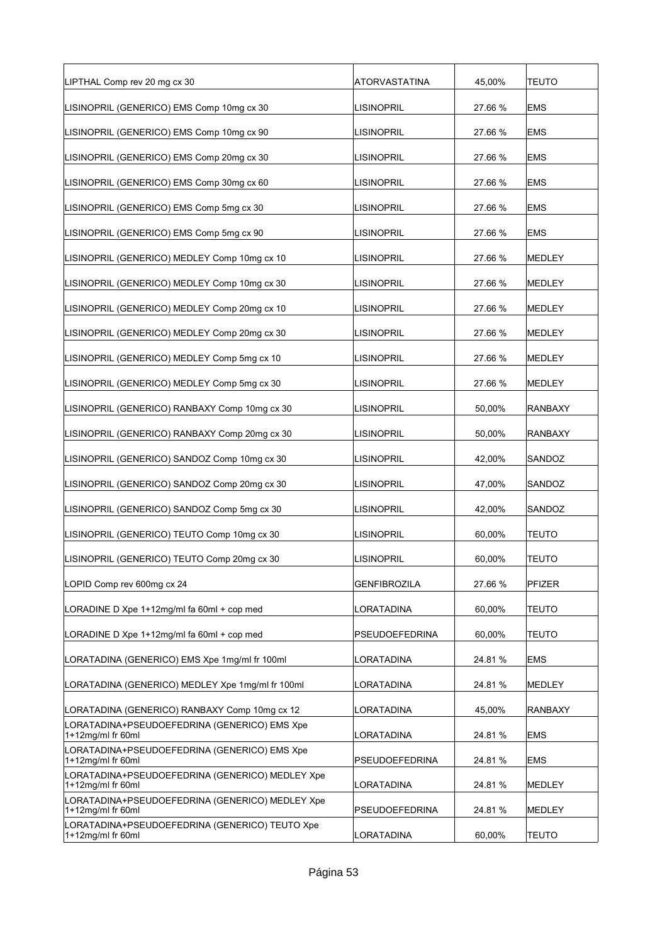| LIPTHAL Comp rev 20 mg cx 30                                         | ATORVASTATINA       | 45,00%  | <b>TEUTO</b>   |
|----------------------------------------------------------------------|---------------------|---------|----------------|
| LISINOPRIL (GENERICO) EMS Comp 10mg cx 30                            | <b>LISINOPRIL</b>   | 27.66 % | <b>EMS</b>     |
| LISINOPRIL (GENERICO) EMS Comp 10mg cx 90                            | <b>LISINOPRIL</b>   | 27.66 % | <b>EMS</b>     |
| LISINOPRIL (GENERICO) EMS Comp 20mg cx 30                            | <b>LISINOPRIL</b>   | 27.66 % | <b>EMS</b>     |
| LISINOPRIL (GENERICO) EMS Comp 30mg cx 60                            | <b>LISINOPRIL</b>   | 27.66 % | <b>EMS</b>     |
| LISINOPRIL (GENERICO) EMS Comp 5mg cx 30                             | <b>LISINOPRIL</b>   | 27.66 % | <b>EMS</b>     |
| LISINOPRIL (GENERICO) EMS Comp 5mg cx 90                             | <b>LISINOPRIL</b>   | 27.66 % | <b>EMS</b>     |
| LISINOPRIL (GENERICO) MEDLEY Comp 10mg cx 10                         | <b>LISINOPRIL</b>   | 27.66 % | MEDLEY         |
| LISINOPRIL (GENERICO) MEDLEY Comp 10mg cx 30                         | <b>LISINOPRIL</b>   | 27.66 % | <b>MEDLEY</b>  |
| LISINOPRIL (GENERICO) MEDLEY Comp 20mg cx 10                         | <b>LISINOPRIL</b>   | 27.66 % | MEDLEY         |
| LISINOPRIL (GENERICO) MEDLEY Comp 20mg cx 30                         | <b>LISINOPRIL</b>   | 27.66 % | MEDLEY         |
| LISINOPRIL (GENERICO) MEDLEY Comp 5mg cx 10                          | <b>LISINOPRIL</b>   | 27.66 % | <b>MEDLEY</b>  |
| LISINOPRIL (GENERICO) MEDLEY Comp 5mg cx 30                          | <b>LISINOPRIL</b>   | 27.66 % | MEDLEY         |
| LISINOPRIL (GENERICO) RANBAXY Comp 10mg cx 30                        | <b>LISINOPRIL</b>   | 50,00%  | RANBAXY        |
| LISINOPRIL (GENERICO) RANBAXY Comp 20mg cx 30                        | <b>LISINOPRIL</b>   | 50,00%  | <b>RANBAXY</b> |
| LISINOPRIL (GENERICO) SANDOZ Comp 10mg cx 30                         | <b>LISINOPRIL</b>   | 42,00%  | SANDOZ         |
| LISINOPRIL (GENERICO) SANDOZ Comp 20mg cx 30                         | <b>LISINOPRIL</b>   | 47,00%  | SANDOZ         |
| LISINOPRIL (GENERICO) SANDOZ Comp 5mg cx 30                          | <b>LISINOPRIL</b>   | 42,00%  | SANDOZ         |
| LISINOPRIL (GENERICO) TEUTO Comp 10mg cx 30                          | <b>LISINOPRIL</b>   | 60,00%  | <b>TEUTO</b>   |
| LISINOPRIL (GENERICO) TEUTO Comp 20mg cx 30                          | <b>LISINOPRIL</b>   | 60,00%  | <b>TEUTO</b>   |
| LOPID Comp rev 600mg cx 24                                           | <b>GENFIBROZILA</b> | 27.66 % | PFIZER         |
| LORADINE D Xpe 1+12mg/ml fa 60ml + cop med                           | LORATADINA          | 60,00%  | <b>TEUTO</b>   |
| LORADINE D Xpe 1+12mg/ml fa 60ml + cop med                           | PSEUDOEFEDRINA      | 60,00%  | <b>TEUTO</b>   |
| LORATADINA (GENERICO) EMS Xpe 1mg/ml fr 100ml                        | LORATADINA          | 24.81%  | <b>EMS</b>     |
| LORATADINA (GENERICO) MEDLEY Xpe 1mg/ml fr 100ml                     | LORATADINA          | 24.81 % | MEDLEY         |
| LORATADINA (GENERICO) RANBAXY Comp 10mg cx 12                        | LORATADINA          | 45,00%  | RANBAXY        |
| LORATADINA+PSEUDOEFEDRINA (GENERICO) EMS Xpe<br>1+12mg/ml fr 60ml    | LORATADINA          | 24.81%  | <b>EMS</b>     |
| LORATADINA+PSEUDOEFEDRINA (GENERICO) EMS Xpe<br>1+12mg/ml fr 60ml    | PSEUDOEFEDRINA      | 24.81%  | <b>EMS</b>     |
| LORATADINA+PSEUDOEFEDRINA (GENERICO) MEDLEY Xpe<br>1+12mg/ml fr 60ml | LORATADINA          | 24.81%  | MEDLEY         |
| LORATADINA+PSEUDOEFEDRINA (GENERICO) MEDLEY Xpe<br>1+12mg/ml fr 60ml | PSEUDOEFEDRINA      | 24.81%  | MEDLEY         |
| LORATADINA+PSEUDOEFEDRINA (GENERICO) TEUTO Xpe<br>1+12mg/ml fr 60ml  | LORATADINA          | 60,00%  | <b>TEUTO</b>   |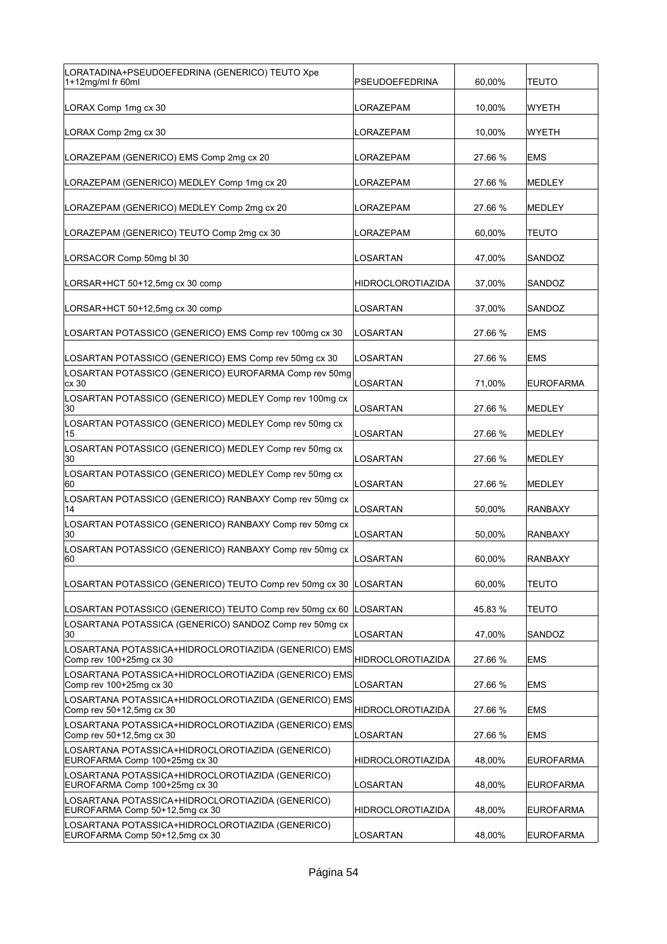| LORATADINA+PSEUDOEFEDRINA (GENERICO) TEUTO Xpe<br>1+12mg/ml fr 60ml                | PSEUDOEFEDRINA           | 60,00%  | TEUTO            |
|------------------------------------------------------------------------------------|--------------------------|---------|------------------|
| LORAX Comp 1mg cx 30                                                               | LORAZEPAM                | 10,00%  | WYETH            |
| LORAX Comp 2mg cx 30                                                               | LORAZEPAM                | 10,00%  | <b>WYETH</b>     |
| LORAZEPAM (GENERICO) EMS Comp 2mg cx 20                                            | LORAZEPAM                | 27.66 % | <b>EMS</b>       |
| LORAZEPAM (GENERICO) MEDLEY Comp 1mg cx 20                                         | LORAZEPAM                | 27.66 % | <b>MEDLEY</b>    |
| LORAZEPAM (GENERICO) MEDLEY Comp 2mg cx 20                                         | LORAZEPAM                | 27.66 % | <b>MEDLEY</b>    |
| LORAZEPAM (GENERICO) TEUTO Comp 2mg cx 30                                          | LORAZEPAM                | 60,00%  | <b>TEUTO</b>     |
| LORSACOR Comp 50mg bl 30                                                           | LOSARTAN                 | 47,00%  | SANDOZ           |
| LORSAR+HCT 50+12,5mg cx 30 comp                                                    | <b>HIDROCLOROTIAZIDA</b> | 37,00%  | SANDOZ           |
| LORSAR+HCT 50+12,5mg cx 30 comp                                                    | <b>LOSARTAN</b>          | 37,00%  | SANDOZ           |
| LOSARTAN POTASSICO (GENERICO) EMS Comp rev 100mg cx 30                             | LOSARTAN                 | 27.66 % | <b>EMS</b>       |
| LOSARTAN POTASSICO (GENERICO) EMS Comp rev 50mg cx 30                              | LOSARTAN                 | 27.66 % | <b>EMS</b>       |
| LOSARTAN POTASSICO (GENERICO) EUROFARMA Comp rev 50mg<br>cx 30                     | LOSARTAN                 | 71,00%  | <b>EUROFARMA</b> |
| LOSARTAN POTASSICO (GENERICO) MEDLEY Comp rev 100mg cx<br>30                       | <b>LOSARTAN</b>          | 27.66 % | <b>MEDLEY</b>    |
| LOSARTAN POTASSICO (GENERICO) MEDLEY Comp rev 50mg cx<br>15                        | LOSARTAN                 | 27.66 % | MEDLEY           |
| LOSARTAN POTASSICO (GENERICO) MEDLEY Comp rev 50mg cx<br>30                        | LOSARTAN                 | 27.66 % | MEDLEY           |
| LOSARTAN POTASSICO (GENERICO) MEDLEY Comp rev 50mg cx<br>160                       | LOSARTAN                 | 27.66 % | MEDLEY           |
| LOSARTAN POTASSICO (GENERICO) RANBAXY Comp rev 50mg cx<br>14                       | LOSARTAN                 | 50,00%  | RANBAXY          |
| LOSARTAN POTASSICO (GENERICO) RANBAXY Comp rev 50mg cx<br>30                       | <b>LOSARTAN</b>          | 50,00%  | RANBAXY          |
| LOSARTAN POTASSICO (GENERICO) RANBAXY Comp rev 50mg cx<br> 60                      | LOSARTAN                 | 60.00%  | <b>RANBAXY</b>   |
| LOSARTAN POTASSICO (GENERICO) TEUTO Comp rev 50mg cx 30                            | LOSARTAN                 | 60,00%  | TEUTO            |
| LOSARTAN POTASSICO (GENERICO) TEUTO Comp rev 50mg cx 60                            | LOSARTAN                 | 45.83 % | <b>TEUTO</b>     |
| LOSARTANA POTASSICA (GENERICO) SANDOZ Comp rev 50mg cx<br>30                       | LOSARTAN                 | 47,00%  | SANDOZ           |
| LOSARTANA POTASSICA+HIDROCLOROTIAZIDA (GENERICO) EMS<br>Comp rev 100+25mg cx 30    | HIDROCLOROTIAZIDA        | 27.66 % | <b>EMS</b>       |
| LOSARTANA POTASSICA+HIDROCLOROTIAZIDA (GENERICO) EMS<br>Comp rev 100+25mg cx 30    | LOSARTAN                 | 27.66 % | <b>EMS</b>       |
| LOSARTANA POTASSICA+HIDROCLOROTIAZIDA (GENERICO) EMS<br>Comp rev 50+12,5mg cx 30   | <b>HIDROCLOROTIAZIDA</b> | 27.66 % | EMS              |
| LOSARTANA POTASSICA+HIDROCLOROTIAZIDA (GENERICO) EMS<br>Comp rev 50+12,5mg cx 30   | LOSARTAN                 | 27.66 % | EMS              |
| LOSARTANA POTASSICA+HIDROCLOROTIAZIDA (GENERICO)<br>EUROFARMA Comp 100+25mg cx 30  | HIDROCLOROTIAZIDA        | 48,00%  | <b>EUROFARMA</b> |
| LOSARTANA POTASSICA+HIDROCLOROTIAZIDA (GENERICO)<br>EUROFARMA Comp 100+25mg cx 30  | LOSARTAN                 | 48,00%  | <b>EUROFARMA</b> |
| LOSARTANA POTASSICA+HIDROCLOROTIAZIDA (GENERICO)<br>EUROFARMA Comp 50+12,5mg cx 30 | HIDROCLOROTIAZIDA        | 48,00%  | <b>EUROFARMA</b> |
| LOSARTANA POTASSICA+HIDROCLOROTIAZIDA (GENERICO)<br>EUROFARMA Comp 50+12,5mg cx 30 | LOSARTAN                 | 48,00%  | <b>EUROFARMA</b> |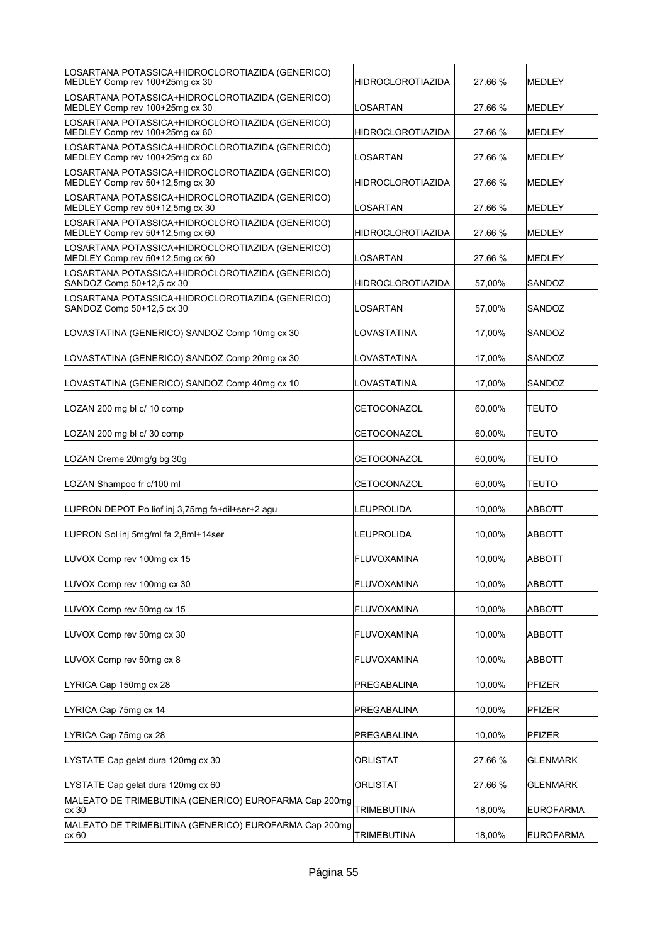| LOSARTANA POTASSICA+HIDROCLOROTIAZIDA (GENERICO)<br>MEDLEY Comp rev 100+25mg cx 30  | HIDROCLOROTIAZIDA        | 27.66 % | MEDLEY           |
|-------------------------------------------------------------------------------------|--------------------------|---------|------------------|
| LOSARTANA POTASSICA+HIDROCLOROTIAZIDA (GENERICO)<br>MEDLEY Comp rev 100+25mg cx 30  | LOSARTAN                 | 27.66 % | <b>MEDLEY</b>    |
| LOSARTANA POTASSICA+HIDROCLOROTIAZIDA (GENERICO)<br>MEDLEY Comp rev 100+25mg cx 60  | HIDROCLOROTIAZIDA        | 27.66 % | <b>MEDLEY</b>    |
| LOSARTANA POTASSICA+HIDROCLOROTIAZIDA (GENERICO)<br>MEDLEY Comp rev 100+25mg cx 60  | LOSARTAN                 | 27.66 % | <b>MEDLEY</b>    |
| LOSARTANA POTASSICA+HIDROCLOROTIAZIDA (GENERICO)<br>MEDLEY Comp rev 50+12,5mg cx 30 | HIDROCLOROTIAZIDA        | 27.66 % | <b>MEDLEY</b>    |
| LOSARTANA POTASSICA+HIDROCLOROTIAZIDA (GENERICO)<br>MEDLEY Comp rev 50+12,5mg cx 30 | LOSARTAN                 | 27.66 % | <b>MEDLEY</b>    |
| LOSARTANA POTASSICA+HIDROCLOROTIAZIDA (GENERICO)<br>MEDLEY Comp rev 50+12,5mg cx 60 | HIDROCLOROTIAZIDA        | 27.66 % | <b>MEDLEY</b>    |
| LOSARTANA POTASSICA+HIDROCLOROTIAZIDA (GENERICO)<br>MEDLEY Comp rev 50+12,5mg cx 60 | LOSARTAN                 | 27.66 % | <b>MEDLEY</b>    |
| LOSARTANA POTASSICA+HIDROCLOROTIAZIDA (GENERICO)<br>SANDOZ Comp 50+12,5 cx 30       | <b>HIDROCLOROTIAZIDA</b> | 57,00%  | SANDOZ           |
| LOSARTANA POTASSICA+HIDROCLOROTIAZIDA (GENERICO)<br>SANDOZ Comp 50+12,5 cx 30       | LOSARTAN                 | 57,00%  | SANDOZ           |
| LOVASTATINA (GENERICO) SANDOZ Comp 10mg cx 30                                       | LOVASTATINA              | 17,00%  | SANDOZ           |
| LOVASTATINA (GENERICO) SANDOZ Comp 20mg cx 30                                       | LOVASTATINA              | 17,00%  | SANDOZ           |
| LOVASTATINA (GENERICO) SANDOZ Comp 40mg cx 10                                       | LOVASTATINA              | 17,00%  | SANDOZ           |
| LOZAN 200 mg bl c/ 10 comp                                                          | CETOCONAZOL              | 60,00%  | <b>TEUTO</b>     |
| LOZAN 200 mg bl c/ 30 comp                                                          | CETOCONAZOL              | 60,00%  | TEUTO            |
| LOZAN Creme 20mg/g bg 30g                                                           | CETOCONAZOL              | 60,00%  | TEUTO            |
| LOZAN Shampoo fr c/100 ml                                                           | CETOCONAZOL              | 60,00%  | TEUTO            |
| LUPRON DEPOT Po liof inj 3,75mg fa+dil+ser+2 agu                                    | LEUPROLIDA               | 10,00%  | <b>ABBOTT</b>    |
| LUPRON Sol inj 5mg/ml fa 2,8ml+14ser                                                | LEUPROLIDA               | 10,00%  | <b>ABBOTT</b>    |
| LUVOX Comp rev 100mg cx 15                                                          | FLUVOXAMINA              | 10,00%  | ABBOTT           |
| LUVOX Comp rev 100mg cx 30                                                          | FLUVOXAMINA              | 10,00%  | <b>ABBOTT</b>    |
| LUVOX Comp rev 50mg cx 15                                                           | <b>FLUVOXAMINA</b>       | 10,00%  | ABBOTT           |
| LUVOX Comp rev 50mg cx 30                                                           | <b>FLUVOXAMINA</b>       | 10,00%  | ABBOTT           |
| LUVOX Comp rev 50mg cx 8                                                            | <b>FLUVOXAMINA</b>       | 10,00%  | <b>ABBOTT</b>    |
| LYRICA Cap 150mg cx 28                                                              | PREGABALINA              | 10,00%  | PFIZER           |
| LYRICA Cap 75mg cx 14                                                               | PREGABALINA              | 10,00%  | <b>PFIZER</b>    |
| LYRICA Cap 75mg cx 28                                                               | PREGABALINA              | 10,00%  | <b>PFIZER</b>    |
| LYSTATE Cap gelat dura 120mg cx 30                                                  | <b>ORLISTAT</b>          | 27.66 % | <b>GLENMARK</b>  |
| LYSTATE Cap gelat dura 120mg cx 60                                                  | <b>ORLISTAT</b>          | 27.66 % | <b>GLENMARK</b>  |
| MALEATO DE TRIMEBUTINA (GENERICO) EUROFARMA Cap 200mg<br>cx 30                      | TRIMEBUTINA              | 18,00%  | <b>EUROFARMA</b> |
| MALEATO DE TRIMEBUTINA (GENERICO) EUROFARMA Cap 200mg                               |                          |         |                  |
| cx 60                                                                               | TRIMEBUTINA              | 18,00%  | <b>EUROFARMA</b> |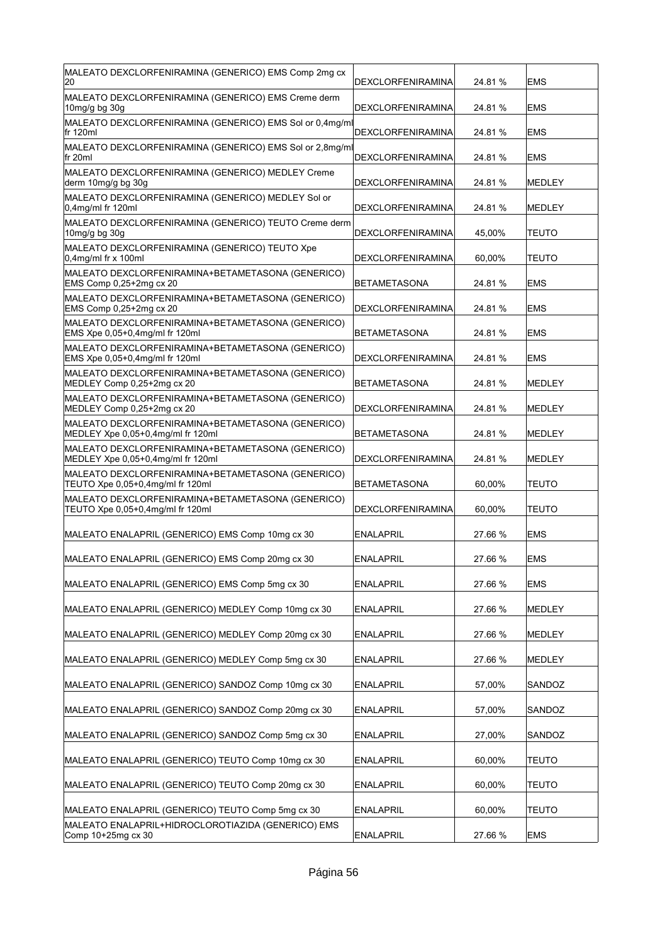| DEXCLORFENIRAMINA                                                                    | 24.81 % | <b>EMS</b>    |
|--------------------------------------------------------------------------------------|---------|---------------|
| DEXCLORFENIRAMINA                                                                    | 24.81 % | EMS           |
| MALEATO DEXCLORFENIRAMINA (GENERICO) EMS Sol or 0,4mg/ml<br>DEXCLORFENIRAMINA        | 24.81 % | <b>EMS</b>    |
| MALEATO DEXCLORFENIRAMINA (GENERICO) EMS Sol or 2,8mg/ml<br><b>DEXCLORFENIRAMINA</b> | 24.81 % | <b>EMS</b>    |
| <b>DEXCLORFENIRAMINA</b>                                                             | 24.81 % | MEDLEY        |
| DEXCLORFENIRAMINA                                                                    | 24.81 % | MEDLEY        |
| MALEATO DEXCLORFENIRAMINA (GENERICO) TEUTO Creme derm<br>DEXCLORFENIRAMINA           | 45,00%  | TEUTO         |
| DEXCLORFENIRAMINA                                                                    | 60,00%  | TEUTO         |
| <b>BETAMETASONA</b>                                                                  | 24.81 % | <b>EMS</b>    |
| <b>DEXCLORFENIRAMINA</b>                                                             | 24.81 % | <b>EMS</b>    |
| <b>BETAMETASONA</b>                                                                  | 24.81 % | <b>EMS</b>    |
| <b>DEXCLORFENIRAMINA</b>                                                             | 24.81 % | <b>EMS</b>    |
| <b>BETAMETASONA</b>                                                                  | 24.81 % | MEDLEY        |
| DEXCLORFENIRAMINA                                                                    | 24.81 % | MEDLEY        |
| <b>BETAMETASONA</b>                                                                  | 24.81 % | <b>MEDLEY</b> |
| DEXCLORFENIRAMINA                                                                    | 24.81 % | MEDLEY        |
| BETAMETASONA                                                                         | 60,00%  | <b>TEUTO</b>  |
| DEXCLORFENIRAMINA                                                                    | 60,00%  | <b>TEUTO</b>  |
| <b>ENALAPRIL</b>                                                                     | 27.66 % | <b>EMS</b>    |
| <b>ENALAPRIL</b>                                                                     | 27.66 % | <b>EMS</b>    |
| <b>ENALAPRIL</b>                                                                     | 27.66 % | <b>EMS</b>    |
| <b>ENALAPRIL</b>                                                                     | 27.66 % | MEDLEY        |
| <b>ENALAPRIL</b>                                                                     | 27.66 % | MEDLEY        |
| <b>ENALAPRIL</b>                                                                     | 27.66 % | MEDLEY        |
| <b>ENALAPRIL</b>                                                                     | 57,00%  | SANDOZ        |
| <b>ENALAPRIL</b>                                                                     | 57,00%  | SANDOZ        |
| <b>ENALAPRIL</b>                                                                     | 27,00%  | SANDOZ        |
| <b>ENALAPRIL</b>                                                                     | 60,00%  | <b>TEUTO</b>  |
| <b>ENALAPRIL</b>                                                                     | 60,00%  | <b>TEUTO</b>  |
| <b>ENALAPRIL</b>                                                                     | 60,00%  | TEUTO         |
| <b>ENALAPRIL</b>                                                                     | 27.66 % | <b>EMS</b>    |
|                                                                                      |         |               |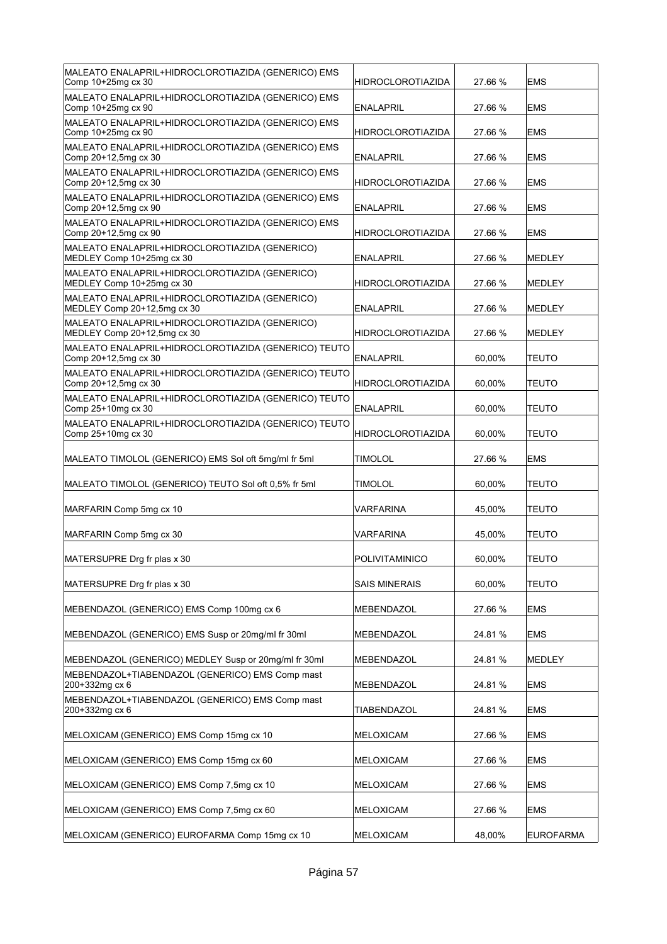| MALEATO ENALAPRIL+HIDROCLOROTIAZIDA (GENERICO) EMS<br>Comp 10+25mg cx 30      | HIDROCLOROTIAZIDA        | 27.66 % | <b>EMS</b>   |
|-------------------------------------------------------------------------------|--------------------------|---------|--------------|
| MALEATO ENALAPRIL+HIDROCLOROTIAZIDA (GENERICO) EMS<br>Comp 10+25mg cx 90      | <b>ENALAPRIL</b>         | 27.66 % | <b>EMS</b>   |
| MALEATO ENALAPRIL+HIDROCLOROTIAZIDA (GENERICO) EMS<br>Comp 10+25mg cx 90      | <b>HIDROCLOROTIAZIDA</b> | 27.66 % | <b>IEMS</b>  |
| MALEATO ENALAPRIL+HIDROCLOROTIAZIDA (GENERICO) EMS<br>Comp 20+12,5mg cx 30    | <b>ENALAPRIL</b>         | 27.66 % | <b>EMS</b>   |
| MALEATO ENALAPRIL+HIDROCLOROTIAZIDA (GENERICO) EMS<br>Comp 20+12,5mg cx 30    | <b>HIDROCLOROTIAZIDA</b> | 27.66 % | <b>EMS</b>   |
| MALEATO ENALAPRIL+HIDROCLOROTIAZIDA (GENERICO) EMS<br>Comp 20+12,5mg cx 90    | <b>ENALAPRIL</b>         | 27.66 % | <b>EMS</b>   |
| MALEATO ENALAPRIL+HIDROCLOROTIAZIDA (GENERICO) EMS<br>Comp 20+12,5mg cx 90    | <b>HIDROCLOROTIAZIDA</b> | 27.66 % | <b>EMS</b>   |
| MALEATO ENALAPRIL+HIDROCLOROTIAZIDA (GENERICO)<br>MEDLEY Comp 10+25mg cx 30   | <b>ENALAPRIL</b>         | 27.66 % | MEDLEY       |
| MALEATO ENALAPRIL+HIDROCLOROTIAZIDA (GENERICO)<br>MEDLEY Comp 10+25mg cx 30   | <b>HIDROCLOROTIAZIDA</b> | 27.66 % | MEDLEY       |
| MALEATO ENALAPRIL+HIDROCLOROTIAZIDA (GENERICO)<br>MEDLEY Comp 20+12,5mg cx 30 | <b>ENALAPRIL</b>         | 27.66 % | MEDLEY       |
| MALEATO ENALAPRIL+HIDROCLOROTIAZIDA (GENERICO)<br>MEDLEY Comp 20+12,5mg cx 30 | <b>HIDROCLOROTIAZIDA</b> | 27.66 % | MEDLEY       |
| MALEATO ENALAPRIL+HIDROCLOROTIAZIDA (GENERICO) TEUTO<br>Comp 20+12,5mg cx 30  | <b>ENALAPRIL</b>         | 60,00%  | <b>TEUTO</b> |
| MALEATO ENALAPRIL+HIDROCLOROTIAZIDA (GENERICO) TEUTO<br>Comp 20+12,5mg cx 30  | <b>HIDROCLOROTIAZIDA</b> | 60,00%  | <b>TEUTO</b> |
| MALEATO ENALAPRIL+HIDROCLOROTIAZIDA (GENERICO) TEUTO<br>Comp 25+10mg cx 30    | <b>ENALAPRIL</b>         | 60,00%  | <b>TEUTO</b> |
| MALEATO ENALAPRIL+HIDROCLOROTIAZIDA (GENERICO) TEUTO<br>Comp 25+10mg cx 30    | <b>HIDROCLOROTIAZIDA</b> | 60,00%  | TEUTO        |
|                                                                               |                          |         |              |
| MALEATO TIMOLOL (GENERICO) EMS Sol oft 5mg/ml fr 5ml                          | TIMOLOL                  | 27.66 % | <b>EMS</b>   |
| MALEATO TIMOLOL (GENERICO) TEUTO Sol oft 0,5% fr 5ml                          | TIMOLOL                  | 60,00%  | <b>TEUTO</b> |
| MARFARIN Comp 5mg cx 10                                                       | VARFARINA                | 45,00%  | <b>TEUTO</b> |
| MARFARIN Comp 5mg cx 30                                                       | VARFARINA                | 45,00%  | <b>TEUTO</b> |
| MATERSUPRE Drg fr plas x 30                                                   | POLIVITAMINICO           | 60,00%  | <b>TEUTO</b> |
| MATERSUPRE Drg fr plas x 30                                                   | <b>SAIS MINERAIS</b>     | 60,00%  | <b>TEUTO</b> |
| MEBENDAZOL (GENERICO) EMS Comp 100mg cx 6                                     | MEBENDAZOL               | 27.66 % | EMS          |
| MEBENDAZOL (GENERICO) EMS Susp or 20mg/ml fr 30ml                             | MEBENDAZOL               | 24.81%  | <b>EMS</b>   |
| MEBENDAZOL (GENERICO) MEDLEY Susp or 20mg/ml fr 30ml                          | MEBENDAZOL               | 24.81 % | MEDLEY       |
| MEBENDAZOL+TIABENDAZOL (GENERICO) EMS Comp mast<br>200+332mg cx 6             | MEBENDAZOL               | 24.81%  | EMS          |
| MEBENDAZOL+TIABENDAZOL (GENERICO) EMS Comp mast<br>200+332mg cx 6             | <b>TIABENDAZOL</b>       | 24.81 % | EMS.         |
| MELOXICAM (GENERICO) EMS Comp 15mg cx 10                                      | <b>MELOXICAM</b>         | 27.66 % | EMS          |
| MELOXICAM (GENERICO) EMS Comp 15mg cx 60                                      | MELOXICAM                | 27.66 % | <b>EMS</b>   |
| MELOXICAM (GENERICO) EMS Comp 7,5mg cx 10                                     | MELOXICAM                | 27.66 % | <b>EMS</b>   |
| MELOXICAM (GENERICO) EMS Comp 7,5mg cx 60                                     | MELOXICAM                | 27.66 % | <b>EMS</b>   |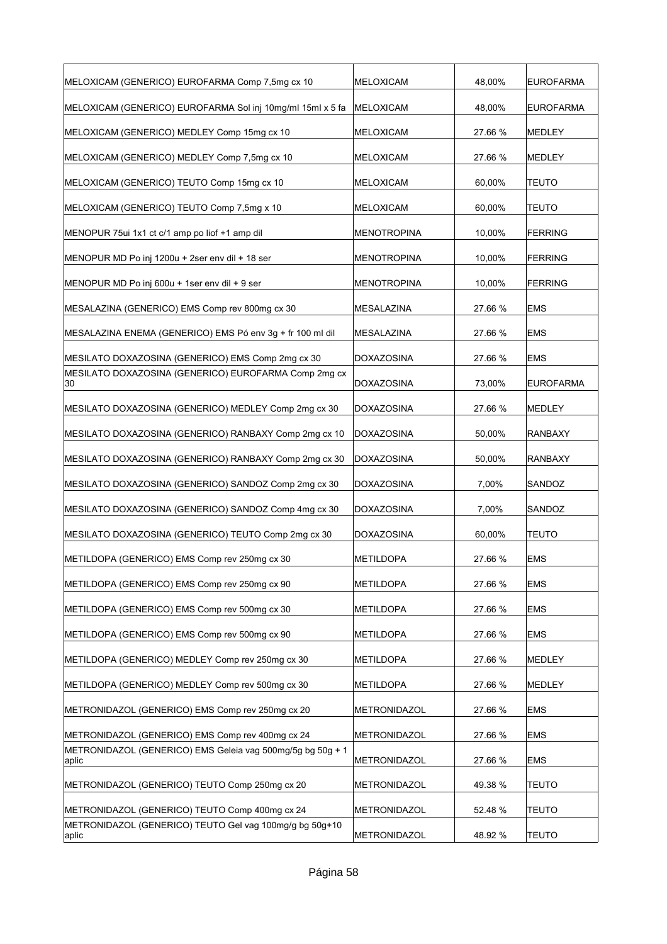| MELOXICAM (GENERICO) EUROFARMA Comp 7,5mg cx 10                     | <b>MELOXICAM</b>   | 48,00%  | EUROFARMA        |
|---------------------------------------------------------------------|--------------------|---------|------------------|
| MELOXICAM (GENERICO) EUROFARMA Sol inj 10mg/ml 15ml x 5 fa          | MELOXICAM          | 48,00%  | <b>EUROFARMA</b> |
| MELOXICAM (GENERICO) MEDLEY Comp 15mg cx 10                         | MELOXICAM          | 27.66 % | <b>MEDLEY</b>    |
| MELOXICAM (GENERICO) MEDLEY Comp 7,5mg cx 10                        | MELOXICAM          | 27.66 % | <b>MEDLEY</b>    |
| MELOXICAM (GENERICO) TEUTO Comp 15mg cx 10                          | MELOXICAM          | 60,00%  | <b>TEUTO</b>     |
| MELOXICAM (GENERICO) TEUTO Comp 7,5mg x 10                          | MELOXICAM          | 60,00%  | <b>TEUTO</b>     |
| MENOPUR 75ui 1x1 ct c/1 amp po liof +1 amp dil                      | <b>MENOTROPINA</b> | 10,00%  | FERRING          |
| MENOPUR MD Po inj 1200u + 2ser env dil + 18 ser                     | <b>MENOTROPINA</b> | 10,00%  | FERRING          |
| MENOPUR MD Po inj 600u + 1ser env dil + 9 ser                       | MENOTROPINA        | 10,00%  | <b>FERRING</b>   |
| MESALAZINA (GENERICO) EMS Comp rev 800mg cx 30                      | MESALAZINA         | 27.66 % | <b>EMS</b>       |
| MESALAZINA ENEMA (GENERICO) EMS Pó env 3g + fr 100 ml dil           | MESALAZINA         | 27.66 % | <b>EMS</b>       |
| MESILATO DOXAZOSINA (GENERICO) EMS Comp 2mg cx 30                   | <b>DOXAZOSINA</b>  | 27.66 % | <b>EMS</b>       |
| MESILATO DOXAZOSINA (GENERICO) EUROFARMA Comp 2mg cx<br>30          | <b>DOXAZOSINA</b>  | 73,00%  | <b>EUROFARMA</b> |
| MESILATO DOXAZOSINA (GENERICO) MEDLEY Comp 2mg cx 30                | <b>DOXAZOSINA</b>  | 27.66 % | MEDLEY           |
| MESILATO DOXAZOSINA (GENERICO) RANBAXY Comp 2mg cx 10               | <b>DOXAZOSINA</b>  | 50,00%  | <b>RANBAXY</b>   |
| MESILATO DOXAZOSINA (GENERICO) RANBAXY Comp 2mg cx 30               | <b>DOXAZOSINA</b>  | 50,00%  | RANBAXY          |
| MESILATO DOXAZOSINA (GENERICO) SANDOZ Comp 2mg cx 30                | <b>DOXAZOSINA</b>  | 7,00%   | SANDOZ           |
| MESILATO DOXAZOSINA (GENERICO) SANDOZ Comp 4mg cx 30                | <b>DOXAZOSINA</b>  | 7,00%   | SANDOZ           |
| MESILATO DOXAZOSINA (GENERICO) TEUTO Comp 2mg cx 30                 | <b>DOXAZOSINA</b>  | 60,00%  | <b>TEUTO</b>     |
| METILDOPA (GENERICO) EMS Comp rev 250mg cx 30                       | <b>METILDOPA</b>   | 27.66 % | <b>EMS</b>       |
| METILDOPA (GENERICO) EMS Comp rev 250mg cx 90                       | METILDOPA          | 27.66 % | <b>EMS</b>       |
| METILDOPA (GENERICO) EMS Comp rev 500mg cx 30                       | METILDOPA          | 27.66 % | <b>EMS</b>       |
| METILDOPA (GENERICO) EMS Comp rev 500mg cx 90                       | <b>METILDOPA</b>   | 27.66 % | <b>EMS</b>       |
| METILDOPA (GENERICO) MEDLEY Comp rev 250mg cx 30                    | <b>METILDOPA</b>   | 27.66 % | MEDLEY           |
| METILDOPA (GENERICO) MEDLEY Comp rev 500mg cx 30                    | <b>METILDOPA</b>   | 27.66 % | MEDLEY           |
| METRONIDAZOL (GENERICO) EMS Comp rev 250mg cx 20                    | METRONIDAZOL       | 27.66 % | <b>EMS</b>       |
| METRONIDAZOL (GENERICO) EMS Comp rev 400mg cx 24                    | METRONIDAZOL       | 27.66 % | <b>EMS</b>       |
| METRONIDAZOL (GENERICO) EMS Geleia vag 500mg/5g bg 50g + 1<br>aplic | METRONIDAZOL       | 27.66 % | <b>EMS</b>       |
| METRONIDAZOL (GENERICO) TEUTO Comp 250mg cx 20                      | METRONIDAZOL       | 49.38 % | <b>TEUTO</b>     |
| METRONIDAZOL (GENERICO) TEUTO Comp 400mg cx 24                      | METRONIDAZOL       | 52.48 % | <b>TEUTO</b>     |
| METRONIDAZOL (GENERICO) TEUTO Gel vag 100mg/g bg 50g+10<br>aplic    | METRONIDAZOL       | 48.92 % | <b>TEUTO</b>     |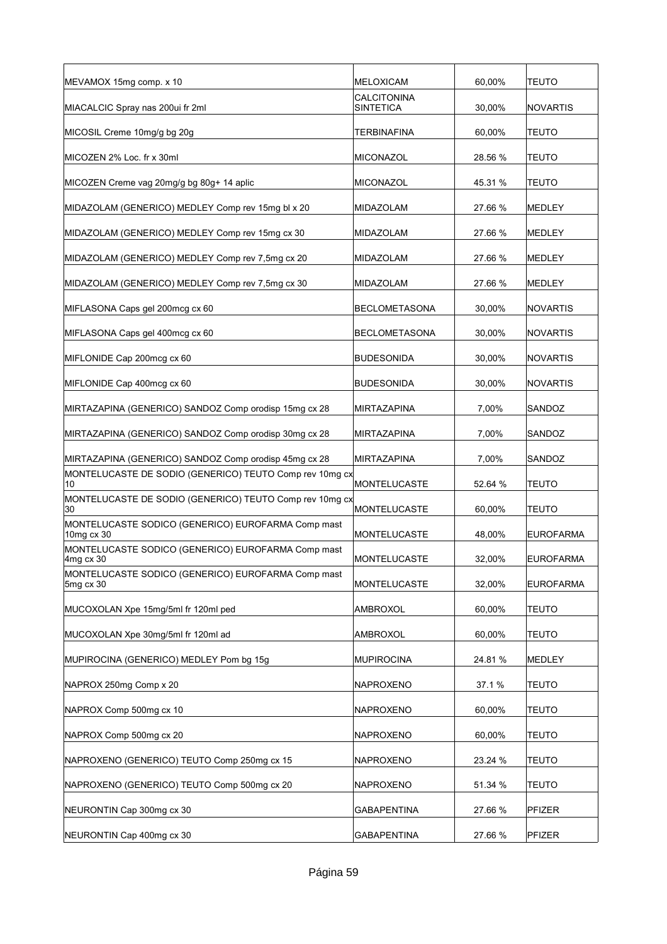| MEVAMOX 15mg comp. x 10                                          | <b>MELOXICAM</b>                       | 60,00%  | TEUTO            |
|------------------------------------------------------------------|----------------------------------------|---------|------------------|
| MIACALCIC Spray nas 200ui fr 2ml                                 | <b>CALCITONINA</b><br><b>SINTETICA</b> | 30,00%  | <b>NOVARTIS</b>  |
| MICOSIL Creme 10mg/g bg 20g                                      | TERBINAFINA                            | 60,00%  | <b>TEUTO</b>     |
| MICOZEN 2% Loc. fr x 30ml                                        | MICONAZOL                              | 28.56 % | TEUTO            |
| MICOZEN Creme vag 20mg/g bg 80g+ 14 aplic                        | MICONAZOL                              | 45.31 % | <b>TEUTO</b>     |
| MIDAZOLAM (GENERICO) MEDLEY Comp rev 15mg bl x 20                | MIDAZOLAM                              | 27.66 % | <b>MEDLEY</b>    |
| MIDAZOLAM (GENERICO) MEDLEY Comp rev 15mg cx 30                  | MIDAZOLAM                              | 27.66 % | <b>MEDLEY</b>    |
| MIDAZOLAM (GENERICO) MEDLEY Comp rev 7,5mg cx 20                 | MIDAZOLAM                              | 27.66 % | <b>MEDLEY</b>    |
| MIDAZOLAM (GENERICO) MEDLEY Comp rev 7,5mg cx 30                 | MIDAZOLAM                              | 27.66 % | <b>MEDLEY</b>    |
| MIFLASONA Caps gel 200mcg cx 60                                  | <b>BECLOMETASONA</b>                   | 30,00%  | <b>NOVARTIS</b>  |
| MIFLASONA Caps gel 400mcg cx 60                                  | <b>BECLOMETASONA</b>                   | 30,00%  | <b>NOVARTIS</b>  |
| MIFLONIDE Cap 200mcg cx 60                                       | <b>BUDESONIDA</b>                      | 30,00%  | <b>NOVARTIS</b>  |
| MIFLONIDE Cap 400mcg cx 60                                       | <b>BUDESONIDA</b>                      | 30,00%  | <b>NOVARTIS</b>  |
| MIRTAZAPINA (GENERICO) SANDOZ Comp orodisp 15mg cx 28            | MIRTAZAPINA                            | 7,00%   | SANDOZ           |
| MIRTAZAPINA (GENERICO) SANDOZ Comp orodisp 30mg cx 28            | MIRTAZAPINA                            | 7,00%   | SANDOZ           |
| MIRTAZAPINA (GENERICO) SANDOZ Comp orodisp 45mg cx 28            | <b>MIRTAZAPINA</b>                     | 7,00%   | SANDOZ           |
| MONTELUCASTE DE SODIO (GENERICO) TEUTO Comp rev 10mg cx<br>10    | MONTELUCASTE                           | 52.64 % | TEUTO            |
| MONTELUCASTE DE SODIO (GENERICO) TEUTO Comp rev 10mg cx<br>30    | <b>MONTELUCASTE</b>                    | 60,00%  | <b>TEUTO</b>     |
| MONTELUCASTE SODICO (GENERICO) EUROFARMA Comp mast<br>10mg cx 30 | <b>MONTELUCASTE</b>                    | 48,00%  | <b>EUROFARMA</b> |
| MONTELUCASTE SODICO (GENERICO) EUROFARMA Comp mast<br>4mg cx 30  | <b>MONTELUCASTE</b>                    | 32.00%  | <b>EUROFARMA</b> |
| MONTELUCASTE SODICO (GENERICO) EUROFARMA Comp mast<br>5mg cx 30  | <b>MONTELUCASTE</b>                    | 32,00%  | <b>EUROFARMA</b> |
| MUCOXOLAN Xpe 15mg/5ml fr 120ml ped                              | AMBROXOL                               | 60,00%  | <b>TEUTO</b>     |
| MUCOXOLAN Xpe 30mg/5ml fr 120ml ad                               | AMBROXOL                               | 60,00%  | <b>TEUTO</b>     |
| MUPIROCINA (GENERICO) MEDLEY Pom bg 15g                          | <b>MUPIROCINA</b>                      | 24.81 % | MEDLEY           |
| NAPROX 250mg Comp x 20                                           | NAPROXENO                              | 37.1%   | <b>TEUTO</b>     |
| NAPROX Comp 500mg cx 10                                          | NAPROXENO                              | 60,00%  | <b>TEUTO</b>     |
| NAPROX Comp 500mg cx 20                                          | NAPROXENO                              | 60,00%  | <b>TEUTO</b>     |
| NAPROXENO (GENERICO) TEUTO Comp 250mg cx 15                      | NAPROXENO                              | 23.24 % | <b>TEUTO</b>     |
| NAPROXENO (GENERICO) TEUTO Comp 500mg cx 20                      | NAPROXENO                              | 51.34 % | <b>TEUTO</b>     |
| NEURONTIN Cap 300mg cx 30                                        | GABAPENTINA                            | 27.66 % | PFIZER           |
| NEURONTIN Cap 400mg cx 30                                        | <b>GABAPENTINA</b>                     | 27.66 % | PFIZER           |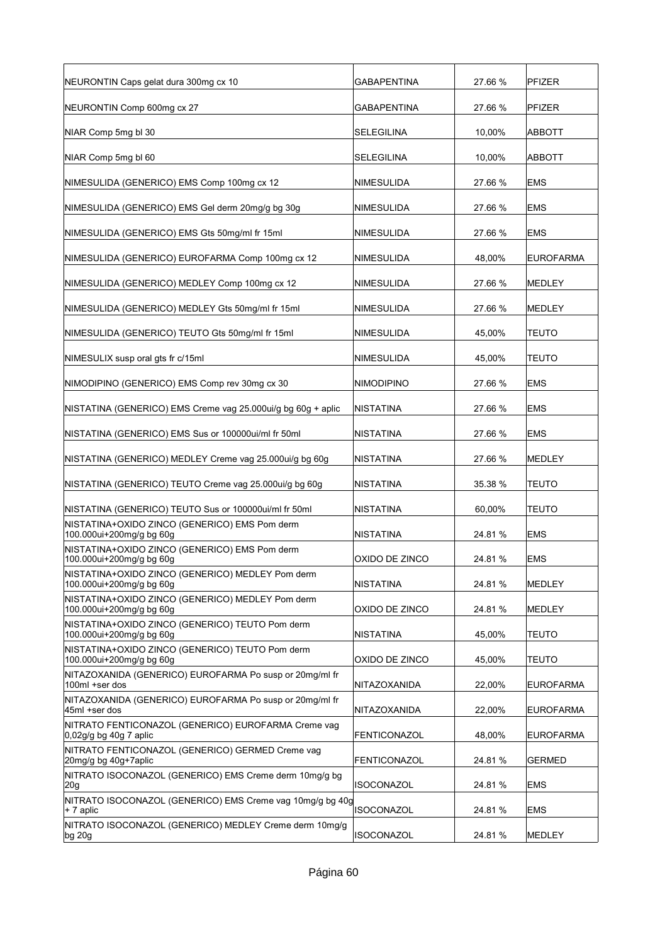| NEURONTIN Caps gelat dura 300mg cx 10                                         | <b>GABAPENTINA</b>  | 27.66 % | <b>PFIZER</b>    |
|-------------------------------------------------------------------------------|---------------------|---------|------------------|
| NEURONTIN Comp 600mg cx 27                                                    | <b>GABAPENTINA</b>  | 27.66 % | <b>PFIZER</b>    |
| NIAR Comp 5mg bl 30                                                           | <b>SELEGILINA</b>   | 10,00%  | ABBOTT           |
| NIAR Comp 5mg bl 60                                                           | <b>SELEGILINA</b>   | 10,00%  | <b>ABBOTT</b>    |
| NIMESULIDA (GENERICO) EMS Comp 100mg cx 12                                    | NIMESULIDA          | 27.66 % | <b>EMS</b>       |
| NIMESULIDA (GENERICO) EMS Gel derm 20mg/g bg 30g                              | NIMESULIDA          | 27.66 % | <b>EMS</b>       |
| NIMESULIDA (GENERICO) EMS Gts 50mg/ml fr 15ml                                 | NIMESULIDA          | 27.66 % | <b>EMS</b>       |
| NIMESULIDA (GENERICO) EUROFARMA Comp 100mg cx 12                              | <b>NIMESULIDA</b>   | 48,00%  | <b>EUROFARMA</b> |
| NIMESULIDA (GENERICO) MEDLEY Comp 100mg cx 12                                 | NIMESULIDA          | 27.66 % | <b>MEDLEY</b>    |
| NIMESULIDA (GENERICO) MEDLEY Gts 50mg/ml fr 15ml                              | NIMESULIDA          | 27.66 % | <b>MEDLEY</b>    |
| NIMESULIDA (GENERICO) TEUTO Gts 50mg/ml fr 15ml                               | NIMESULIDA          | 45,00%  | TEUTO            |
| NIMESULIX susp oral gts fr c/15ml                                             | NIMESULIDA          | 45,00%  | TEUTO            |
| NIMODIPINO (GENERICO) EMS Comp rev 30mg cx 30                                 | <b>NIMODIPINO</b>   | 27.66 % | <b>EMS</b>       |
| NISTATINA (GENERICO) EMS Creme vag 25.000ui/g bg 60g + aplic                  | <b>NISTATINA</b>    | 27.66 % | <b>EMS</b>       |
| NISTATINA (GENERICO) EMS Sus or 100000ui/ml fr 50ml                           | <b>NISTATINA</b>    | 27.66 % | <b>EMS</b>       |
| NISTATINA (GENERICO) MEDLEY Creme vag 25.000ui/g bg 60g                       | NISTATINA           | 27.66 % | MEDLEY           |
| NISTATINA (GENERICO) TEUTO Creme vag 25.000ui/g bg 60g                        | <b>NISTATINA</b>    | 35.38 % | <b>TEUTO</b>     |
| NISTATINA (GENERICO) TEUTO Sus or 100000ui/ml fr 50ml                         | <b>NISTATINA</b>    | 60,00%  | <b>TEUTO</b>     |
| NISTATINA+OXIDO ZINCO (GENERICO) EMS Pom derm<br>100.000ui+200mg/g bg 60g     | NISTATINA           | 24.81%  | <b>EMS</b>       |
| NISTATINA+OXIDO ZINCO (GENERICO) EMS Pom derm<br>100.000ui+200mg/g bg 60g     | OXIDO DE ZINCO      | 24.81 % | <b>EMS</b>       |
| NISTATINA+OXIDO ZINCO (GENERICO) MEDLEY Pom derm<br>100.000ui+200mg/g bg 60g  | <b>NISTATINA</b>    | 24.81 % | MEDLEY           |
| NISTATINA+OXIDO ZINCO (GENERICO) MEDLEY Pom derm<br>100.000ui+200mg/g bg 60g  | OXIDO DE ZINCO      | 24.81 % | MEDLEY           |
| NISTATINA+OXIDO ZINCO (GENERICO) TEUTO Pom derm<br>100.000ui+200mg/g bg 60g   | <b>NISTATINA</b>    | 45,00%  | <b>TEUTO</b>     |
| NISTATINA+OXIDO ZINCO (GENERICO) TEUTO Pom derm<br>100.000ui+200mg/g bg 60g   | OXIDO DE ZINCO      | 45,00%  | TEUTO            |
| NITAZOXANIDA (GENERICO) EUROFARMA Po susp or 20mg/ml fr<br>100ml +ser dos     | NITAZOXANIDA        | 22,00%  | <b>EUROFARMA</b> |
| NITAZOXANIDA (GENERICO) EUROFARMA Po susp or 20mg/ml fr<br>45ml +ser dos      | NITAZOXANIDA        | 22,00%  | EUROFARMA        |
| NITRATO FENTICONAZOL (GENERICO) EUROFARMA Creme vag<br>0,02g/g bg 40g 7 aplic | <b>FENTICONAZOL</b> | 48,00%  | <b>EUROFARMA</b> |
| NITRATO FENTICONAZOL (GENERICO) GERMED Creme vag<br>20mg/g bg 40g+7aplic      | FENTICONAZOL        | 24.81%  | <b>GERMED</b>    |
| NITRATO ISOCONAZOL (GENERICO) EMS Creme derm 10mg/g bg<br>20g                 | <b>ISOCONAZOL</b>   | 24.81 % | <b>EMS</b>       |
| NITRATO ISOCONAZOL (GENERICO) EMS Creme vag 10mg/g bg 40g<br>$+7$ aplic       | <b>ISOCONAZOL</b>   | 24.81%  | <b>EMS</b>       |
| NITRATO ISOCONAZOL (GENERICO) MEDLEY Creme derm 10mg/g<br>bg 20g              | <b>ISOCONAZOL</b>   | 24.81 % | MEDLEY           |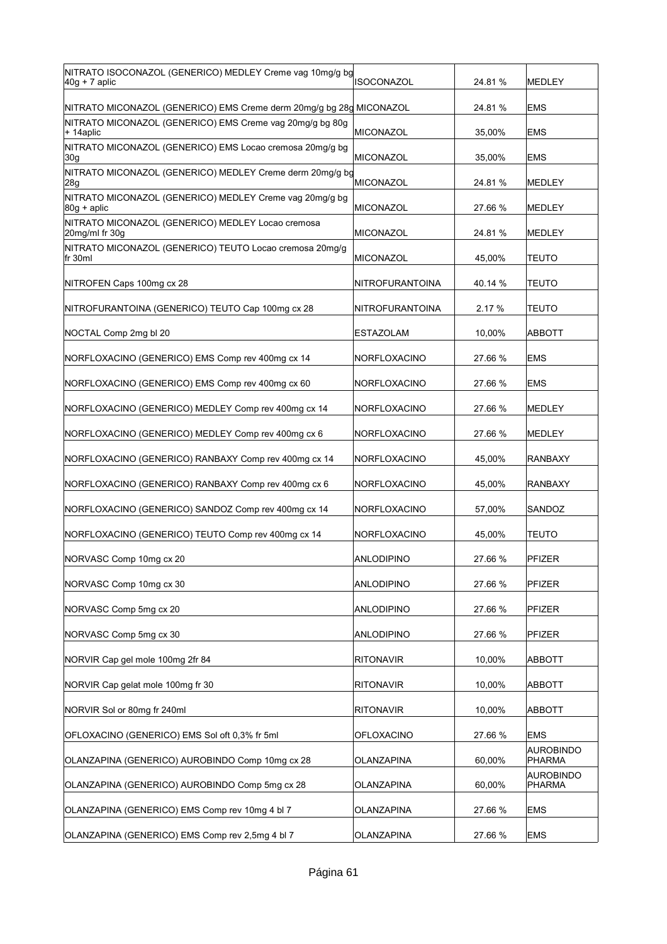| NITRATO ISOCONAZOL (GENERICO) MEDLEY Creme vag 10mg/g bg<br>$40g + 7$ aplic | <b>ISOCONAZOL</b>   | 24.81%  | <b>MEDLEY</b>              |
|-----------------------------------------------------------------------------|---------------------|---------|----------------------------|
| NITRATO MICONAZOL (GENERICO) EMS Creme derm 20mg/g bg 28g MICONAZOL         |                     | 24.81%  | <b>EMS</b>                 |
| NITRATO MICONAZOL (GENERICO) EMS Creme vag 20mg/g bg 80g<br>+ 14aplic       | <b>MICONAZOL</b>    | 35,00%  | <b>EMS</b>                 |
| NITRATO MICONAZOL (GENERICO) EMS Locao cremosa 20mg/g bg<br> 30g            | <b>MICONAZOL</b>    | 35,00%  | <b>EMS</b>                 |
| NITRATO MICONAZOL (GENERICO) MEDLEY Creme derm 20mg/g bg<br>28g             | <b>MICONAZOL</b>    | 24.81 % | <b>MEDLEY</b>              |
| NITRATO MICONAZOL (GENERICO) MEDLEY Creme vag 20mg/g bg<br>$ 80g + ap$ lic  | <b>MICONAZOL</b>    | 27.66 % | <b>MEDLEY</b>              |
| NITRATO MICONAZOL (GENERICO) MEDLEY Locao cremosa<br>20mg/ml fr 30g         | MICONAZOL           | 24.81 % | MEDLEY                     |
| NITRATO MICONAZOL (GENERICO) TEUTO Locao cremosa 20mg/g<br>lfr 30ml         | <b>MICONAZOL</b>    | 45,00%  | <b>TEUTO</b>               |
| NITROFEN Caps 100mg cx 28                                                   | NITROFURANTOINA     | 40.14 % | TEUTO                      |
| NITROFURANTOINA (GENERICO) TEUTO Cap 100mg cx 28                            | NITROFURANTOINA     | 2.17%   | TEUTO                      |
| NOCTAL Comp 2mg bl 20                                                       | <b>ESTAZOLAM</b>    | 10,00%  | <b>ABBOTT</b>              |
| NORFLOXACINO (GENERICO) EMS Comp rev 400mg cx 14                            | NORFLOXACINO        | 27.66 % | <b>EMS</b>                 |
| NORFLOXACINO (GENERICO) EMS Comp rev 400mg cx 60                            | <b>NORFLOXACINO</b> | 27.66 % | <b>EMS</b>                 |
| NORFLOXACINO (GENERICO) MEDLEY Comp rev 400mg cx 14                         | NORFLOXACINO        | 27.66 % | MEDLEY                     |
| NORFLOXACINO (GENERICO) MEDLEY Comp rev 400mg cx 6                          | NORFLOXACINO        | 27.66 % | MEDLEY                     |
|                                                                             |                     |         |                            |
| NORFLOXACINO (GENERICO) RANBAXY Comp rev 400mg cx 14                        | NORFLOXACINO        | 45,00%  | <b>RANBAXY</b>             |
| NORFLOXACINO (GENERICO) RANBAXY Comp rev 400mg cx 6                         | NORFLOXACINO        | 45,00%  | <b>RANBAXY</b>             |
| NORFLOXACINO (GENERICO) SANDOZ Comp rev 400mg cx 14                         | NORFLOXACINO        | 57.00%  | SANDOZ                     |
| NORFLOXACINO (GENERICO) TEUTO Comp rev 400mg cx 14                          | NORFLOXACINO        | 45,00%  | <b>TEUTO</b>               |
| NORVASC Comp 10mg cx 20                                                     | <b>ANLODIPINO</b>   | 27.66 % | PFIZER                     |
| NORVASC Comp 10mg cx 30                                                     | <b>ANLODIPINO</b>   | 27.66 % | <b>PFIZER</b>              |
| NORVASC Comp 5mg cx 20                                                      | <b>ANLODIPINO</b>   | 27.66 % | <b>PFIZER</b>              |
| NORVASC Comp 5mg cx 30                                                      | <b>ANLODIPINO</b>   | 27.66 % | <b>PFIZER</b>              |
| NORVIR Cap gel mole 100mg 2fr 84                                            | <b>RITONAVIR</b>    | 10,00%  | <b>ABBOTT</b>              |
| NORVIR Cap gelat mole 100mg fr 30                                           | <b>RITONAVIR</b>    | 10,00%  | ABBOTT                     |
| NORVIR Sol or 80mg fr 240ml                                                 | <b>RITONAVIR</b>    | 10,00%  | <b>ABBOTT</b>              |
| OFLOXACINO (GENERICO) EMS Sol oft 0,3% fr 5ml                               | OFLOXACINO          | 27.66 % | <b>EMS</b>                 |
| OLANZAPINA (GENERICO) AUROBINDO Comp 10mg cx 28                             | OLANZAPINA          | 60,00%  | <b>AUROBINDO</b><br>PHARMA |
| OLANZAPINA (GENERICO) AUROBINDO Comp 5mg cx 28                              | OLANZAPINA          | 60,00%  | <b>AUROBINDO</b><br>PHARMA |
| OLANZAPINA (GENERICO) EMS Comp rev 10mg 4 bl 7                              | OLANZAPINA          | 27.66 % | <b>EMS</b>                 |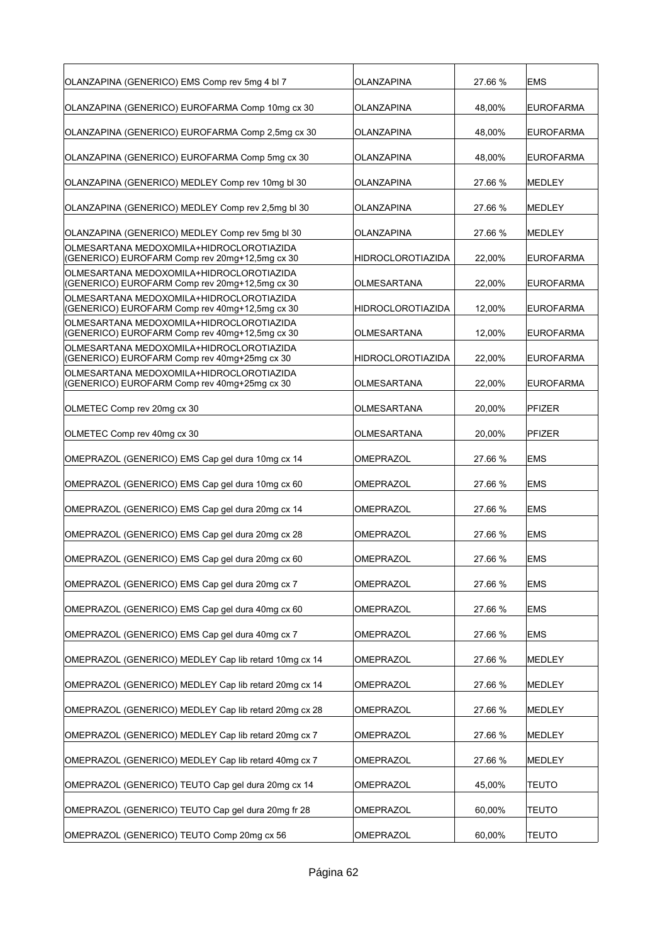| OLANZAPINA (GENERICO) EMS Comp rev 5mg 4 bl 7                                              | OLANZAPINA        | 27.66 % | <b>EMS</b>       |
|--------------------------------------------------------------------------------------------|-------------------|---------|------------------|
| OLANZAPINA (GENERICO) EUROFARMA Comp 10mg cx 30                                            | OLANZAPINA        | 48,00%  | <b>EUROFARMA</b> |
| OLANZAPINA (GENERICO) EUROFARMA Comp 2,5mg cx 30                                           | OLANZAPINA        | 48,00%  | <b>EUROFARMA</b> |
| OLANZAPINA (GENERICO) EUROFARMA Comp 5mg cx 30                                             | OLANZAPINA        | 48,00%  | <b>EUROFARMA</b> |
| OLANZAPINA (GENERICO) MEDLEY Comp rev 10mg bl 30                                           | OLANZAPINA        | 27.66 % | <b>IMEDLEY</b>   |
| OLANZAPINA (GENERICO) MEDLEY Comp rev 2,5mg bl 30                                          | OLANZAPINA        | 27.66 % | MEDLEY           |
| OLANZAPINA (GENERICO) MEDLEY Comp rev 5mg bl 30                                            | OLANZAPINA        | 27.66 % | MEDLEY           |
| OLMESARTANA MEDOXOMILA+HIDROCLOROTIAZIDA<br>(GENERICO) EUROFARM Comp rev 20mg+12,5mg cx 30 | HIDROCLOROTIAZIDA | 22,00%  | <b>EUROFARMA</b> |
| OLMESARTANA MEDOXOMILA+HIDROCLOROTIAZIDA<br>(GENERICO) EUROFARM Comp rev 20mg+12,5mg cx 30 | OLMESARTANA       | 22,00%  | <b>EUROFARMA</b> |
| OLMESARTANA MEDOXOMILA+HIDROCLOROTIAZIDA<br>(GENERICO) EUROFARM Comp rev 40mg+12,5mg cx 30 | HIDROCLOROTIAZIDA | 12,00%  | <b>EUROFARMA</b> |
| OLMESARTANA MEDOXOMILA+HIDROCLOROTIAZIDA<br>(GENERICO) EUROFARM Comp rev 40mg+12,5mg cx 30 | OLMESARTANA       | 12,00%  | <b>EUROFARMA</b> |
| OLMESARTANA MEDOXOMILA+HIDROCLOROTIAZIDA<br>(GENERICO) EUROFARM Comp rev 40mg+25mg cx 30   | HIDROCLOROTIAZIDA | 22,00%  | <b>EUROFARMA</b> |
| OLMESARTANA MEDOXOMILA+HIDROCLOROTIAZIDA<br>(GENERICO) EUROFARM Comp rev 40mg+25mg cx 30   | OLMESARTANA       | 22.00%  | <b>EUROFARMA</b> |
| OLMETEC Comp rev 20mg cx 30                                                                | OLMESARTANA       | 20,00%  | <b>PFIZER</b>    |
| OLMETEC Comp rev 40mg cx 30                                                                | OLMESARTANA       | 20,00%  | <b>PFIZER</b>    |
| OMEPRAZOL (GENERICO) EMS Cap gel dura 10mg cx 14                                           | OMEPRAZOL         | 27.66 % | <b>EMS</b>       |
| OMEPRAZOL (GENERICO) EMS Cap gel dura 10mg cx 60                                           | OMEPRAZOL         | 27.66 % | <b>EMS</b>       |
| OMEPRAZOL (GENERICO) EMS Cap gel dura 20mg cx 14                                           | OMEPRAZOL         | 27.66 % | <b>EMS</b>       |
| OMEPRAZOL (GENERICO) EMS Cap gel dura 20mg cx 28                                           | OMEPRAZOL         | 27.66 % | <b>EMS</b>       |
| OMEPRAZOL (GENERICO) EMS Cap gel dura 20mg cx 60                                           | OMEPRAZOL         | 27.66 % | <b>EMS</b>       |
| OMEPRAZOL (GENERICO) EMS Cap gel dura 20mg cx 7                                            | OMEPRAZOL         | 27.66 % | <b>EMS</b>       |
| OMEPRAZOL (GENERICO) EMS Cap gel dura 40mg cx 60                                           | OMEPRAZOL         | 27.66 % | <b>EMS</b>       |
| OMEPRAZOL (GENERICO) EMS Cap gel dura 40mg cx 7                                            | OMEPRAZOL         | 27.66 % | EMS              |
| OMEPRAZOL (GENERICO) MEDLEY Cap lib retard 10mg cx 14                                      | OMEPRAZOL         | 27.66 % | MEDLEY           |
| OMEPRAZOL (GENERICO) MEDLEY Cap lib retard 20mg cx 14                                      | OMEPRAZOL         | 27.66 % | MEDLEY           |
| OMEPRAZOL (GENERICO) MEDLEY Cap lib retard 20mg cx 28                                      | OMEPRAZOL         | 27.66 % | MEDLEY           |
| OMEPRAZOL (GENERICO) MEDLEY Cap lib retard 20mg cx 7                                       | OMEPRAZOL         | 27.66 % | MEDLEY           |
| OMEPRAZOL (GENERICO) MEDLEY Cap lib retard 40mg cx 7                                       | OMEPRAZOL         | 27.66 % | MEDLEY           |
| OMEPRAZOL (GENERICO) TEUTO Cap gel dura 20mg cx 14                                         | OMEPRAZOL         | 45,00%  | <b>TEUTO</b>     |
| OMEPRAZOL (GENERICO) TEUTO Cap gel dura 20mg fr 28                                         | OMEPRAZOL         | 60,00%  | <b>TEUTO</b>     |
| OMEPRAZOL (GENERICO) TEUTO Comp 20mg cx 56                                                 | OMEPRAZOL         | 60,00%  | <b>TEUTO</b>     |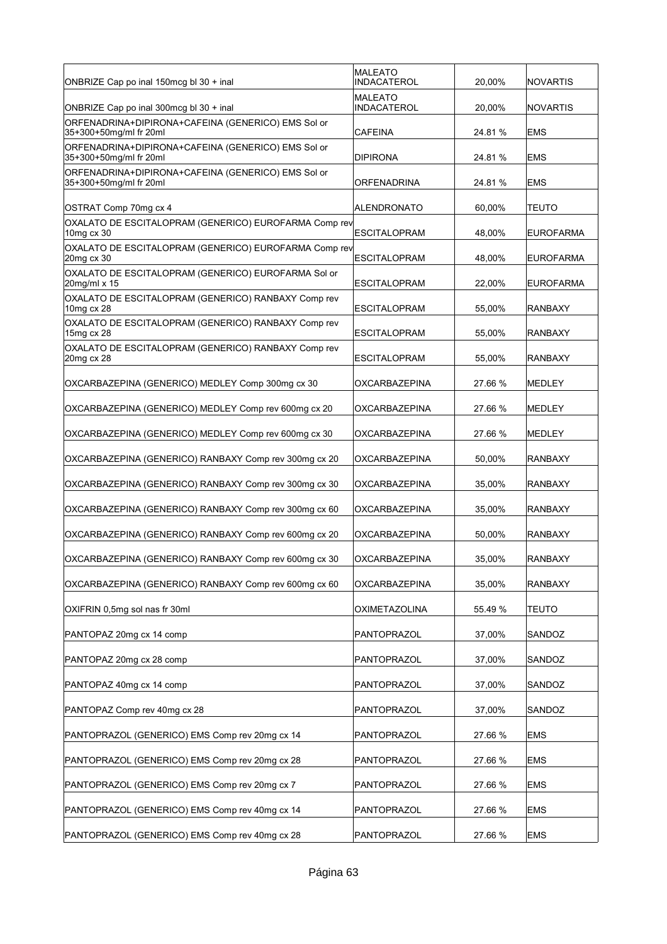| ONBRIZE Cap po inal 150mcg bl 30 + inal                                      | MALEATO<br>INDACATEROL | 20,00%  | <b>NOVARTIS</b>  |
|------------------------------------------------------------------------------|------------------------|---------|------------------|
| ONBRIZE Cap po inal 300mcg bl 30 + inal                                      | MALEATO<br>INDACATEROL | 20,00%  | <b>NOVARTIS</b>  |
| ORFENADRINA+DIPIRONA+CAFEINA (GENERICO) EMS Sol or<br>35+300+50mg/ml fr 20ml | CAFEINA                | 24.81 % | <b>EMS</b>       |
| ORFENADRINA+DIPIRONA+CAFEINA (GENERICO) EMS Sol or<br>35+300+50mg/ml fr 20ml | DIPIRONA               | 24.81 % | <b>EMS</b>       |
| ORFENADRINA+DIPIRONA+CAFEINA (GENERICO) EMS Sol or<br>35+300+50mg/ml fr 20ml | ORFENADRINA            | 24.81 % | <b>EMS</b>       |
| OSTRAT Comp 70mg cx 4                                                        | ALENDRONATO            | 60,00%  | <b>TEUTO</b>     |
| OXALATO DE ESCITALOPRAM (GENERICO) EUROFARMA Comp rev<br>10mg cx 30          | <b>ESCITALOPRAM</b>    | 48,00%  | <b>EUROFARMA</b> |
| OXALATO DE ESCITALOPRAM (GENERICO) EUROFARMA Comp rev<br>20mg cx 30          | <b>ESCITALOPRAM</b>    | 48,00%  | <b>EUROFARMA</b> |
| OXALATO DE ESCITALOPRAM (GENERICO) EUROFARMA Sol or<br>20mg/ml x 15          | <b>ESCITALOPRAM</b>    | 22,00%  | <b>EUROFARMA</b> |
| OXALATO DE ESCITALOPRAM (GENERICO) RANBAXY Comp rev<br>10mg cx 28            | <b>ESCITALOPRAM</b>    | 55,00%  | <b>RANBAXY</b>   |
| OXALATO DE ESCITALOPRAM (GENERICO) RANBAXY Comp rev<br>15mg cx 28            | ESCITALOPRAM           | 55,00%  | <b>RANBAXY</b>   |
| OXALATO DE ESCITALOPRAM (GENERICO) RANBAXY Comp rev<br>20mg cx 28            | ESCITALOPRAM           | 55,00%  | <b>RANBAXY</b>   |
| OXCARBAZEPINA (GENERICO) MEDLEY Comp 300mg cx 30                             | OXCARBAZEPINA          | 27.66 % | <b>MEDLEY</b>    |
| OXCARBAZEPINA (GENERICO) MEDLEY Comp rev 600mg cx 20                         | OXCARBAZEPINA          | 27.66 % | MEDLEY           |
| OXCARBAZEPINA (GENERICO) MEDLEY Comp rev 600mg cx 30                         | OXCARBAZEPINA          | 27.66 % | MEDLEY           |
| OXCARBAZEPINA (GENERICO) RANBAXY Comp rev 300mg cx 20                        | OXCARBAZEPINA          | 50,00%  | <b>RANBAXY</b>   |
| OXCARBAZEPINA (GENERICO) RANBAXY Comp rev 300mg cx 30                        | OXCARBAZEPINA          | 35,00%  | <b>RANBAXY</b>   |
| OXCARBAZEPINA (GENERICO) RANBAXY Comp rev 300mg cx 60                        | OXCARBAZEPINA          | 35,00%  | <b>RANBAXY</b>   |
| OXCARBAZEPINA (GENERICO) RANBAXY Comp rev 600mg cx 20                        | OXCARBAZEPINA          | 50,00%  | <b>RANBAXY</b>   |
| OXCARBAZEPINA (GENERICO) RANBAXY Comp rev 600mg cx 30                        | OXCARBAZEPINA          | 35,00%  | <b>RANBAXY</b>   |
| OXCARBAZEPINA (GENERICO) RANBAXY Comp rev 600mg cx 60                        | <b>OXCARBAZEPINA</b>   | 35,00%  | <b>RANBAXY</b>   |
| OXIFRIN 0,5mg sol nas fr 30ml                                                | <b>OXIMETAZOLINA</b>   | 55.49 % | <b>TEUTO</b>     |
| PANTOPAZ 20mg cx 14 comp                                                     | PANTOPRAZOL            | 37,00%  | SANDOZ           |
| PANTOPAZ 20mg cx 28 comp                                                     | PANTOPRAZOL            | 37,00%  | SANDOZ           |
| PANTOPAZ 40mg cx 14 comp                                                     | PANTOPRAZOL            | 37,00%  | SANDOZ           |
| PANTOPAZ Comp rev 40mg cx 28                                                 | PANTOPRAZOL            | 37,00%  | SANDOZ           |
| PANTOPRAZOL (GENERICO) EMS Comp rev 20mg cx 14                               | PANTOPRAZOL            | 27.66 % | <b>EMS</b>       |
| PANTOPRAZOL (GENERICO) EMS Comp rev 20mg cx 28                               | PANTOPRAZOL            | 27.66 % | <b>EMS</b>       |
| PANTOPRAZOL (GENERICO) EMS Comp rev 20mg cx 7                                | PANTOPRAZOL            | 27.66 % | <b>EMS</b>       |
| PANTOPRAZOL (GENERICO) EMS Comp rev 40mg cx 14                               | PANTOPRAZOL            | 27.66 % | <b>EMS</b>       |
| PANTOPRAZOL (GENERICO) EMS Comp rev 40mg cx 28                               | PANTOPRAZOL            | 27.66 % | <b>EMS</b>       |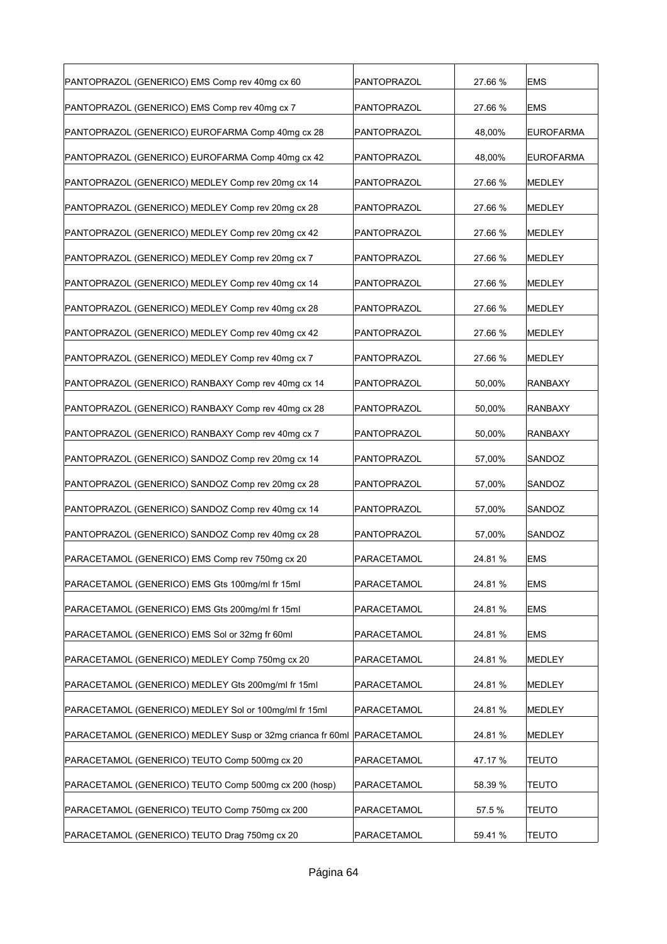| PANTOPRAZOL (GENERICO) EMS Comp rev 40mg cx 60             | PANTOPRAZOL | 27.66 % | <b>EMS</b>       |
|------------------------------------------------------------|-------------|---------|------------------|
| PANTOPRAZOL (GENERICO) EMS Comp rev 40mg cx 7              | PANTOPRAZOL | 27.66 % | <b>EMS</b>       |
| PANTOPRAZOL (GENERICO) EUROFARMA Comp 40mg cx 28           | PANTOPRAZOL | 48,00%  | <b>EUROFARMA</b> |
| PANTOPRAZOL (GENERICO) EUROFARMA Comp 40mg cx 42           | PANTOPRAZOL | 48,00%  | <b>EUROFARMA</b> |
| PANTOPRAZOL (GENERICO) MEDLEY Comp rev 20mg cx 14          | PANTOPRAZOL | 27.66 % | MEDLEY           |
| PANTOPRAZOL (GENERICO) MEDLEY Comp rev 20mg cx 28          | PANTOPRAZOL | 27.66 % | <b>MEDLEY</b>    |
| PANTOPRAZOL (GENERICO) MEDLEY Comp rev 20mg cx 42          | PANTOPRAZOL | 27.66 % | MEDLEY           |
| PANTOPRAZOL (GENERICO) MEDLEY Comp rev 20mg cx 7           | PANTOPRAZOL | 27.66 % | MEDLEY           |
| PANTOPRAZOL (GENERICO) MEDLEY Comp rev 40mg cx 14          | PANTOPRAZOL | 27.66 % | MEDLEY           |
| PANTOPRAZOL (GENERICO) MEDLEY Comp rev 40mg cx 28          | PANTOPRAZOL | 27.66 % | <b>MEDLEY</b>    |
| PANTOPRAZOL (GENERICO) MEDLEY Comp rev 40mg cx 42          | PANTOPRAZOL | 27.66 % | MEDLEY           |
| PANTOPRAZOL (GENERICO) MEDLEY Comp rev 40mg cx 7           | PANTOPRAZOL | 27.66 % | MEDLEY           |
| PANTOPRAZOL (GENERICO) RANBAXY Comp rev 40mg cx 14         | PANTOPRAZOL | 50,00%  | RANBAXY          |
| PANTOPRAZOL (GENERICO) RANBAXY Comp rev 40mg cx 28         | PANTOPRAZOL | 50,00%  | RANBAXY          |
| PANTOPRAZOL (GENERICO) RANBAXY Comp rev 40mg cx 7          | PANTOPRAZOL | 50,00%  | <b>RANBAXY</b>   |
| PANTOPRAZOL (GENERICO) SANDOZ Comp rev 20mg cx 14          | PANTOPRAZOL | 57,00%  | SANDOZ           |
| PANTOPRAZOL (GENERICO) SANDOZ Comp rev 20mg cx 28          | PANTOPRAZOL | 57,00%  | SANDOZ           |
| PANTOPRAZOL (GENERICO) SANDOZ Comp rev 40mg cx 14          | PANTOPRAZOL | 57,00%  | SANDOZ           |
| PANTOPRAZOL (GENERICO) SANDOZ Comp rev 40mg cx 28          | PANTOPRAZOL | 57,00%  | <b>SANDOZ</b>    |
| PARACETAMOL (GENERICO) EMS Comp rev 750mg cx 20            | PARACETAMOL | 24.81 % | <b>EMS</b>       |
| PARACETAMOL (GENERICO) EMS Gts 100mg/ml fr 15ml            | PARACETAMOL | 24.81%  | <b>EMS</b>       |
| PARACETAMOL (GENERICO) EMS Gts 200mg/ml fr 15ml            | PARACETAMOL | 24.81%  | <b>EMS</b>       |
| PARACETAMOL (GENERICO) EMS Sol or 32mg fr 60ml             | PARACETAMOL | 24.81%  | <b>EMS</b>       |
| PARACETAMOL (GENERICO) MEDLEY Comp 750mg cx 20             | PARACETAMOL | 24.81 % | MEDLEY           |
| PARACETAMOL (GENERICO) MEDLEY Gts 200mg/ml fr 15ml         | PARACETAMOL | 24.81%  | MEDLEY           |
| PARACETAMOL (GENERICO) MEDLEY Sol or 100mg/ml fr 15ml      | PARACETAMOL | 24.81 % | MEDLEY           |
| PARACETAMOL (GENERICO) MEDLEY Susp or 32mg crianca fr 60ml | PARACETAMOL | 24.81%  | MEDLEY           |
| PARACETAMOL (GENERICO) TEUTO Comp 500mg cx 20              | PARACETAMOL | 47.17 % | <b>TEUTO</b>     |
| PARACETAMOL (GENERICO) TEUTO Comp 500mg cx 200 (hosp)      | PARACETAMOL | 58.39 % | TEUTO            |
| PARACETAMOL (GENERICO) TEUTO Comp 750mg cx 200             | PARACETAMOL | 57.5%   | <b>TEUTO</b>     |
| PARACETAMOL (GENERICO) TEUTO Drag 750mg cx 20              | PARACETAMOL | 59.41 % | <b>TEUTO</b>     |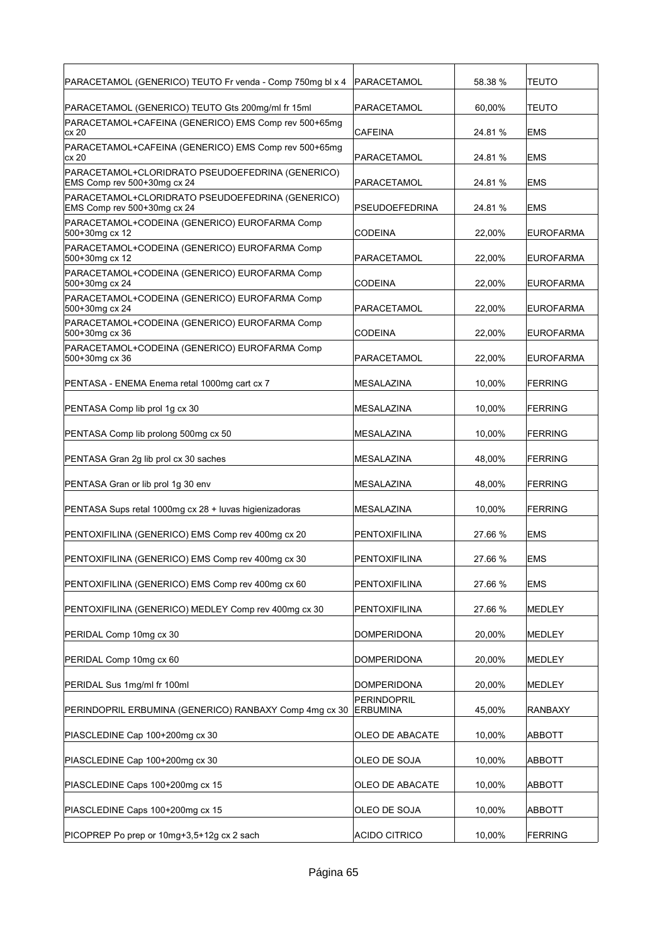| PARACETAMOL (GENERICO) TEUTO Fr venda - Comp 750mg bl x 4                       | PARACETAMOL                           | 58.38 % | <b>TEUTO</b>     |
|---------------------------------------------------------------------------------|---------------------------------------|---------|------------------|
| PARACETAMOL (GENERICO) TEUTO Gts 200mg/ml fr 15ml                               | PARACETAMOL                           | 60,00%  | <b>TEUTO</b>     |
| PARACETAMOL+CAFEINA (GENERICO) EMS Comp rev 500+65mg<br>cx 20                   | CAFEINA                               | 24.81 % | <b>EMS</b>       |
| PARACETAMOL+CAFEINA (GENERICO) EMS Comp rev 500+65mg<br>cx 20                   | PARACETAMOL                           | 24.81 % | <b>EMS</b>       |
| PARACETAMOL+CLORIDRATO PSEUDOEFEDRINA (GENERICO)<br>EMS Comp rev 500+30mg cx 24 | PARACETAMOL                           | 24.81 % | <b>EMS</b>       |
| PARACETAMOL+CLORIDRATO PSEUDOEFEDRINA (GENERICO)<br>EMS Comp rev 500+30mg cx 24 | <b>PSEUDOEFEDRINA</b>                 | 24.81 % | <b>EMS</b>       |
| PARACETAMOL+CODEINA (GENERICO) EUROFARMA Comp<br>500+30mg cx 12                 | CODEINA                               | 22,00%  | <b>EUROFARMA</b> |
| PARACETAMOL+CODEINA (GENERICO) EUROFARMA Comp<br>500+30mg cx 12                 | PARACETAMOL                           | 22,00%  | EUROFARMA        |
| PARACETAMOL+CODEINA (GENERICO) EUROFARMA Comp<br>500+30mg cx 24                 | <b>CODEINA</b>                        | 22,00%  | <b>EUROFARMA</b> |
| PARACETAMOL+CODEINA (GENERICO) EUROFARMA Comp<br>500+30mg cx 24                 | PARACETAMOL                           | 22.00%  | <b>EUROFARMA</b> |
| PARACETAMOL+CODEINA (GENERICO) EUROFARMA Comp<br>500+30mg cx 36                 | CODEINA                               | 22,00%  | <b>EUROFARMA</b> |
| PARACETAMOL+CODEINA (GENERICO) EUROFARMA Comp<br>500+30mg cx 36                 | PARACETAMOL                           | 22,00%  | <b>EUROFARMA</b> |
| PENTASA - ENEMA Enema retal 1000mg cart cx 7                                    | MESALAZINA                            | 10,00%  | <b>FERRING</b>   |
| PENTASA Comp lib prol 1g cx 30                                                  | <b>MESALAZINA</b>                     | 10,00%  | <b>FERRING</b>   |
| PENTASA Comp lib prolong 500mg cx 50                                            | MESALAZINA                            | 10,00%  | <b>FERRING</b>   |
| PENTASA Gran 2g lib prol cx 30 saches                                           | MESALAZINA                            | 48,00%  | <b>FERRING</b>   |
| PENTASA Gran or lib prol 1g 30 env                                              | MESALAZINA                            | 48,00%  | <b>FERRING</b>   |
| PENTASA Sups retal 1000mg cx 28 + luvas higienizadoras                          | MESALAZINA                            | 10,00%  | <b>FERRING</b>   |
| PENTOXIFILINA (GENERICO) EMS Comp rev 400mg cx 20                               | PENTOXIFILINA                         | 27.66 % | <b>EMS</b>       |
| PENTOXIFILINA (GENERICO) EMS Comp rev 400mg cx 30                               | PENTOXIFILINA                         | 27.66 % | EMS              |
| PENTOXIFILINA (GENERICO) EMS Comp rev 400mg cx 60                               | PENTOXIFILINA                         | 27.66 % | <b>EMS</b>       |
| PENTOXIFILINA (GENERICO) MEDLEY Comp rev 400mg cx 30                            | <b>PENTOXIFILINA</b>                  | 27.66 % | MEDLEY           |
| PERIDAL Comp 10mg cx 30                                                         | <b>DOMPERIDONA</b>                    | 20,00%  | <b>MEDLEY</b>    |
| PERIDAL Comp 10mg cx 60                                                         | <b>DOMPERIDONA</b>                    | 20,00%  | MEDLEY           |
| PERIDAL Sus 1mg/ml fr 100ml                                                     | <b>DOMPERIDONA</b>                    | 20,00%  | MEDLEY           |
| PERINDOPRIL ERBUMINA (GENERICO) RANBAXY Comp 4mg cx 30                          | <b>PERINDOPRIL</b><br><b>ERBUMINA</b> | 45,00%  | RANBAXY          |
| PIASCLEDINE Cap 100+200mg cx 30                                                 | OLEO DE ABACATE                       | 10,00%  | ABBOTT           |
| PIASCLEDINE Cap 100+200mg cx 30                                                 | OLEO DE SOJA                          | 10,00%  | ABBOTT           |
| PIASCLEDINE Caps 100+200mg cx 15                                                | OLEO DE ABACATE                       | 10,00%  | ABBOTT           |
| PIASCLEDINE Caps 100+200mg cx 15                                                | OLEO DE SOJA                          | 10,00%  | ABBOTT           |
| PICOPREP Po prep or 10mg+3,5+12g cx 2 sach                                      | <b>ACIDO CITRICO</b>                  | 10,00%  | <b>FERRING</b>   |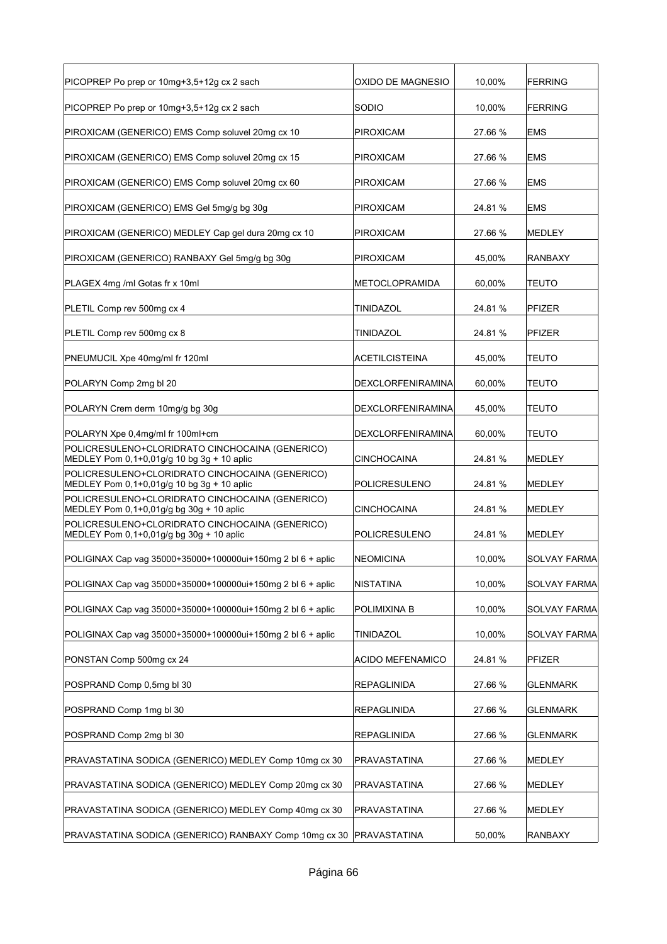| PICOPREP Po prep or 10mg+3,5+12g cx 2 sach                                                      | OXIDO DE MAGNESIO       | 10,00%  | <b>FERRING</b>      |
|-------------------------------------------------------------------------------------------------|-------------------------|---------|---------------------|
| PICOPREP Po prep or 10mg+3,5+12g cx 2 sach                                                      | SODIO                   | 10,00%  | <b>FERRING</b>      |
| PIROXICAM (GENERICO) EMS Comp soluvel 20mg cx 10                                                | <b>PIROXICAM</b>        | 27.66 % | EMS                 |
| PIROXICAM (GENERICO) EMS Comp soluvel 20mg cx 15                                                | PIROXICAM               | 27.66 % | EMS                 |
| PIROXICAM (GENERICO) EMS Comp soluvel 20mg cx 60                                                | PIROXICAM               | 27.66 % | EMS                 |
| PIROXICAM (GENERICO) EMS Gel 5mg/g bg 30g                                                       | PIROXICAM               | 24.81 % | <b>EMS</b>          |
| PIROXICAM (GENERICO) MEDLEY Cap gel dura 20mg cx 10                                             | PIROXICAM               | 27.66 % | <b>MEDLEY</b>       |
| PIROXICAM (GENERICO) RANBAXY Gel 5mg/g bg 30g                                                   | PIROXICAM               | 45,00%  | <b>RANBAXY</b>      |
| PLAGEX 4mg /ml Gotas fr x 10ml                                                                  | METOCLOPRAMIDA          | 60.00%  | <b>TEUTO</b>        |
| PLETIL Comp rev 500mg cx 4                                                                      | TINIDAZOL               | 24.81 % | <b>PFIZER</b>       |
| PLETIL Comp rev 500mg cx 8                                                                      | TINIDAZOL               | 24.81 % | <b>PFIZER</b>       |
| PNEUMUCIL Xpe 40mg/ml fr 120ml                                                                  | ACETILCISTEINA          | 45,00%  | TEUTO               |
| POLARYN Comp 2mg bl 20                                                                          | DEXCLORFENIRAMINA       | 60,00%  | TEUTO               |
| POLARYN Crem derm 10mg/g bg 30g                                                                 | DEXCLORFENIRAMINA       | 45,00%  | TEUTO               |
| POLARYN Xpe 0,4mg/ml fr 100ml+cm                                                                | DEXCLORFENIRAMINA       | 60,00%  | <b>TEUTO</b>        |
| POLICRESULENO+CLORIDRATO CINCHOCAINA (GENERICO)<br>MEDLEY Pom 0,1+0,01g/g 10 bg 3g + 10 aplic   | <b>CINCHOCAINA</b>      | 24.81%  | <b>MEDLEY</b>       |
| POLICRESULENO+CLORIDRATO CINCHOCAINA (GENERICO)<br>MEDLEY Pom 0,1+0,01g/g 10 bg 3g + 10 aplic   | POLICRESULENO           | 24.81%  | MEDLEY              |
| POLICRESULENO+CLORIDRATO CINCHOCAINA (GENERICO)<br>MEDLEY Pom 0,1+0,01g/g bg 30g + 10 aplic     | CINCHOCAINA             | 24.81%  | MEDLEY              |
| POLICRESULENO+CLORIDRATO CINCHOCAINA (GENERICO)<br>MEDLEY Pom $0,1+0,01q/q$ bg $30q + 10$ aplic | POLICRESULENO           | 24.81 % | <b>MEDLEY</b>       |
| POLIGINAX Cap vag 35000+35000+100000ui+150mg 2 bl 6 + aplic                                     | NEOMICINA               | 10,00%  | <b>SOLVAY FARMA</b> |
| POLIGINAX Cap vag 35000+35000+100000ui+150mg 2 bl 6 + aplic                                     | <b>NISTATINA</b>        | 10,00%  | <b>SOLVAY FARMA</b> |
| POLIGINAX Cap vag 35000+35000+100000ui+150mg 2 bl 6 + aplic                                     | POLIMIXINA B            | 10,00%  | <b>SOLVAY FARMA</b> |
| POLIGINAX Cap vag 35000+35000+100000ui+150mg 2 bl 6 + aplic                                     | TINIDAZOL               | 10,00%  | <b>SOLVAY FARMA</b> |
| PONSTAN Comp 500mg cx 24                                                                        | <b>ACIDO MEFENAMICO</b> | 24.81 % | PFIZER              |
| POSPRAND Comp 0,5mg bl 30                                                                       | <b>REPAGLINIDA</b>      | 27.66 % | <b>GLENMARK</b>     |
| POSPRAND Comp 1mg bl 30                                                                         | <b>REPAGLINIDA</b>      | 27.66 % | <b>GLENMARK</b>     |
| POSPRAND Comp 2mg bl 30                                                                         | REPAGLINIDA             | 27.66 % | <b>GLENMARK</b>     |
| PRAVASTATINA SODICA (GENERICO) MEDLEY Comp 10mg cx 30                                           | PRAVASTATINA            | 27.66 % | MEDLEY              |
| PRAVASTATINA SODICA (GENERICO) MEDLEY Comp 20mg cx 30                                           | PRAVASTATINA            | 27.66 % | MEDLEY              |
| PRAVASTATINA SODICA (GENERICO) MEDLEY Comp 40mg cx 30                                           | PRAVASTATINA            | 27.66 % | <b>MEDLEY</b>       |
| PRAVASTATINA SODICA (GENERICO) RANBAXY Comp 10mg cx 30 PRAVASTATINA                             |                         | 50,00%  | <b>RANBAXY</b>      |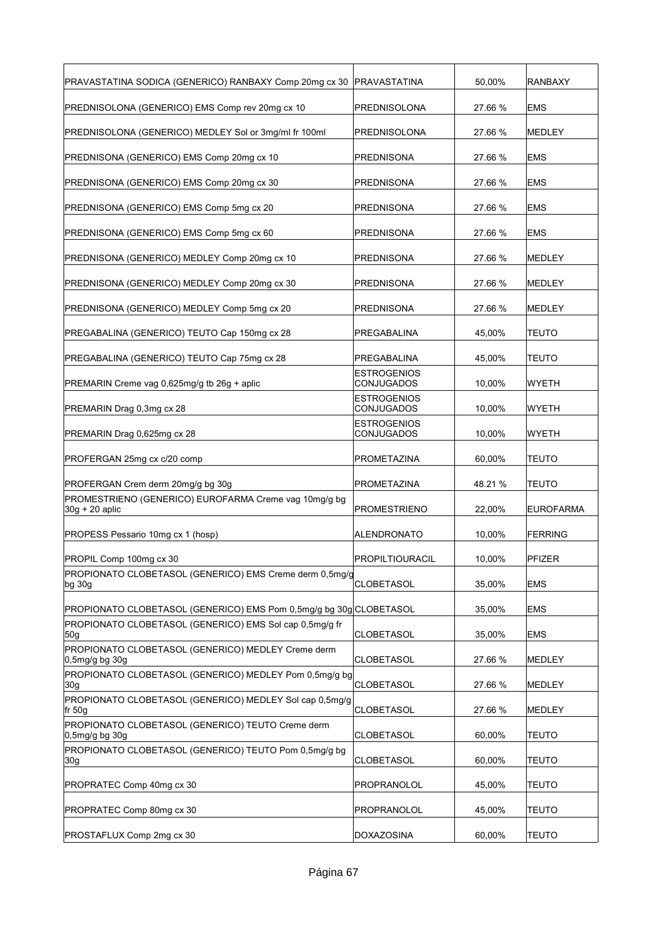| PRAVASTATINA SODICA (GENERICO) RANBAXY Comp 20mg cx 30                    | PRAVASTATINA                     | 50.00%  | <b>RANBAXY</b>   |
|---------------------------------------------------------------------------|----------------------------------|---------|------------------|
| PREDNISOLONA (GENERICO) EMS Comp rev 20mg cx 10                           | PREDNISOLONA                     | 27.66 % | <b>EMS</b>       |
| PREDNISOLONA (GENERICO) MEDLEY Sol or 3mg/ml fr 100ml                     | PREDNISOLONA                     | 27.66 % | <b>MEDLEY</b>    |
| PREDNISONA (GENERICO) EMS Comp 20mg cx 10                                 | PREDNISONA                       | 27.66 % | <b>EMS</b>       |
| PREDNISONA (GENERICO) EMS Comp 20mg cx 30                                 | PREDNISONA                       | 27.66 % | <b>EMS</b>       |
| PREDNISONA (GENERICO) EMS Comp 5mg cx 20                                  | PREDNISONA                       | 27.66 % | <b>EMS</b>       |
| PREDNISONA (GENERICO) EMS Comp 5mg cx 60                                  | PREDNISONA                       | 27.66 % | <b>EMS</b>       |
| PREDNISONA (GENERICO) MEDLEY Comp 20mg cx 10                              | PREDNISONA                       | 27.66 % | MEDLEY           |
| PREDNISONA (GENERICO) MEDLEY Comp 20mg cx 30                              | PREDNISONA                       | 27.66 % | <b>MEDLEY</b>    |
| PREDNISONA (GENERICO) MEDLEY Comp 5mg cx 20                               | PREDNISONA                       | 27.66 % | <b>MEDLEY</b>    |
| PREGABALINA (GENERICO) TEUTO Cap 150mg cx 28                              | PREGABALINA                      | 45,00%  | <b>TEUTO</b>     |
| PREGABALINA (GENERICO) TEUTO Cap 75mg cx 28                               | PREGABALINA                      | 45,00%  | <b>TEUTO</b>     |
| PREMARIN Creme vag 0,625mg/g tb 26g + aplic                               | <b>ESTROGENIOS</b><br>CONJUGADOS | 10,00%  | WYETH            |
| PREMARIN Drag 0,3mg cx 28                                                 | ESTROGENIOS<br>CONJUGADOS        | 10,00%  | WYETH            |
| PREMARIN Drag 0,625mg cx 28                                               | <b>ESTROGENIOS</b><br>CONJUGADOS | 10,00%  | WYETH            |
| PROFERGAN 25mg cx c/20 comp                                               | PROMETAZINA                      | 60,00%  | <b>TEUTO</b>     |
| PROFERGAN Crem derm 20mg/g bg 30g                                         | PROMETAZINA                      | 48.21 % | <b>TEUTO</b>     |
| PROMESTRIENO (GENERICO) EUROFARMA Creme vag 10mg/g bg<br>$30g + 20$ aplic | PROMESTRIENO                     | 22,00%  | <b>EUROFARMA</b> |
| PROPESS Pessario 10mg cx 1 (hosp)                                         | ALENDRONATO                      | 10,00%  | <b>FERRING</b>   |
| PROPIL Comp 100mg cx 30                                                   | <b>PROPILTIOURACIL</b>           | 10.00%  | PFIZER           |
| PROPIONATO CLOBETASOL (GENERICO) EMS Creme derm 0,5mg/g<br>bg 30g         | CLOBETASOL                       | 35,00%  | <b>EMS</b>       |
| PROPIONATO CLOBETASOL (GENERICO) EMS Pom 0,5mg/g bg 30g CLOBETASOL        |                                  | 35,00%  | <b>EMS</b>       |
| PROPIONATO CLOBETASOL (GENERICO) EMS Sol cap 0,5mg/g fr<br>50g            | CLOBETASOL                       | 35,00%  | EMS              |
| PROPIONATO CLOBETASOL (GENERICO) MEDLEY Creme derm<br>0,5mg/g bg 30g      | <b>CLOBETASOL</b>                | 27.66 % | MEDLEY           |
| PROPIONATO CLOBETASOL (GENERICO) MEDLEY Pom 0,5mg/g bg<br>30g             | CLOBETASOL                       | 27.66 % | <b>MEDLEY</b>    |
| PROPIONATO CLOBETASOL (GENERICO) MEDLEY Sol cap 0,5mg/g<br>fr 50g         | CLOBETASOL                       | 27.66 % | MEDLEY           |
| PROPIONATO CLOBETASOL (GENERICO) TEUTO Creme derm<br>0,5mg/g bg 30g       | <b>CLOBETASOL</b>                | 60,00%  | <b>TEUTO</b>     |
| PROPIONATO CLOBETASOL (GENERICO) TEUTO Pom 0,5mg/g bg<br>30g              | <b>CLOBETASOL</b>                | 60,00%  | <b>TEUTO</b>     |
|                                                                           | PROPRANOLOL                      | 45,00%  |                  |
| PROPRATEC Comp 80mg cx 30                                                 | PROPRANOLOL                      | 45,00%  | <b>TEUTO</b>     |
| PROSTAFLUX Comp 2mg cx 30                                                 | DOXAZOSINA                       | 60,00%  | <b>TEUTO</b>     |
| PROPRATEC Comp 40mg cx 30                                                 |                                  |         | <b>TEUTO</b>     |
|                                                                           |                                  |         |                  |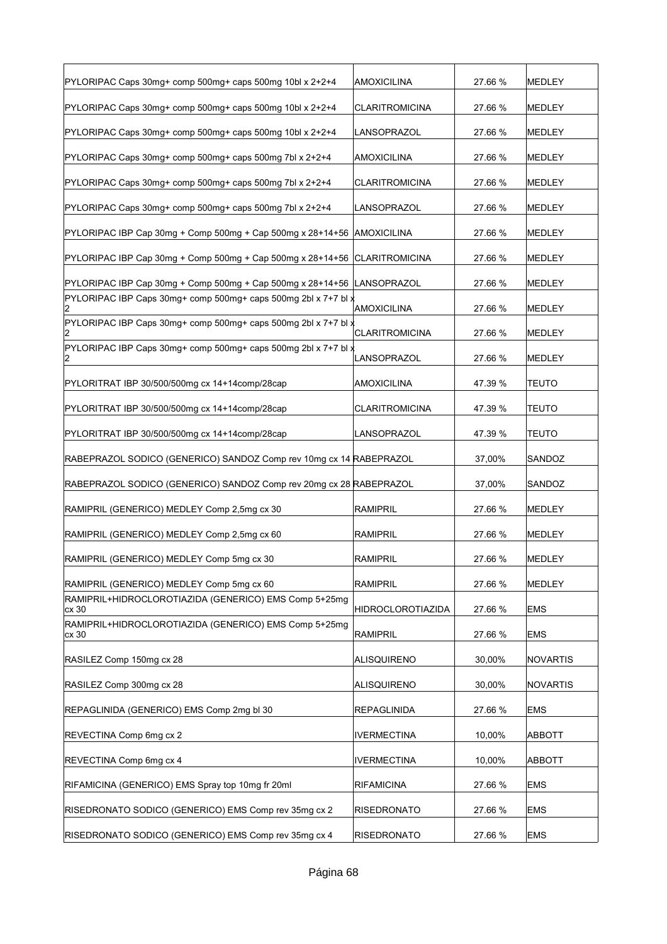| PYLORIPAC Caps 30mg+ comp 500mg+ caps 500mg 10bl x 2+2+4               | <b>AMOXICILINA</b>    | 27.66 % | MEDLEY        |
|------------------------------------------------------------------------|-----------------------|---------|---------------|
| PYLORIPAC Caps 30mg+ comp 500mg+ caps 500mg 10bl x 2+2+4               | <b>CLARITROMICINA</b> | 27.66 % | MEDLEY        |
| PYLORIPAC Caps 30mg+ comp 500mg+ caps 500mg 10bl x 2+2+4               | LANSOPRAZOL           | 27.66 % | MEDLEY        |
| PYLORIPAC Caps 30mg+ comp 500mg+ caps 500mg 7bl x 2+2+4                | <b>AMOXICILINA</b>    | 27.66 % | MEDLEY        |
| PYLORIPAC Caps 30mg+ comp 500mg+ caps 500mg 7bl x 2+2+4                | <b>CLARITROMICINA</b> | 27.66 % | MEDLEY        |
| PYLORIPAC Caps 30mg+ comp 500mg+ caps 500mg 7bl x 2+2+4                | LANSOPRAZOL           | 27.66 % | MEDLEY        |
| PYLORIPAC IBP Cap 30mg + Comp 500mg + Cap 500mg x 28+14+56             | AMOXICILINA           | 27.66 % | MEDLEY        |
| PYLORIPAC IBP Cap 30mg + Comp 500mg + Cap 500mg x 28+14+56             | <b>CLARITROMICINA</b> | 27.66 % | MEDLEY        |
| PYLORIPAC IBP Cap 30mg + Comp 500mg + Cap 500mg x 28+14+56             | LANSOPRAZOL           | 27.66 % | <b>MEDLEY</b> |
| PYLORIPAC IBP Caps 30mg+ comp 500mg+ caps 500mg 2bl x 7+7 bl $\chi$    | AMOXICILINA           | 27.66 % | MEDLEY        |
| PYLORIPAC IBP Caps 30mg+ comp 500mg+ caps 500mg 2bl x 7+7 bl $\chi$    | <b>CLARITROMICINA</b> | 27.66 % | MEDLEY        |
| PYLORIPAC IBP Caps 30mg+ comp 500mg+ caps 500mg 2bl x 7+7 bl $x$<br>12 | LANSOPRAZOL           | 27.66 % | <b>MEDLEY</b> |
| PYLORITRAT IBP 30/500/500mg cx 14+14comp/28cap                         | <b>AMOXICILINA</b>    | 47.39 % | <b>TEUTO</b>  |
| PYLORITRAT IBP 30/500/500mg cx 14+14comp/28cap                         | <b>CLARITROMICINA</b> | 47.39 % | <b>TEUTO</b>  |
| PYLORITRAT IBP 30/500/500mg cx 14+14comp/28cap                         | LANSOPRAZOL           | 47.39 % | <b>TEUTO</b>  |
| RABEPRAZOL SODICO (GENERICO) SANDOZ Comp rev 10mg cx 14 RABEPRAZOL     |                       | 37,00%  | SANDOZ        |
| RABEPRAZOL SODICO (GENERICO) SANDOZ Comp rev 20mg cx 28 RABEPRAZOL     |                       | 37,00%  | SANDOZ        |
| RAMIPRIL (GENERICO) MEDLEY Comp 2,5mg cx 30                            | <b>RAMIPRIL</b>       | 27.66 % | <b>MEDLEY</b> |
| RAMIPRIL (GENERICO) MEDLEY Comp 2,5mg cx 60                            | <b>RAMIPRIL</b>       | 27.66 % | MEDLEY        |
| RAMIPRIL (GENERICO) MEDLEY Comp 5mg cx 30                              | RAMIPRIL              | 27.66 % | MEDLEY        |
| RAMIPRIL (GENERICO) MEDLEY Comp 5mg cx 60                              | RAMIPRIL              | 27.66 % | <b>MEDLEY</b> |
| RAMIPRIL+HIDROCLOROTIAZIDA (GENERICO) EMS Comp 5+25mg<br>cx 30         | HIDROCLOROTIAZIDA     | 27.66 % | <b>EMS</b>    |
| RAMIPRIL+HIDROCLOROTIAZIDA (GENERICO) EMS Comp 5+25mg<br>cx 30         | <b>RAMIPRIL</b>       | 27.66 % | <b>EMS</b>    |
| RASILEZ Comp 150mg cx 28                                               | <b>ALISQUIRENO</b>    | 30,00%  | NOVARTIS      |
| RASILEZ Comp 300mg cx 28                                               | <b>ALISQUIRENO</b>    | 30,00%  | NOVARTIS      |
| REPAGLINIDA (GENERICO) EMS Comp 2mg bl 30                              | <b>REPAGLINIDA</b>    | 27.66 % | <b>EMS</b>    |
| REVECTINA Comp 6mg cx 2                                                | IVERMECTINA           | 10,00%  | ABBOTT        |
| REVECTINA Comp 6mg cx 4                                                | <b>IVERMECTINA</b>    | 10,00%  | ABBOTT        |
| RIFAMICINA (GENERICO) EMS Spray top 10mg fr 20ml                       | <b>RIFAMICINA</b>     | 27.66 % | <b>EMS</b>    |
| RISEDRONATO SODICO (GENERICO) EMS Comp rev 35mg cx 2                   | <b>RISEDRONATO</b>    | 27.66 % | <b>EMS</b>    |
| RISEDRONATO SODICO (GENERICO) EMS Comp rev 35mg cx 4                   | <b>RISEDRONATO</b>    | 27.66 % | <b>EMS</b>    |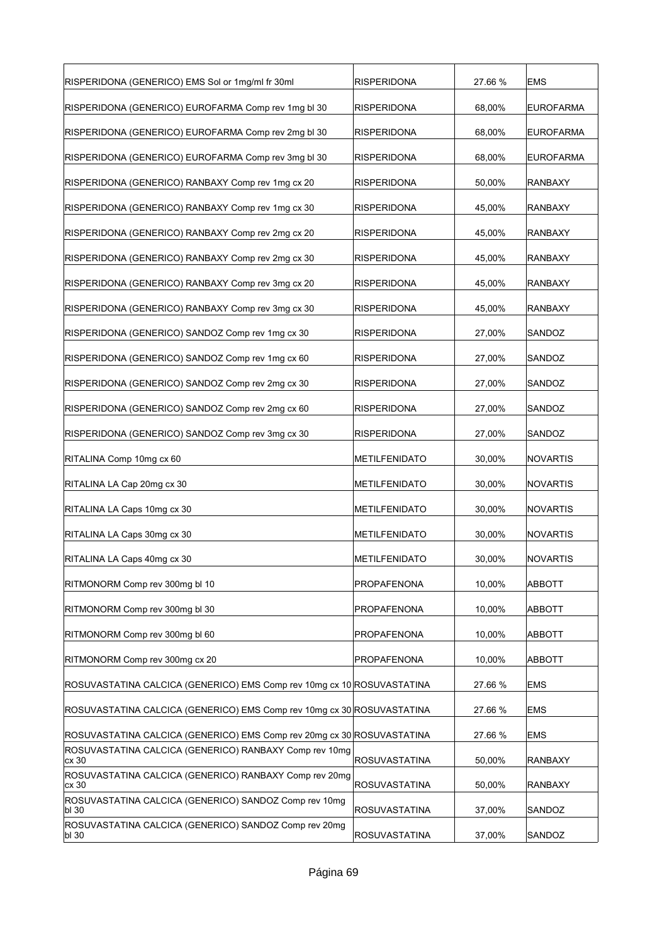| RISPERIDONA (GENERICO) EMS Sol or 1mg/ml fr 30ml                       | <b>RISPERIDONA</b>   | 27.66 % | <b>EMS</b>       |
|------------------------------------------------------------------------|----------------------|---------|------------------|
| RISPERIDONA (GENERICO) EUROFARMA Comp rev 1mg bl 30                    | <b>RISPERIDONA</b>   | 68,00%  | <b>EUROFARMA</b> |
| RISPERIDONA (GENERICO) EUROFARMA Comp rev 2mg bl 30                    | <b>RISPERIDONA</b>   | 68,00%  | <b>EUROFARMA</b> |
| RISPERIDONA (GENERICO) EUROFARMA Comp rev 3mg bl 30                    | <b>RISPERIDONA</b>   | 68,00%  | <b>EUROFARMA</b> |
| RISPERIDONA (GENERICO) RANBAXY Comp rev 1mg cx 20                      | <b>RISPERIDONA</b>   | 50,00%  | <b>RANBAXY</b>   |
| RISPERIDONA (GENERICO) RANBAXY Comp rev 1mg cx 30                      | <b>RISPERIDONA</b>   | 45,00%  | <b>RANBAXY</b>   |
| RISPERIDONA (GENERICO) RANBAXY Comp rev 2mg cx 20                      | <b>RISPERIDONA</b>   | 45,00%  | <b>RANBAXY</b>   |
| RISPERIDONA (GENERICO) RANBAXY Comp rev 2mg cx 30                      | <b>RISPERIDONA</b>   | 45,00%  | <b>RANBAXY</b>   |
| RISPERIDONA (GENERICO) RANBAXY Comp rev 3mg cx 20                      | <b>RISPERIDONA</b>   | 45,00%  | <b>RANBAXY</b>   |
| RISPERIDONA (GENERICO) RANBAXY Comp rev 3mg cx 30                      | <b>RISPERIDONA</b>   | 45,00%  | <b>RANBAXY</b>   |
| RISPERIDONA (GENERICO) SANDOZ Comp rev 1mg cx 30                       | <b>RISPERIDONA</b>   | 27,00%  | SANDOZ           |
| RISPERIDONA (GENERICO) SANDOZ Comp rev 1mg cx 60                       | <b>RISPERIDONA</b>   | 27,00%  | SANDOZ           |
| RISPERIDONA (GENERICO) SANDOZ Comp rev 2mg cx 30                       | <b>RISPERIDONA</b>   | 27,00%  | SANDOZ           |
| RISPERIDONA (GENERICO) SANDOZ Comp rev 2mg cx 60                       | <b>RISPERIDONA</b>   | 27,00%  | SANDOZ           |
| RISPERIDONA (GENERICO) SANDOZ Comp rev 3mg cx 30                       | <b>RISPERIDONA</b>   | 27,00%  | SANDOZ           |
| RITALINA Comp 10mg cx 60                                               | METILFENIDATO        | 30,00%  | NOVARTIS         |
| RITALINA LA Cap 20mg cx 30                                             | METILFENIDATO        | 30,00%  | NOVARTIS         |
| RITALINA LA Caps 10mg cx 30                                            | METILFENIDATO        | 30,00%  | <b>NOVARTIS</b>  |
| RITALINA LA Caps 30mg cx 30                                            | METILFENIDATO        | 30,00%  | NOVARTIS         |
| RITALINA LA Caps 40mg cx 30                                            | METILFENIDATO        | 30,00%  | NOVARTIS         |
| RITMONORM Comp rev 300mg bl 10                                         | PROPAFENONA          | 10,00%  | <b>ABBOTT</b>    |
| RITMONORM Comp rev 300mg bl 30                                         | <b>PROPAFENONA</b>   | 10,00%  | <b>ABBOTT</b>    |
| RITMONORM Comp rev 300mg bl 60                                         | PROPAFENONA          | 10,00%  | <b>ABBOTT</b>    |
| RITMONORM Comp rev 300mg cx 20                                         | PROPAFENONA          | 10,00%  | ABBOTT           |
| ROSUVASTATINA CALCICA (GENERICO) EMS Comp rev 10mg cx 10 ROSUVASTATINA |                      | 27.66 % | <b>EMS</b>       |
| ROSUVASTATINA CALCICA (GENERICO) EMS Comp rev 10mg cx 30 ROSUVASTATINA |                      | 27.66 % | <b>EMS</b>       |
| ROSUVASTATINA CALCICA (GENERICO) EMS Comp rev 20mg cx 30 ROSUVASTATINA |                      | 27.66 % | <b>EMS</b>       |
| ROSUVASTATINA CALCICA (GENERICO) RANBAXY Comp rev 10mg<br>cx 30        | <b>ROSUVASTATINA</b> | 50,00%  | <b>RANBAXY</b>   |
| ROSUVASTATINA CALCICA (GENERICO) RANBAXY Comp rev 20mg<br>cx30         | <b>ROSUVASTATINA</b> | 50,00%  | <b>RANBAXY</b>   |
| ROSUVASTATINA CALCICA (GENERICO) SANDOZ Comp rev 10mg<br>bl 30         | <b>ROSUVASTATINA</b> | 37,00%  | SANDOZ           |
| ROSUVASTATINA CALCICA (GENERICO) SANDOZ Comp rev 20mg<br>bl 30         | <b>ROSUVASTATINA</b> | 37,00%  | SANDOZ           |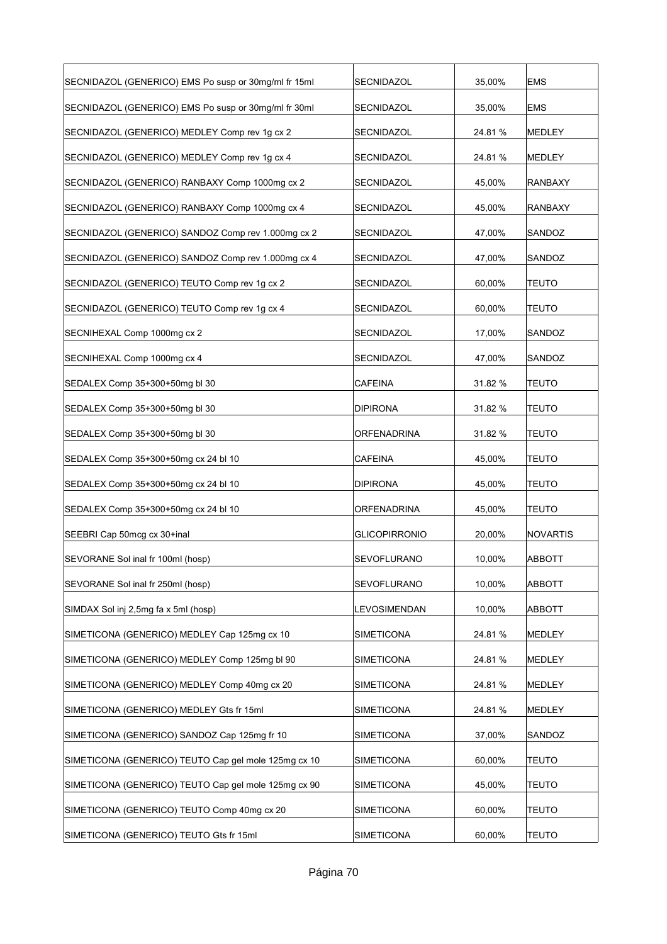| SECNIDAZOL (GENERICO) EMS Po susp or 30mg/ml fr 15ml | SECNIDAZOL           | 35,00%  | <b>EMS</b>     |
|------------------------------------------------------|----------------------|---------|----------------|
| SECNIDAZOL (GENERICO) EMS Po susp or 30mg/ml fr 30ml | SECNIDAZOL           | 35,00%  | <b>EMS</b>     |
| SECNIDAZOL (GENERICO) MEDLEY Comp rev 1g cx 2        | SECNIDAZOL           | 24.81%  | MEDLEY         |
| SECNIDAZOL (GENERICO) MEDLEY Comp rev 1g cx 4        | SECNIDAZOL           | 24.81 % | <b>MEDLEY</b>  |
| SECNIDAZOL (GENERICO) RANBAXY Comp 1000mg cx 2       | SECNIDAZOL           | 45,00%  | <b>RANBAXY</b> |
| SECNIDAZOL (GENERICO) RANBAXY Comp 1000mg cx 4       | SECNIDAZOL           | 45,00%  | <b>RANBAXY</b> |
| SECNIDAZOL (GENERICO) SANDOZ Comp rev 1.000mg cx 2   | SECNIDAZOL           | 47,00%  | SANDOZ         |
| SECNIDAZOL (GENERICO) SANDOZ Comp rev 1.000mg cx 4   | SECNIDAZOL           | 47,00%  | SANDOZ         |
| SECNIDAZOL (GENERICO) TEUTO Comp rev 1g cx 2         | SECNIDAZOL           | 60,00%  | <b>TEUTO</b>   |
| SECNIDAZOL (GENERICO) TEUTO Comp rev 1g cx 4         | <b>SECNIDAZOL</b>    | 60,00%  | <b>TEUTO</b>   |
| SECNIHEXAL Comp 1000mg cx 2                          | SECNIDAZOL           | 17,00%  | SANDOZ         |
| SECNIHEXAL Comp 1000mg cx 4                          | SECNIDAZOL           | 47,00%  | SANDOZ         |
| SEDALEX Comp 35+300+50mg bl 30                       | <b>CAFEINA</b>       | 31.82 % | <b>TEUTO</b>   |
| SEDALEX Comp 35+300+50mg bl 30                       | DIPIRONA             | 31.82 % | <b>TEUTO</b>   |
| SEDALEX Comp 35+300+50mg bl 30                       | ORFENADRINA          | 31.82 % | <b>TEUTO</b>   |
| SEDALEX Comp 35+300+50mg cx 24 bl 10                 | <b>CAFEINA</b>       | 45,00%  | <b>TEUTO</b>   |
| SEDALEX Comp 35+300+50mg cx 24 bl 10                 | <b>DIPIRONA</b>      | 45,00%  | <b>TEUTO</b>   |
| SEDALEX Comp 35+300+50mg cx 24 bl 10                 | <b>ORFENADRINA</b>   | 45,00%  | <b>TEUTO</b>   |
| SEEBRI Cap 50mcg cx 30+inal                          | <b>GLICOPIRRONIO</b> | 20,00%  | NOVARTIS       |
| SEVORANE Sol inal fr 100ml (hosp)                    | <b>SEVOFLURANO</b>   | 10,00%  | <b>ABBOTT</b>  |
| SEVORANE Sol inal fr 250ml (hosp)                    | SEVOFLURANO          | 10,00%  | <b>ABBOTT</b>  |
| SIMDAX Sol inj 2,5mg fa x 5ml (hosp)                 | LEVOSIMENDAN         | 10,00%  | <b>ABBOTT</b>  |
| SIMETICONA (GENERICO) MEDLEY Cap 125mg cx 10         | SIMETICONA           | 24.81 % | MEDLEY         |
| SIMETICONA (GENERICO) MEDLEY Comp 125mg bl 90        | <b>SIMETICONA</b>    | 24.81 % | MEDLEY         |
| SIMETICONA (GENERICO) MEDLEY Comp 40mq cx 20         | <b>SIMETICONA</b>    | 24.81 % | MEDLEY         |
| SIMETICONA (GENERICO) MEDLEY Gts fr 15ml             | <b>SIMETICONA</b>    | 24.81%  | <b>MEDLEY</b>  |
| SIMETICONA (GENERICO) SANDOZ Cap 125mg fr 10         | SIMETICONA           | 37,00%  | SANDOZ         |
| SIMETICONA (GENERICO) TEUTO Cap gel mole 125mg cx 10 | <b>SIMETICONA</b>    | 60,00%  | <b>TEUTO</b>   |
| SIMETICONA (GENERICO) TEUTO Cap gel mole 125mg cx 90 | <b>SIMETICONA</b>    | 45,00%  | <b>TEUTO</b>   |
| SIMETICONA (GENERICO) TEUTO Comp 40mg cx 20          | SIMETICONA           | 60,00%  | <b>TEUTO</b>   |
| SIMETICONA (GENERICO) TEUTO Gts fr 15ml              | SIMETICONA           | 60,00%  | <b>TEUTO</b>   |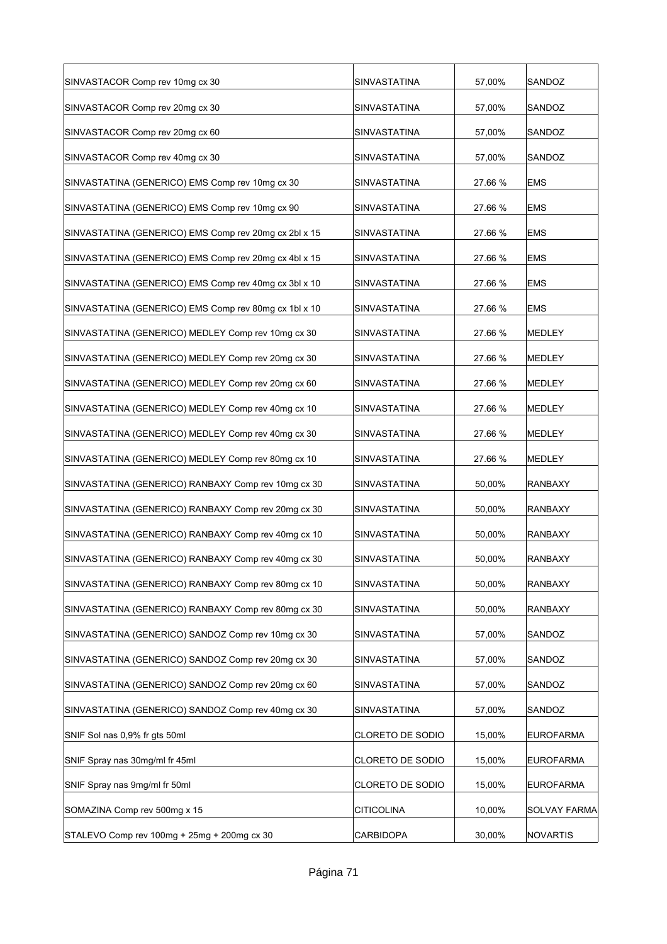| SINVASTACOR Comp rev 10mg cx 30                       | SINVASTATINA            | 57,00%  | SANDOZ           |
|-------------------------------------------------------|-------------------------|---------|------------------|
| SINVASTACOR Comp rev 20mg cx 30                       | SINVASTATINA            | 57,00%  | SANDOZ           |
| SINVASTACOR Comp rev 20mg cx 60                       | SINVASTATINA            | 57,00%  | SANDOZ           |
| SINVASTACOR Comp rev 40mg cx 30                       | SINVASTATINA            | 57,00%  | SANDOZ           |
| SINVASTATINA (GENERICO) EMS Comp rev 10mg cx 30       | SINVASTATINA            | 27.66 % | <b>EMS</b>       |
| SINVASTATINA (GENERICO) EMS Comp rev 10mg cx 90       | SINVASTATINA            | 27.66 % | <b>EMS</b>       |
| SINVASTATINA (GENERICO) EMS Comp rev 20mg cx 2bl x 15 | SINVASTATINA            | 27.66 % | <b>EMS</b>       |
| SINVASTATINA (GENERICO) EMS Comp rev 20mg cx 4bl x 15 | SINVASTATINA            | 27.66 % | <b>EMS</b>       |
| SINVASTATINA (GENERICO) EMS Comp rev 40mg cx 3bl x 10 | SINVASTATINA            | 27.66 % | <b>EMS</b>       |
| SINVASTATINA (GENERICO) EMS Comp rev 80mg cx 1bl x 10 | SINVASTATINA            | 27.66 % | <b>EMS</b>       |
| SINVASTATINA (GENERICO) MEDLEY Comp rev 10mg cx 30    | SINVASTATINA            | 27.66 % | MEDLEY           |
| SINVASTATINA (GENERICO) MEDLEY Comp rev 20mg cx 30    | SINVASTATINA            | 27.66 % | MEDLEY           |
| SINVASTATINA (GENERICO) MEDLEY Comp rev 20mg cx 60    | <b>SINVASTATINA</b>     | 27.66 % | MEDLEY           |
| SINVASTATINA (GENERICO) MEDLEY Comp rev 40mg cx 10    | SINVASTATINA            | 27.66 % | MEDLEY           |
| SINVASTATINA (GENERICO) MEDLEY Comp rev 40mg cx 30    | SINVASTATINA            | 27.66 % | <b>MEDLEY</b>    |
| SINVASTATINA (GENERICO) MEDLEY Comp rev 80mg cx 10    | SINVASTATINA            | 27.66 % | MEDLEY           |
| SINVASTATINA (GENERICO) RANBAXY Comp rev 10mg cx 30   | SINVASTATINA            | 50,00%  | <b>RANBAXY</b>   |
| SINVASTATINA (GENERICO) RANBAXY Comp rev 20mg cx 30   | SINVASTATINA            | 50,00%  | <b>RANBAXY</b>   |
| SINVASTATINA (GENERICO) RANBAXY Comp rev 40mg cx 10   | SINVASTATINA            | 50,00%  | <b>RANBAXY</b>   |
| SINVASTATINA (GENERICO) RANBAXY Comp rev 40mg cx 30   | SINVASTATINA            | 50,00%  | <b>RANBAXY</b>   |
| SINVASTATINA (GENERICO) RANBAXY Comp rev 80mg cx 10   | SINVASTATINA            | 50,00%  | <b>RANBAXY</b>   |
| SINVASTATINA (GENERICO) RANBAXY Comp rev 80mg cx 30   | SINVASTATINA            | 50,00%  | <b>RANBAXY</b>   |
| SINVASTATINA (GENERICO) SANDOZ Comp rev 10mg cx 30    | SINVASTATINA            | 57,00%  | SANDOZ           |
| SINVASTATINA (GENERICO) SANDOZ Comp rev 20mg cx 30    | SINVASTATINA            | 57,00%  | SANDOZ           |
| SINVASTATINA (GENERICO) SANDOZ Comp rev 20mg cx 60    | SINVASTATINA            | 57,00%  | SANDOZ           |
| SINVASTATINA (GENERICO) SANDOZ Comp rev 40mg cx 30    | SINVASTATINA            | 57,00%  | SANDOZ           |
| SNIF Sol nas 0,9% fr gts 50ml                         | CLORETO DE SODIO        | 15,00%  | <b>EUROFARMA</b> |
| SNIF Spray nas 30mg/ml fr 45ml                        | CLORETO DE SODIO        | 15,00%  | <b>EUROFARMA</b> |
| SNIF Spray nas 9mg/ml fr 50ml                         | <b>CLORETO DE SODIO</b> | 15,00%  | EUROFARMA        |
| SOMAZINA Comp rev 500mg x 15                          | CITICOLINA              | 10,00%  | SOLVAY FARMA     |
| STALEVO Comp rev 100mg + 25mg + 200mg cx 30           | CARBIDOPA               | 30,00%  | NOVARTIS         |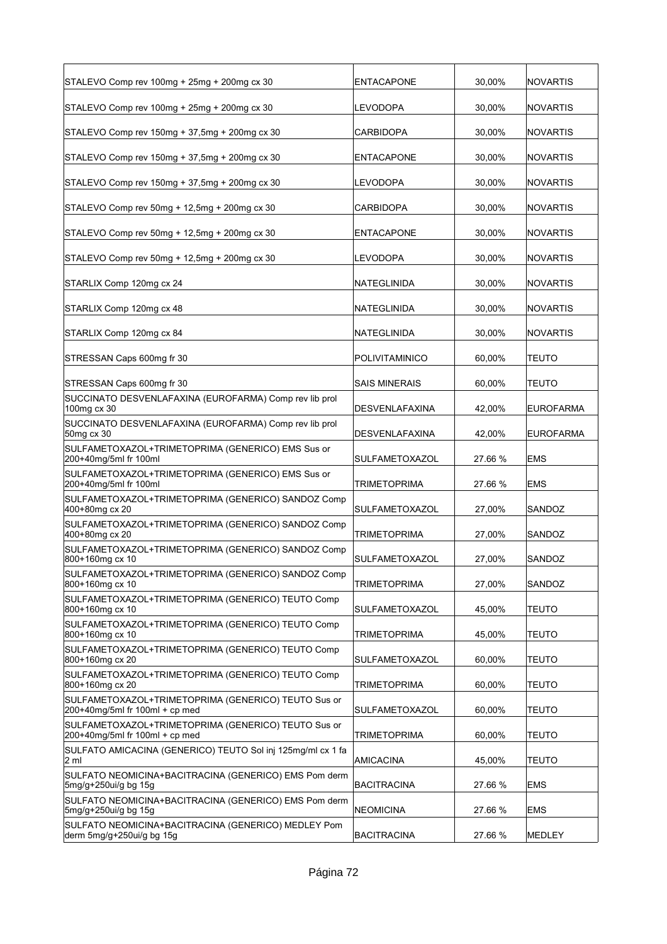| STALEVO Comp rev 100mg + 25mg + 200mg cx 30                                              | <b>ENTACAPONE</b>     | 30,00%  | <b>NOVARTIS</b>  |
|------------------------------------------------------------------------------------------|-----------------------|---------|------------------|
| STALEVO Comp rev 100mg + 25mg + 200mg cx 30                                              | LEVODOPA              | 30,00%  | <b>NOVARTIS</b>  |
| STALEVO Comp rev 150mg + 37,5mg + 200mg cx 30                                            | CARBIDOPA             | 30,00%  | <b>NOVARTIS</b>  |
| STALEVO Comp rev 150mg + 37,5mg + 200mg cx 30                                            | <b>ENTACAPONE</b>     | 30,00%  | <b>NOVARTIS</b>  |
| STALEVO Comp rev 150mg + 37,5mg + 200mg cx 30                                            | LEVODOPA              | 30,00%  | <b>NOVARTIS</b>  |
| STALEVO Comp rev 50mg + 12,5mg + 200mg cx 30                                             | CARBIDOPA             | 30,00%  | <b>NOVARTIS</b>  |
| STALEVO Comp rev 50mg + 12,5mg + 200mg cx 30                                             | ENTACAPONE            | 30,00%  | <b>NOVARTIS</b>  |
| STALEVO Comp rev 50mg + 12,5mg + 200mg cx 30                                             | LEVODOPA              | 30,00%  | <b>NOVARTIS</b>  |
| STARLIX Comp 120mg cx 24                                                                 | NATEGLINIDA           | 30,00%  | <b>NOVARTIS</b>  |
| STARLIX Comp 120mg cx 48                                                                 | NATEGLINIDA           | 30,00%  | <b>NOVARTIS</b>  |
| STARLIX Comp 120mg cx 84                                                                 | NATEGLINIDA           | 30,00%  | <b>NOVARTIS</b>  |
| STRESSAN Caps 600mg fr 30                                                                | POLIVITAMINICO        | 60,00%  | TEUTO            |
| STRESSAN Caps 600mg fr 30                                                                | <b>SAIS MINERAIS</b>  | 60,00%  | <b>TEUTO</b>     |
| SUCCINATO DESVENLAFAXINA (EUROFARMA) Comp rev lib prol<br>100mg cx 30                    | DESVENLAFAXINA        | 42,00%  | <b>EUROFARMA</b> |
| SUCCINATO DESVENLAFAXINA (EUROFARMA) Comp rev lib prol<br>50mg cx 30                     | DESVENLAFAXINA        | 42,00%  | <b>EUROFARMA</b> |
| SULFAMETOXAZOL+TRIMETOPRIMA (GENERICO) EMS Sus or<br>200+40mg/5ml fr 100ml               | SULFAMETOXAZOL        | 27.66 % | <b>EMS</b>       |
| SULFAMETOXAZOL+TRIMETOPRIMA (GENERICO) EMS Sus or<br>200+40mg/5ml fr 100ml               | TRIMETOPRIMA          | 27.66 % | <b>EMS</b>       |
| SULFAMETOXAZOL+TRIMETOPRIMA (GENERICO) SANDOZ Comp<br>400+80mg cx 20                     | SULFAMETOXAZOL        | 27,00%  | SANDOZ           |
| SULFAMETOXAZOL+TRIMETOPRIMA (GENERICO) SANDOZ Comp<br>400+80mg cx 20                     | TRIMETOPRIMA          | 27,00%  | SANDOZ           |
| SULFAMETOXAZOL+TRIMETOPRIMA (GENERICO) SANDOZ Comp<br>800+160mg cx 10                    | <b>SULFAMETOXAZOL</b> | 27,00%  | SANDOZ           |
| SULFAMETOXAZOL+TRIMETOPRIMA (GENERICO) SANDOZ Comp<br>800+160mg cx 10                    | <b>TRIMETOPRIMA</b>   | 27,00%  | SANDOZ           |
| SULFAMETOXAZOL+TRIMETOPRIMA (GENERICO) TEUTO Comp<br>800+160mg cx 10                     | SULFAMETOXAZOL        | 45,00%  | <b>TEUTO</b>     |
| SULFAMETOXAZOL+TRIMETOPRIMA (GENERICO) TEUTO Comp<br>800+160mg cx 10                     | <b>TRIMETOPRIMA</b>   | 45,00%  | <b>TEUTO</b>     |
| SULFAMETOXAZOL+TRIMETOPRIMA (GENERICO) TEUTO Comp<br>800+160mg cx 20                     | SULFAMETOXAZOL        | 60,00%  | <b>TEUTO</b>     |
| SULFAMETOXAZOL+TRIMETOPRIMA (GENERICO) TEUTO Comp<br>800+160mg cx 20                     | TRIMETOPRIMA          | 60,00%  | TEUTO            |
| SULFAMETOXAZOL+TRIMETOPRIMA (GENERICO) TEUTO Sus or<br>$200+40$ mg/5ml fr 100ml + cp med | SULFAMETOXAZOL        | 60,00%  | <b>TEUTO</b>     |
| SULFAMETOXAZOL+TRIMETOPRIMA (GENERICO) TEUTO Sus or<br>$200+40$ mg/5ml fr 100ml + cp med | TRIMETOPRIMA          | 60,00%  | TEUTO            |
| SULFATO AMICACINA (GENERICO) TEUTO Sol inj 125mg/ml cx 1 fa<br>2 ml                      | <b>AMICACINA</b>      | 45,00%  | <b>TEUTO</b>     |
| SULFATO NEOMICINA+BACITRACINA (GENERICO) EMS Pom derm<br>5mg/g+250ui/g bg 15g            | <b>BACITRACINA</b>    | 27.66 % | <b>EMS</b>       |
| SULFATO NEOMICINA+BACITRACINA (GENERICO) EMS Pom derm<br>5mg/g+250ui/g bg 15g            | <b>NEOMICINA</b>      | 27.66 % | <b>EMS</b>       |
| SULFATO NEOMICINA+BACITRACINA (GENERICO) MEDLEY Pom<br>derm 5mg/g+250ui/g bg 15g         | <b>BACITRACINA</b>    | 27.66 % | MEDLEY           |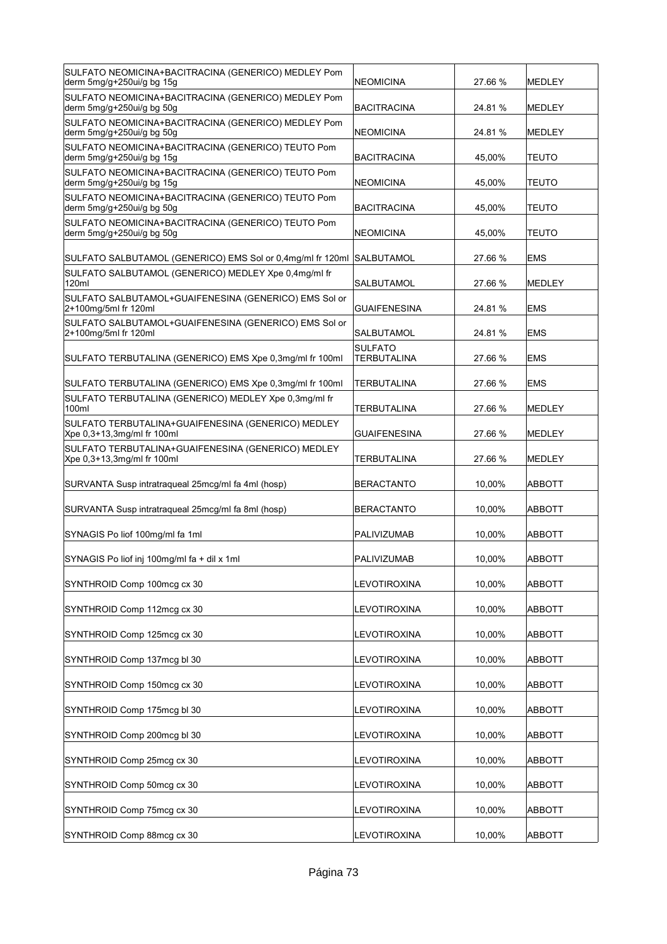| SULFATO NEOMICINA+BACITRACINA (GENERICO) MEDLEY Pom<br>derm 5mg/g+250ui/g bg 15g | NEOMICINA                            | 27.66 % | MEDLEY        |
|----------------------------------------------------------------------------------|--------------------------------------|---------|---------------|
| SULFATO NEOMICINA+BACITRACINA (GENERICO) MEDLEY Pom<br>derm 5mg/g+250ui/g bg 50g | BACITRACINA                          | 24.81 % | MEDLEY        |
| SULFATO NEOMICINA+BACITRACINA (GENERICO) MEDLEY Pom<br>derm 5mg/g+250ui/g bg 50g | <b>NEOMICINA</b>                     | 24.81 % | MEDLEY        |
| SULFATO NEOMICINA+BACITRACINA (GENERICO) TEUTO Pom<br>derm 5mg/g+250ui/g bg 15g  | BACITRACINA                          | 45,00%  | TEUTO         |
| SULFATO NEOMICINA+BACITRACINA (GENERICO) TEUTO Pom<br>derm 5mg/g+250ui/g bg 15g  | NEOMICINA                            | 45,00%  | <b>TEUTO</b>  |
| SULFATO NEOMICINA+BACITRACINA (GENERICO) TEUTO Pom<br>derm 5mg/g+250ui/g bg 50g  | <b>BACITRACINA</b>                   | 45,00%  | <b>TEUTO</b>  |
| SULFATO NEOMICINA+BACITRACINA (GENERICO) TEUTO Pom<br>derm 5mg/g+250ui/g bg 50g  | <b>NEOMICINA</b>                     | 45,00%  | <b>TEUTO</b>  |
| SULFATO SALBUTAMOL (GENERICO) EMS Sol or 0,4mg/ml fr 120ml SALBUTAMOL            |                                      | 27.66 % | <b>EMS</b>    |
| SULFATO SALBUTAMOL (GENERICO) MEDLEY Xpe 0,4mg/ml fr<br>120ml                    | SALBUTAMOL                           | 27.66 % | <b>MEDLEY</b> |
| SULFATO SALBUTAMOL+GUAIFENESINA (GENERICO) EMS Sol or<br>2+100mg/5ml fr 120ml    | <b>GUAIFENESINA</b>                  | 24.81 % | <b>EMS</b>    |
| SULFATO SALBUTAMOL+GUAIFENESINA (GENERICO) EMS Sol or<br>2+100mg/5ml fr 120ml    | SALBUTAMOL                           | 24.81 % | <b>EMS</b>    |
| SULFATO TERBUTALINA (GENERICO) EMS Xpe 0,3mg/ml fr 100ml                         | <b>SULFATO</b><br><b>TERBUTALINA</b> | 27.66 % | <b>EMS</b>    |
| SULFATO TERBUTALINA (GENERICO) EMS Xpe 0,3mg/ml fr 100ml                         | TERBUTALINA                          | 27.66 % | <b>EMS</b>    |
| SULFATO TERBUTALINA (GENERICO) MEDLEY Xpe 0,3mg/ml fr<br>100ml                   | TERBUTALINA                          | 27.66 % | MEDLEY        |
| SULFATO TERBUTALINA+GUAIFENESINA (GENERICO) MEDLEY<br>Xpe 0,3+13,3mg/ml fr 100ml | <b>GUAIFENESINA</b>                  | 27.66 % | MEDLEY        |
| SULFATO TERBUTALINA+GUAIFENESINA (GENERICO) MEDLEY<br>Xpe 0,3+13,3mg/ml fr 100ml | <b>TERBUTALINA</b>                   | 27.66 % | <b>MEDLEY</b> |
| SURVANTA Susp intratraqueal 25mcg/ml fa 4ml (hosp)                               | BERACTANTO                           | 10,00%  | <b>ABBOTT</b> |
| SURVANTA Susp intratraqueal 25mcg/ml fa 8ml (hosp)                               | <b>BERACTANTO</b>                    | 10,00%  | <b>ABBOTT</b> |
| SYNAGIS Po liof 100mg/ml fa 1ml                                                  | <b>PALIVIZUMAB</b>                   | 10,00%  | <b>ABBOTT</b> |
| SYNAGIS Po liof inj 100mg/ml fa + dil x 1ml                                      | PALIVIZUMAB                          | 10,00%  | ABBOTT        |
| SYNTHROID Comp 100mcg cx 30                                                      | LEVOTIROXINA                         | 10,00%  | <b>ABBOTT</b> |
| SYNTHROID Comp 112mcg cx 30                                                      | LEVOTIROXINA                         | 10,00%  | <b>ABBOTT</b> |
| SYNTHROID Comp 125mcg cx 30                                                      | LEVOTIROXINA                         | 10,00%  | <b>ABBOTT</b> |
| SYNTHROID Comp 137mcg bl 30                                                      | LEVOTIROXINA                         | 10,00%  | ABBOTT        |
| SYNTHROID Comp 150mcg cx 30                                                      | LEVOTIROXINA                         | 10,00%  | ABBOTT        |
| SYNTHROID Comp 175mcg bl 30                                                      | LEVOTIROXINA                         | 10,00%  | ABBOTT        |
| SYNTHROID Comp 200mcg bl 30                                                      | LEVOTIROXINA                         | 10,00%  | ABBOTT        |
| SYNTHROID Comp 25mcg cx 30                                                       | LEVOTIROXINA                         | 10,00%  | <b>ABBOTT</b> |
| SYNTHROID Comp 50mcg cx 30                                                       | LEVOTIROXINA                         | 10,00%  | ABBOTT        |
| SYNTHROID Comp 75mcg cx 30                                                       | LEVOTIROXINA                         | 10,00%  | ABBOTT        |
| SYNTHROID Comp 88mcg cx 30                                                       | LEVOTIROXINA                         | 10,00%  | ABBOTT        |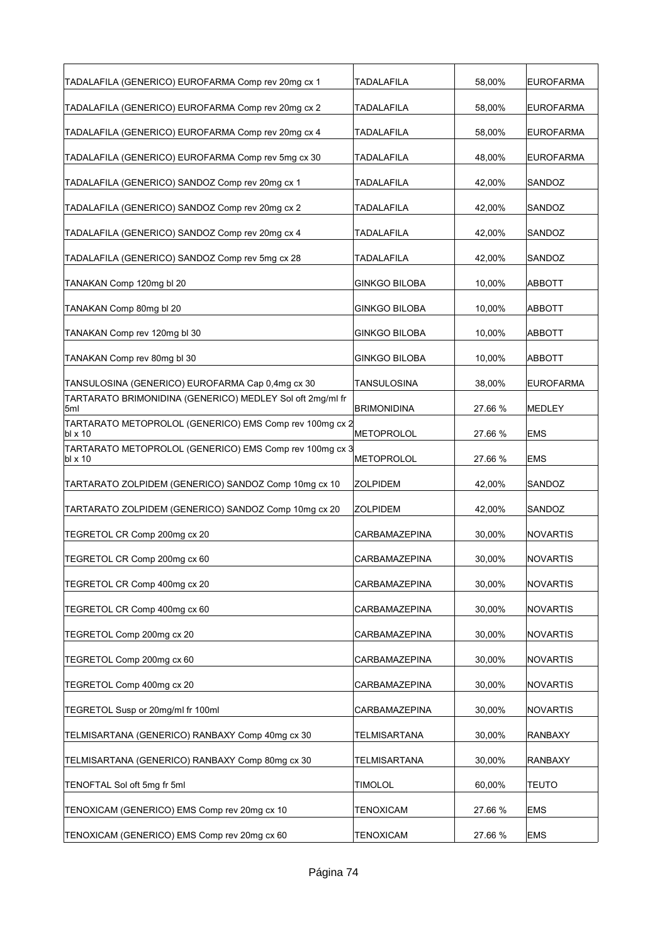| TADALAFILA (GENERICO) EUROFARMA Comp rev 20mg cx 1                  | <b>TADALAFILA</b>    | 58,00%  | <b>EUROFARMA</b> |
|---------------------------------------------------------------------|----------------------|---------|------------------|
| TADALAFILA (GENERICO) EUROFARMA Comp rev 20mg cx 2                  | TADALAFILA           | 58,00%  | <b>EUROFARMA</b> |
| TADALAFILA (GENERICO) EUROFARMA Comp rev 20mg cx 4                  | <b>TADALAFILA</b>    | 58,00%  | <b>EUROFARMA</b> |
| TADALAFILA (GENERICO) EUROFARMA Comp rev 5mg cx 30                  | TADALAFILA           | 48,00%  | <b>EUROFARMA</b> |
| TADALAFILA (GENERICO) SANDOZ Comp rev 20mg cx 1                     | <b>TADALAFILA</b>    | 42,00%  | SANDOZ           |
| TADALAFILA (GENERICO) SANDOZ Comp rev 20mg cx 2                     | TADALAFILA           | 42,00%  | SANDOZ           |
| TADALAFILA (GENERICO) SANDOZ Comp rev 20mg cx 4                     | TADALAFILA           | 42,00%  | SANDOZ           |
| TADALAFILA (GENERICO) SANDOZ Comp rev 5mg cx 28                     | TADALAFILA           | 42,00%  | SANDOZ           |
| TANAKAN Comp 120mg bl 20                                            | <b>GINKGO BILOBA</b> | 10,00%  | <b>ABBOTT</b>    |
| TANAKAN Comp 80mg bl 20                                             | <b>GINKGO BILOBA</b> | 10,00%  | ABBOTT           |
| TANAKAN Comp rev 120mg bl 30                                        | GINKGO BILOBA        | 10,00%  | ABBOTT           |
| TANAKAN Comp rev 80mg bl 30                                         | <b>GINKGO BILOBA</b> | 10,00%  | ABBOTT           |
| TANSULOSINA (GENERICO) EUROFARMA Cap 0,4mg cx 30                    | TANSULOSINA          | 38,00%  | <b>EUROFARMA</b> |
| TARTARATO BRIMONIDINA (GENERICO) MEDLEY Sol oft 2mg/ml fr<br>5ml    | <b>BRIMONIDINA</b>   | 27.66 % | <b>MEDLEY</b>    |
| TARTARATO METOPROLOL (GENERICO) EMS Comp rev 100mg cx 2<br>bl x 10  | METOPROLOL           | 27.66 % | <b>EMS</b>       |
| TARTARATO METOPROLOL (GENERICO) EMS Comp rev 100mg cx 3<br>lbl x 10 | METOPROLOL           | 27.66 % | EMS              |
| TARTARATO ZOLPIDEM (GENERICO) SANDOZ Comp 10mg cx 10                | <b>ZOLPIDEM</b>      | 42,00%  | SANDOZ           |
| TARTARATO ZOLPIDEM (GENERICO) SANDOZ Comp 10mg cx 20                | <b>ZOLPIDEM</b>      | 42,00%  | SANDOZ           |
| TEGRETOL CR Comp 200mg cx 20                                        | CARBAMAZEPINA        | 30,00%  | <b>NOVARTIS</b>  |
| TEGRETOL CR Comp 200mg cx 60                                        | CARBAMAZEPINA        | 30.00%  | <b>NOVARTIS</b>  |
| TEGRETOL CR Comp 400mg cx 20                                        | CARBAMAZEPINA        | 30,00%  | <b>NOVARTIS</b>  |
| TEGRETOL CR Comp 400mg cx 60                                        | CARBAMAZEPINA        | 30,00%  | <b>NOVARTIS</b>  |
| TEGRETOL Comp 200mg cx 20                                           | CARBAMAZEPINA        | 30,00%  | <b>NOVARTIS</b>  |
| TEGRETOL Comp 200mg cx 60                                           | CARBAMAZEPINA        | 30,00%  | <b>NOVARTIS</b>  |
| TEGRETOL Comp 400mg cx 20                                           | CARBAMAZEPINA        | 30,00%  | <b>NOVARTIS</b>  |
| TEGRETOL Susp or 20mg/ml fr 100ml                                   | CARBAMAZEPINA        | 30,00%  | <b>NOVARTIS</b>  |
| TELMISARTANA (GENERICO) RANBAXY Comp 40mg cx 30                     | TELMISARTANA         | 30,00%  | <b>RANBAXY</b>   |
| TELMISARTANA (GENERICO) RANBAXY Comp 80mg cx 30                     | TELMISARTANA         | 30,00%  | <b>RANBAXY</b>   |
| TENOFTAL Sol oft 5mg fr 5ml                                         | <b>TIMOLOL</b>       | 60,00%  | <b>TEUTO</b>     |
| TENOXICAM (GENERICO) EMS Comp rev 20mg cx 10                        | TENOXICAM            | 27.66 % | <b>EMS</b>       |
| TENOXICAM (GENERICO) EMS Comp rev 20mg cx 60                        | <b>TENOXICAM</b>     | 27.66 % | <b>EMS</b>       |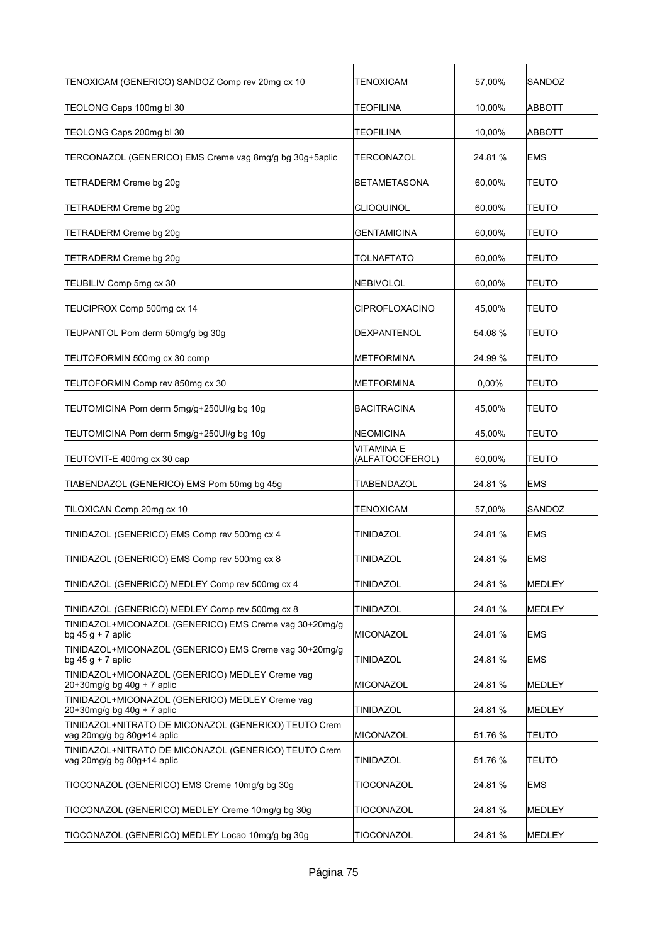| TENOXICAM (GENERICO) SANDOZ Comp rev 20mg cx 10                                    | TENOXICAM                     | 57,00%  | SANDOZ        |
|------------------------------------------------------------------------------------|-------------------------------|---------|---------------|
| TEOLONG Caps 100mg bl 30                                                           | <b>TEOFILINA</b>              | 10,00%  | ABBOTT        |
| TEOLONG Caps 200mg bl 30                                                           | <b>TEOFILINA</b>              | 10,00%  | ABBOTT        |
| TERCONAZOL (GENERICO) EMS Creme vag 8mg/g bg 30g+5aplic                            | TERCONAZOL                    | 24.81%  | <b>EMS</b>    |
| TETRADERM Creme bg 20g                                                             | <b>BETAMETASONA</b>           | 60,00%  | <b>TEUTO</b>  |
| TETRADERM Creme bg 20g                                                             | <b>CLIOQUINOL</b>             | 60,00%  | TEUTO         |
| TETRADERM Creme bg 20g                                                             | <b>GENTAMICINA</b>            | 60,00%  | <b>TEUTO</b>  |
| TETRADERM Creme bg 20g                                                             | <b>TOLNAFTATO</b>             | 60,00%  | <b>TEUTO</b>  |
| TEUBILIV Comp 5mg cx 30                                                            | <b>NEBIVOLOL</b>              | 60,00%  | <b>TEUTO</b>  |
| TEUCIPROX Comp 500mg cx 14                                                         | <b>CIPROFLOXACINO</b>         | 45,00%  | TEUTO         |
| TEUPANTOL Pom derm 50mg/g bg 30g                                                   | DEXPANTENOL                   | 54.08 % | TEUTO         |
| TEUTOFORMIN 500mg cx 30 comp                                                       | <b>METFORMINA</b>             | 24.99 % | TEUTO         |
| TEUTOFORMIN Comp rev 850mg cx 30                                                   | METFORMINA                    | 0,00%   | <b>TEUTO</b>  |
| TEUTOMICINA Pom derm 5mg/g+250UI/g bg 10g                                          | <b>BACITRACINA</b>            | 45,00%  | <b>TEUTO</b>  |
| TEUTOMICINA Pom derm 5mg/g+250UI/g bg 10g                                          | <b>NEOMICINA</b>              | 45,00%  | <b>TEUTO</b>  |
| TEUTOVIT-E 400mg cx 30 cap                                                         | VITAMINA E<br>(ALFATOCOFEROL) | 60,00%  | TEUTO         |
| TIABENDAZOL (GENERICO) EMS Pom 50mg bg 45g                                         | <b>TIABENDAZOL</b>            | 24.81%  | <b>EMS</b>    |
| TILOXICAN Comp 20mg cx 10                                                          | <b>TENOXICAM</b>              | 57,00%  | SANDOZ        |
| TINIDAZOL (GENERICO) EMS Comp rev 500mg cx 4                                       | TINIDAZOL                     | 24.81%  | <b>EMS</b>    |
| TINIDAZOL (GENERICO) EMS Comp rev 500mg cx 8                                       | <b>TINIDAZOL</b>              | 24.81 % | <b>EMS</b>    |
| TINIDAZOL (GENERICO) MEDLEY Comp rev 500mg cx 4                                    | TINIDAZOL                     | 24.81 % | MEDLEY        |
| TINIDAZOL (GENERICO) MEDLEY Comp rev 500mg cx 8                                    | TINIDAZOL                     | 24.81 % | MEDLEY        |
| TINIDAZOL+MICONAZOL (GENERICO) EMS Creme vag 30+20mg/g<br>$bg 45 g + 7$ aplic      | MICONAZOL                     | 24.81%  | <b>EMS</b>    |
| TINIDAZOL+MICONAZOL (GENERICO) EMS Creme vag 30+20mg/g<br>$\log 45 g + 7$ aplic    | TINIDAZOL                     | 24.81%  | EMS           |
| TINIDAZOL+MICONAZOL (GENERICO) MEDLEY Creme vag<br>$20+30$ mg/g bg 40g + 7 aplic   | MICONAZOL                     | 24.81 % | MEDLEY        |
| TINIDAZOL+MICONAZOL (GENERICO) MEDLEY Creme vag<br>$20+30$ mg/g bg 40g + 7 aplic   | TINIDAZOL                     | 24.81 % | MEDLEY        |
| TINIDAZOL+NITRATO DE MICONAZOL (GENERICO) TEUTO Crem<br>vag 20mg/g bg 80g+14 aplic | <b>MICONAZOL</b>              | 51.76 % | <b>TEUTO</b>  |
| TINIDAZOL+NITRATO DE MICONAZOL (GENERICO) TEUTO Crem<br>vag 20mg/g bg 80g+14 aplic | TINIDAZOL                     | 51.76 % | TEUTO         |
| TIOCONAZOL (GENERICO) EMS Creme 10mg/g bg 30g                                      | TIOCONAZOL                    | 24.81%  | <b>EMS</b>    |
| TIOCONAZOL (GENERICO) MEDLEY Creme 10mg/g bg 30g                                   | TIOCONAZOL                    | 24.81%  | MEDLEY        |
| TIOCONAZOL (GENERICO) MEDLEY Locao 10mg/g bg 30g                                   | TIOCONAZOL                    | 24.81%  | <b>MEDLEY</b> |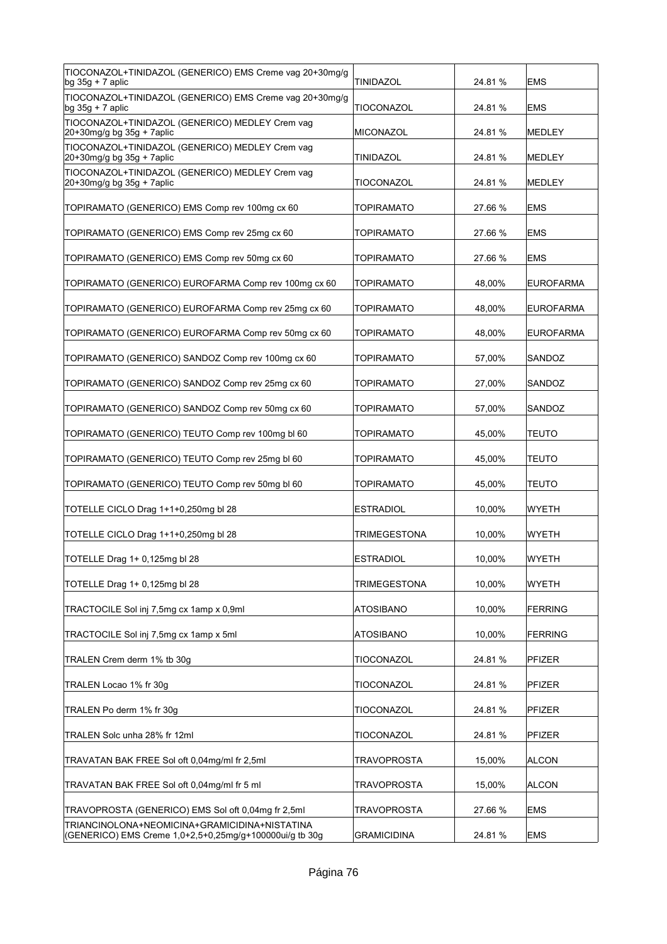| TIOCONAZOL+TINIDAZOL (GENERICO) EMS Creme vag 20+30mg/g<br>$bg$ 35g + 7 aplic                            | <b>TINIDAZOL</b>    | 24.81 % | <b>EMS</b>       |
|----------------------------------------------------------------------------------------------------------|---------------------|---------|------------------|
| TIOCONAZOL+TINIDAZOL (GENERICO) EMS Creme vag 20+30mg/g<br>bg $35g + 7$ aplic                            | TIOCONAZOL          | 24.81%  | <b>EMS</b>       |
| TIOCONAZOL+TINIDAZOL (GENERICO) MEDLEY Crem vag<br>20+30mg/g bg 35g + 7aplic                             | MICONAZOL           | 24.81 % | MEDLEY           |
| TIOCONAZOL+TINIDAZOL (GENERICO) MEDLEY Crem vag<br>20+30mg/g bg 35g + 7aplic                             | TINIDAZOL           | 24.81 % | MEDLEY           |
| TIOCONAZOL+TINIDAZOL (GENERICO) MEDLEY Crem vag<br>20+30mg/g bg 35g + 7aplic                             | TIOCONAZOL          | 24.81 % | <b>MEDLEY</b>    |
| TOPIRAMATO (GENERICO) EMS Comp rev 100mg cx 60                                                           | TOPIRAMATO          | 27.66 % | <b>EMS</b>       |
| TOPIRAMATO (GENERICO) EMS Comp rev 25mg cx 60                                                            | TOPIRAMATO          | 27.66 % | <b>EMS</b>       |
| TOPIRAMATO (GENERICO) EMS Comp rev 50mg cx 60                                                            | TOPIRAMATO          | 27.66 % | <b>EMS</b>       |
| TOPIRAMATO (GENERICO) EUROFARMA Comp rev 100mg cx 60                                                     | <b>TOPIRAMATO</b>   | 48,00%  | <b>EUROFARMA</b> |
| TOPIRAMATO (GENERICO) EUROFARMA Comp rev 25mg cx 60                                                      | <b>TOPIRAMATO</b>   | 48.00%  | <b>EUROFARMA</b> |
| TOPIRAMATO (GENERICO) EUROFARMA Comp rev 50mg cx 60                                                      | <b>TOPIRAMATO</b>   | 48,00%  | <b>EUROFARMA</b> |
| TOPIRAMATO (GENERICO) SANDOZ Comp rev 100mg cx 60                                                        | TOPIRAMATO          | 57,00%  | SANDOZ           |
| TOPIRAMATO (GENERICO) SANDOZ Comp rev 25mg cx 60                                                         | TOPIRAMATO          | 27,00%  | SANDOZ           |
| TOPIRAMATO (GENERICO) SANDOZ Comp rev 50mg cx 60                                                         | TOPIRAMATO          | 57,00%  | SANDOZ           |
| TOPIRAMATO (GENERICO) TEUTO Comp rev 100mg bl 60                                                         | TOPIRAMATO          | 45,00%  | TEUTO            |
| TOPIRAMATO (GENERICO) TEUTO Comp rev 25mg bl 60                                                          | TOPIRAMATO          | 45,00%  | TEUTO            |
| TOPIRAMATO (GENERICO) TEUTO Comp rev 50mg bl 60                                                          | <b>TOPIRAMATO</b>   | 45,00%  | TEUTO            |
| TOTELLE CICLO Drag 1+1+0,250mg bl 28                                                                     | <b>ESTRADIOL</b>    | 10.00%  | WYETH            |
| TOTELLE CICLO Drag 1+1+0,250mg bl 28                                                                     | TRIMEGESTONA        | 10,00%  | WYETH            |
| TOTELLE Drag 1+ 0,125mg bl 28                                                                            | <b>ESTRADIOL</b>    | 10,00%  | <b>WYETH</b>     |
| TOTELLE Drag 1+ 0,125mg bl 28                                                                            | <b>TRIMEGESTONA</b> | 10,00%  | WYETH            |
| TRACTOCILE Sol inj 7,5mg cx 1amp x 0,9ml                                                                 | <b>ATOSIBANO</b>    | 10,00%  | <b>FERRING</b>   |
| TRACTOCILE Sol inj 7,5mg cx 1amp x 5ml                                                                   | <b>ATOSIBANO</b>    | 10,00%  | FERRING          |
| TRALEN Crem derm 1% tb 30q                                                                               | TIOCONAZOL          | 24.81%  | <b>PFIZER</b>    |
| TRALEN Locao 1% fr 30g                                                                                   | TIOCONAZOL          | 24.81%  | <b>PFIZER</b>    |
| TRALEN Po derm 1% fr 30g                                                                                 | TIOCONAZOL          | 24.81 % | <b>PFIZER</b>    |
| TRALEN Solc unha 28% fr 12ml                                                                             | TIOCONAZOL          | 24.81 % | PFIZER           |
| TRAVATAN BAK FREE Sol oft 0,04mg/ml fr 2,5ml                                                             | <b>TRAVOPROSTA</b>  | 15,00%  | ALCON            |
| TRAVATAN BAK FREE Sol oft 0,04mg/ml fr 5 ml                                                              | <b>TRAVOPROSTA</b>  | 15,00%  | ALCON            |
| TRAVOPROSTA (GENERICO) EMS Sol oft 0,04mg fr 2,5ml                                                       | <b>TRAVOPROSTA</b>  | 27.66 % | <b>EMS</b>       |
| TRIANCINOLONA+NEOMICINA+GRAMICIDINA+NISTATINA<br>(GENERICO) EMS Creme 1,0+2,5+0,25mg/g+100000ui/g tb 30g | <b>GRAMICIDINA</b>  | 24.81%  | <b>EMS</b>       |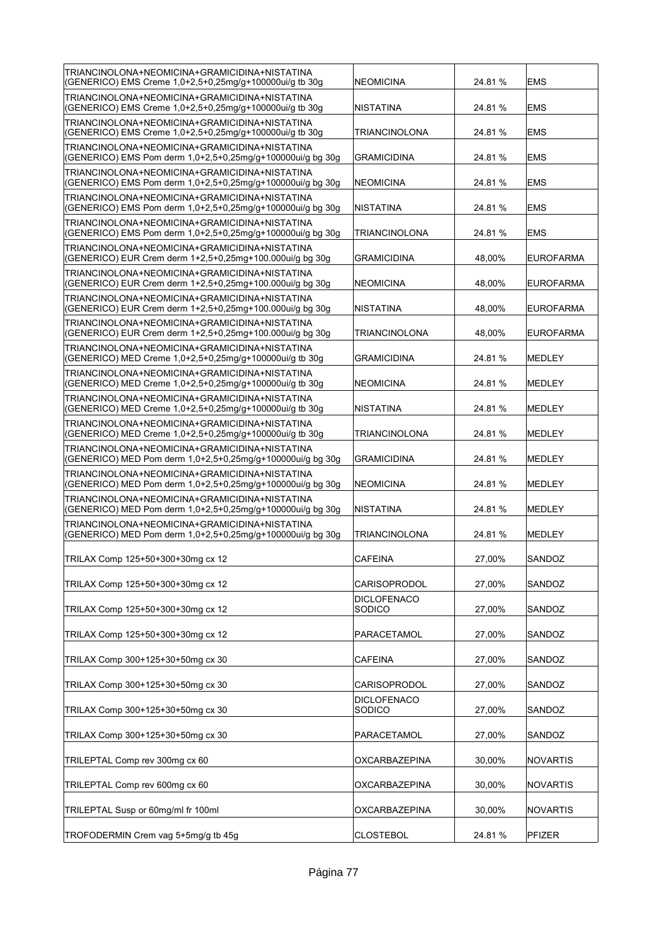| TRIANCINOLONA+NEOMICINA+GRAMICIDINA+NISTATINA<br>(GENERICO) EMS Creme 1,0+2,5+0,25mg/g+100000ui/g tb 30g    | NEOMICINA                    | 24.81%  | <b>EMS</b>       |
|-------------------------------------------------------------------------------------------------------------|------------------------------|---------|------------------|
| TRIANCINOLONA+NEOMICINA+GRAMICIDINA+NISTATINA<br>(GENERICO) EMS Creme 1,0+2,5+0,25mg/g+100000ui/g tb 30g    | NISTATINA                    | 24.81%  | <b>EMS</b>       |
| TRIANCINOLONA+NEOMICINA+GRAMICIDINA+NISTATINA<br>(GENERICO) EMS Creme 1,0+2,5+0,25mg/g+100000ui/g tb 30g    | TRIANCINOLONA                | 24.81 % | <b>EMS</b>       |
| TRIANCINOLONA+NEOMICINA+GRAMICIDINA+NISTATINA<br>(GENERICO) EMS Pom derm 1,0+2,5+0,25mg/g+100000ui/g bg 30g | <b>GRAMICIDINA</b>           | 24.81 % | <b>EMS</b>       |
| TRIANCINOLONA+NEOMICINA+GRAMICIDINA+NISTATINA<br>(GENERICO) EMS Pom derm 1,0+2,5+0,25mg/g+100000ui/g bg 30g | NEOMICINA                    | 24.81 % | <b>EMS</b>       |
| TRIANCINOLONA+NEOMICINA+GRAMICIDINA+NISTATINA<br>(GENERICO) EMS Pom derm 1,0+2,5+0,25mg/g+100000ui/g bg 30g | NISTATINA                    | 24.81 % | <b>EMS</b>       |
| TRIANCINOLONA+NEOMICINA+GRAMICIDINA+NISTATINA<br>(GENERICO) EMS Pom derm 1,0+2,5+0,25mg/g+100000ui/g bg 30g | TRIANCINOLONA                | 24.81 % | <b>EMS</b>       |
| TRIANCINOLONA+NEOMICINA+GRAMICIDINA+NISTATINA<br>(GENERICO) EUR Crem derm 1+2,5+0,25mg+100.000ui/g bg 30g   | <b>GRAMICIDINA</b>           | 48,00%  | <b>EUROFARMA</b> |
| TRIANCINOLONA+NEOMICINA+GRAMICIDINA+NISTATINA<br>(GENERICO) EUR Crem derm 1+2,5+0,25mg+100.000ui/g bg 30g   | NEOMICINA                    | 48,00%  | <b>EUROFARMA</b> |
| TRIANCINOLONA+NEOMICINA+GRAMICIDINA+NISTATINA<br>(GENERICO) EUR Crem derm 1+2,5+0,25mg+100.000ui/g bg 30g   | NISTATINA                    | 48.00%  | <b>EUROFARMA</b> |
| TRIANCINOLONA+NEOMICINA+GRAMICIDINA+NISTATINA<br>(GENERICO) EUR Crem derm 1+2,5+0,25mg+100.000ui/g bg 30g   | TRIANCINOLONA                | 48.00%  | <b>EUROFARMA</b> |
| TRIANCINOLONA+NEOMICINA+GRAMICIDINA+NISTATINA<br>(GENERICO) MED Creme 1,0+2,5+0,25mg/g+100000ui/g tb 30g    | <b>GRAMICIDINA</b>           | 24.81 % | <b>MEDLEY</b>    |
| TRIANCINOLONA+NEOMICINA+GRAMICIDINA+NISTATINA<br>(GENERICO) MED Creme 1,0+2,5+0,25mg/g+100000ui/g tb 30g    | NEOMICINA                    | 24.81 % | <b>MEDLEY</b>    |
| TRIANCINOLONA+NEOMICINA+GRAMICIDINA+NISTATINA<br>(GENERICO) MED Creme 1,0+2,5+0,25mg/g+100000ui/g tb 30g    | INISTATINA                   | 24.81%  | <b>MEDLEY</b>    |
| TRIANCINOLONA+NEOMICINA+GRAMICIDINA+NISTATINA<br>(GENERICO) MED Creme 1,0+2,5+0,25mg/g+100000ui/g tb 30g    | TRIANCINOLONA                | 24.81 % | <b>MEDLEY</b>    |
| TRIANCINOLONA+NEOMICINA+GRAMICIDINA+NISTATINA<br>(GENERICO) MED Pom derm 1,0+2,5+0,25mg/g+100000ui/g bg 30g | <b>GRAMICIDINA</b>           | 24.81 % | <b>MEDLEY</b>    |
| TRIANCINOLONA+NEOMICINA+GRAMICIDINA+NISTATINA<br>(GENERICO) MED Pom derm 1,0+2,5+0,25mg/g+100000ui/g bg 30g | NEOMICINA                    | 24.81 % | <b>MEDLEY</b>    |
| TRIANCINOLONA+NEOMICINA+GRAMICIDINA+NISTATINA<br>(GENERICO) MED Pom derm 1,0+2,5+0,25mg/g+100000ui/g bg 30g | INISTATINA                   | 24.81 % | <b>MEDLEY</b>    |
| TRIANCINOLONA+NEOMICINA+GRAMICIDINA+NISTATINA<br>(GENERICO) MED Pom derm 1,0+2,5+0,25mg/g+100000ui/g bg 30g | TRIANCINOLONA                | 24.81 % | <b>MEDLEY</b>    |
| TRILAX Comp 125+50+300+30mg cx 12                                                                           | <b>CAFEINA</b>               | 27,00%  | SANDOZ           |
| TRILAX Comp 125+50+300+30mg cx 12                                                                           | CARISOPRODOL                 | 27,00%  | SANDOZ           |
| TRILAX Comp 125+50+300+30mg cx 12                                                                           | <b>DICLOFENACO</b><br>SODICO | 27,00%  | SANDOZ           |
| TRILAX Comp 125+50+300+30mg cx 12                                                                           | PARACETAMOL                  | 27,00%  | SANDOZ           |
| TRILAX Comp 300+125+30+50mg cx 30                                                                           | <b>CAFEINA</b>               | 27,00%  | SANDOZ           |
| TRILAX Comp 300+125+30+50mg cx 30                                                                           | CARISOPRODOL                 | 27,00%  | SANDOZ           |
| TRILAX Comp 300+125+30+50mg cx 30                                                                           | <b>DICLOFENACO</b><br>SODICO | 27,00%  | SANDOZ           |
| TRILAX Comp 300+125+30+50mg cx 30                                                                           | PARACETAMOL                  | 27,00%  | SANDOZ           |
| TRILEPTAL Comp rev 300mg cx 60                                                                              | OXCARBAZEPINA                | 30,00%  | <b>NOVARTIS</b>  |
| TRILEPTAL Comp rev 600mg cx 60                                                                              | <b>OXCARBAZEPINA</b>         | 30,00%  | <b>NOVARTIS</b>  |
| TRILEPTAL Susp or 60mg/ml fr 100ml                                                                          | OXCARBAZEPINA                | 30,00%  | <b>NOVARTIS</b>  |
| TROFODERMIN Crem vag 5+5mg/g tb 45g                                                                         | <b>CLOSTEBOL</b>             | 24.81 % | PFIZER           |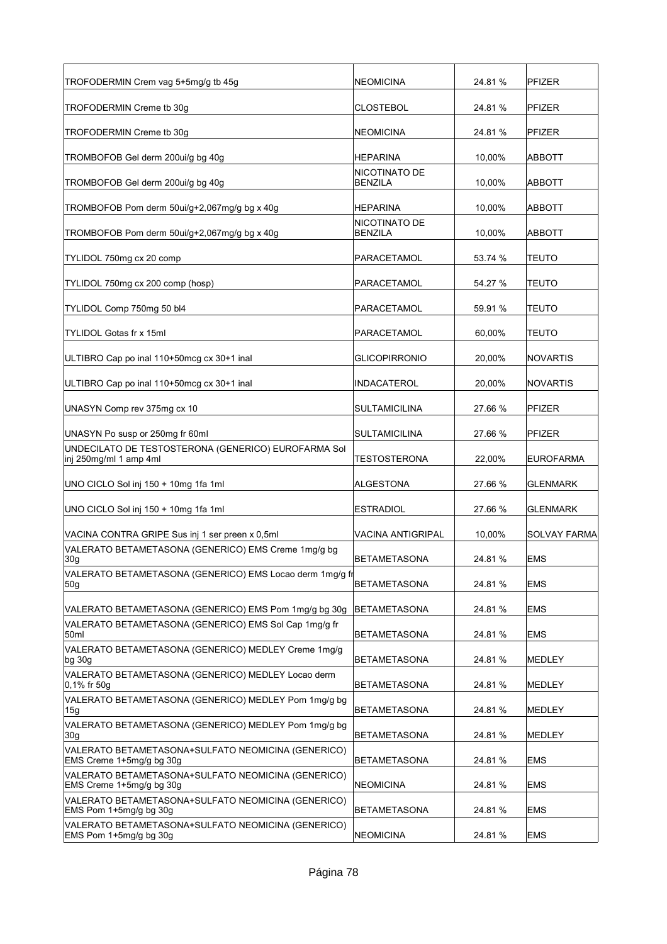| TROFODERMIN Crem vag 5+5mg/g tb 45g                                            | NEOMICINA                       | 24.81 % | <b>PFIZER</b>       |
|--------------------------------------------------------------------------------|---------------------------------|---------|---------------------|
| TROFODERMIN Creme tb 30g                                                       | CLOSTEBOL                       | 24.81 % | <b>PFIZER</b>       |
| TROFODERMIN Creme tb 30q                                                       | <b>NEOMICINA</b>                | 24.81 % | PFIZER              |
| TROMBOFOB Gel derm 200ui/g bg 40g                                              | HEPARINA                        | 10,00%  | ABBOTT              |
| TROMBOFOB Gel derm 200ui/g bg 40g                                              | NICOTINATO DE<br><b>BENZILA</b> | 10,00%  | ABBOTT              |
| TROMBOFOB Pom derm 50ui/g+2,067mg/g bg x 40g                                   | HEPARINA                        | 10,00%  | <b>ABBOTT</b>       |
| TROMBOFOB Pom derm 50ui/g+2,067mg/g bg x 40g                                   | NICOTINATO DE<br><b>BENZILA</b> | 10,00%  | <b>ABBOTT</b>       |
| TYLIDOL 750mg cx 20 comp                                                       | PARACETAMOL                     | 53.74 % | TEUTO               |
| TYLIDOL 750mg cx 200 comp (hosp)                                               | PARACETAMOL                     | 54.27 % | TEUTO               |
| TYLIDOL Comp 750mg 50 bl4                                                      | PARACETAMOL                     | 59.91 % | <b>TEUTO</b>        |
| <b>TYLIDOL Gotas fr x 15ml</b>                                                 | PARACETAMOL                     | 60,00%  | <b>TEUTO</b>        |
| ULTIBRO Cap po inal 110+50mcg cx 30+1 inal                                     | <b>GLICOPIRRONIO</b>            | 20,00%  | <b>NOVARTIS</b>     |
| ULTIBRO Cap po inal 110+50mcq cx 30+1 inal                                     | INDACATEROL                     | 20,00%  | <b>NOVARTIS</b>     |
| UNASYN Comp rev 375mg cx 10                                                    | SULTAMICILINA                   | 27.66 % | <b>PFIZER</b>       |
| UNASYN Po susp or 250mg fr 60ml                                                | SULTAMICILINA                   | 27.66 % | <b>PFIZER</b>       |
| UNDECILATO DE TESTOSTERONA (GENERICO) EUROFARMA Sol<br>inj 250mg/ml 1 amp 4ml  | TESTOSTERONA                    | 22,00%  | <b>EUROFARMA</b>    |
| UNO CICLO Sol inj 150 + 10mg 1fa 1ml                                           | ALGESTONA                       | 27.66 % | <b>GLENMARK</b>     |
| UNO CICLO Sol inj 150 + 10mg 1fa 1ml                                           | ESTRADIOL                       | 27.66 % | <b>GLENMARK</b>     |
| VACINA CONTRA GRIPE Sus inj 1 ser preen x 0.5ml                                | VACINA ANTIGRIPAL               | 10,00%  | <b>SOLVAY FARMA</b> |
| VALERATO BETAMETASONA (GENERICO) EMS Creme 1mg/g bg<br>30g                     | <b>BETAMETASONA</b>             | 24.81 % | <b>EMS</b>          |
| VALERATO BETAMETASONA (GENERICO) EMS Locao derm 1mg/g fr<br>50g                | <b>BETAMETASONA</b>             | 24.81 % | <b>EMS</b>          |
| VALERATO BETAMETASONA (GENERICO) EMS Pom 1mg/g bg 30g                          | BETAMETASONA                    | 24.81 % | <b>EMS</b>          |
| VALERATO BETAMETASONA (GENERICO) EMS Sol Cap 1mg/g fr<br>50ml                  | BETAMETASONA                    | 24.81 % | <b>EMS</b>          |
| VALERATO BETAMETASONA (GENERICO) MEDLEY Creme 1mg/g<br> bg 30g                 | <b>BETAMETASONA</b>             | 24.81 % | MEDLEY              |
| VALERATO BETAMETASONA (GENERICO) MEDLEY Locao derm<br>0,1% fr 50g              | <b>BETAMETASONA</b>             | 24.81 % | MEDLEY              |
| VALERATO BETAMETASONA (GENERICO) MEDLEY Pom 1mg/g bg<br>15g                    | <b>BETAMETASONA</b>             | 24.81 % | MEDLEY              |
| VALERATO BETAMETASONA (GENERICO) MEDLEY Pom 1mg/g bg<br>30 <sub>g</sub>        | <b>BETAMETASONA</b>             | 24.81 % | MEDLEY              |
| VALERATO BETAMETASONA+SULFATO NEOMICINA (GENERICO)<br>EMS Creme 1+5mg/g bg 30g | <b>BETAMETASONA</b>             | 24.81 % | <b>EMS</b>          |
| VALERATO BETAMETASONA+SULFATO NEOMICINA (GENERICO)<br>EMS Creme 1+5mg/g bg 30g | NEOMICINA                       | 24.81 % | EMS                 |
| VALERATO BETAMETASONA+SULFATO NEOMICINA (GENERICO)<br>EMS Pom 1+5mg/g bg 30g   | <b>BETAMETASONA</b>             | 24.81 % | <b>EMS</b>          |
| VALERATO BETAMETASONA+SULFATO NEOMICINA (GENERICO)<br>EMS Pom 1+5mg/g bg 30g   | <b>NEOMICINA</b>                | 24.81 % | <b>EMS</b>          |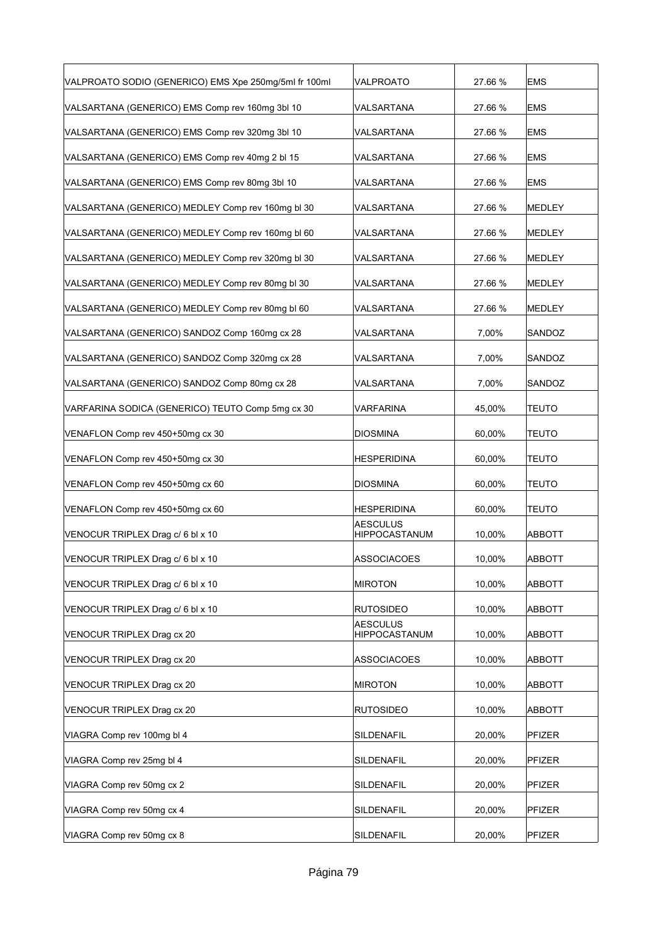| VALPROATO SODIO (GENERICO) EMS Xpe 250mg/5ml fr 100ml | VALPROATO                        | 27.66 % | <b>EMS</b>    |
|-------------------------------------------------------|----------------------------------|---------|---------------|
| VALSARTANA (GENERICO) EMS Comp rev 160mg 3bl 10       | VALSARTANA                       | 27.66 % | <b>EMS</b>    |
| VALSARTANA (GENERICO) EMS Comp rev 320mg 3bl 10       | VALSARTANA                       | 27.66 % | <b>EMS</b>    |
| VALSARTANA (GENERICO) EMS Comp rev 40mg 2 bl 15       | VALSARTANA                       | 27.66 % | <b>EMS</b>    |
| VALSARTANA (GENERICO) EMS Comp rev 80mg 3bl 10        | VALSARTANA                       | 27.66 % | <b>EMS</b>    |
| VALSARTANA (GENERICO) MEDLEY Comp rev 160mg bl 30     | VALSARTANA                       | 27.66 % | <b>MEDLEY</b> |
| VALSARTANA (GENERICO) MEDLEY Comp rev 160mg bl 60     | VALSARTANA                       | 27.66 % | MEDLEY        |
| VALSARTANA (GENERICO) MEDLEY Comp rev 320mg bl 30     | VALSARTANA                       | 27.66 % | MEDLEY        |
| VALSARTANA (GENERICO) MEDLEY Comp rev 80mg bl 30      | VALSARTANA                       | 27.66 % | MEDLEY        |
| VALSARTANA (GENERICO) MEDLEY Comp rev 80mg bl 60      | VALSARTANA                       | 27.66 % | <b>MEDLEY</b> |
| VALSARTANA (GENERICO) SANDOZ Comp 160mg cx 28         | VALSARTANA                       | 7,00%   | SANDOZ        |
| VALSARTANA (GENERICO) SANDOZ Comp 320mg cx 28         | VALSARTANA                       | 7,00%   | SANDOZ        |
| VALSARTANA (GENERICO) SANDOZ Comp 80mg cx 28          | VALSARTANA                       | 7,00%   | SANDOZ        |
| VARFARINA SODICA (GENERICO) TEUTO Comp 5mg cx 30      | VARFARINA                        | 45,00%  | TEUTO         |
| VENAFLON Comp rev 450+50mg cx 30                      | <b>DIOSMINA</b>                  | 60,00%  | TEUTO         |
| VENAFLON Comp rev 450+50mg cx 30                      | <b>HESPERIDINA</b>               | 60,00%  | <b>TEUTO</b>  |
| VENAFLON Comp rev 450+50mg cx 60                      | <b>DIOSMINA</b>                  | 60,00%  | <b>TEUTO</b>  |
| VENAFLON Comp rev 450+50mg cx 60                      | <b>HESPERIDINA</b>               | 60,00%  | <b>TEUTO</b>  |
| VENOCUR TRIPLEX Drag c/ 6 bl x 10                     | <b>AESCULUS</b><br>HIPPOCASTANUM | 10,00%  | <b>ABBOTT</b> |
| VENOCUR TRIPLEX Drag c/ 6 bl x 10                     | <b>ASSOCIACOES</b>               | 10,00%  | <b>ABBOTT</b> |
| VENOCUR TRIPLEX Drag c/ 6 bl x 10                     | <b>MIROTON</b>                   | 10.00%  | ABBOTT        |
| VENOCUR TRIPLEX Drag c/ 6 bl x 10                     | <b>RUTOSIDEO</b>                 | 10,00%  | <b>ABBOTT</b> |
| VENOCUR TRIPLEX Drag cx 20                            | <b>AESCULUS</b><br>HIPPOCASTANUM | 10,00%  | ABBOTT        |
| VENOCUR TRIPLEX Drag cx 20                            | ASSOCIACOES                      | 10,00%  | ABBOTT        |
| VENOCUR TRIPLEX Drag cx 20                            | <b>MIROTON</b>                   | 10,00%  | ABBOTT        |
| VENOCUR TRIPLEX Drag cx 20                            | <b>RUTOSIDEO</b>                 | 10,00%  | ABBOTT        |
| VIAGRA Comp rev 100mg bl 4                            | SILDENAFIL                       | 20,00%  | PFIZER        |
| VIAGRA Comp rev 25mg bl 4                             | SILDENAFIL                       | 20,00%  | PFIZER        |
| VIAGRA Comp rev 50mg cx 2                             | SILDENAFIL                       | 20,00%  | PFIZER        |
| VIAGRA Comp rev 50mg cx 4                             | SILDENAFIL                       | 20,00%  | PFIZER        |
| VIAGRA Comp rev 50mg cx 8                             | SILDENAFIL                       | 20,00%  | PFIZER        |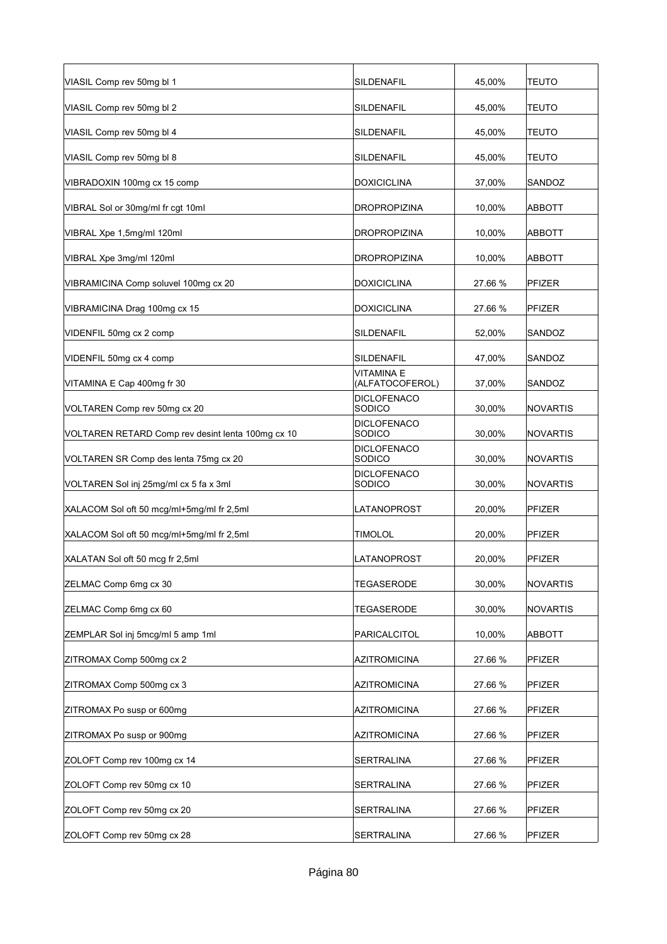| VIASIL Comp rev 50mg bl 1                         | <b>SILDENAFIL</b>             | 45,00%  | <b>TEUTO</b>    |
|---------------------------------------------------|-------------------------------|---------|-----------------|
| VIASIL Comp rev 50mg bl 2                         | SILDENAFIL                    | 45,00%  | TEUTO           |
| VIASIL Comp rev 50mg bl 4                         | SILDENAFIL                    | 45,00%  | <b>TEUTO</b>    |
| VIASIL Comp rev 50mg bl 8                         | SILDENAFIL                    | 45,00%  | TEUTO           |
| VIBRADOXIN 100mg cx 15 comp                       | <b>DOXICICLINA</b>            | 37,00%  | SANDOZ          |
| VIBRAL Sol or 30mg/ml fr cgt 10ml                 | <b>DROPROPIZINA</b>           | 10,00%  | <b>ABBOTT</b>   |
| VIBRAL Xpe 1,5mg/ml 120ml                         | <b>DROPROPIZINA</b>           | 10,00%  | ABBOTT          |
| VIBRAL Xpe 3mg/ml 120ml                           | <b>DROPROPIZINA</b>           | 10,00%  | ABBOTT          |
| VIBRAMICINA Comp soluvel 100mg cx 20              | <b>DOXICICLINA</b>            | 27.66 % | <b>PFIZER</b>   |
| VIBRAMICINA Drag 100mg cx 15                      | <b>DOXICICLINA</b>            | 27.66 % | <b>PFIZER</b>   |
| VIDENFIL 50mg cx 2 comp                           | <b>SILDENAFIL</b>             | 52,00%  | SANDOZ          |
| VIDENFIL 50mg cx 4 comp                           | SILDENAFIL                    | 47,00%  | SANDOZ          |
| VITAMINA E Cap 400mg fr 30                        | VITAMINA E<br>(ALFATOCOFEROL) | 37,00%  | SANDOZ          |
| VOLTAREN Comp rev 50mg cx 20                      | <b>DICLOFENACO</b><br>SODICO  | 30,00%  | NOVARTIS        |
| VOLTAREN RETARD Comp rev desint lenta 100mg cx 10 | <b>DICLOFENACO</b><br>SODICO  | 30,00%  | <b>NOVARTIS</b> |
| VOLTAREN SR Comp des lenta 75mg cx 20             | <b>DICLOFENACO</b><br>SODICO  | 30,00%  | NOVARTIS        |
| VOLTAREN Sol inj 25mg/ml cx 5 fa x 3ml            | <b>DICLOFENACO</b><br>SODICO  | 30,00%  | <b>NOVARTIS</b> |
| XALACOM Sol oft 50 mcg/ml+5mg/ml fr 2,5ml         | LATANOPROST                   | 20,00%  | <b>PFIZER</b>   |
| XALACOM Sol oft 50 mcg/ml+5mg/ml fr 2,5ml         | <b>TIMOLOL</b>                | 20,00%  | <b>PFIZER</b>   |
| XALATAN Sol oft 50 mcg fr 2,5ml                   | LATANOPROST                   | 20,00%  | <b>PFIZER</b>   |
| ZELMAC Comp 6mg cx 30                             | <b>TEGASERODE</b>             | 30,00%  | NOVARTIS        |
| ZELMAC Comp 6mg cx 60                             | <b>TEGASERODE</b>             | 30,00%  | <b>NOVARTIS</b> |
| ZEMPLAR Sol inj 5mcg/ml 5 amp 1ml                 | <b>PARICALCITOL</b>           | 10,00%  | <b>ABBOTT</b>   |
| ZITROMAX Comp 500mg cx 2                          | <b>AZITROMICINA</b>           | 27.66 % | PFIZER          |
| ZITROMAX Comp 500mg cx 3                          | <b>AZITROMICINA</b>           | 27.66 % | PFIZER          |
| ZITROMAX Po susp or 600mg                         | <b>AZITROMICINA</b>           | 27.66 % | PFIZER          |
| ZITROMAX Po susp or 900mg                         | <b>AZITROMICINA</b>           | 27.66 % | PFIZER          |
| ZOLOFT Comp rev 100mg cx 14                       | <b>SERTRALINA</b>             | 27.66 % | PFIZER          |
| ZOLOFT Comp rev 50mg cx 10                        | SERTRALINA                    | 27.66 % | PFIZER          |
| ZOLOFT Comp rev 50mg cx 20                        | SERTRALINA                    | 27.66 % | PFIZER          |
| ZOLOFT Comp rev 50mg cx 28                        | <b>SERTRALINA</b>             | 27.66 % | <b>PFIZER</b>   |